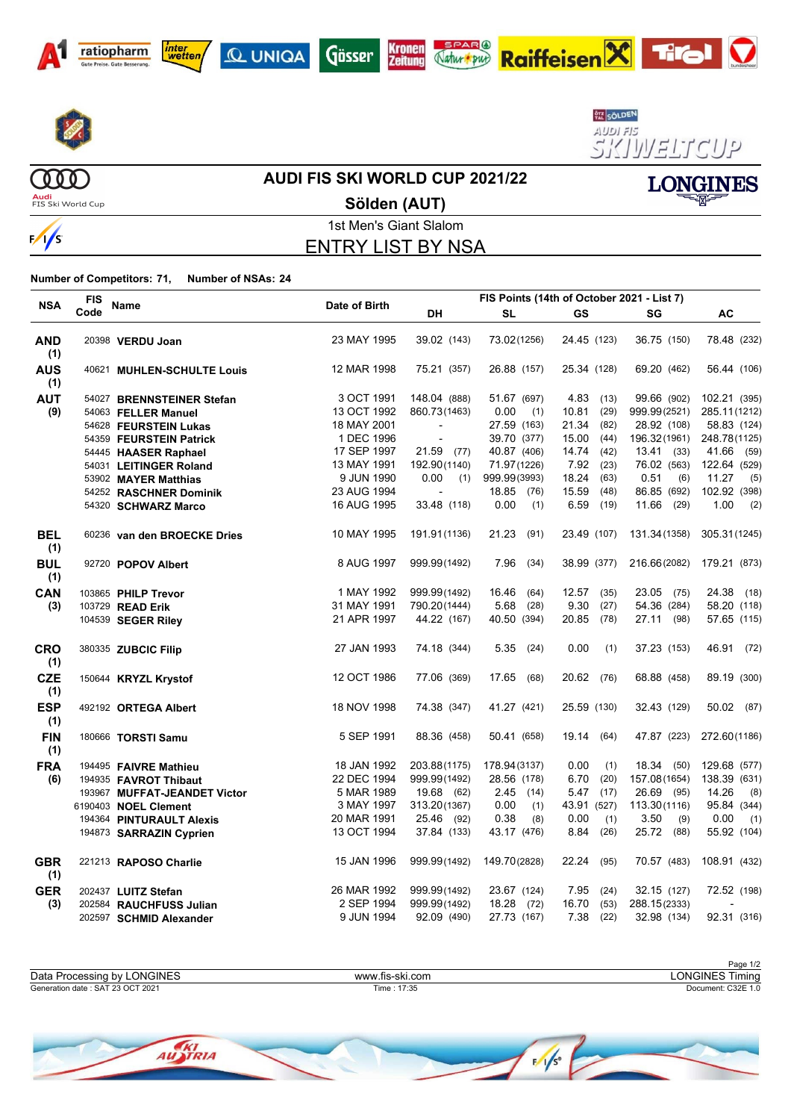











**LONGINES** 

 $\boldsymbol{\nabla}$ 

 $\begin{array}{c} 0 \\ 0 \\ 0 \\ 0 \\ \end{array}$ **Audi**<br>FIS Ski World Cup

#### **AUDI FIS SKI WORLD CUP 2021/22**

**Sölden (AUT)**



1st Men's Giant Slalom ENTRY LIST BY NSA

**Number of Competitors: 71, Number of NSAs: 24**

| <b>NSA</b>        | FIS  | <b>Name</b>                  | Date of Birth |                          |                       |               |              |               |
|-------------------|------|------------------------------|---------------|--------------------------|-----------------------|---------------|--------------|---------------|
|                   | Code |                              |               | DH                       | SL                    | <b>GS</b>     | SG           | AC            |
| AND<br>(1)        |      | 20398 VERDU Joan             | 23 MAY 1995   | 39.02 (143)              | 73.02(1256)           | 24.45 (123)   | 36.75 (150)  | 78.48 (232)   |
| <b>AUS</b><br>(1) |      | 40621 MUHLEN-SCHULTE Louis   | 12 MAR 1998   | 75.21 (357)              | 26.88 (157)           | 25.34 (128)   | 69.20 (462)  | 56.44 (106)   |
| <b>AUT</b>        |      | 54027 BRENNSTEINER Stefan    | 3 OCT 1991    | 148.04 (888)             | 51.67 (697)           | 4.83 (13)     | 99.66 (902)  | 102.21 (395)  |
| (9)               |      | 54063 FELLER Manuel          | 13 OCT 1992   | 860.73(1463)             | 0.00<br>(1)           | (29)<br>10.81 | 999.99(2521) | 285.11(1212)  |
|                   |      | 54628 FEURSTEIN Lukas        | 18 MAY 2001   | $\overline{\phantom{a}}$ | 27.59 (163)           | 21.34 (82)    | 28.92 (108)  | 58.83 (124)   |
|                   |      | 54359 FEURSTEIN Patrick      | 1 DEC 1996    |                          | 39.70 (377)           | 15.00(44)     | 196.32(1961) | 248.78(1125)  |
|                   |      | 54445 HAASER Raphael         | 17 SEP 1997   | 21.59 (77)               | 40.87 (406)           | 14.74 (42)    | $13.41$ (33) | 41.66 (59)    |
|                   |      | 54031 LEITINGER Roland       | 13 MAY 1991   | 192.90(1140)             | 71.97(1226)           | 7.92<br>(23)  | 76.02 (563)  | 122.64 (529)  |
|                   |      | 53902 MAYER Matthias         | 9 JUN 1990    | 0.00                     | $(1)$ 999.99 $(3993)$ | 18.24<br>(63) | 0.51<br>(6)  | 11.27<br>(5)  |
|                   |      | 54252 RASCHNER Dominik       | 23 AUG 1994   |                          | 18.85 (76)            | 15.59<br>(48) | 86.85 (692)  | 102.92 (398)  |
|                   |      | 54320 SCHWARZ Marco          | 16 AUG 1995   | 33.48 (118)              | 0.00<br>(1)           | 6.59<br>(19)  | 11.66 (29)   | 1.00<br>(2)   |
| <b>BEL</b><br>(1) |      | 60236 van den BROECKE Dries  | 10 MAY 1995   | 191.91 (1136)            | 21.23<br>(91)         | 23.49 (107)   | 131.34(1358) | 305.31 (1245) |
| <b>BUL</b><br>(1) |      | 92720 POPOV Albert           | 8 AUG 1997    | 999.99(1492)             | 7.96<br>(34)          | 38.99 (377)   | 216.66(2082) | 179.21 (873)  |
| CAN               |      | 103865 PHILP Trevor          | 1 MAY 1992    | 999.99(1492)             | 16.46<br>(64)         | 12.57<br>(35) | 23.05 (75)   | 24.38 (18)    |
| (3)               |      | 103729 READ Erik             | 31 MAY 1991   | 790.20(1444)             | 5.68<br>(28)          | 9.30<br>(27)  | 54.36 (284)  | 58.20 (118)   |
|                   |      | 104539 SEGER Riley           | 21 APR 1997   | 44.22 (167)              | 40.50 (394)           | 20.85<br>(78) | 27.11 (98)   | 57.65 (115)   |
| <b>CRO</b><br>(1) |      | 380335 ZUBCIC Filip          | 27 JAN 1993   | 74.18 (344)              | 5.35<br>(24)          | 0.00<br>(1)   | 37.23 (153)  | 46.91 (72)    |
| <b>CZE</b><br>(1) |      | 150644 KRYZL Krystof         | 12 OCT 1986   | 77.06 (369)              | 17.65<br>(68)         | 20.62 (76)    | 68.88 (458)  | 89.19 (300)   |
| <b>ESP</b><br>(1) |      | 492192 ORTEGA Albert         | 18 NOV 1998   | 74.38 (347)              | 41.27 (421)           | 25.59 (130)   | 32.43 (129)  | 50.02 (87)    |
| <b>FIN</b><br>(1) |      | 180666 TORSTI Samu           | 5 SEP 1991    | 88.36 (458)              | 50.41 (658)           | 19.14<br>(64) | 47.87 (223)  | 272.60(1186)  |
| <b>FRA</b>        |      | 194495 FAIVRE Mathieu        | 18 JAN 1992   | 203.88(1175)             | 178.94(3137)          | 0.00<br>(1)   | 18.34 (50)   | 129.68 (577)  |
| (6)               |      | 194935 FAVROT Thibaut        | 22 DEC 1994   | 999.99(1492)             | 28.56 (178)           | 6.70<br>(20)  | 157.08(1654) | 138.39 (631)  |
|                   |      | 193967 MUFFAT-JEANDET Victor | 5 MAR 1989    | 19.68 (62)               | $2.45$ (14)           | $5.47$ (17)   | 26.69 (95)   | 14.26<br>(8)  |
|                   |      | 6190403 NOEL Clement         | 3 MAY 1997    | 313.20(1367)             | 0.00<br>(1)           | 43.91 (527)   | 113.30(1116) | 95.84 (344)   |
|                   |      | 194364 PINTURAULT Alexis     | 20 MAR 1991   | 25.46 (92)               | 0.38<br>(8)           | 0.00<br>(1)   | 3.50<br>(9)  | 0.00<br>(1)   |
|                   |      | 194873 SARRAZIN Cyprien      | 13 OCT 1994   | 37.84 (133)              | 43.17 (476)           | 8.84<br>(26)  | 25.72 (88)   | 55.92 (104)   |
| <b>GBR</b><br>(1) |      | 221213 RAPOSO Charlie        | 15 JAN 1996   | 999.99(1492)             | 149.70(2828)          | 22.24<br>(95) | 70.57 (483)  | 108.91 (432)  |
| <b>GER</b>        |      | 202437 LUITZ Stefan          | 26 MAR 1992   | 999.99(1492)             | 23.67 (124)           | 7.95<br>(24)  | 32.15 (127)  | 72.52 (198)   |
| (3)               |      | 202584 RAUCHFUSS Julian      | 2 SEP 1994    | 999.99(1492)             | 18.28 (72)            | 16.70<br>(53) | 288.15(2333) |               |
|                   |      | 202597 SCHMID Alexander      | 9 JUN 1994    | 92.09 (490)              | 27.73 (167)           | 7.38<br>(22)  | 32.98 (134)  | 92.31 (316)   |

Page 1/2<br>LONGINES Timing Generation date : SAT 23 OCT 2021 Time : 17:35 Document: C32E 1.0 Data Processing by LONGINES www.fis-ski.com

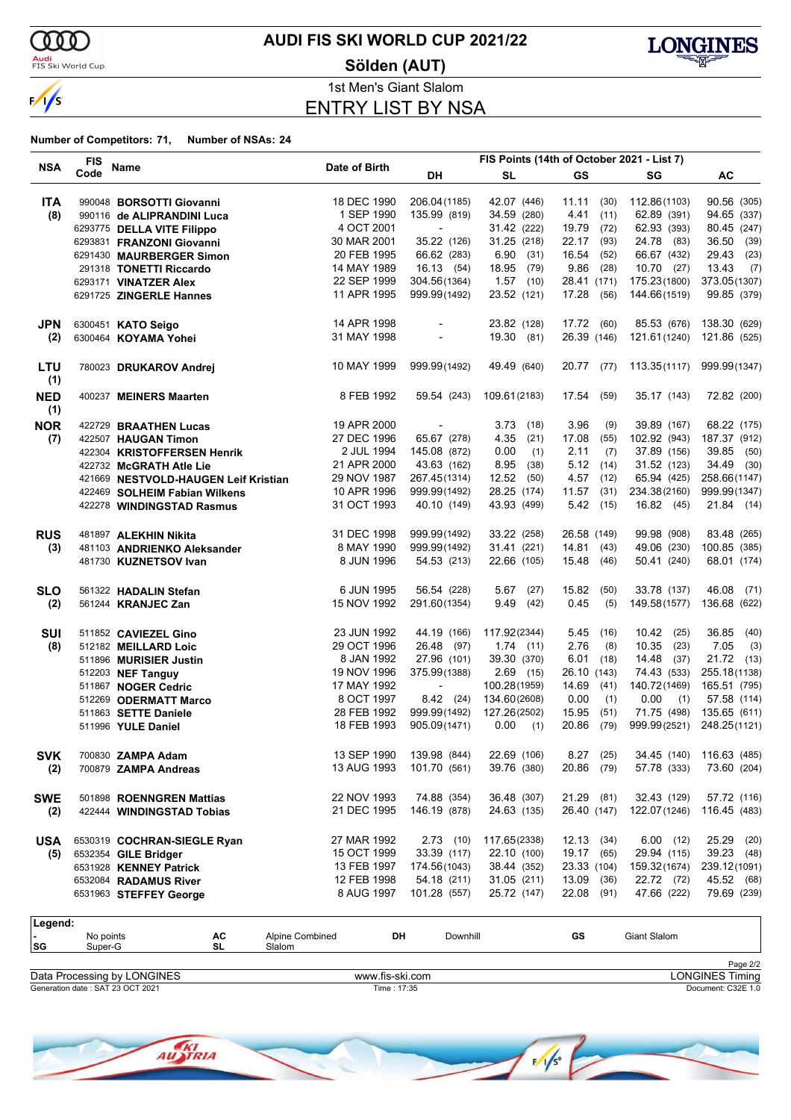

**Audi**<br>FIS Ski World Cup

### **AUDI FIS SKI WORLD CUP 2021/22**

**Sölden (AUT)**



1st Men's Giant Slalom ENTRY LIST BY NSA

#### **Number of Competitors: 71, Number of NSAs: 24**

|                   | <b>FIS</b> |                                      |               |                          | FIS Points (14th of October 2021 - List 7) |             |      |              |               |
|-------------------|------------|--------------------------------------|---------------|--------------------------|--------------------------------------------|-------------|------|--------------|---------------|
| <b>NSA</b>        | Code       | Name                                 | Date of Birth | DH                       | <b>SL</b>                                  | GS          |      | SG           | AC            |
| <b>ITA</b>        |            | 990048 BORSOTTI Giovanni             | 18 DEC 1990   | 206.04 (1185)            | 42.07 (446)                                | 11.11(30)   |      | 112.86(1103) | 90.56 (305)   |
| (8)               |            | 990116 de ALIPRANDINI Luca           | 1 SEP 1990    | 135.99 (819)             | 34.59 (280)                                | 4.41        | (11) | 62.89 (391)  | 94.65 (337)   |
|                   |            | 6293775 DELLA VITE Filippo           | 4 OCT 2001    | $\overline{a}$           | 31.42 (222)                                | 19.79       | (72) | 62.93 (393)  | 80.45 (247)   |
|                   |            | 6293831 FRANZONI Giovanni            | 30 MAR 2001   | 35.22 (126)              | 31.25 (218)                                | 22.17       | (93) | 24.78 (83)   | 36.50 (39)    |
|                   |            | 6291430 MAURBERGER Simon             | 20 FEB 1995   | 66.62 (283)              | 6.90(31)                                   | 16.54       | (52) | 66.67 (432)  | 29.43<br>(23) |
|                   |            | 291318 TONETTI Riccardo              | 14 MAY 1989   | 16.13 (54)               | 18.95 (79)                                 | 9.86        | (28) | 10.70(27)    | 13.43<br>(7)  |
|                   |            | 6293171 VINATZER Alex                | 22 SEP 1999   | 304.56(1364)             | $1.57$ (10)                                | 28.41 (171) |      | 175.23(1800) | 373.05(1307)  |
|                   |            | 6291725 ZINGERLE Hannes              | 11 APR 1995   | 999.99(1492)             | 23.52 (121)                                | 17.28       | (56) | 144.66(1519) | 99.85 (379)   |
| <b>JPN</b>        |            | 6300451 KATO Seigo                   | 14 APR 1998   |                          | 23.82 (128)                                | 17.72 (60)  |      | 85.53 (676)  | 138.30 (629)  |
| (2)               |            | 6300464 KOYAMA Yohei                 | 31 MAY 1998   |                          | 19.30 (81)                                 | 26.39 (146) |      | 121.61(1240) | 121.86 (525)  |
|                   |            |                                      |               |                          |                                            |             |      |              |               |
| LTU<br>(1)        |            | 780023 DRUKAROV Andrej               | 10 MAY 1999   | 999.99(1492)             | 49.49 (640)                                | 20.77 (77)  |      | 113.35(1117) | 999.99(1347)  |
| <b>NED</b><br>(1) |            | 400237 MEINERS Maarten               | 8 FEB 1992    | 59.54 (243)              | 109.61 (2183)                              | 17.54       | (59) | 35.17 (143)  | 72.82 (200)   |
| <b>NOR</b>        |            | 422729 BRAATHEN Lucas                | 19 APR 2000   | $\overline{\phantom{a}}$ | 3.73(18)                                   | 3.96        | (9)  | 39.89 (167)  | 68.22 (175)   |
| (7)               |            | 422507 HAUGAN Timon                  | 27 DEC 1996   | 65.67 (278)              | 4.35<br>(21)                               | 17.08       | (55) | 102.92 (943) | 187.37 (912)  |
|                   |            | 422304 KRISTOFFERSEN Henrik          | 2 JUL 1994    | 145.08 (872)             | 0.00<br>(1)                                | 2.11        | (7)  | 37.89 (156)  | 39.85 (50)    |
|                   |            | 422732 McGRATH Atle Lie              | 21 APR 2000   | 43.63 (162)              | 8.95<br>(38)                               | 5.12        | (14) | 31.52 (123)  | 34.49 (30)    |
|                   |            | 421669 NESTVOLD-HAUGEN Leif Kristian | 29 NOV 1987   | 267.45(1314)             | $12.52$ (50)                               | 4.57        | (12) | 65.94 (425)  | 258.66(1147)  |
|                   |            | 422469 SOLHEIM Fabian Wilkens        | 10 APR 1996   | 999.99(1492)             | 28.25 (174)                                | 11.57       | (31) | 234.38(2160) | 999.99(1347)  |
|                   |            | 422278 WINDINGSTAD Rasmus            | 31 OCT 1993   | 40.10 (149)              | 43.93 (499)                                | 5.42        | (15) | 16.82 (45)   | 21.84 (14)    |
| <b>RUS</b>        |            | 481897 ALEKHIN Nikita                | 31 DEC 1998   | 999.99(1492)             | 33.22 (258)                                | 26.58 (149) |      | 99.98 (908)  | 83.48 (265)   |
| (3)               |            | 481103 ANDRIENKO Aleksander          | 8 MAY 1990    | 999.99(1492)             | 31.41 (221)                                | 14.81       | (43) | 49.06 (230)  | 100.85 (385)  |
|                   |            | 481730 KUZNETSOV Ivan                | 8 JUN 1996    | 54.53 (213)              | 22.66 (105)                                | 15.48       | (46) | 50.41 (240)  | 68.01 (174)   |
| <b>SLO</b>        |            | 561322 HADALIN Stefan                | 6 JUN 1995    | 56.54 (228)              | 5.67<br>(27)                               | 15.82       | (50) | 33.78 (137)  | 46.08 (71)    |
| (2)               |            | 561244 KRANJEC Zan                   | 15 NOV 1992   | 291.60(1354)             | 9.49(42)                                   | 0.45        | (5)  | 149.58(1577) | 136.68 (622)  |
| <b>SUI</b>        |            | 511852 CAVIEZEL Gino                 | 23 JUN 1992   | 44.19 (166)              | 117.92(2344)                               | 5.45        | (16) | $10.42$ (25) | 36.85 (40)    |
| (8)               |            | 512182 MEILLARD Loic                 | 29 OCT 1996   | 26.48 (97)               | 1.74(11)                                   | 2.76        | (8)  | $10.35$ (23) | 7.05<br>(3)   |
|                   |            | 511896 MURISIER Justin               | 8 JAN 1992    | 27.96 (101)              | 39.30 (370)                                | 6.01        | (18) | $14.48$ (37) | 21.72 (13)    |
|                   |            | 512203 NEF Tanguy                    | 19 NOV 1996   | 375.99(1388)             | $2.69$ (15)                                | 26.10 (143) |      | 74.43 (533)  | 255.18(1138)  |
|                   |            | 511867 NOGER Cedric                  | 17 MAY 1992   | $\overline{\phantom{a}}$ | 100.28(1959)                               | 14.69       | (41) | 140.72(1469) | 165.51 (795)  |
|                   |            | 512269 ODERMATT Marco                | 8 OCT 1997    | $8.42$ (24)              | 134.60(2608)                               | 0.00        | (1)  | 0.00<br>(1)  | 57.58 (114)   |
|                   |            | 511863 SETTE Daniele                 | 28 FEB 1992   | 999.99(1492)             | 127.26(2502)                               | 15.95       | (51) | 71.75 (498)  | 135.65 (611)  |
|                   |            | 511996 YULE Daniel                   | 18 FEB 1993   | 905.09(1471)             | $0.00$ (1)                                 | 20.86       | (79) | 999.99(2521) | 248.25(1121)  |
| <b>SVK</b>        |            | 700830 ZAMPA Adam                    | 13 SEP 1990   | 139.98 (844)             | 22.69 (106)                                | $8.27$ (25) |      | 34.45 (140)  | 116.63 (485)  |
| (2)               |            | 700879 ZAMPA Andreas                 | 13 AUG 1993   | 101.70 (561)             | 39.76 (380)                                | 20.86 (79)  |      | 57.78 (333)  | 73.60 (204)   |
| <b>SWE</b>        |            | 501898 ROENNGREN Mattias             | 22 NOV 1993   | 74.88 (354)              | 36.48 (307)                                | 21.29       | (81) | 32.43 (129)  | 57.72 (116)   |
| (2)               |            | 422444 WINDINGSTAD Tobias            | 21 DEC 1995   | 146.19 (878)             | 24.63 (135)                                | 26.40 (147) |      | 122.07(1246) | 116.45 (483)  |
| <b>USA</b>        |            | 6530319 COCHRAN-SIEGLE Ryan          | 27 MAR 1992   | $2.73$ (10)              | 117.65(2338)                               | 12.13(34)   |      | 6.00(12)     | 25.29 (20)    |
| (5)               |            | 6532354 GILE Bridger                 | 15 OCT 1999   | 33.39 (117)              | 22.10 (100)                                | 19.17       | (65) | 29.94 (115)  | 39.23 (48)    |
|                   |            | 6531928 KENNEY Patrick               | 13 FEB 1997   | 174.56(1043)             | 38.44 (352)                                | 23.33 (104) |      | 159.32(1674) | 239.12(1091)  |
|                   |            | 6532084 RADAMUS River                | 12 FEB 1998   | 54.18 (211)              | 31.05(211)                                 | 13.09       | (36) | 22.72 (72)   | 45.52 (68)    |
|                   |            | 6531963 STEFFEY George               | 8 AUG 1997    | 101.28 (557)             | 25.72 (147)                                | 22.08       | (91) | 47.66 (222)  | 79.69 (239)   |

| Legend:                     |                      |          |                           |    |          |    |                        |          |  |
|-----------------------------|----------------------|----------|---------------------------|----|----------|----|------------------------|----------|--|
| . .<br> SG                  | No points<br>Super-G | AC<br>SL | Alpine Combined<br>Slalom | DH | Downhill | GS | Giant Slalom           |          |  |
|                             |                      |          |                           |    |          |    |                        | Page 2/2 |  |
| Data Processing by LONGINES |                      |          | www.fis-ski.com           |    |          |    | <b>LONGINES Timing</b> |          |  |

Generation date : SAT 23 OCT 2021 Time : 17:35 Document: C32E 1.0

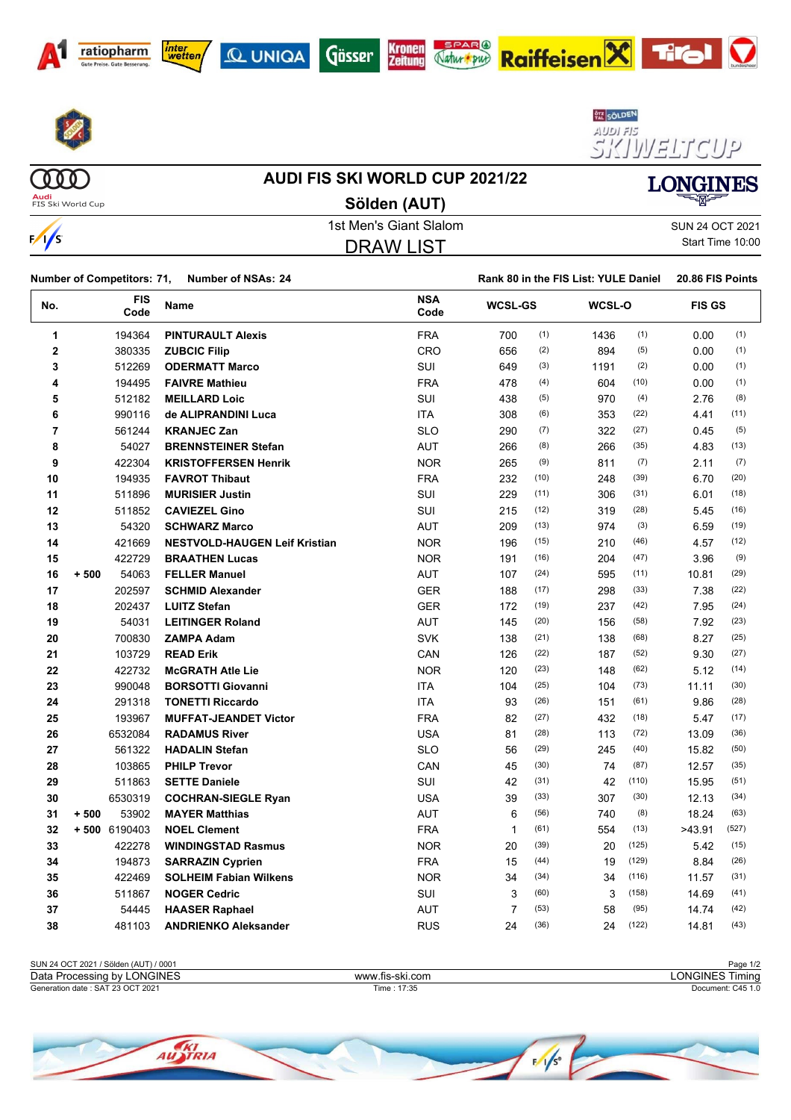









**Rank 80 in the FIS List: YULE Daniel 20.86 FIS Points** 





 $(000)$ **Audi**<br>FIS Ski World Cup

 $\frac{1}{s}$ 

### **AUDI FIS SKI WORLD CUP 2021/22**

**Sölden (AUT)**



1st Men's Giant Slalom SUN 24 OCT 2021 DRAW LIST

Start Time 10:00

 $\boldsymbol{\nabla}$ 

| <b>Number of Competitors: 71,</b> | <b>Number of NSAs: 24</b> |
|-----------------------------------|---------------------------|

| No. | <b>FIS</b><br>Code | Name                                 | <b>NSA</b><br>Code | <b>WCSL-GS</b> |      | WCSL-O |       |        | <b>FIS GS</b> |  |
|-----|--------------------|--------------------------------------|--------------------|----------------|------|--------|-------|--------|---------------|--|
| 1   | 194364             | <b>PINTURAULT Alexis</b>             | <b>FRA</b>         | 700            | (1)  | 1436   | (1)   | 0.00   | (1)           |  |
| 2   | 380335             | <b>ZUBCIC Filip</b>                  | <b>CRO</b>         | 656            | (2)  | 894    | (5)   | 0.00   | (1)           |  |
| 3   | 512269             | <b>ODERMATT Marco</b>                | <b>SUI</b>         | 649            | (3)  | 1191   | (2)   | 0.00   | (1)           |  |
| 4   | 194495             | <b>FAIVRE Mathieu</b>                | <b>FRA</b>         | 478            | (4)  | 604    | (10)  | 0.00   | (1)           |  |
| 5   | 512182             | <b>MEILLARD Loic</b>                 | <b>SUI</b>         | 438            | (5)  | 970    | (4)   | 2.76   | (8)           |  |
| 6   | 990116             | de ALIPRANDINI Luca                  | <b>ITA</b>         | 308            | (6)  | 353    | (22)  | 4.41   | (11)          |  |
| 7   | 561244             | <b>KRANJEC Zan</b>                   | <b>SLO</b>         | 290            | (7)  | 322    | (27)  | 0.45   | (5)           |  |
| 8   | 54027              | <b>BRENNSTEINER Stefan</b>           | <b>AUT</b>         | 266            | (8)  | 266    | (35)  | 4.83   | (13)          |  |
| 9   | 422304             | <b>KRISTOFFERSEN Henrik</b>          | <b>NOR</b>         | 265            | (9)  | 811    | (7)   | 2.11   | (7)           |  |
| 10  | 194935             | <b>FAVROT Thibaut</b>                | <b>FRA</b>         | 232            | (10) | 248    | (39)  | 6.70   | (20)          |  |
| 11  | 511896             | <b>MURISIER Justin</b>               | SUI                | 229            | (11) | 306    | (31)  | 6.01   | (18)          |  |
| 12  | 511852             | <b>CAVIEZEL Gino</b>                 | SUI                | 215            | (12) | 319    | (28)  | 5.45   | (16)          |  |
| 13  | 54320              | <b>SCHWARZ Marco</b>                 | <b>AUT</b>         | 209            | (13) | 974    | (3)   | 6.59   | (19)          |  |
| 14  | 421669             | <b>NESTVOLD-HAUGEN Leif Kristian</b> | <b>NOR</b>         | 196            | (15) | 210    | (46)  | 4.57   | (12)          |  |
| 15  | 422729             | <b>BRAATHEN Lucas</b>                | <b>NOR</b>         | 191            | (16) | 204    | (47)  | 3.96   | (9)           |  |
| 16  | $+500$<br>54063    | <b>FELLER Manuel</b>                 | <b>AUT</b>         | 107            | (24) | 595    | (11)  | 10.81  | (29)          |  |
| 17  | 202597             | <b>SCHMID Alexander</b>              | <b>GER</b>         | 188            | (17) | 298    | (33)  | 7.38   | (22)          |  |
| 18  | 202437             | <b>LUITZ Stefan</b>                  | <b>GER</b>         | 172            | (19) | 237    | (42)  | 7.95   | (24)          |  |
| 19  | 54031              | <b>LEITINGER Roland</b>              | <b>AUT</b>         | 145            | (20) | 156    | (58)  | 7.92   | (23)          |  |
| 20  | 700830             | <b>ZAMPA Adam</b>                    | <b>SVK</b>         | 138            | (21) | 138    | (68)  | 8.27   | (25)          |  |
| 21  | 103729             | <b>READ Erik</b>                     | CAN                | 126            | (22) | 187    | (52)  | 9.30   | (27)          |  |
| 22  | 422732             | <b>McGRATH Atle Lie</b>              | <b>NOR</b>         | 120            | (23) | 148    | (62)  | 5.12   | (14)          |  |
| 23  | 990048             | <b>BORSOTTI Giovanni</b>             | <b>ITA</b>         | 104            | (25) | 104    | (73)  | 11.11  | (30)          |  |
| 24  | 291318             | <b>TONETTI Riccardo</b>              | <b>ITA</b>         | 93             | (26) | 151    | (61)  | 9.86   | (28)          |  |
| 25  | 193967             | <b>MUFFAT-JEANDET Victor</b>         | <b>FRA</b>         | 82             | (27) | 432    | (18)  | 5.47   | (17)          |  |
| 26  | 6532084            | <b>RADAMUS River</b>                 | <b>USA</b>         | 81             | (28) | 113    | (72)  | 13.09  | (36)          |  |
| 27  | 561322             | <b>HADALIN Stefan</b>                | <b>SLO</b>         | 56             | (29) | 245    | (40)  | 15.82  | (50)          |  |
| 28  | 103865             | <b>PHILP Trevor</b>                  | CAN                | 45             | (30) | 74     | (87)  | 12.57  | (35)          |  |
| 29  | 511863             | <b>SETTE Daniele</b>                 | SUI                | 42             | (31) | 42     | (110) | 15.95  | (51)          |  |
| 30  | 6530319            | <b>COCHRAN-SIEGLE Ryan</b>           | <b>USA</b>         | 39             | (33) | 307    | (30)  | 12.13  | (34)          |  |
| 31  | $+500$<br>53902    | <b>MAYER Matthias</b>                | <b>AUT</b>         | 6              | (56) | 740    | (8)   | 18.24  | (63)          |  |
| 32  | $+500$ 6190403     | <b>NOEL Clement</b>                  | <b>FRA</b>         | $\mathbf{1}$   | (61) | 554    | (13)  | >43.91 | (527)         |  |
| 33  | 422278             | <b>WINDINGSTAD Rasmus</b>            | <b>NOR</b>         | 20             | (39) | 20     | (125) | 5.42   | (15)          |  |
| 34  | 194873             | <b>SARRAZIN Cyprien</b>              | <b>FRA</b>         | 15             | (44) | 19     | (129) | 8.84   | (26)          |  |
| 35  | 422469             | <b>SOLHEIM Fabian Wilkens</b>        | <b>NOR</b>         | 34             | (34) | 34     | (116) | 11.57  | (31)          |  |
| 36  | 511867             | <b>NOGER Cedric</b>                  | SUI                | 3              | (60) | 3      | (158) | 14.69  | (41)          |  |
| 37  | 54445              | <b>HAASER Raphael</b>                | <b>AUT</b>         | $\overline{7}$ | (53) | 58     | (95)  | 14.74  | (42)          |  |
| 38  | 481103             | <b>ANDRIENKO Aleksander</b>          | <b>RUS</b>         | 24             | (36) | 24     | (122) | 14.81  | (43)          |  |

| SUN 24 OCT 2021 / Sölden (AUT) / 0001     |                      | $\overline{AB}$<br>Page<br>- 172 |
|-------------------------------------------|----------------------|----------------------------------|
| <b>LONGINES</b><br>Data Processing<br>bv. | 7.fis-ski.com<br>www | _ONGINES<br>' imina              |
| Generation date: SAT 23 OCT 2021          | .17:35<br>Time.      | Document: C45 1.0                |

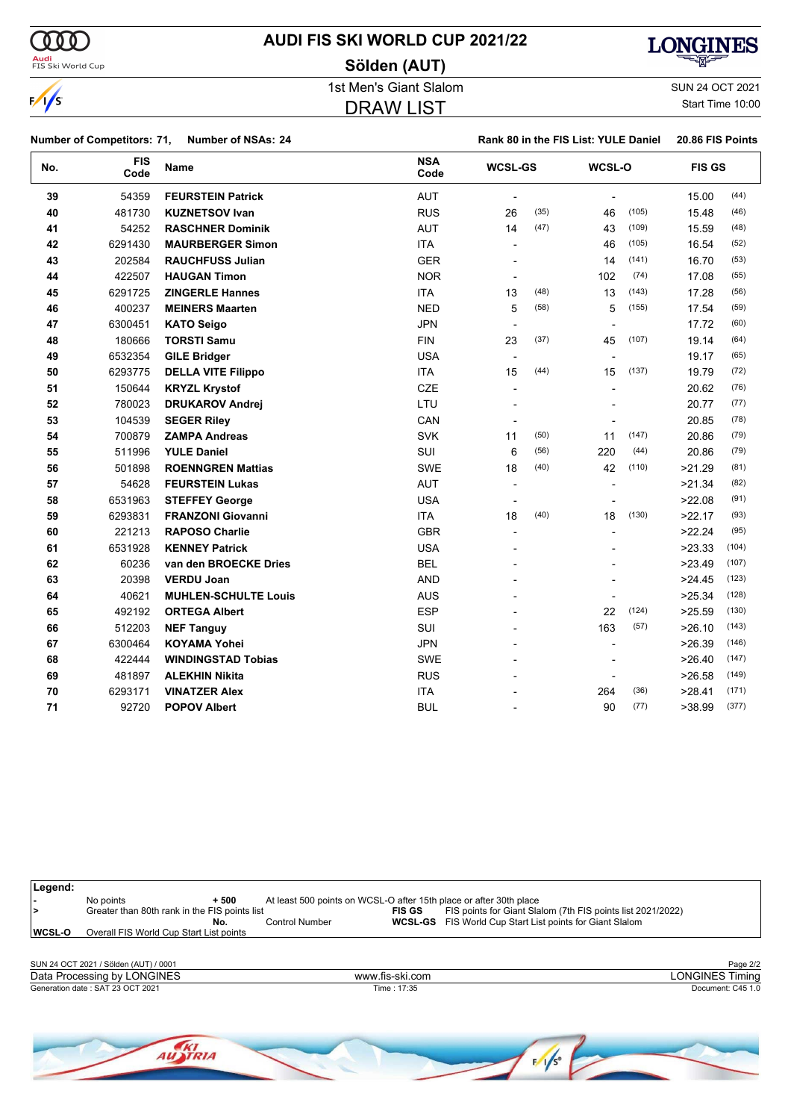

# **AUDI FIS SKI WORLD CUP 2021/22**

**Sölden (AUT)**



 $\frac{1}{s}$ 

1st Men's Giant Slalom SUN 24 OCT 2021 DRAW LIST

Start Time 10:00

|     | <b>Number of Competitors: 71,</b> | <b>Number of NSAs: 24</b>   |                    |                          |      | Rank 80 in the FIS List: YULE Daniel |       | 20.86 FIS Points |       |
|-----|-----------------------------------|-----------------------------|--------------------|--------------------------|------|--------------------------------------|-------|------------------|-------|
| No. | <b>FIS</b><br>Code                | <b>Name</b>                 | <b>NSA</b><br>Code | <b>WCSL-GS</b>           |      | WCSL-O                               |       | <b>FIS GS</b>    |       |
| 39  | 54359                             | <b>FEURSTEIN Patrick</b>    | <b>AUT</b>         |                          |      |                                      |       | 15.00            | (44)  |
| 40  | 481730                            | <b>KUZNETSOV Ivan</b>       | <b>RUS</b>         | 26                       | (35) | 46                                   | (105) | 15.48            | (46)  |
| 41  | 54252                             | <b>RASCHNER Dominik</b>     | <b>AUT</b>         | 14                       | (47) | 43                                   | (109) | 15.59            | (48)  |
| 42  | 6291430                           | <b>MAURBERGER Simon</b>     | <b>ITA</b>         |                          |      | 46                                   | (105) | 16.54            | (52)  |
| 43  | 202584                            | <b>RAUCHFUSS Julian</b>     | <b>GER</b>         |                          |      | 14                                   | (141) | 16.70            | (53)  |
| 44  | 422507                            | <b>HAUGAN Timon</b>         | <b>NOR</b>         |                          |      | 102                                  | (74)  | 17.08            | (55)  |
| 45  | 6291725                           | <b>ZINGERLE Hannes</b>      | <b>ITA</b>         | 13                       | (48) | 13                                   | (143) | 17.28            | (56)  |
| 46  | 400237                            | <b>MEINERS Maarten</b>      | <b>NED</b>         | 5                        | (58) | 5                                    | (155) | 17.54            | (59)  |
| 47  | 6300451                           | <b>KATO Seigo</b>           | <b>JPN</b>         |                          |      |                                      |       | 17.72            | (60)  |
| 48  | 180666                            | <b>TORSTI Samu</b>          | <b>FIN</b>         | 23                       | (37) | 45                                   | (107) | 19.14            | (64)  |
| 49  | 6532354                           | <b>GILE Bridger</b>         | <b>USA</b>         | $\overline{\phantom{a}}$ |      |                                      |       | 19.17            | (65)  |
| 50  | 6293775                           | <b>DELLA VITE Filippo</b>   | <b>ITA</b>         | 15                       | (44) | 15                                   | (137) | 19.79            | (72)  |
| 51  | 150644                            | <b>KRYZL Krystof</b>        | <b>CZE</b>         | $\overline{\phantom{a}}$ |      |                                      |       | 20.62            | (76)  |
| 52  | 780023                            | <b>DRUKAROV Andrej</b>      | LTU                |                          |      |                                      |       | 20.77            | (77)  |
| 53  | 104539                            | <b>SEGER Riley</b>          | CAN                |                          |      |                                      |       | 20.85            | (78)  |
| 54  | 700879                            | <b>ZAMPA Andreas</b>        | <b>SVK</b>         | 11                       | (50) | 11                                   | (147) | 20.86            | (79)  |
| 55  | 511996                            | <b>YULE Daniel</b>          | SUI                | 6                        | (56) | 220                                  | (44)  | 20.86            | (79)  |
| 56  | 501898                            | <b>ROENNGREN Mattias</b>    | <b>SWE</b>         | 18                       | (40) | 42                                   | (110) | >21.29           | (81)  |
| 57  | 54628                             | <b>FEURSTEIN Lukas</b>      | <b>AUT</b>         | $\overline{\phantom{a}}$ |      |                                      |       | >21.34           | (82)  |
| 58  | 6531963                           | <b>STEFFEY George</b>       | <b>USA</b>         |                          |      |                                      |       | >22.08           | (91)  |
| 59  | 6293831                           | <b>FRANZONI Giovanni</b>    | <b>ITA</b>         | 18                       | (40) | 18                                   | (130) | >22.17           | (93)  |
| 60  | 221213                            | <b>RAPOSO Charlie</b>       | <b>GBR</b>         | $\overline{a}$           |      |                                      |       | >22.24           | (95)  |
| 61  | 6531928                           | <b>KENNEY Patrick</b>       | <b>USA</b>         |                          |      |                                      |       | >23.33           | (104) |
| 62  | 60236                             | van den BROECKE Dries       | <b>BEL</b>         |                          |      |                                      |       | >23.49           | (107) |
| 63  | 20398                             | <b>VERDU Joan</b>           | <b>AND</b>         |                          |      |                                      |       | >24.45           | (123) |
| 64  | 40621                             | <b>MUHLEN-SCHULTE Louis</b> | <b>AUS</b>         |                          |      |                                      |       | >25.34           | (128) |
| 65  | 492192                            | <b>ORTEGA Albert</b>        | <b>ESP</b>         |                          |      | 22                                   | (124) | >25.59           | (130) |
| 66  | 512203                            | <b>NEF Tanguy</b>           | SUI                |                          |      | 163                                  | (57)  | >26.10           | (143) |
| 67  | 6300464                           | <b>KOYAMA Yohei</b>         | <b>JPN</b>         |                          |      |                                      |       | >26.39           | (146) |
| 68  | 422444                            | <b>WINDINGSTAD Tobias</b>   | <b>SWE</b>         |                          |      |                                      |       | >26.40           | (147) |
| 69  | 481897                            | <b>ALEKHIN Nikita</b>       | <b>RUS</b>         |                          |      | $\blacksquare$                       |       | >26.58           | (149) |
| 70  | 6293171                           | <b>VINATZER Alex</b>        | <b>ITA</b>         |                          |      | 264                                  | (36)  | >28.41           | (171) |
| 71  | 92720                             | <b>POPOV Albert</b>         | <b>BUL</b>         |                          |      | 90                                   | (77)  | >38.99           | (377) |

**-** No points **+ 500** At least 500 points on WCSL-O after 15th place or after 30th place **>** Greater than 80th rank in the FIS points list **FIS GS** FIS points for Giant Slalom (7th FIS points list 2021/2022) **No.** Control Number **WCSL-GS** FIS World Cup Start List points for Giant Slalom **WCSL-O** Overall FIS World Cup Start List points SUN 24 OCT 2021 / Sölden (AUT) / 0001 Page 2/2<br>
Data Processing by LONGINES Timing Page 2/2

Generation date : SAT 23 OCT 2021 Time : 17:35 Document: C45 1.0 Data Processing by LONGINES www.fis-ski.com

**Legend:**

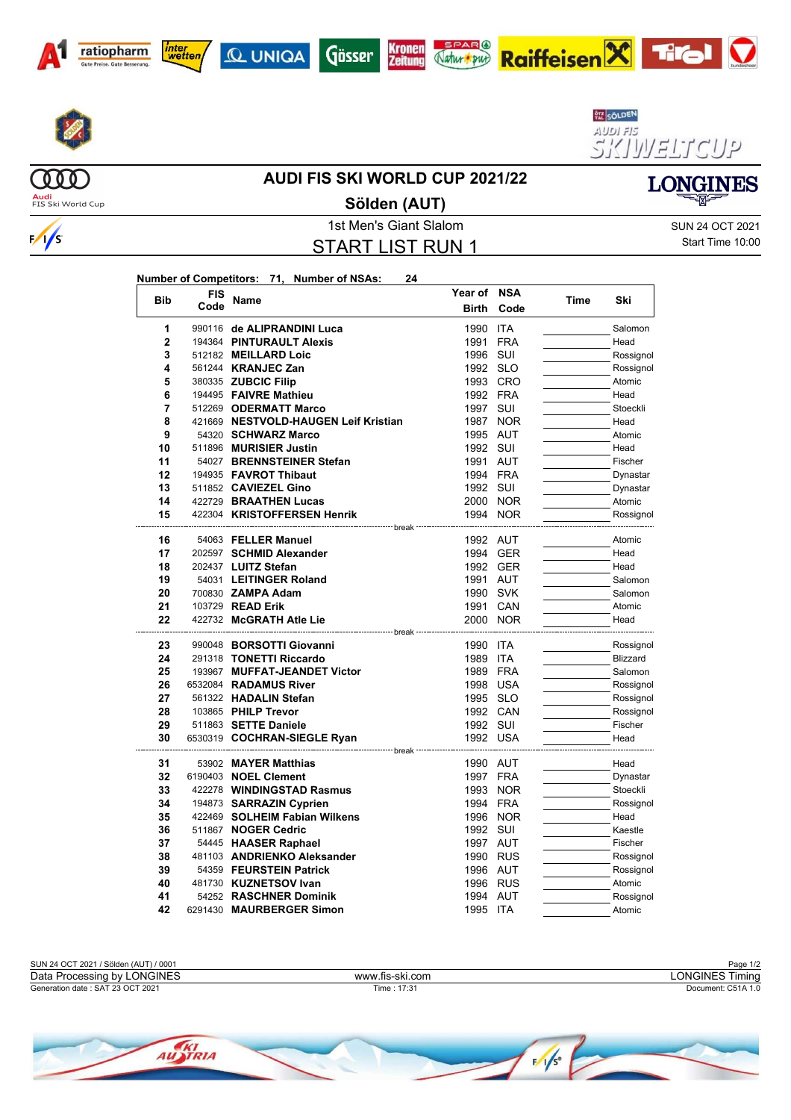















**Audi**<br>FIS Ski World Cup

 $(000)$ 

 $\frac{1}{s}$ 

### **Sölden (AUT)**

1st Men's Giant Slalom Sun 24 OCT 2021 START LIST RUN 1

Start Time 10:00

**LONGINES** 

| Number of Competitors: 71, Number of NSAs: |  |  |
|--------------------------------------------|--|--|
| <b>FIS</b>                                 |  |  |

| <b>Bib</b>     | <b>FIS</b> |                                                       | Year of NSA  |            |      | Ski                  |
|----------------|------------|-------------------------------------------------------|--------------|------------|------|----------------------|
|                | Code       | Name                                                  | <b>Birth</b> | Code       | Time |                      |
| 1              |            | 990116 de ALIPRANDINI Luca                            | 1990         | <b>ITA</b> |      | Salomon              |
| $\overline{2}$ |            | 194364 PINTURAULT Alexis                              | 1991         | <b>FRA</b> |      | Head                 |
| 3              |            | 512182 MEILLARD Loic                                  | 1996         | SUI        |      | Rossignol            |
| 4              |            | 561244 <b>KRANJEC Zan</b>                             | 1992 SLO     |            |      | Rossignol            |
| 5              |            | 380335 ZUBCIC Filip                                   |              | 1993 CRO   |      | Atomic               |
| 6              |            | 194495 FAIVRE Mathieu                                 | 1992 FRA     |            |      | Head                 |
| 7              |            | 512269 ODERMATT Marco                                 | 1997         | SUI        |      | Stoeckli             |
| 8              |            | 421669 NESTVOLD-HAUGEN Leif Kristian                  | 1987         | <b>NOR</b> |      | Head                 |
| 9              |            | 54320 SCHWARZ Marco                                   | 1995 AUT     |            |      | Atomic               |
| 10             |            | 511896 MURISIER Justin                                | 1992         | SUI        |      | Head                 |
| 11             |            | 54027 BRENNSTEINER Stefan                             | 1991         | AUT        |      | Fischer              |
| 12             |            | 194935 FAVROT Thibaut                                 | 1994 FRA     |            |      | Dynastar             |
| 13             |            | 511852 CAVIEZEL Gino                                  | 1992         | SUI        |      | Dynastar             |
| 14             |            | 422729 BRAATHEN Lucas                                 |              | 2000 NOR   |      | Atomic               |
| 15             |            | 422304 KRISTOFFERSEN Henrik                           |              | 1994 NOR   |      | Rossignol            |
| 16             |            | -------- break -- <sup>.</sup><br>54063 FELLER Manuel | 1992 AUT     |            |      | Atomic               |
| 17             |            | 202597 SCHMID Alexander                               |              | 1994 GER   |      | Head                 |
| 18             |            | 202437 LUITZ Stefan                                   |              | 1992 GER   |      | Head                 |
| 19             |            | 54031 LEITINGER Roland                                | 1991         | AUT        |      | Salomon              |
| 20             |            | 700830 ZAMPA Adam                                     | 1990 SVK     |            |      | Salomon              |
| 21             |            | 103729 READ Erik                                      |              | 1991 CAN   |      | Atomic               |
| 22             |            | 422732 McGRATH Atle Lie                               |              | 2000 NOR   |      | Head                 |
|                |            | -------------------- break -----                      |              |            |      |                      |
| 23             |            | 990048 BORSOTTI Giovanni                              | 1990 ITA     |            |      | Rossignol            |
| 24             |            | 291318 TONETTI Riccardo                               | 1989         | <b>ITA</b> |      | <b>Blizzard</b>      |
| 25             |            | 193967 MUFFAT-JEANDET Victor                          | 1989         | <b>FRA</b> |      | Salomon              |
| 26             |            | 6532084 RADAMUS River                                 | 1998 USA     |            |      | Rossignol            |
| 27             |            | 561322 HADALIN Stefan                                 | 1995 SLO     |            |      | Rossignol            |
| 28             |            | 103865 PHILP Trevor                                   | 1992 CAN     |            |      | Rossignol            |
| 29             |            | 511863 SETTE Daniele                                  | 1992 SUI     |            |      | Fischer              |
| 30             |            | 6530319 COCHRAN-SIEGLE Ryan                           | 1992 USA     |            |      | Head                 |
| 31             |            | ---- break -<br>53902 MAYER Matthias                  | 1990 AUT     |            |      | Head                 |
| 32             |            | 6190403 NOEL Clement                                  | 1997 FRA     |            |      |                      |
| 33             |            | 422278 WINDINGSTAD Rasmus                             |              | 1993 NOR   |      | Dynastar<br>Stoeckli |
| 34             |            | 194873 SARRAZIN Cyprien                               | 1994 FRA     |            |      | Rossignol            |
| 35             |            | 422469 SOLHEIM Fabian Wilkens                         | 1996         | <b>NOR</b> |      | Head                 |
| 36             |            | 511867 NOGER Cedric                                   | 1992         | SUI        |      | Kaestle              |
| 37             |            | 54445 HAASER Raphael                                  | 1997 AUT     |            |      | Fischer              |
| 38             |            | 481103 ANDRIENKO Aleksander                           |              | 1990 RUS   |      |                      |
| 39             |            | 54359 FEURSTEIN Patrick                               | 1996 AUT     |            |      | Rossignol            |
| 40             |            | 481730 KUZNETSOV Ivan                                 |              |            |      | Rossignol            |
| 41             |            |                                                       |              | 1996 RUS   |      | Atomic               |
| 42             |            | 54252 RASCHNER Dominik                                | 1994 AUT     |            |      | Rossignol            |
|                |            | 6291430 MAURBERGER Simon                              | 1995 ITA     |            |      | Atomic               |

| SUN 24 OCT 2021 / Sölden (AUT)<br>) / 0001 |                 | : 1/2<br>Page         |  |  |
|--------------------------------------------|-----------------|-----------------------|--|--|
| Data Processing by LONGINES                | www.fis-ski.com | _ONGINES Ti<br>Timina |  |  |
| Generation date: SAT 23 OCT 2021           | 17:3'<br>Time   | Document: C51A 1.0    |  |  |

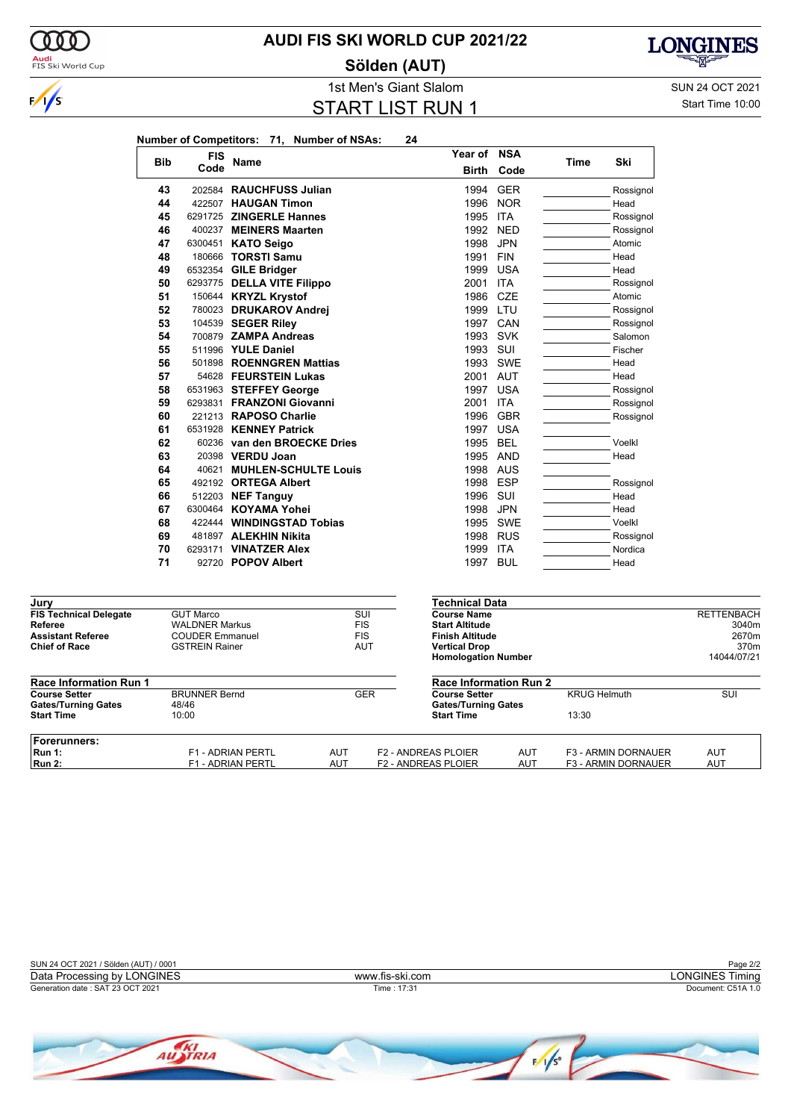

### **AUDI FIS SKI WORLD CUP 2021/22**

**Sölden (AUT)**



1st Men's Giant Slalom SUN 24 OCT 2021 START LIST RUN 1

Start Time 10:00

|                                                 |            |                                                 | Number of Competitors: 71, Number of NSAs: |                          | 24         |  |                                                 |            |                     |                     |                   |
|-------------------------------------------------|------------|-------------------------------------------------|--------------------------------------------|--------------------------|------------|--|-------------------------------------------------|------------|---------------------|---------------------|-------------------|
|                                                 | <b>Bib</b> | FIS                                             | Name                                       |                          |            |  | Year of                                         | <b>NSA</b> | Time                | Ski                 |                   |
|                                                 |            | Code                                            |                                            |                          |            |  | <b>Birth</b>                                    | Code       |                     |                     |                   |
|                                                 | 43         |                                                 | 202584 RAUCHFUSS Julian                    |                          |            |  | 1994                                            | <b>GER</b> |                     | Rossignol           |                   |
|                                                 | 44         |                                                 | 422507 HAUGAN Timon                        |                          |            |  | 1996                                            | <b>NOR</b> |                     | Head                |                   |
|                                                 | 45         |                                                 | 6291725 ZINGERLE Hannes                    |                          |            |  | 1995                                            | ITA        |                     | Rossignol           |                   |
|                                                 | 46         |                                                 | 400237 MEINERS Maarten                     |                          |            |  | 1992                                            | <b>NED</b> |                     | Rossignol           |                   |
|                                                 | 47         |                                                 | 6300451 KATO Seigo                         |                          |            |  | 1998                                            | <b>JPN</b> |                     | Atomic              |                   |
|                                                 | 48         |                                                 | 180666 TORSTI Samu                         |                          |            |  | 1991                                            | <b>FIN</b> |                     | Head                |                   |
|                                                 | 49         |                                                 | 6532354 GILE Bridger                       |                          |            |  | 1999                                            | <b>USA</b> |                     | Head                |                   |
|                                                 | 50         |                                                 | 6293775 DELLA VITE Filippo                 |                          |            |  | 2001                                            | ITA        |                     | Rossignol           |                   |
|                                                 | 51         |                                                 | 150644 KRYZL Krystof                       |                          |            |  | 1986                                            | <b>CZE</b> |                     | Atomic              |                   |
|                                                 | 52         |                                                 | 780023 DRUKAROV Andrej                     |                          |            |  | 1999                                            | LTU        |                     | Rossignol           |                   |
|                                                 | 53         |                                                 | 104539 SEGER Riley                         |                          |            |  | 1997                                            | CAN        |                     | Rossignol           |                   |
|                                                 | 54         |                                                 | 700879 ZAMPA Andreas                       |                          |            |  | 1993                                            | <b>SVK</b> |                     | Salomon             |                   |
|                                                 | 55         |                                                 | 511996 YULE Daniel                         |                          |            |  | 1993                                            | SUI        |                     | Fischer             |                   |
|                                                 | 56         |                                                 | 501898 ROENNGREN Mattias                   |                          |            |  | 1993                                            | SWE        |                     | Head                |                   |
|                                                 | 57         |                                                 | 54628 FEURSTEIN Lukas                      |                          |            |  | 2001 AUT                                        |            |                     | Head                |                   |
|                                                 | 58         |                                                 | 6531963 STEFFEY George                     |                          |            |  | 1997 USA                                        |            |                     | Rossignol           |                   |
|                                                 | 59         |                                                 | 6293831 FRANZONI Giovanni                  |                          |            |  | 2001                                            | <b>ITA</b> |                     | Rossignol           |                   |
|                                                 | 60         |                                                 | 221213 RAPOSO Charlie                      |                          |            |  | 1996                                            | <b>GBR</b> |                     | Rossignol           |                   |
|                                                 | 61         |                                                 | 6531928 KENNEY Patrick                     |                          |            |  | 1997 USA                                        |            |                     |                     |                   |
|                                                 | 62         |                                                 | 60236 van den BROECKE Dries                |                          |            |  | 1995                                            | <b>BEL</b> |                     | Voelkl              |                   |
|                                                 | 63         |                                                 | 20398 VERDU Joan                           |                          |            |  | 1995                                            | AND        |                     | Head                |                   |
|                                                 | 64         |                                                 | 40621 MUHLEN-SCHULTE Louis                 |                          |            |  | 1998                                            | AUS        |                     |                     |                   |
|                                                 | 65         |                                                 | 492192 ORTEGA Albert                       |                          |            |  | 1998                                            | <b>ESP</b> |                     | Rossignol           |                   |
|                                                 | 66         |                                                 | 512203 <b>NEF Tanguy</b>                   |                          |            |  | 1996                                            | sui        |                     | Head                |                   |
|                                                 | 67         |                                                 | 6300464 KOYAMA Yohei                       |                          |            |  | 1998                                            | <b>JPN</b> |                     | Head                |                   |
|                                                 | 68         |                                                 | 422444 WINDINGSTAD Tobias                  |                          |            |  | 1995                                            | SWE        |                     | Voelkl              |                   |
|                                                 | 69         |                                                 | 481897 ALEKHIN Nikita                      |                          |            |  | 1998                                            | <b>RUS</b> |                     | Rossignol           |                   |
|                                                 | 70         |                                                 | 6293171 VINATZER Alex                      |                          |            |  | 1999                                            | <b>ITA</b> |                     | Nordica             |                   |
|                                                 | 71         |                                                 | 92720 POPOV Albert                         |                          |            |  | 1997 BUL                                        |            |                     | Head                |                   |
|                                                 |            |                                                 |                                            |                          |            |  |                                                 |            |                     |                     |                   |
| Jury                                            |            |                                                 |                                            |                          |            |  | <b>Technical Data</b>                           |            |                     |                     |                   |
| <b>FIS Technical Delegate</b>                   |            | <b>GUT Marco</b>                                |                                            | $\overline{\text{SUI}}$  |            |  | <b>Course Name</b>                              |            |                     |                     | <b>RETTENBACH</b> |
| <b>Referee</b><br><b>Assistant Referee</b>      |            | <b>WALDNER Markus</b><br><b>COUDER Emmanuel</b> |                                            | <b>FIS</b><br><b>FIS</b> |            |  | <b>Start Altitude</b><br><b>Finish Altitude</b> |            |                     |                     | 3040m<br>2670m    |
| <b>Chief of Race</b>                            |            | <b>GSTREIN Rainer</b>                           |                                            |                          | AUT        |  | <b>Vertical Drop</b>                            |            |                     |                     | 370m              |
|                                                 |            |                                                 |                                            |                          |            |  | <b>Homologation Number</b>                      |            |                     |                     | 14044/07/21       |
| <b>Race Information Run 1</b>                   |            |                                                 |                                            |                          |            |  | <b>Race Information Run 2</b>                   |            |                     |                     |                   |
| <b>Course Setter</b>                            |            | <b>BRUNNER Bernd</b>                            |                                            |                          | <b>GER</b> |  | <b>Course Setter</b>                            |            | <b>KRUG Helmuth</b> |                     | SUI               |
| <b>Gates/Turning Gates</b><br><b>Start Time</b> |            | 48/46<br>10:00                                  |                                            |                          |            |  | <b>Gates/Turning Gates</b><br><b>Start Time</b> |            | 13:30               |                     |                   |
| Forerunners:                                    |            |                                                 |                                            |                          |            |  |                                                 |            |                     |                     |                   |
| <b>Run 1:</b>                                   |            |                                                 | F1 - ADRIAN PERTL                          | <b>AUT</b>               |            |  | <b>F2 - ANDREAS PLOIER</b>                      | AUT        |                     | F3 - ARMIN DORNAUER | AUT               |
| <b>Run 2:</b>                                   |            |                                                 | F1 - ADRIAN PERTL                          | <b>AUT</b>               |            |  | <b>F2 - ANDREAS PLOIER</b>                      | AUT        |                     | F3 - ARMIN DORNAUER | AUT               |

SUN 24 OCT 2021 / Sölden (AUT) / 0001 Page 2/2<br>
Data Processing by LONGINES Timing Page 2/2 Generation date : SAT 23 OCT 2021 Time : 17:31 Document: C51A 1.0 Data Processing by LONGINES www.fis-ski.com

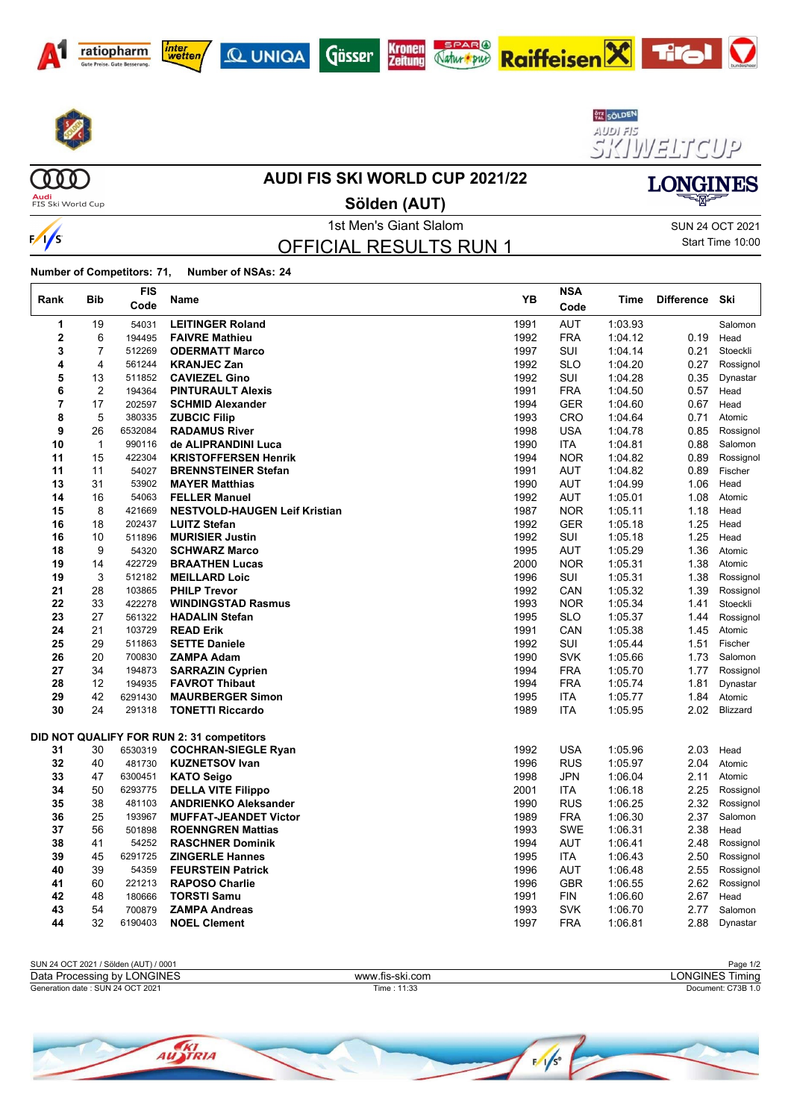









AUDI FIS<br>SIKI VV ELT CUP





 $\frac{1}{s}$ 

 $\Gamma$ 

#### **AUDI FIS SKI WORLD CUP 2021/22**

**Audi**<br>FIS Ski World Cup

1st Men's Giant Slalom Sun 24 OCT 2021 **Sölden (AUT)**

OFFICIAL RESULTS RUN 1

Start Time 10:00

**LONGINES** 

| Rank           | <b>Bib</b>     | <b>FIS</b><br>Code | Name                                      | YB   | <b>NSA</b><br>Code | Time    | <b>Difference</b> | Ski       |
|----------------|----------------|--------------------|-------------------------------------------|------|--------------------|---------|-------------------|-----------|
| 1              | 19             | 54031              | <b>LEITINGER Roland</b>                   | 1991 | <b>AUT</b>         | 1:03.93 |                   | Salomon   |
| $\overline{2}$ | 6              | 194495             | <b>FAIVRE Mathieu</b>                     | 1992 | <b>FRA</b>         | 1:04.12 | 0.19              | Head      |
| 3              | $\overline{7}$ | 512269             | <b>ODERMATT Marco</b>                     | 1997 | <b>SUI</b>         | 1:04.14 | 0.21              | Stoeckli  |
| 4              | 4              | 561244             | <b>KRANJEC Zan</b>                        | 1992 | <b>SLO</b>         | 1:04.20 | 0.27              | Rossignol |
| 5              | 13             | 511852             | <b>CAVIEZEL Gino</b>                      | 1992 | SUI                | 1:04.28 | 0.35              | Dynastar  |
| 6              | $\overline{c}$ | 194364             | <b>PINTURAULT Alexis</b>                  | 1991 | <b>FRA</b>         | 1:04.50 | $0.57\,$          | Head      |
| 7              | 17             | 202597             | <b>SCHMID Alexander</b>                   | 1994 | <b>GER</b>         | 1:04.60 | 0.67              | Head      |
| 8              | 5              | 380335             | <b>ZUBCIC Filip</b>                       | 1993 | <b>CRO</b>         | 1:04.64 | 0.71              | Atomic    |
| 9              | 26             | 6532084            | <b>RADAMUS River</b>                      | 1998 | <b>USA</b>         | 1:04.78 | 0.85              | Rossignol |
| 10             | $\mathbf{1}$   | 990116             | de ALIPRANDINI Luca                       | 1990 | <b>ITA</b>         | 1:04.81 | 0.88              | Salomon   |
| 11             | 15             | 422304             | <b>KRISTOFFERSEN Henrik</b>               | 1994 | <b>NOR</b>         | 1:04.82 | 0.89              | Rossignol |
| 11             | 11             | 54027              | <b>BRENNSTEINER Stefan</b>                | 1991 | <b>AUT</b>         | 1:04.82 | 0.89              | Fischer   |
| 13             | 31             | 53902              | <b>MAYER Matthias</b>                     | 1990 | <b>AUT</b>         | 1:04.99 | 1.06              | Head      |
| 14             | 16             | 54063              | <b>FELLER Manuel</b>                      | 1992 | <b>AUT</b>         | 1:05.01 | 1.08              | Atomic    |
| 15             | 8              | 421669             | <b>NESTVOLD-HAUGEN Leif Kristian</b>      | 1987 | <b>NOR</b>         | 1:05.11 | 1.18              | Head      |
| 16             | 18             | 202437             | <b>LUITZ Stefan</b>                       | 1992 | <b>GER</b>         | 1:05.18 | 1.25              | Head      |
| 16             | 10             | 511896             | <b>MURISIER Justin</b>                    | 1992 | SUI                | 1:05.18 | 1.25              | Head      |
| 18             | 9              | 54320              | <b>SCHWARZ Marco</b>                      | 1995 | <b>AUT</b>         | 1:05.29 | 1.36              | Atomic    |
| 19             | 14             | 422729             | <b>BRAATHEN Lucas</b>                     | 2000 | <b>NOR</b>         | 1:05.31 | 1.38              | Atomic    |
| 19             | 3              | 512182             | <b>MEILLARD Loic</b>                      | 1996 | SUI                | 1:05.31 | 1.38              | Rossignol |
| 21             | 28             | 103865             | <b>PHILP Trevor</b>                       | 1992 | CAN                | 1:05.32 | 1.39              | Rossignol |
| 22             | 33             | 422278             | <b>WINDINGSTAD Rasmus</b>                 | 1993 | <b>NOR</b>         | 1:05.34 | 1.41              | Stoeckli  |
| 23             | 27             | 561322             | <b>HADALIN Stefan</b>                     | 1995 | <b>SLO</b>         | 1:05.37 | 1.44              | Rossignol |
| 24             | 21             | 103729             | <b>READ Erik</b>                          | 1991 | CAN                | 1:05.38 | 1.45              | Atomic    |
| 25             | 29             | 511863             | <b>SETTE Daniele</b>                      | 1992 | SUI                | 1:05.44 | 1.51              | Fischer   |
| 26             | 20             | 700830             | <b>ZAMPA Adam</b>                         | 1990 | <b>SVK</b>         | 1:05.66 | 1.73              | Salomon   |
| 27             | 34             | 194873             | <b>SARRAZIN Cyprien</b>                   | 1994 | <b>FRA</b>         | 1:05.70 | 1.77              | Rossignol |
| 28             | 12             | 194935             | <b>FAVROT Thibaut</b>                     | 1994 | <b>FRA</b>         | 1:05.74 | 1.81              | Dynastar  |
| 29             | 42             | 6291430            | <b>MAURBERGER Simon</b>                   | 1995 | ITA                | 1:05.77 | 1.84              | Atomic    |
| 30             | 24             | 291318             | <b>TONETTI Riccardo</b>                   | 1989 | <b>ITA</b>         | 1:05.95 | 2.02              | Blizzard  |
|                |                |                    | DID NOT QUALIFY FOR RUN 2: 31 competitors |      |                    |         |                   |           |
| 31             | 30             | 6530319            | <b>COCHRAN-SIEGLE Ryan</b>                | 1992 | <b>USA</b>         | 1:05.96 | 2.03              | Head      |
| 32             | 40             | 481730             | <b>KUZNETSOV Ivan</b>                     | 1996 | <b>RUS</b>         | 1:05.97 | 2.04              | Atomic    |
| 33             | 47             | 6300451            | <b>KATO Seigo</b>                         | 1998 | JPN                | 1:06.04 | 2.11              | Atomic    |
| 34             | 50             | 6293775            | <b>DELLA VITE Filippo</b>                 | 2001 | <b>ITA</b>         | 1:06.18 | 2.25              | Rossignol |
| 35             | 38             | 481103             | <b>ANDRIENKO Aleksander</b>               | 1990 | <b>RUS</b>         | 1:06.25 | 2.32              | Rossignol |
| 36             | 25             | 193967             | <b>MUFFAT-JEANDET Victor</b>              | 1989 | <b>FRA</b>         | 1:06.30 | 2.37              | Salomon   |
| 37             | 56             | 501898             | <b>ROENNGREN Mattias</b>                  | 1993 | <b>SWE</b>         | 1:06.31 | 2.38              | Head      |
| 38             | 41             | 54252              | <b>RASCHNER Dominik</b>                   | 1994 | <b>AUT</b>         | 1:06.41 | 2.48              | Rossignol |
| 39             | 45             | 6291725            | <b>ZINGERLE Hannes</b>                    | 1995 | <b>ITA</b>         | 1:06.43 | 2.50              | Rossignol |
| 40             | 39             | 54359              | <b>FEURSTEIN Patrick</b>                  | 1996 | <b>AUT</b>         | 1.06.48 | 2.55              | Rossignol |
| 41             | 60             | 221213             | <b>RAPOSO Charlie</b>                     | 1996 | <b>GBR</b>         | 1:06.55 | 2.62              | Rossignol |
| 42             | 48             | 180666             | <b>TORSTI Samu</b>                        | 1991 | <b>FIN</b>         | 1:06.60 | 2.67              | Head      |
| 43             | 54             | 700879             | <b>ZAMPA Andreas</b>                      | 1993 | <b>SVK</b>         | 1:06.70 | 2.77              | Salomon   |
| 44             | 32             | 6190403            | <b>NOEL Clement</b>                       | 1997 | <b>FRA</b>         | 1:06.81 | 2.88              | Dynastar  |

|                 | Page 1/2                     |
|-----------------|------------------------------|
| www.fis-ski.com | <b>_ONGINES Ti</b><br>Timina |
| 11:33<br>ïme :  | Document: C73B 1.0           |
|                 |                              |

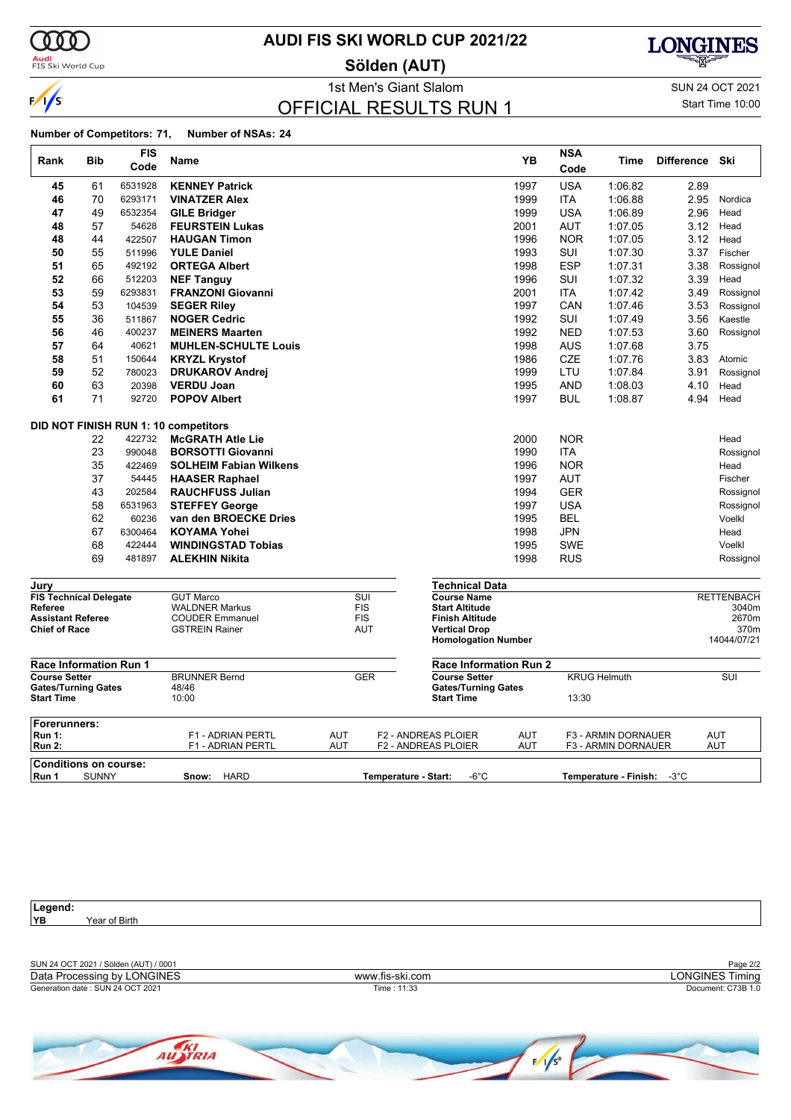

**Audi**<br>FIS Ski World Cup

### **AUDI FIS SKI WORLD CUP 2021/22**

**Sölden (AUT)**



1st Men's Giant Slalom SUN 24 OCT 2021

### OFFICIAL RESULTS RUN 1

Start Time 10:00

#### **Number of Competitors: 71, Number of NSAs: 24**

| Rank                                            | Bib          | FIS     | Name                                            |            |                          |                                            | <b>YB</b>                     | <b>NSA</b> | Time                                       | <b>Difference</b> | Ski               |
|-------------------------------------------------|--------------|---------|-------------------------------------------------|------------|--------------------------|--------------------------------------------|-------------------------------|------------|--------------------------------------------|-------------------|-------------------|
|                                                 |              | Code    |                                                 |            |                          |                                            |                               | Code       |                                            |                   |                   |
| 45                                              | 61           | 6531928 | <b>KENNEY Patrick</b>                           |            |                          |                                            | 1997                          | <b>USA</b> | 1:06.82                                    | 2.89              |                   |
| 46                                              | 70           | 6293171 | <b>VINATZER Alex</b>                            |            |                          |                                            | 1999                          | <b>ITA</b> | 1:06.88                                    | 2.95              | Nordica           |
| 47                                              | 49           | 6532354 | <b>GILE Bridger</b>                             |            |                          |                                            | 1999                          | USA        | 1:06.89                                    | 2.96              | Head              |
| 48                                              | 57           | 54628   | <b>FEURSTEIN Lukas</b>                          |            |                          |                                            | 2001                          | <b>AUT</b> | 1:07.05                                    | 3.12              | Head              |
| 48                                              | 44           | 422507  | <b>HAUGAN Timon</b>                             |            |                          |                                            | 1996                          | <b>NOR</b> | 1:07.05                                    | 3.12              | Head              |
| 50                                              | 55           | 511996  | <b>YULE Daniel</b>                              |            |                          |                                            | 1993                          | SUI        | 1:07.30                                    | 3.37              | Fischer           |
| 51                                              | 65           | 492192  | <b>ORTEGA Albert</b>                            |            |                          |                                            | 1998                          | <b>ESP</b> | 1:07.31                                    | 3.38              | Rossignol         |
| 52                                              | 66           | 512203  | <b>NEF Tanguy</b>                               |            |                          |                                            | 1996                          | SUI        | 1:07.32                                    | 3.39              | Head              |
| 53                                              | 59           | 6293831 | <b>FRANZONI Giovanni</b>                        |            |                          |                                            | 2001                          | <b>ITA</b> | 1:07.42                                    | 3.49              | Rossignol         |
| 54                                              | 53           | 104539  | <b>SEGER Riley</b>                              |            |                          |                                            | 1997                          | CAN        | 1:07.46                                    | 3.53              | Rossignol         |
| 55                                              | 36           | 511867  | <b>NOGER Cedric</b>                             |            |                          |                                            | 1992                          | SUI        | 1:07.49                                    | 3.56              | Kaestle           |
| 56                                              | 46           | 400237  | <b>MEINERS Maarten</b>                          |            |                          |                                            | 1992                          | <b>NED</b> | 1:07.53                                    | 3.60              | Rossignol         |
| 57                                              | 64           | 40621   | <b>MUHLEN-SCHULTE Louis</b>                     |            |                          |                                            | 1998                          | AUS        | 1:07.68                                    | 3.75              |                   |
| 58                                              | 51           | 150644  | <b>KRYZL Krystof</b>                            |            |                          |                                            | 1986                          | CZE        | 1:07.76                                    | 3.83              | Atomic            |
| 59                                              | 52           | 780023  | <b>DRUKAROV Andrei</b>                          |            |                          |                                            | 1999                          | LTU        | 1:07.84                                    | 3.91              | Rossignol         |
| 60                                              | 63           | 20398   | <b>VERDU Joan</b>                               |            |                          |                                            | 1995                          | <b>AND</b> | 1:08.03                                    | 4.10              | Head              |
| 61                                              | 71           | 92720   | <b>POPOV Albert</b>                             |            |                          |                                            | 1997                          | <b>BUL</b> | 1:08.87                                    | 4.94              | Head              |
|                                                 |              |         | DID NOT FINISH RUN 1: 10 competitors            |            |                          |                                            |                               |            |                                            |                   |                   |
|                                                 | 22           | 422732  | <b>McGRATH Atle Lie</b>                         |            |                          |                                            | 2000                          | <b>NOR</b> |                                            |                   | Head              |
|                                                 | 23           | 990048  | <b>BORSOTTI Giovanni</b>                        |            |                          |                                            | 1990                          | <b>ITA</b> |                                            |                   | Rossignol         |
|                                                 | 35           | 422469  | <b>SOLHEIM Fabian Wilkens</b>                   |            |                          |                                            | 1996                          | <b>NOR</b> |                                            |                   | Head              |
|                                                 | 37           | 54445   | <b>HAASER Raphael</b>                           |            |                          |                                            | 1997                          | <b>AUT</b> |                                            |                   | Fischer           |
|                                                 | 43           | 202584  | <b>RAUCHFUSS Julian</b>                         |            |                          |                                            | 1994                          | GER        |                                            |                   | Rossignol         |
|                                                 | 58           | 6531963 | <b>STEFFEY George</b>                           |            |                          |                                            | 1997                          | <b>USA</b> |                                            |                   | Rossignol         |
|                                                 | 62           | 60236   | van den BROECKE Dries                           |            |                          |                                            | 1995                          | <b>BEL</b> |                                            |                   | Voelkl            |
|                                                 | 67           | 6300464 | <b>KOYAMA Yohei</b>                             |            |                          |                                            | 1998                          | <b>JPN</b> |                                            |                   | Head              |
|                                                 | 68           | 422444  | <b>WINDINGSTAD Tobias</b>                       |            |                          |                                            | 1995                          | <b>SWE</b> |                                            |                   | Voelkl            |
|                                                 | 69           | 481897  | <b>ALEKHIN Nikita</b>                           |            |                          |                                            | 1998                          | <b>RUS</b> |                                            |                   | Rossignol         |
| Jurv                                            |              |         |                                                 |            |                          |                                            | Technical Data                |            |                                            |                   |                   |
| <b>FIS Technical Delegate</b>                   |              |         | <b>GUT Marco</b>                                |            | $\overline{\text{SUI}}$  | <b>Course Name</b>                         |                               |            |                                            |                   | <b>RETTENBACH</b> |
| Referee<br><b>Assistant Referee</b>             |              |         | <b>WALDNER Markus</b><br><b>COUDER Emmanuel</b> |            | <b>FIS</b><br><b>FIS</b> | <b>Start Altitude</b>                      | Finish Altitude               |            |                                            |                   | 3040m<br>2670m    |
| <b>Chief of Race</b>                            |              |         | <b>GSTREIN Rainer</b>                           |            | <b>AUT</b>               | <b>Vertical Drop</b>                       |                               |            |                                            |                   | 370m              |
|                                                 |              |         |                                                 |            |                          |                                            | <b>Homologation Number</b>    |            |                                            |                   | 14044/07/21       |
| <b>Race Information Run 1</b>                   |              |         |                                                 |            |                          |                                            | <b>Race Information Run 2</b> |            |                                            |                   |                   |
| <b>Course Setter</b>                            |              |         | <b>BRUNNER Bernd</b>                            |            | <b>GER</b>               | <b>Course Setter</b>                       |                               |            | <b>KRUG Helmuth</b>                        |                   | SUI               |
| <b>Gates/Turning Gates</b><br><b>Start Time</b> |              |         | 48/46<br>10:00                                  |            |                          | <b>Start Time</b>                          | <b>Gates/Turning Gates</b>    | 13:30      |                                            |                   |                   |
|                                                 |              |         |                                                 |            |                          |                                            |                               |            |                                            |                   |                   |
| Forerunners:                                    |              |         |                                                 |            |                          |                                            |                               |            |                                            |                   |                   |
| <b>Run 1:</b><br><b>Run 2:</b>                  |              |         | F1 - ADRIAN PERTL<br>F1 - ADRIAN PERTL          | AUT<br>AUT |                          | F2 - ANDREAS PLOIER<br>F2 - ANDREAS PLOIER | AUT<br>AUT                    |            | F3 - ARMIN DORNAUER<br>F3 - ARMIN DORNAUER |                   | AUT<br>AUT        |
|                                                 |              |         |                                                 |            |                          |                                            |                               |            |                                            |                   |                   |
| <b>Conditions on course:</b>                    |              |         |                                                 |            |                          |                                            | -6°C                          |            |                                            |                   |                   |
| Run 1                                           | <b>SUNNY</b> |         | <b>HARD</b><br>Snow:                            |            |                          | Temperature - Start:                       |                               |            | Temperature - Finish:                      | $-3^{\circ}$ C    |                   |

Legend:<br>YB Year of Birth

| SUN 24 OCT 2021 / Sölden (AUT) / 0001 |                 | Page 2/2               |
|---------------------------------------|-----------------|------------------------|
| Data Processing by<br><b>LONGINES</b> | www.fis-ski.com | _ONGINES Tir<br>Timina |
| Generation date: SUN 24 OCT 2021      | Time: 11:33     | Document: C73B 1.0     |
|                                       |                 |                        |

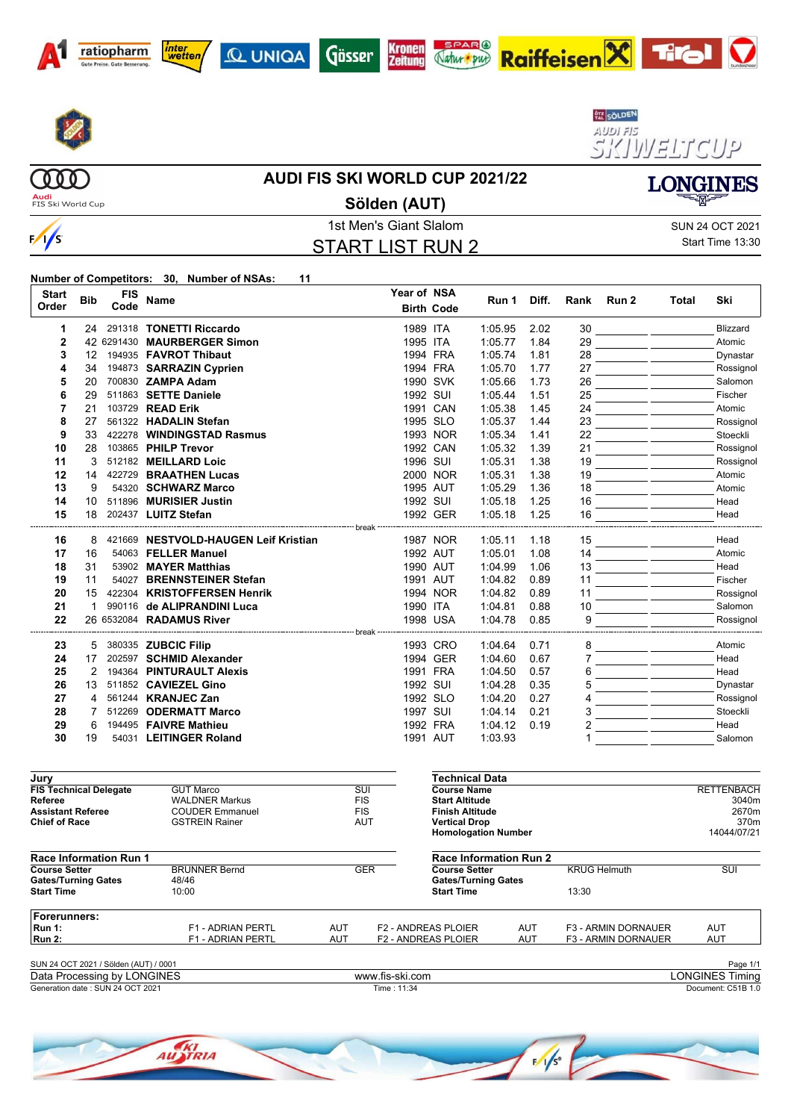













**AUDI FIS SKI WORLD CUP 2021/22**

**Audi**<br>FIS Ski World Cup

**COOO** 

 $\frac{1}{s}$ 

### **Sölden (AUT)**

### 1st Men's Giant Slalom Sun 24 OCT 2021 START LIST RUN 2

Start Time 13:30

**LONGINES** 

 $\boldsymbol{\nabla}$ 

| <b>Start</b><br>Order               | <b>Bib</b> | <b>FIS</b><br>Code | <b>Name</b>                                     |                                                                             | Year of NSA<br><b>Birth Code</b> |          | Run 1                      | Diff. | Rank | Run 2 | Total | Ski               |
|-------------------------------------|------------|--------------------|-------------------------------------------------|-----------------------------------------------------------------------------|----------------------------------|----------|----------------------------|-------|------|-------|-------|-------------------|
| 1                                   | 24         |                    | 291318 TONETTI Riccardo                         |                                                                             | 1989 ITA                         |          | 1:05.95                    | 2.02  | 30   |       |       | Blizzard          |
| 2                                   |            |                    | 42 6291430 MAURBERGER Simon                     |                                                                             | 1995 ITA                         |          | 1:05.77                    | 1.84  | 29   |       |       | Atomic            |
| 3                                   | 12         |                    | 194935 FAVROT Thibaut                           |                                                                             | 1994 FRA                         |          | 1:05.74                    | 1.81  | 28   |       |       | Dynastar          |
| 4                                   | 34         |                    | 194873 SARRAZIN Cyprien                         |                                                                             | 1994 FRA                         |          | 1:05.70                    | 1.77  | 27   |       |       | Rossignol         |
| 5                                   | 20         |                    | 700830 ZAMPA Adam                               |                                                                             |                                  | 1990 SVK | 1:05.66                    | 1.73  | 26   |       |       | Salomon           |
| 6                                   | 29         |                    | 511863 SETTE Daniele                            |                                                                             | 1992 SUI                         |          | 1:05.44                    | 1.51  | 25   |       |       | Fischer           |
| $\overline{7}$                      | 21         |                    | 103729 READ Erik                                |                                                                             |                                  | 1991 CAN | 1:05.38                    | 1.45  | 24   |       |       | Atomic            |
| 8                                   | 27         |                    | 561322 HADALIN Stefan                           |                                                                             | 1995 SLO                         |          | 1:05.37                    | 1.44  | 23   |       |       | Rossignol         |
| 9                                   | 33         |                    | 422278 WINDINGSTAD Rasmus                       |                                                                             |                                  | 1993 NOR | 1:05.34                    | 1.41  | 22   |       |       | Stoeckli          |
| 10                                  | 28         |                    | 103865 PHILP Trevor                             |                                                                             |                                  | 1992 CAN | 1:05.32                    | 1.39  | 21   |       |       | Rossignol         |
| 11                                  | 3          |                    | 512182 MEILLARD Loic                            |                                                                             | 1996 SUI                         |          | 1:05.31                    | 1.38  | 19   |       |       | Rossignol         |
| 12                                  | 14         |                    | 422729 BRAATHEN Lucas                           |                                                                             |                                  | 2000 NOR | 1:05.31                    | 1.38  | 19   |       |       | Atomic            |
| 13                                  | 9          |                    | 54320 SCHWARZ Marco                             |                                                                             | 1995 AUT                         |          | 1:05.29                    | 1.36  | 18   |       |       | Atomic            |
| 14                                  | 10         |                    | 511896 MURISIER Justin                          |                                                                             | 1992 SUI                         |          | 1:05.18                    | 1.25  | 16   |       |       | Head              |
| 15                                  | 18         |                    | 202437 LUITZ Stefan                             |                                                                             |                                  | 1992 GER | 1:05.18                    | 1.25  | 16   |       |       | Head              |
| 16                                  | 8          |                    | 421669 NESTVOLD-HAUGEN Leif Kristian            |                                                                             |                                  | 1987 NOR | 1:05.11                    | 1.18  | 15   |       |       | Head              |
| 17                                  | 16         |                    | 54063 FELLER Manuel                             |                                                                             |                                  | 1992 AUT | 1:05.01                    | 1.08  | 14   |       |       | Atomic            |
| 18                                  | 31         |                    | 53902 MAYER Matthias                            |                                                                             | 1990 AUT                         |          | 1:04.99                    | 1.06  | 13   |       |       | Head              |
| 19                                  | 11         |                    | 54027 BRENNSTEINER Stefan                       |                                                                             | 1991 AUT                         |          | 1:04.82                    | 0.89  | 11   |       |       | Fischer           |
| 20                                  | 15         |                    | 422304 KRISTOFFERSEN Henrik                     |                                                                             |                                  | 1994 NOR | 1:04.82                    | 0.89  | 11   |       |       | Rossignol         |
| 21                                  | 1          |                    | 990116 de ALIPRANDINI Luca                      |                                                                             | 1990 ITA                         |          | 1:04.81                    | 0.88  | 10   |       |       | Salomon           |
| 22                                  |            |                    | 26 6532084 RADAMUS River                        |                                                                             |                                  | 1998 USA | 1:04.78                    | 0.85  | 9    |       |       | Rossignol         |
|                                     |            |                    |                                                 |                                                                             |                                  |          |                            |       |      |       |       |                   |
| 23                                  | 5          |                    | 380335 ZUBCIC Filip                             |                                                                             |                                  | 1993 CRO | 1:04.64                    | 0.71  | 8    |       |       | Atomic            |
| 24                                  | 17         |                    | 202597 SCHMID Alexander                         |                                                                             |                                  | 1994 GER | 1:04.60                    | 0.67  |      |       |       | Head              |
| 25                                  | 2          |                    | 194364 PINTURAULT Alexis                        |                                                                             | 1991 FRA                         |          | 1:04.50                    | 0.57  | 6    |       |       | Head              |
| 26                                  | 13         |                    | 511852 CAVIEZEL Gino                            |                                                                             | 1992 SUI                         |          | 1:04.28                    | 0.35  | 5    |       |       | Dynastar          |
| 27                                  | 4          |                    | 561244 <b>KRANJEC Zan</b>                       |                                                                             | 1992 SLO                         |          | 1:04.20                    | 0.27  | 4    |       |       | Rossignol         |
| 28                                  | 7          |                    | 512269 ODERMATT Marco                           |                                                                             | 1997 SUI                         |          | 1.04.14                    | 0.21  | 3    |       |       | Stoeckli          |
| 29                                  | 6          |                    | 194495 FAIVRE Mathieu                           |                                                                             |                                  | 1992 FRA | 1:04.12                    | 0.19  | 2    |       |       | Head              |
| 30                                  | 19         |                    | 54031 LEITINGER Roland                          |                                                                             | 1991 AUT                         |          | 1:03.93                    |       |      |       |       | Salomon           |
| Jury                                |            |                    |                                                 |                                                                             |                                  |          | <b>Technical Data</b>      |       |      |       |       |                   |
| <b>FIS Technical Delegate</b>       |            |                    | <b>GUT Marco</b>                                | $\overline{\text{SUI}}$                                                     |                                  |          | <b>Course Name</b>         |       |      |       |       | <b>RETTENBACH</b> |
| Referee<br><b>Assistant Referee</b> |            |                    | <b>WALDNER Markus</b><br><b>COUDER Emmanuel</b> | <b>FIS</b><br><b>Start Altitude</b><br><b>FIS</b><br><b>Finish Altitude</b> |                                  |          |                            |       |      |       |       | 3040m<br>2670m    |
| <b>Chief of Race</b>                |            |                    | <b>GSTREIN Rainer</b>                           | <b>AUT</b>                                                                  | <b>Vertical Drop</b>             |          |                            |       |      | 370m  |       |                   |
|                                     |            |                    |                                                 |                                                                             |                                  |          | <b>Homologation Number</b> |       |      |       |       | 14044/07/21       |

| <b>Race Information Run 1</b>                      |                               |            |                                                                  | <b>Race Information Run 2</b> |                            |     |  |
|----------------------------------------------------|-------------------------------|------------|------------------------------------------------------------------|-------------------------------|----------------------------|-----|--|
| <b>Course Setter</b><br><b>Gates/Turning Gates</b> | <b>BRUNNER Bernd</b><br>48/46 |            | <b>GER</b><br><b>Course Setter</b><br><b>Gates/Turning Gates</b> |                               | <b>KRUG Helmuth</b>        | SUI |  |
| <b>Start Time</b>                                  | 10:00                         |            | <b>Start Time</b>                                                |                               | 13:30                      |     |  |
| Forerunners:                                       |                               |            |                                                                  |                               |                            |     |  |
| $\mathsf{Run}$ 1:                                  | <b>F1 - ADRIAN PERTL</b>      | <b>AUT</b> | <b>F2 - ANDREAS PLOIER</b>                                       | AUT                           | <b>F3 - ARMIN DORNAUER</b> | AUT |  |
| <b>Run 2:</b>                                      | <b>F1 - ADRIAN PERTL</b>      | <b>AUT</b> | <b>F2 - ANDREAS PLOIER</b>                                       | AUT                           | <b>F3 - ARMIN DORNAUER</b> | AUT |  |

| SUN 24 OCT 2021 / Sölden (AUT) /<br>) / 0001 |                 | Page 1/1           |
|----------------------------------------------|-----------------|--------------------|
| Data Processing by LONGINES                  | www.fis-ski.com | _ONGINES Timina    |
| Generation date: SUN 24 OCT 2021             | 11:34<br>ïme ∶  | Document: C51B 1.0 |

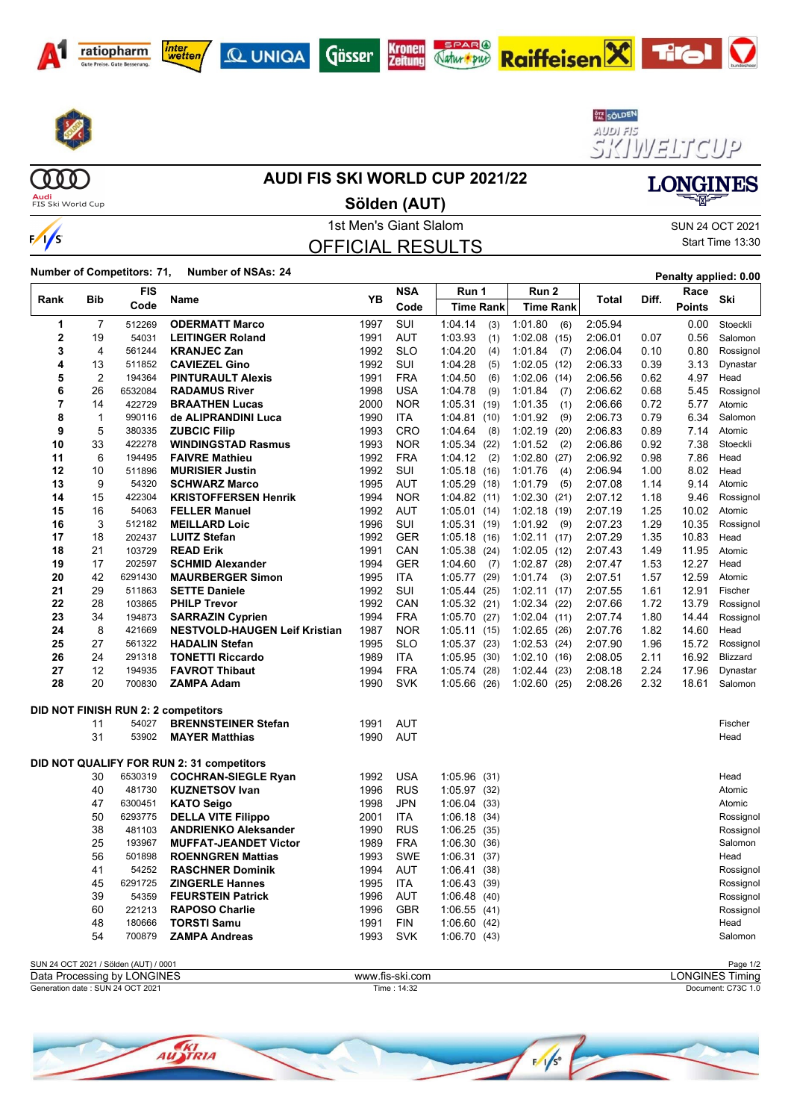









Raiffeisen**X**TIGI

SISTINETICUP **LONGINES** 

**Audi**<br>FIS Ski World Cup

### **AUDI FIS SKI WORLD CUP 2021/22**

**Sölden (AUT)**



### 1st Men's Giant Slalom Sun 24 OCT 2021 OFFICIAL RESULTS

Start Time 13:30

 $\mathbf \Omega$ 

**Number of Competitors: 71, Number of NSAs: <sup>24</sup> Penalty applied: 0.00**

|                |                | FIS                                   |                                                  | YΒ           | <b>NSA</b>        | Run 1                              | Run 2                      |                    |              | Race           |                      |
|----------------|----------------|---------------------------------------|--------------------------------------------------|--------------|-------------------|------------------------------------|----------------------------|--------------------|--------------|----------------|----------------------|
| Rank           | Bib            | Code                                  | Name                                             |              | Code              | <b>Time Rank</b>                   | <b>Time Rank</b>           | Total              | Diff.        | <b>Points</b>  | Ski                  |
| 1              | $\overline{7}$ | 512269                                | <b>ODERMATT Marco</b>                            | 1997         | SUI               | 1:04.14<br>(3)                     | 1:01.80<br>(6)             | 2:05.94            |              | 0.00           | Stoeckli             |
| $\mathbf 2$    | 19             | 54031                                 | <b>LEITINGER Roland</b>                          | 1991         | <b>AUT</b>        | 1:03.93<br>(1)                     | 1:02.08(15)                | 2:06.01            | 0.07         | 0.56           | Salomon              |
| 3              | 4              | 561244                                | <b>KRANJEC Zan</b>                               | 1992         | <b>SLO</b>        | 1.04.20<br>(4)                     | 1:01.84<br>(7)             | 2:06.04            | 0.10         | 0.80           | Rossignol            |
| 4              | 13             | 511852                                | <b>CAVIEZEL Gino</b>                             | 1992         | SUI               | 1:04.28<br>(5)                     | 1:02.05(12)                | 2:06.33            | 0.39         | 3.13           | Dynastar             |
| 5              | $\overline{2}$ | 194364                                | <b>PINTURAULT Alexis</b>                         | 1991         | <b>FRA</b>        | 1:04.50<br>(6)                     | 1:02.06(14)                | 2:06.56            | 0.62         | 4.97           | Head                 |
| 6              | 26             | 6532084                               | <b>RADAMUS River</b>                             | 1998         | <b>USA</b>        | 1:04.78<br>(9)                     | 1:01.84<br>(7)             | 2:06.62            | 0.68         | 5.45           | Rossignol            |
| $\overline{7}$ | 14             | 422729                                | <b>BRAATHEN Lucas</b>                            | 2000         | <b>NOR</b>        | 1:05.31<br>(19)                    | 1:01.35<br>(1)             | 2:06.66            | 0.72         | 5.77           | Atomic               |
| 8              | $\mathbf 1$    | 990116                                | de ALIPRANDINI Luca                              | 1990         | ITA.              | 1:04.81<br>(10)                    | 1:01.92<br>(9)             | 2:06.73            | 0.79         | 6.34           | Salomon              |
| 9              | 5              | 380335                                | <b>ZUBCIC Filip</b>                              | 1993         | <b>CRO</b>        | 1:04.64<br>(8)                     | 1:02.19<br>(20)            | 2:06.83            | 0.89         | 7.14           | Atomic               |
| 10             | 33             | 422278                                | <b>WINDINGSTAD Rasmus</b>                        | 1993         | <b>NOR</b>        | 1:05.34<br>(22)                    | 1:01.52<br>(2)             | 2:06.86            | 0.92         | 7.38           | Stoeckli             |
| 11             | 6              | 194495                                | <b>FAIVRE Mathieu</b>                            | 1992         | <b>FRA</b>        | 1:04.12<br>(2)                     | 1:02.80<br>(27)            | 2:06.92            | 0.98         | 7.86           | Head                 |
| 12             | 10             | 511896                                | <b>MURISIER Justin</b>                           | 1992         | SUI               | 1:05.18(16)                        | 1:01.76<br>(4)             | 2:06.94            | 1.00         | 8.02           | Head                 |
| 13             | 9              | 54320                                 | <b>SCHWARZ Marco</b>                             | 1995         | <b>AUT</b>        | 1:05.29<br>(18)                    | 1:01.79<br>(5)             | 2:07.08            | 1.14         | 9.14           | Atomic               |
| 14             | 15             | 422304                                | <b>KRISTOFFERSEN Henrik</b>                      | 1994         | <b>NOR</b>        | 1:04.82(11)                        | 1:02.30(21)                | 2:07.12            | 1.18         | 9.46           | Rossignol            |
| 15             | 16             | 54063                                 | <b>FELLER Manuel</b>                             | 1992         | AUT               | 1:05.01<br>(14)                    | 1:02.18(19)                | 2:07.19            | 1.25         | 10.02          | Atomic               |
| 16             | 3              | 512182                                | <b>MEILLARD Loic</b>                             | 1996         | SUI               | 1:05.31<br>(19)                    | 1:01.92<br>(9)             | 2:07.23            | 1.29         | 10.35          | Rossignol            |
| 17             | 18             | 202437                                | <b>LUITZ Stefan</b>                              | 1992         | <b>GER</b>        | 1:05.18(16)                        | 1:02.11(17)                | 2:07.29            | 1.35         | 10.83          | Head                 |
| 18             | 21             | 103729                                | <b>READ Erik</b>                                 | 1991         | CAN               | 1:05.38<br>(24)                    | 1:02.05(12)                | 2:07.43            | 1.49         | 11.95          | Atomic               |
| 19             | 17             | 202597                                | <b>SCHMID Alexander</b>                          | 1994         | <b>GER</b>        | 1:04.60<br>(7)                     | 1:02.87(28)                | 2:07.47            | 1.53         | 12.27          | Head                 |
| 20             | 42             | 6291430                               | <b>MAURBERGER Simon</b>                          | 1995         | <b>ITA</b>        | 1:05.77<br>(29)                    | 1:01.74<br>(3)             | 2:07.51            | 1.57         | 12.59          | Atomic               |
| 21             | 29             | 511863                                | <b>SETTE Daniele</b>                             | 1992         | SUI               | 1:05.44<br>(25)                    | 1:02.11(17)                | 2:07.55            | 1.61         | 12.91          | Fischer              |
| 22             | 28             | 103865                                | <b>PHILP Trevor</b>                              | 1992         | CAN               | 1:05.32<br>(21)                    | 1:02.34(22)                | 2:07.66            | 1.72         | 13.79          | Rossignol            |
| 23             | 34             | 194873                                | <b>SARRAZIN Cyprien</b>                          | 1994         | <b>FRA</b>        | 1:05.70(27)                        | 1:02.04(11)                | 2:07.74            | 1.80         | 14.44          | Rossignol            |
| 24<br>25       | 8              | 421669                                | <b>NESTVOLD-HAUGEN Leif Kristian</b>             | 1987         | <b>NOR</b>        | 1:05.11<br>(15)                    | 1:02.65(26)                | 2:07.76            | 1.82         | 14.60          | Head                 |
| 26             | 27<br>24       | 561322                                | <b>HADALIN Stefan</b><br><b>TONETTI Riccardo</b> | 1995<br>1989 | <b>SLO</b><br>ITA | 1:05.37(23)                        | 1:02.53(24)<br>1:02.10(16) | 2:07.90<br>2:08.05 | 1.96<br>2.11 | 15.72<br>16.92 | Rossignol            |
| 27             | 12             | 291318<br>194935                      | <b>FAVROT Thibaut</b>                            | 1994         | <b>FRA</b>        | 1:05.95<br>(30)<br>1:05.74<br>(28) | $1:02.44$ (23)             | 2:08.18            | 2.24         | 17.96          | Blizzard<br>Dynastar |
| 28             | 20             | 700830                                | <b>ZAMPA Adam</b>                                | 1990         | <b>SVK</b>        | 1:05.66<br>(26)                    | $1:02.60$ (25)             | 2:08.26            | 2.32         | 18.61          | Salomon              |
|                |                |                                       |                                                  |              |                   |                                    |                            |                    |              |                |                      |
|                |                |                                       | <b>DID NOT FINISH RUN 2: 2 competitors</b>       |              |                   |                                    |                            |                    |              |                |                      |
|                | 11             | 54027                                 | <b>BRENNSTEINER Stefan</b>                       | 1991         | AUT               |                                    |                            |                    |              |                | Fischer              |
|                | 31             | 53902                                 | <b>MAYER Matthias</b>                            | 1990         | <b>AUT</b>        |                                    |                            |                    |              |                | Head                 |
|                |                |                                       |                                                  |              |                   |                                    |                            |                    |              |                |                      |
|                |                |                                       | DID NOT QUALIFY FOR RUN 2: 31 competitors        |              |                   |                                    |                            |                    |              |                |                      |
|                | 30             | 6530319                               | <b>COCHRAN-SIEGLE Ryan</b>                       | 1992         | <b>USA</b>        | 1:05.96 (31)                       |                            |                    |              |                | Head                 |
|                | 40             | 481730                                | <b>KUZNETSOV Ivan</b>                            | 1996         | <b>RUS</b>        | 1:05.97(32)                        |                            |                    |              |                | Atomic               |
|                | 47             | 6300451                               | <b>KATO Seigo</b>                                | 1998         | JPN               | 1:06.04(33)                        |                            |                    |              |                | Atomic               |
|                | 50             | 6293775                               | <b>DELLA VITE Filippo</b>                        | 2001         | ITA               | 1.06.18(34)                        |                            |                    |              |                | Rossignol            |
|                | 38             | 481103                                | <b>ANDRIENKO Aleksander</b>                      | 1990         | <b>RUS</b>        | 1:06.25(35)                        |                            |                    |              |                | Rossignol            |
|                | 25             | 193967                                | <b>MUFFAT-JEANDET Victor</b>                     | 1989         | <b>FRA</b>        | 1:06.30(36)                        |                            |                    |              |                | Salomon              |
|                | 56             | 501898                                | <b>ROENNGREN Mattias</b>                         | 1993         | <b>SWE</b>        | 1:06.31<br>(37)                    |                            |                    |              |                | Head                 |
|                | 41             | 54252                                 | <b>RASCHNER Dominik</b>                          | 1994         | <b>AUT</b>        | 1:06.41<br>(38)                    |                            |                    |              |                | Rossignol            |
|                | 45             | 6291725                               | <b>ZINGERLE Hannes</b>                           | 1995         | <b>ITA</b>        | 1:06.43(39)                        |                            |                    |              |                | Rossignol            |
|                | 39             | 54359                                 | <b>FEURSTEIN Patrick</b>                         | 1996         | AUT               | 1.06.48(40)                        |                            |                    |              |                | Rossignol            |
|                | 60             | 221213                                | <b>RAPOSO Charlie</b>                            | 1996         | <b>GBR</b>        | 1:06.55(41)                        |                            |                    |              |                | Rossignol            |
|                | 48             | 180666                                | <b>TORSTI Samu</b>                               | 1991         | <b>FIN</b>        | 1:06.60(42)                        |                            |                    |              |                | Head                 |
|                | 54             | 700879                                | <b>ZAMPA Andreas</b>                             | 1993         | <b>SVK</b>        | 1:06.70(43)                        |                            |                    |              |                | Salomon              |
|                |                | SUN 24 OCT 2021 / Sölden (AUT) / 0001 |                                                  |              |                   |                                    |                            |                    |              |                | Page 1/2             |

### Generation date : SUN 24 OCT 2021 Time : 14:32 Document: C73C 1.0 Data Processing by LONGINES www.fis-ski.com LONGINES Timing

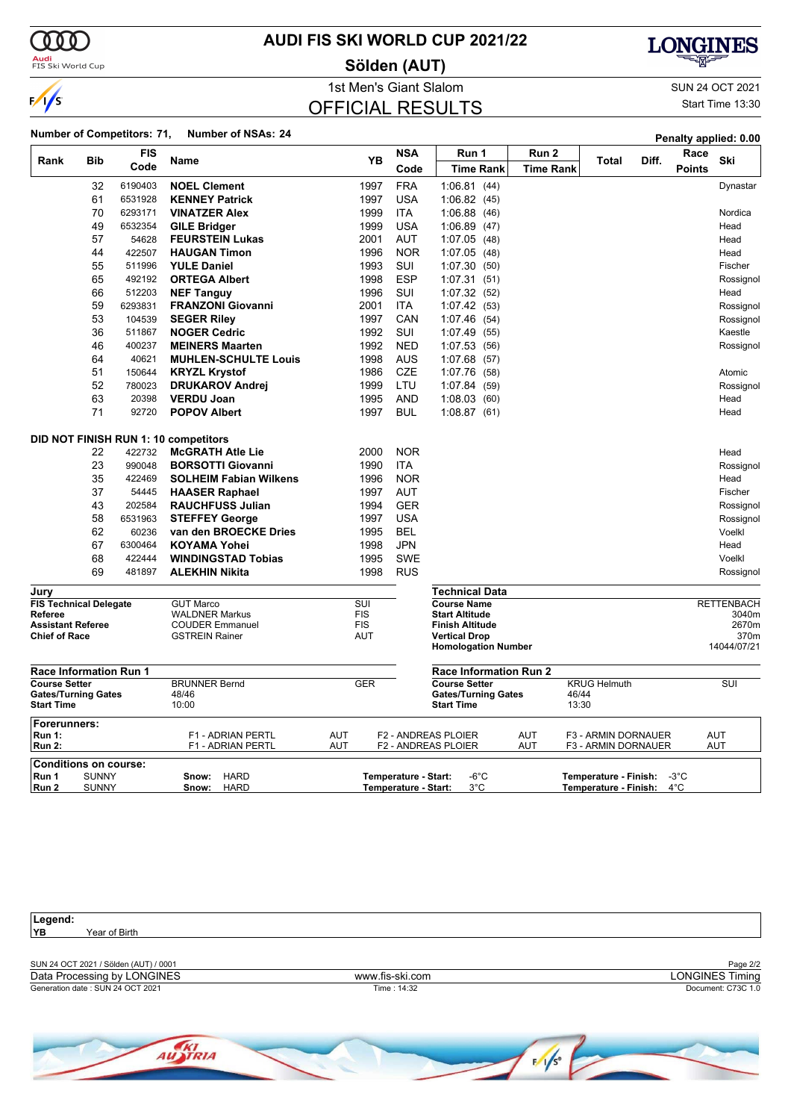

**Audi**<br>FIS Ski World Cup

### **AUDI FIS SKI WORLD CUP 2021/22**

**Sölden (AUT)**



OFFICIAL RESULTS

1st Men's Giant Slalom SUN 24 OCT 2021 Start Time 13:30

#### **Number of Competitors: 71, Number of NSAs: <sup>24</sup> Penalty applied: 0.00**

|                                                 |              |            |                                                |                   |                      |                                             |                  |                       | <b>Gildity applical U.UU</b> |                            |
|-------------------------------------------------|--------------|------------|------------------------------------------------|-------------------|----------------------|---------------------------------------------|------------------|-----------------------|------------------------------|----------------------------|
| Rank                                            | <b>Bib</b>   | <b>FIS</b> | Name                                           | YB                | <b>NSA</b>           | Run 1                                       | Run 2            | Diff.<br>Total        | Race                         | Ski                        |
|                                                 |              | Code       |                                                |                   | Code                 | <b>Time Rank</b>                            | <b>Time Rank</b> |                       | <b>Points</b>                |                            |
|                                                 | 32           | 6190403    | <b>NOEL Clement</b>                            | 1997              | <b>FRA</b>           | 1.06.81(44)                                 |                  |                       |                              | Dynastar                   |
|                                                 | 61           | 6531928    | <b>KENNEY Patrick</b>                          | 1997              | <b>USA</b>           | 1:06.82(45)                                 |                  |                       |                              |                            |
|                                                 | 70           | 6293171    | <b>VINATZER Alex</b>                           | 1999              | <b>ITA</b>           | 1:06.88(46)                                 |                  |                       |                              | Nordica                    |
|                                                 | 49           | 6532354    | <b>GILE Bridger</b>                            | 1999              | <b>USA</b>           | 1:06.89(47)                                 |                  |                       |                              | Head                       |
|                                                 | 57           | 54628      | <b>FEURSTEIN Lukas</b>                         | 2001              | <b>AUT</b>           | 1.07.05(48)                                 |                  |                       |                              | Head                       |
|                                                 | 44           | 422507     | <b>HAUGAN Timon</b>                            | 1996              | <b>NOR</b>           | 1:07.05(48)                                 |                  |                       |                              | Head                       |
|                                                 | 55           | 511996     | <b>YULE Daniel</b>                             | 1993              | SUI                  | 1:07.30(50)                                 |                  |                       |                              | Fischer                    |
|                                                 | 65           | 492192     | <b>ORTEGA Albert</b>                           | 1998              | <b>ESP</b>           | 1:07.31(51)                                 |                  |                       |                              | Rossignol                  |
|                                                 | 66           | 512203     | <b>NEF Tanguy</b>                              | 1996              | SUI                  | 1:07.32(52)                                 |                  |                       |                              | Head                       |
|                                                 | 59           | 6293831    | <b>FRANZONI Giovanni</b>                       | 2001              | <b>ITA</b>           | 1:07.42(53)                                 |                  |                       |                              | Rossignol                  |
|                                                 | 53           | 104539     | <b>SEGER Riley</b>                             | 1997              | CAN                  | 1:07.46(54)                                 |                  |                       |                              | Rossignol                  |
|                                                 | 36           | 511867     | <b>NOGER Cedric</b>                            | 1992              | SUI                  | 1:07.49(55)                                 |                  |                       |                              | Kaestle                    |
|                                                 | 46           | 400237     | <b>MEINERS Maarten</b>                         | 1992              | <b>NED</b>           | 1:07.53(56)                                 |                  |                       |                              | Rossignol                  |
|                                                 | 64           | 40621      | <b>MUHLEN-SCHULTE Louis</b>                    | 1998              | <b>AUS</b>           | 1:07.68(57)                                 |                  |                       |                              |                            |
|                                                 | 51           | 150644     | <b>KRYZL Krystof</b>                           | 1986              | <b>CZE</b>           | 1:07.76 (58)                                |                  |                       |                              | Atomic                     |
|                                                 | 52           | 780023     | <b>DRUKAROV Andrej</b>                         | 1999              | LTU                  | 1:07.84(59)                                 |                  |                       |                              | Rossignol                  |
|                                                 | 63           | 20398      | <b>VERDU Joan</b>                              | 1995              | <b>AND</b>           | 1:08.03(60)                                 |                  |                       |                              | Head                       |
|                                                 | 71           | 92720      | <b>POPOV Albert</b>                            | 1997              | <b>BUL</b>           | 1:08.87(61)                                 |                  |                       |                              | Head                       |
|                                                 |              |            | DID NOT FINISH RUN 1: 10 competitors           |                   |                      |                                             |                  |                       |                              |                            |
|                                                 | 22           | 422732     | <b>McGRATH Atle Lie</b>                        | 2000              | <b>NOR</b>           |                                             |                  |                       |                              | Head                       |
|                                                 | 23           | 990048     | <b>BORSOTTI Giovanni</b>                       | 1990              | <b>ITA</b>           |                                             |                  |                       |                              | Rossignol                  |
|                                                 | 35           | 422469     | <b>SOLHEIM Fabian Wilkens</b>                  | 1996              | <b>NOR</b>           |                                             |                  |                       |                              | Head                       |
|                                                 | 37           | 54445      | <b>HAASER Raphael</b>                          | 1997              | <b>AUT</b>           |                                             |                  |                       |                              | Fischer                    |
|                                                 | 43           | 202584     | <b>RAUCHFUSS Julian</b>                        | 1994              | <b>GER</b>           |                                             |                  |                       |                              |                            |
|                                                 | 58           | 6531963    |                                                | 1997              | <b>USA</b>           |                                             |                  |                       |                              | Rossignol<br>Rossignol     |
|                                                 | 62           | 60236      | <b>STEFFEY George</b><br>van den BROECKE Dries | 1995              | <b>BEL</b>           |                                             |                  |                       |                              | Voelkl                     |
|                                                 | 67           | 6300464    | <b>KOYAMA Yohei</b>                            | 1998              | <b>JPN</b>           |                                             |                  |                       |                              | Head                       |
|                                                 | 68           | 422444     | <b>WINDINGSTAD Tobias</b>                      | 1995              | <b>SWE</b>           |                                             |                  |                       |                              | Voelkl                     |
|                                                 | 69           | 481897     | <b>ALEKHIN Nikita</b>                          | 1998              | <b>RUS</b>           |                                             |                  |                       |                              |                            |
|                                                 |              |            |                                                |                   |                      |                                             |                  |                       |                              | Rossignol                  |
| Jury                                            |              |            |                                                |                   |                      | Technical Data                              |                  |                       |                              |                            |
| <b>FIS Technical Delegate</b><br><b>Referee</b> |              |            | <b>GUT Marco</b><br><b>WALDNER Markus</b>      | SUI<br><b>FIS</b> |                      | <b>Course Name</b><br><b>Start Altitude</b> |                  |                       |                              | <b>RETTENBACH</b><br>3040m |
| <b>Assistant Referee</b>                        |              |            | <b>COUDER Emmanuel</b>                         | <b>FIS</b>        |                      | <b>Finish Altitude</b>                      |                  |                       |                              | 2670m                      |
| <b>Chief of Race</b>                            |              |            | <b>GSTREIN Rainer</b>                          | <b>AUT</b>        |                      | <b>Vertical Drop</b>                        |                  |                       |                              | 370m                       |
|                                                 |              |            |                                                |                   |                      | <b>Homologation Number</b>                  |                  |                       |                              | 14044/07/21                |
| <b>Race Information Run 1</b>                   |              |            |                                                |                   |                      | <b>Race Information Run 2</b>               |                  |                       |                              |                            |
| <b>Course Setter</b>                            |              |            | <b>BRUNNER Bernd</b>                           | <b>GER</b>        |                      | <b>Course Setter</b>                        |                  | <b>KRUG Helmuth</b>   |                              | $\overline{\text{SUI}}$    |
| <b>Gates/Turning Gates</b>                      |              |            | 48/46                                          |                   |                      | <b>Gates/Turning Gates</b>                  |                  | 46/44                 |                              |                            |
| <b>Start Time</b>                               |              |            | 10:00                                          |                   |                      | <b>Start Time</b>                           |                  | 13:30                 |                              |                            |
| Forerunners:<br><b>Run 1:</b>                   |              |            | F1 - ADRIAN PERTL                              | <b>AUT</b>        |                      | <b>F2 - ANDREAS PLOIER</b>                  | <b>AUT</b>       | F3 - ARMIN DORNAUER   |                              | <b>AUT</b>                 |
| <b>Run 2:</b>                                   |              |            | F1 - ADRIAN PERTL                              | AUT               |                      | <b>F2 - ANDREAS PLOIER</b>                  | AUT              | F3 - ARMIN DORNAUER   |                              | <b>AUT</b>                 |
| <b>Conditions on course:</b>                    |              |            |                                                |                   |                      |                                             |                  |                       |                              |                            |
| Run 1                                           | <b>SUNNY</b> |            | <b>HARD</b><br>Snow:                           |                   | Temperature - Start: | $-6^{\circ}$ C                              |                  | Temperature - Finish: | $-3^{\circ}$ C               |                            |
| Run 2                                           | <b>SUNNY</b> |            | <b>HARD</b><br>Snow:                           |                   | Temperature - Start: | $3^{\circ}$ C                               |                  | Temperature - Finish: | $4^{\circ}$ C                |                            |

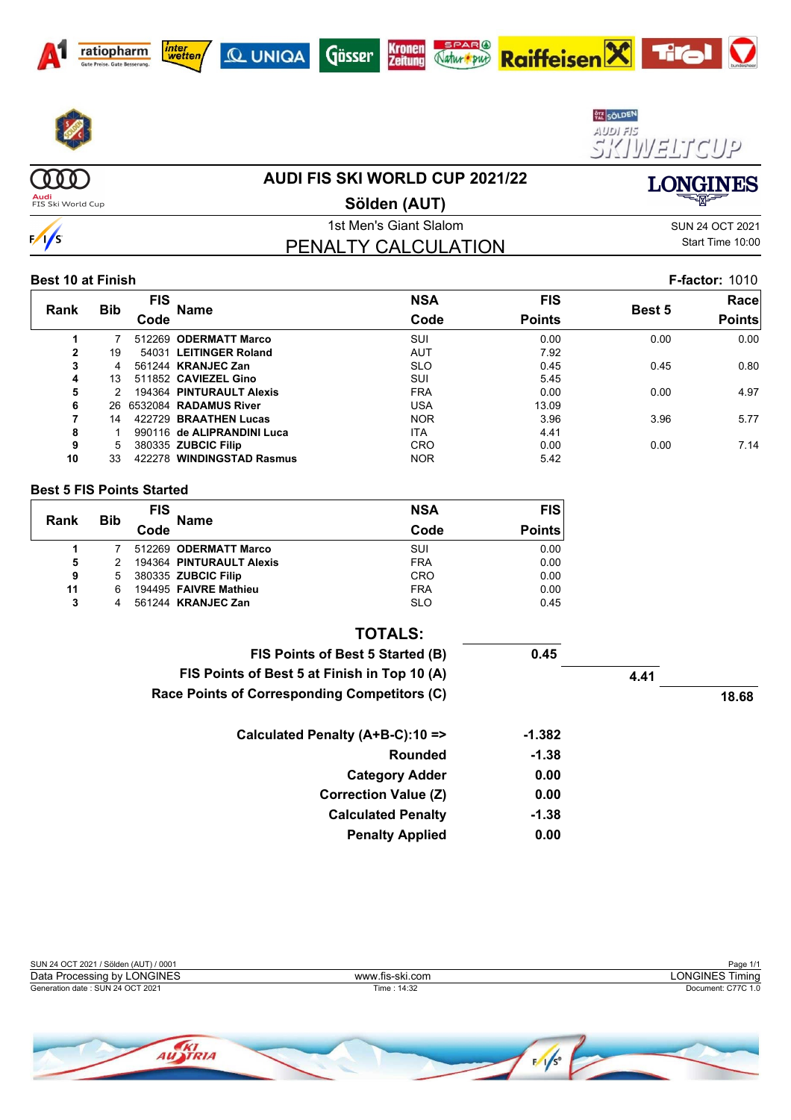











 $(000)$ 

 $\frac{1}{s}$ 

### **AUDI FIS SKI WORLD CUP 2021/22**

**Audi**<br>FIS Ski World Cup

**Sölden (AUT)**

1st Men's Giant Slalom Sun 24 OCT 2021 PENALTY CALCULATION

Start Time 10:00

**LONGINES** 

#### **Best 10 at Finish F-factor:** 1010

|      |            | <b>FIS</b> |                            | <b>NSA</b> | <b>FIS</b>    |               | Race          |
|------|------------|------------|----------------------------|------------|---------------|---------------|---------------|
| Rank | <b>Bib</b> | Code       | Name                       | Code       | <b>Points</b> | <b>Best 5</b> | <b>Points</b> |
|      |            | 512269     | <b>ODERMATT Marco</b>      | <b>SUI</b> | 0.00          | 0.00          | 0.00          |
| 2    | 19         |            | 54031 LEITINGER Roland     | <b>AUT</b> | 7.92          |               |               |
| 3    | 4          |            | 561244 KRANJEC Zan         | <b>SLO</b> | 0.45          | 0.45          | 0.80          |
| 4    | 13         |            | 511852 CAVIEZEL Gino       | SUI        | 5.45          |               |               |
| 5    |            |            | 194364 PINTURAULT Alexis   | <b>FRA</b> | 0.00          | 0.00          | 4.97          |
| 6    | 26.        |            | 6532084 RADAMUS River      | USA        | 13.09         |               |               |
|      | 14         |            | 422729 BRAATHEN Lucas      | <b>NOR</b> | 3.96          | 3.96          | 5.77          |
| 8    |            |            | 990116 de ALIPRANDINI Luca | <b>ITA</b> | 4.41          |               |               |
| 9    | 5          |            | 380335 ZUBCIC Filip        | CRO        | 0.00          | 0.00          | 7.14          |
| 10   | 33         |            | 422278 WINDINGSTAD Rasmus  | <b>NOR</b> | 5.42          |               |               |

#### **Best 5 FIS Points Started**

| Rank | <b>FIS</b> |      | <b>Name</b>                | <b>NSA</b> | <b>FIS</b>    |
|------|------------|------|----------------------------|------------|---------------|
|      | <b>Bib</b> | Code |                            | Code       | <b>Points</b> |
|      |            |      | 512269 ODERMATT Marco      | SUI        | 0.00          |
| 5    | 2          |      | 194364 PINTURAULT Alexis   | <b>FRA</b> | 0.00          |
| 9    | 5          |      | 380335 <b>ZUBCIC Filip</b> | <b>CRO</b> | 0.00          |
| 11   | 6          |      | 194495 FAIVRE Mathieu      | <b>FRA</b> | 0.00          |
| 3    | 4          |      | 561244 KRANJEC Zan         | <b>SLO</b> | 0.45          |

| <b>TOTALS:</b>                               |          |      |       |
|----------------------------------------------|----------|------|-------|
| FIS Points of Best 5 Started (B)             | 0.45     |      |       |
| FIS Points of Best 5 at Finish in Top 10 (A) |          | 4.41 |       |
| Race Points of Corresponding Competitors (C) |          |      | 18.68 |
| Calculated Penalty (A+B-C):10 =>             | $-1.382$ |      |       |
| Rounded                                      | $-1.38$  |      |       |
| <b>Category Adder</b>                        | 0.00     |      |       |
| <b>Correction Value (Z)</b>                  | 0.00     |      |       |
| <b>Calculated Penalty</b>                    | $-1.38$  |      |       |
| <b>Penalty Applied</b>                       | 0.00     |      |       |

| SUN 24 OCT 2021 / Sölden (AUT) / 0001 |                 | Page 1/1           |
|---------------------------------------|-----------------|--------------------|
| Data Processing by LONGINES           | www.fis-ski.com | LONGINES Timing    |
| Generation date: SUN 24 OCT 2021      | Time: 14:32     | Document: C77C 1.0 |
|                                       |                 |                    |
|                                       |                 |                    |

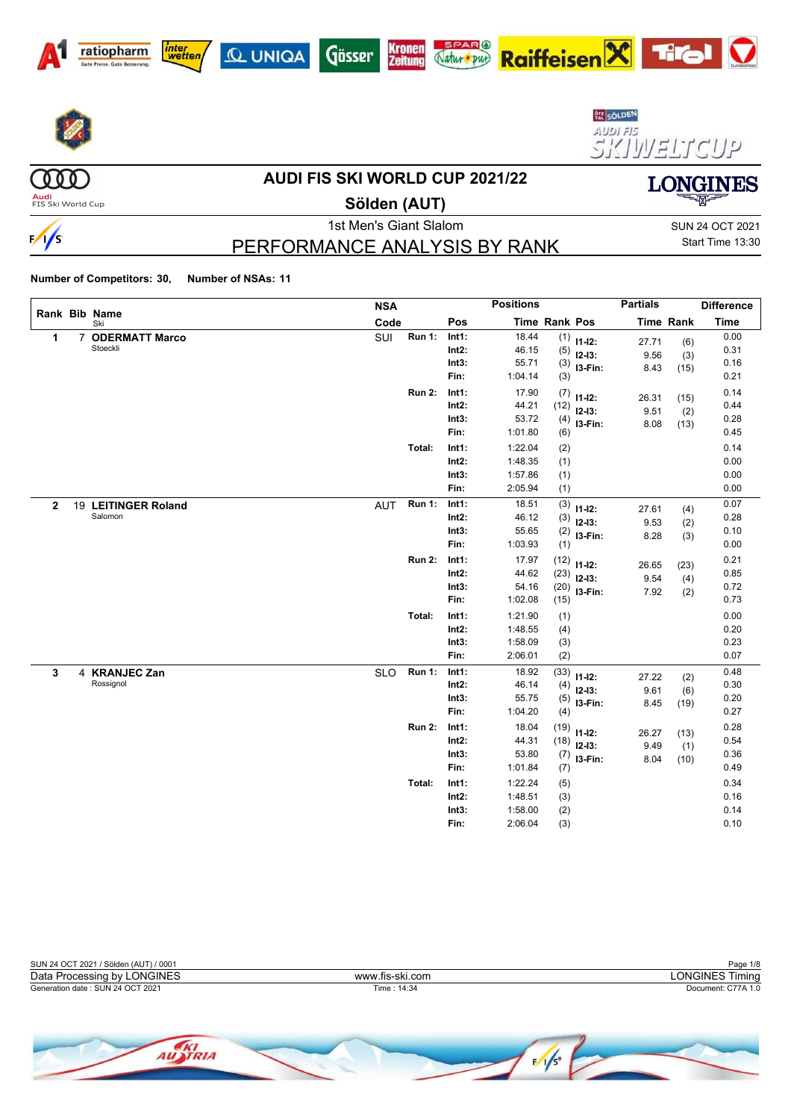













(000)

 $\frac{1}{s}$ 

#### **AUDI FIS SKI WORLD CUP 2021/22**

**Audi**<br>FIS Ski World Cup

## **Sölden (AUT)**

1st Men's Giant Slalom Sun 24 OCT 2021 PERFORMANCE ANALYSIS BY RANK

Start Time 13:30

**LONGINES** 

 $\boldsymbol{\nabla}$ 

|              |   |                                   | <b>NSA</b> |               |                                    | <b>Positions</b>                         |                              |                                         | <b>Partials</b>       |                     | <b>Difference</b>            |
|--------------|---|-----------------------------------|------------|---------------|------------------------------------|------------------------------------------|------------------------------|-----------------------------------------|-----------------------|---------------------|------------------------------|
|              |   | Rank Bib Name<br>Ski              | Code       |               | Pos                                | Time Rank Pos                            |                              |                                         |                       | Time Rank           | <b>Time</b>                  |
| 1            | 7 | <b>ODERMATT Marco</b><br>Stoeckli | SUI        | <b>Run 1:</b> | Int1:<br>$Int2$ :<br>Int3:<br>Fin: | 18.44<br>46.15<br>55.71<br>1:04.14       | (5)<br>(3)<br>(3)            | $(1)$ 11-12:<br>$12 - 13:$<br>$13-Fin:$ | 27.71<br>9.56<br>8.43 | (6)<br>(3)<br>(15)  | 0.00<br>0.31<br>0.16<br>0.21 |
|              |   |                                   |            | <b>Run 2:</b> | Int1:<br>$Int2$ :<br>Int3:<br>Fin: | 17.90<br>44.21<br>53.72<br>1:01.80       | (7)<br>(12)<br>(4)<br>(6)    | $11 - 12$ :<br>$12-13:$<br>I3-Fin:      | 26.31<br>9.51<br>8.08 | (15)<br>(2)<br>(13) | 0.14<br>0.44<br>0.28<br>0.45 |
|              |   |                                   |            | Total:        | Int1:<br>Int2:<br>Int3:<br>Fin:    | 1:22.04<br>1:48.35<br>1:57.86<br>2:05.94 | (2)<br>(1)<br>(1)<br>(1)     |                                         |                       |                     | 0.14<br>0.00<br>0.00<br>0.00 |
| $\mathbf{2}$ |   | 19 LEITINGER Roland<br>Salomon    | <b>AUT</b> | <b>Run 1:</b> | Int1:<br>$Int2$ :<br>Int3:<br>Fin: | 18.51<br>46.12<br>55.65<br>1:03.93       | (3)<br>(3)<br>(2)<br>(1)     | $11 - 12$ :<br>$12-13:$<br>I3-Fin:      | 27.61<br>9.53<br>8.28 | (4)<br>(2)<br>(3)   | 0.07<br>0.28<br>0.10<br>0.00 |
|              |   |                                   |            | <b>Run 2:</b> | Int1:<br>Int2:<br>Int3:<br>Fin:    | 17.97<br>44.62<br>54.16<br>1:02.08       | (12)<br>(23)<br>(20)<br>(15) | $11 - 12$ :<br>$12 - 13:$<br>I3-Fin:    | 26.65<br>9.54<br>7.92 | (23)<br>(4)<br>(2)  | 0.21<br>0.85<br>0.72<br>0.73 |
|              |   |                                   |            | Total:        | Int1:<br>$Int2$ :<br>Int3:<br>Fin: | 1:21.90<br>1:48.55<br>1:58.09<br>2:06.01 | (1)<br>(4)<br>(3)<br>(2)     |                                         |                       |                     | 0.00<br>0.20<br>0.23<br>0.07 |
| 3            |   | 4 KRANJEC Zan<br>Rossignol        | <b>SLO</b> | <b>Run 1:</b> | Int1:<br>Int2:<br>Int3:<br>Fin:    | 18.92<br>46.14<br>55.75<br>1:04.20       | (33)<br>(4)<br>(5)<br>(4)    | $11 - 12$ :<br>$12 - 13:$<br>I3-Fin:    | 27.22<br>9.61<br>8.45 | (2)<br>(6)<br>(19)  | 0.48<br>0.30<br>0.20<br>0.27 |
|              |   |                                   |            | <b>Run 2:</b> | Int1:<br>$Int2$ :<br>Int3:<br>Fin: | 18.04<br>44.31<br>53.80<br>1:01.84       | (19)<br>(18)<br>(7)<br>(7)   | $11 - 12$ :<br>$12 - 13:$<br>I3-Fin:    | 26.27<br>9.49<br>8.04 | (13)<br>(1)<br>(10) | 0.28<br>0.54<br>0.36<br>0.49 |
|              |   |                                   |            | Total:        | Int1:<br>$Int2$ :<br>Int3:<br>Fin: | 1:22.24<br>1:48.51<br>1:58.00<br>2:06.04 | (5)<br>(3)<br>(2)<br>(3)     |                                         |                       |                     | 0.34<br>0.16<br>0.14<br>0.10 |

| SUN 24 OCT 2021 / Sölden (AUT) / 0001 |                 | Page 1/8           |
|---------------------------------------|-----------------|--------------------|
| Data Processing by LONGINES           | www.fis-ski.com | LONGINES Timing    |
| Generation date: SUN 24 OCT 2021      | Time: 14:34     | Document: C77A 1.0 |
|                                       |                 |                    |

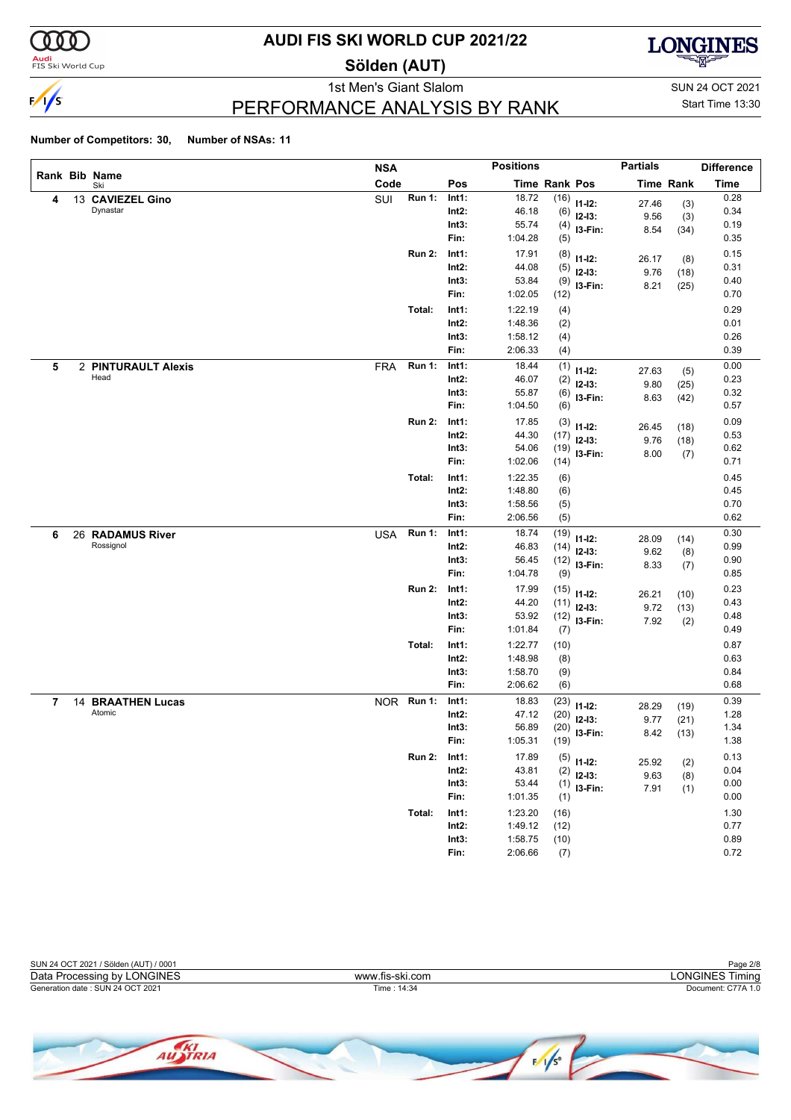

<mark>Audi</mark><br>FIS Ski World Cup

## **AUDI FIS SKI WORLD CUP 2021/22**

**Sölden (AUT)**



PERFORMANCE ANALYSIS BY RANK

1st Men's Giant Slalom SUN 24 OCT 2021 Start Time 13:30

|   |    |                       | <b>NSA</b> |               |          | <b>Positions</b> |                      |              | <b>Partials</b> |                  | <b>Difference</b> |
|---|----|-----------------------|------------|---------------|----------|------------------|----------------------|--------------|-----------------|------------------|-------------------|
|   |    | Rank Bib Name<br>Ski  | Code       |               | Pos      |                  | <b>Time Rank Pos</b> |              |                 | <b>Time Rank</b> | <b>Time</b>       |
| 4 |    | 13 CAVIEZEL Gino      | SUI        | <b>Run 1:</b> | Int1:    | 18.72            | (16)                 | $11 - 12$ :  | 27.46           | (3)              | 0.28              |
|   |    | Dynastar              |            |               | $Int2$ : | 46.18            | (6)                  | $12-13:$     | 9.56            | (3)              | 0.34              |
|   |    |                       |            |               | Int3:    | 55.74            | (4)                  | I3-Fin:      | 8.54            | (34)             | 0.19              |
|   |    |                       |            |               | Fin:     | 1:04.28          | (5)                  |              |                 |                  | 0.35              |
|   |    |                       |            | <b>Run 2:</b> | Int1:    | 17.91            | (8)                  | $11 - 12$ :  | 26.17           | (8)              | 0.15              |
|   |    |                       |            |               | $Int2$ : | 44.08            | (5)                  | $12 - 13:$   | 9.76            | (18)             | 0.31              |
|   |    |                       |            |               | Int3:    | 53.84            | (9)                  | I3-Fin:      | 8.21            | (25)             | 0.40              |
|   |    |                       |            |               | Fin:     | 1:02.05          | (12)                 |              |                 |                  | 0.70              |
|   |    |                       |            | Total:        | Int1:    | 1:22.19          | (4)                  |              |                 |                  | 0.29              |
|   |    |                       |            |               | $Int2$ : | 1:48.36          | (2)                  |              |                 |                  | 0.01              |
|   |    |                       |            |               | Int3:    | 1:58.12          | (4)                  |              |                 |                  | 0.26              |
|   |    |                       |            |               | Fin:     | 2:06.33          | (4)                  |              |                 |                  | 0.39              |
| 5 |    | 2 PINTURAULT Alexis   | <b>FRA</b> | <b>Run 1:</b> | Int1:    | 18.44            | (1)                  | $11 - 12$ :  | 27.63           | (5)              | 0.00              |
|   |    | Head                  |            |               | $Int2$ : | 46.07            | (2)                  | $12-13:$     | 9.80            | (25)             | 0.23              |
|   |    |                       |            |               | Int3:    | 55.87            | (6)                  | I3-Fin:      | 8.63            | (42)             | 0.32              |
|   |    |                       |            |               | Fin:     | 1:04.50          | (6)                  |              |                 |                  | 0.57              |
|   |    |                       |            | <b>Run 2:</b> | Int1:    | 17.85            | (3)                  | $11 - 12$ :  | 26.45           | (18)             | 0.09              |
|   |    |                       |            |               | $Int2$ : | 44.30            | (17)                 | $12 - 13:$   | 9.76            | (18)             | 0.53              |
|   |    |                       |            |               | Int3:    | 54.06            | (19)                 | I3-Fin:      | 8.00            | (7)              | 0.62              |
|   |    |                       |            |               | Fin:     | 1:02.06          | (14)                 |              |                 |                  | 0.71              |
|   |    |                       |            | Total:        | Int1:    | 1:22.35          | (6)                  |              |                 |                  | 0.45              |
|   |    |                       |            |               | $Int2$ : | 1:48.80          | (6)                  |              |                 |                  | 0.45              |
|   |    |                       |            |               | Int3:    | 1:58.56          | (5)                  |              |                 |                  | 0.70              |
|   |    |                       |            |               | Fin:     | 2:06.56          | (5)                  |              |                 |                  | 0.62              |
| 6 |    | 26 RADAMUS River      | <b>USA</b> | <b>Run 1:</b> | Int1:    | 18.74            | (19)                 | $11 - 12$ :  | 28.09           | (14)             | 0.30              |
|   |    | Rossignol             |            |               | $Int2$ : | 46.83            | (14)                 | $12-13:$     | 9.62            | (8)              | 0.99              |
|   |    |                       |            |               | Int3:    | 56.45            | (12)                 | I3-Fin:      | 8.33            | (7)              | 0.90              |
|   |    |                       |            |               | Fin:     | 1:04.78          | (9)                  |              |                 |                  | 0.85              |
|   |    |                       |            | <b>Run 2:</b> | Int1:    | 17.99            | (15)                 | $11 - 12$ :  | 26.21           | (10)             | 0.23              |
|   |    |                       |            |               | $Int2$ : | 44.20            | (11)                 | $12-13:$     | 9.72            | (13)             | 0.43              |
|   |    |                       |            |               | Int3:    | 53.92            | (12)                 | I3-Fin:      | 7.92            | (2)              | 0.48              |
|   |    |                       |            |               | Fin:     | 1:01.84          | (7)                  |              |                 |                  | 0.49              |
|   |    |                       |            | Total:        | Int1:    | 1:22.77          | (10)                 |              |                 |                  | 0.87              |
|   |    |                       |            |               | $Int2$ : | 1:48.98          | (8)                  |              |                 |                  | 0.63              |
|   |    |                       |            |               | Int3:    | 1:58.70          | (9)                  |              |                 |                  | 0.84              |
|   |    |                       |            |               | Fin:     | 2:06.62          | (6)                  |              |                 |                  | 0.68              |
| 7 | 14 | <b>BRAATHEN Lucas</b> |            | NOR Run 1:    | Int1:    | 18.83            | (23)                 | $11 - 12$ :  | 28.29           | (19)             | 0.39              |
|   |    | Atomic                |            |               | $Int2$ : | 47.12            | (20)                 | $12-13:$     | 9.77            | (21)             | 1.28              |
|   |    |                       |            |               | Int3:    | 56.89            | (20)                 | I3-Fin:      | 8.42            | (13)             | 1.34              |
|   |    |                       |            |               | Fin:     | 1:05.31          | (19)                 |              |                 |                  | 1.38              |
|   |    |                       |            | <b>Run 2:</b> | Int1:    | 17.89            |                      | $(5)$ 11-12: |                 |                  | 0.13              |
|   |    |                       |            |               | $Int2$ : | 43.81            | (2)                  | $12-13:$     | 25.92<br>9.63   | (2)              | 0.04              |
|   |    |                       |            |               | Int3:    | 53.44            | (1)                  | 13-Fin:      | 7.91            | (8)              | 0.00              |
|   |    |                       |            |               | Fin:     | 1:01.35          | (1)                  |              |                 | (1)              | $0.00\,$          |
|   |    |                       |            | Total:        | Int1:    | 1:23.20          | (16)                 |              |                 |                  | 1.30              |
|   |    |                       |            |               | $Int2$ : | 1:49.12          | (12)                 |              |                 |                  | 0.77              |
|   |    |                       |            |               | Int3:    | 1:58.75          | (10)                 |              |                 |                  | 0.89              |
|   |    |                       |            |               | Fin:     | 2:06.66          | (7)                  |              |                 |                  | 0.72              |

| SUN 24 OCT 2021 / Sölden (AUT) / 0001 |                 | Page 2/8           |
|---------------------------------------|-----------------|--------------------|
| Data Processing by LONGINES           | www.fis-ski.com | _ONGINES Timina    |
| Generation date: SUN 24 OCT 2021      | Time: 14:34     | Document: C77A 1.0 |
|                                       |                 |                    |

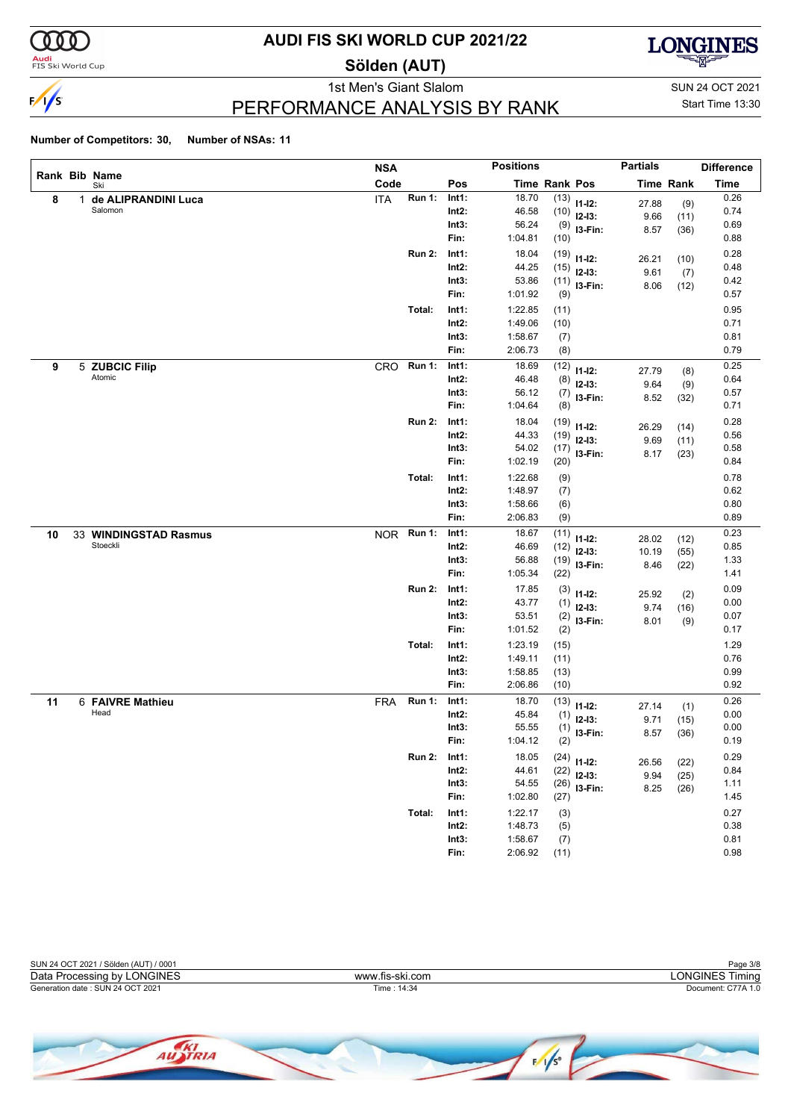

<mark>Audi</mark><br>FIS Ski World Cup

## **AUDI FIS SKI WORLD CUP 2021/22**

**Sölden (AUT)**



1st Men's Giant Slalom SUN 24 OCT 2021 PERFORMANCE ANALYSIS BY RANK

Start Time 13:30

|    |   |                          | <b>NSA</b> |               |                   | <b>Positions</b>   |               |               | <b>Partials</b> |                  | <b>Difference</b> |
|----|---|--------------------------|------------|---------------|-------------------|--------------------|---------------|---------------|-----------------|------------------|-------------------|
|    |   | Rank Bib Name<br>Ski     | Code       |               | Pos               |                    | Time Rank Pos |               |                 | <b>Time Rank</b> | <b>Time</b>       |
| 8  | 1 | de ALIPRANDINI Luca      | <b>ITA</b> | Run 1:        | Int1:             | 18.70              |               | $(13)$ 11-12: | 27.88           | (9)              | 0.26              |
|    |   | Salomon                  |            |               | Int2:             | 46.58              | (10)          | $12-13:$      | 9.66            | (11)             | 0.74              |
|    |   |                          |            |               | Int3:             | 56.24              | (9)           | I3-Fin:       | 8.57            | (36)             | 0.69              |
|    |   |                          |            |               | Fin:              | 1:04.81            | (10)          |               |                 |                  | 0.88              |
|    |   |                          |            | <b>Run 2:</b> | Int1:             | 18.04              | (19)          | $11 - 12$ :   | 26.21           | (10)             | 0.28              |
|    |   |                          |            |               | $Int2$ :          | 44.25              | (15)          | $12-13:$      | 9.61            | (7)              | 0.48              |
|    |   |                          |            |               | Int3:             | 53.86              | (11)          | I3-Fin:       | 8.06            | (12)             | 0.42              |
|    |   |                          |            |               | Fin:              | 1:01.92            | (9)           |               |                 |                  | 0.57              |
|    |   |                          |            | Total:        | Int1:             | 1:22.85            | (11)          |               |                 |                  | 0.95              |
|    |   |                          |            |               | Int2:             | 1:49.06            | (10)          |               |                 |                  | 0.71              |
|    |   |                          |            |               | Int3:             | 1:58.67            | (7)           |               |                 |                  | 0.81              |
|    |   |                          |            |               | Fin:              | 2:06.73            | (8)           |               |                 |                  | 0.79              |
| 9  |   | 5 ZUBCIC Filip           | CRO        | <b>Run 1:</b> | Int1:             | 18.69              | (12)          | $11 - 12$ :   | 27.79           | (8)              | 0.25              |
|    |   | Atomic                   |            |               | Int2:             | 46.48              | (8)           | $12-13:$      | 9.64            | (9)              | 0.64              |
|    |   |                          |            |               | Int3:             | 56.12              | (7)           | I3-Fin:       | 8.52            | (32)             | 0.57              |
|    |   |                          |            |               | Fin:              | 1:04.64            | (8)           |               |                 |                  | 0.71              |
|    |   |                          |            | <b>Run 2:</b> | Int1:             | 18.04              | (19)          | $11 - 12$ :   | 26.29           | (14)             | 0.28              |
|    |   |                          |            |               | Int2:             | 44.33              | (19)          | $12-13:$      | 9.69            | (11)             | 0.56              |
|    |   |                          |            |               | Int3:             | 54.02              | (17)          | I3-Fin:       | 8.17            | (23)             | 0.58              |
|    |   |                          |            |               | Fin:              | 1:02.19            | (20)          |               |                 |                  | 0.84              |
|    |   |                          |            | Total:        | Int1:             | 1:22.68            | (9)           |               |                 |                  | 0.78              |
|    |   |                          |            |               | $Int2$ :          | 1:48.97            | (7)           |               |                 |                  | 0.62              |
|    |   |                          |            |               | Int3:             | 1:58.66            | (6)           |               |                 |                  | 0.80              |
|    |   |                          |            |               | Fin:              | 2:06.83            | (9)           |               |                 |                  | 0.89              |
| 10 |   | 33 WINDINGSTAD Rasmus    | <b>NOR</b> | <b>Run 1:</b> | Int1:             | 18.67              | (11)          | $11 - 12$ :   | 28.02           | (12)             | 0.23              |
|    |   | Stoeckli                 |            |               | Int2:             | 46.69              | (12)          | $12-13:$      | 10.19           | (55)             | 0.85              |
|    |   |                          |            |               | Int3:             | 56.88              | (19)          | I3-Fin:       | 8.46            | (22)             | 1.33              |
|    |   |                          |            |               | Fin:              | 1:05.34            | (22)          |               |                 |                  | 1.41              |
|    |   |                          |            | <b>Run 2:</b> | Int1:             | 17.85              | (3)           | $11 - 12$ :   | 25.92           | (2)              | 0.09              |
|    |   |                          |            |               | Int2:             | 43.77              | (1)           | $12 - 13$ :   | 9.74            | (16)             | 0.00              |
|    |   |                          |            |               | Int3:             | 53.51              | (2)           | I3-Fin:       | 8.01            | (9)              | 0.07              |
|    |   |                          |            |               | Fin:              | 1:01.52            | (2)           |               |                 |                  | 0.17              |
|    |   |                          |            | Total:        | Int1:             | 1:23.19            | (15)          |               |                 |                  | 1.29              |
|    |   |                          |            |               | $Int2$ :          | 1:49.11            | (11)          |               |                 |                  | 0.76              |
|    |   |                          |            |               | Int3:<br>Fin:     | 1:58.85<br>2:06.86 | (13)          |               |                 |                  | 0.99<br>0.92      |
|    |   |                          |            |               |                   |                    | (10)          |               |                 |                  |                   |
| 11 |   | 6 FAIVRE Mathieu<br>Head | <b>FRA</b> | <b>Run 1:</b> | Int1:             | 18.70              | (13)          | $11 - 12$ :   | 27.14           | (1)              | 0.26              |
|    |   |                          |            |               | Int2:<br>Int3:    | 45.84<br>55.55     | (1)           | $12-13:$      | 9.71            | (15)             | 0.00<br>0.00      |
|    |   |                          |            |               | Fin:              | 1:04.12            | (1)<br>(2)    | I3-Fin:       | 8.57            | (36)             | 0.19              |
|    |   |                          |            |               |                   |                    |               |               |                 |                  |                   |
|    |   |                          |            | <b>Run 2:</b> | Int1:<br>$Int2$ : | 18.05<br>44.61     | (24)          | $11 - 12$ :   | 26.56           | (22)             | 0.29<br>0.84      |
|    |   |                          |            |               | Int3:             | 54.55              | (22)          | $12-13:$      | 9.94            | (25)             | 1.11              |
|    |   |                          |            |               | Fin:              | 1:02.80            | (26)<br>(27)  | I3-Fin:       | 8.25            | (26)             | 1.45              |
|    |   |                          |            |               |                   |                    |               |               |                 |                  |                   |
|    |   |                          |            | Total:        | Int1:             | 1:22.17            | (3)           |               |                 |                  | 0.27              |
|    |   |                          |            |               | $Int2$ :<br>Int3: | 1:48.73<br>1:58.67 | (5)           |               |                 |                  | 0.38<br>0.81      |
|    |   |                          |            |               | Fin:              | 2:06.92            | (7)<br>(11)   |               |                 |                  | 0.98              |
|    |   |                          |            |               |                   |                    |               |               |                 |                  |                   |

| SUN 24 OCT 2021 / Sölden (AUT) / 0001 |                 | Page 3/8           |
|---------------------------------------|-----------------|--------------------|
| Data Processing by LONGINES           | www.fis-ski.com | ∟ONGINES Timina    |
| Generation date: SUN 24 OCT 2021      | Time : 14:34    | Document: C77A 1.0 |
|                                       |                 |                    |

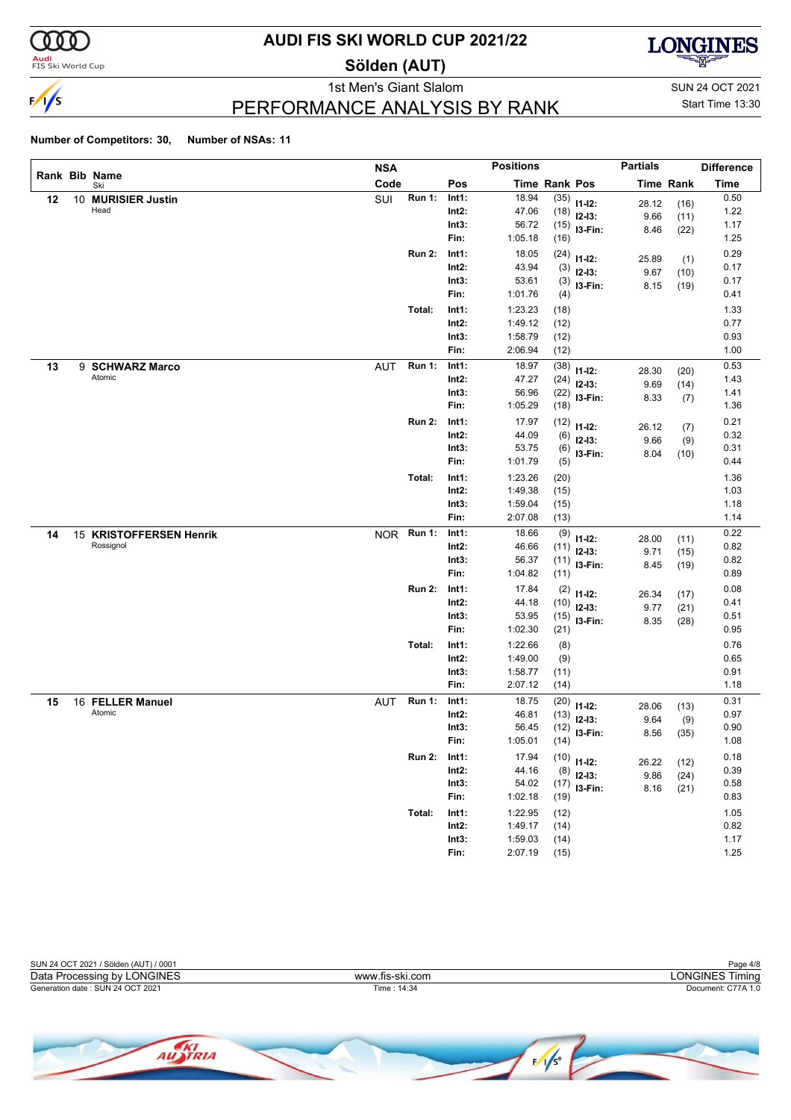

### <mark>Audi</mark><br>FIS Ski World Cup

## **AUDI FIS SKI WORLD CUP 2021/22**

**Sölden (AUT)**



1st Men's Giant Slalom SUN 24 OCT 2021 PERFORMANCE ANALYSIS BY RANK

Start Time 13:30

|    |    |                         | <b>NSA</b> |               |          | <b>Positions</b> |                      |                         | <b>Partials</b> |                  | <b>Difference</b> |
|----|----|-------------------------|------------|---------------|----------|------------------|----------------------|-------------------------|-----------------|------------------|-------------------|
|    |    | Rank Bib Name<br>Ski    | Code       |               | Pos      |                  | <b>Time Rank Pos</b> |                         |                 | <b>Time Rank</b> | <b>Time</b>       |
| 12 | 10 | <b>MURISIER Justin</b>  | SUI        | <b>Run 1:</b> | Int1:    | 18.94            | (35)                 | $11 - 12$ :             | 28.12           | (16)             | 0.50              |
|    |    | Head                    |            |               | $Int2$ : | 47.06            | (18)                 | $12-13:$                | 9.66            | (11)             | 1.22              |
|    |    |                         |            |               | Int3:    | 56.72            | (15)                 | I3-Fin:                 | 8.46            | (22)             | 1.17              |
|    |    |                         |            |               | Fin:     | 1:05.18          | (16)                 |                         |                 |                  | 1.25              |
|    |    |                         |            | <b>Run 2:</b> | Int1:    | 18.05            | (24)                 | $11 - 12$ :             | 25.89           | (1)              | 0.29              |
|    |    |                         |            |               | $Int2$ : | 43.94            | (3)                  | $12-13:$                | 9.67            | (10)             | 0.17              |
|    |    |                         |            |               | Int3:    | 53.61            | (3)                  | I3-Fin:                 | 8.15            | (19)             | 0.17              |
|    |    |                         |            |               | Fin:     | 1:01.76          | (4)                  |                         |                 |                  | 0.41              |
|    |    |                         |            | Total:        | Int1:    | 1:23.23          | (18)                 |                         |                 |                  | 1.33              |
|    |    |                         |            |               | $Int2$ : | 1:49.12          | (12)                 |                         |                 |                  | 0.77              |
|    |    |                         |            |               | Int3:    | 1:58.79          | (12)                 |                         |                 |                  | 0.93              |
|    |    |                         |            |               | Fin:     | 2:06.94          | (12)                 |                         |                 |                  | 1.00              |
| 13 |    | 9 SCHWARZ Marco         | <b>AUT</b> | <b>Run 1:</b> | Int1:    | 18.97            | (38)                 | $11 - 12$ :             | 28.30           | (20)             | 0.53              |
|    |    | Atomic                  |            |               | $Int2$ : | 47.27            | (24)                 | $12-13:$                | 9.69            | (14)             | 1.43              |
|    |    |                         |            |               | Int3:    | 56.96            | (22)                 | I3-Fin:                 | 8.33            | (7)              | 1.41              |
|    |    |                         |            |               | Fin:     | 1:05.29          | (18)                 |                         |                 |                  | 1.36              |
|    |    |                         |            | <b>Run 2:</b> | Int1:    | 17.97            | (12)                 | $11 - 12$ :             | 26.12           | (7)              | 0.21              |
|    |    |                         |            |               | $Int2$ : | 44.09            | (6)                  | $12 - 13:$              | 9.66            | (9)              | 0.32              |
|    |    |                         |            |               | Int3:    | 53.75            | (6)                  | I3-Fin:                 | 8.04            | (10)             | 0.31              |
|    |    |                         |            |               | Fin:     | 1:01.79          | (5)                  |                         |                 |                  | 0.44              |
|    |    |                         |            | Total:        | Int1:    | 1:23.26          | (20)                 |                         |                 |                  | 1.36              |
|    |    |                         |            |               | $Int2$ : | 1:49.38          | (15)                 |                         |                 |                  | 1.03              |
|    |    |                         |            |               | Int3:    | 1:59.04          | (15)                 |                         |                 |                  | 1.18              |
|    |    |                         |            |               | Fin:     | 2:07.08          | (13)                 |                         |                 |                  | 1.14              |
| 14 |    | 15 KRISTOFFERSEN Henrik |            | NOR Run 1:    | Int1:    | 18.66            | (9)                  | $11 - 12$ :             | 28.00           | (11)             | 0.22              |
|    |    | Rossignol               |            |               | $Int2$ : | 46.66            | (11)                 | $12-13:$                | 9.71            | (15)             | 0.82              |
|    |    |                         |            |               | Int3:    | 56.37            | (11)                 | I3-Fin:                 | 8.45            | (19)             | 0.82              |
|    |    |                         |            |               | Fin:     | 1:04.82          | (11)                 |                         |                 |                  | 0.89              |
|    |    |                         |            | <b>Run 2:</b> | Int1:    | 17.84            | (2)                  | $11 - 12$ :             | 26.34           |                  | 0.08              |
|    |    |                         |            |               | $Int2$ : | 44.18            | (10)                 | $12-13:$                | 9.77            | (17)<br>(21)     | 0.41              |
|    |    |                         |            |               | Int3:    | 53.95            | (15)                 | I3-Fin:                 | 8.35            | (28)             | 0.51              |
|    |    |                         |            |               | Fin:     | 1:02.30          | (21)                 |                         |                 |                  | 0.95              |
|    |    |                         |            | Total:        | Int1:    | 1:22.66          | (8)                  |                         |                 |                  | 0.76              |
|    |    |                         |            |               | $Int2$ : | 1:49.00          | (9)                  |                         |                 |                  | 0.65              |
|    |    |                         |            |               | Int3:    | 1:58.77          | (11)                 |                         |                 |                  | 0.91              |
|    |    |                         |            |               | Fin:     | 2:07.12          | (14)                 |                         |                 |                  | 1.18              |
| 15 |    | 16 FELLER Manuel        | AUT        | <b>Run 1:</b> | Int1:    | 18.75            | (20)                 | $11 - 12$ :             |                 |                  | 0.31              |
|    |    | Atomic                  |            |               | Int2:    | 46.81            | (13)                 | $12-13:$                | 28.06<br>9.64   | (13)             | 0.97              |
|    |    |                         |            |               | Int3:    | 56.45            | (12)                 | I3-Fin:                 | 8.56            | (9)<br>(35)      | 0.90              |
|    |    |                         |            |               | Fin:     | 1:05.01          | (14)                 |                         |                 |                  | 1.08              |
|    |    |                         |            | <b>Run 2:</b> | Int1:    | 17.94            | (10)                 |                         |                 |                  | 0.18              |
|    |    |                         |            |               | $Int2$ : | 44.16            | (8)                  | $11 - 12$ :<br>$12-13:$ | 26.22           | (12)             | 0.39              |
|    |    |                         |            |               | Int3:    | 54.02            | (17)                 | I3-Fin:                 | 9.86            | (24)             | 0.58              |
|    |    |                         |            |               | Fin:     | 1:02.18          | (19)                 |                         | 8.16            | (21)             | 0.83              |
|    |    |                         |            | Total:        | Int1:    | 1:22.95          | (12)                 |                         |                 |                  | 1.05              |
|    |    |                         |            |               | $Int2$ : | 1:49.17          | (14)                 |                         |                 |                  | 0.82              |
|    |    |                         |            |               | Int3:    | 1:59.03          | (14)                 |                         |                 |                  | 1.17              |
|    |    |                         |            |               | Fin:     | 2:07.19          | (15)                 |                         |                 |                  | 1.25              |

| SUN 24 OCT 2021 / Sölden (AUT) / 0001 |                 | Page 4/8           |
|---------------------------------------|-----------------|--------------------|
| Data Processing by LONGINES           | www.fis-ski.com | ∟ONGINES Timina    |
| Generation date: SUN 24 OCT 2021      | Time: 14:34     | Document: C77A 1.0 |
|                                       |                 |                    |

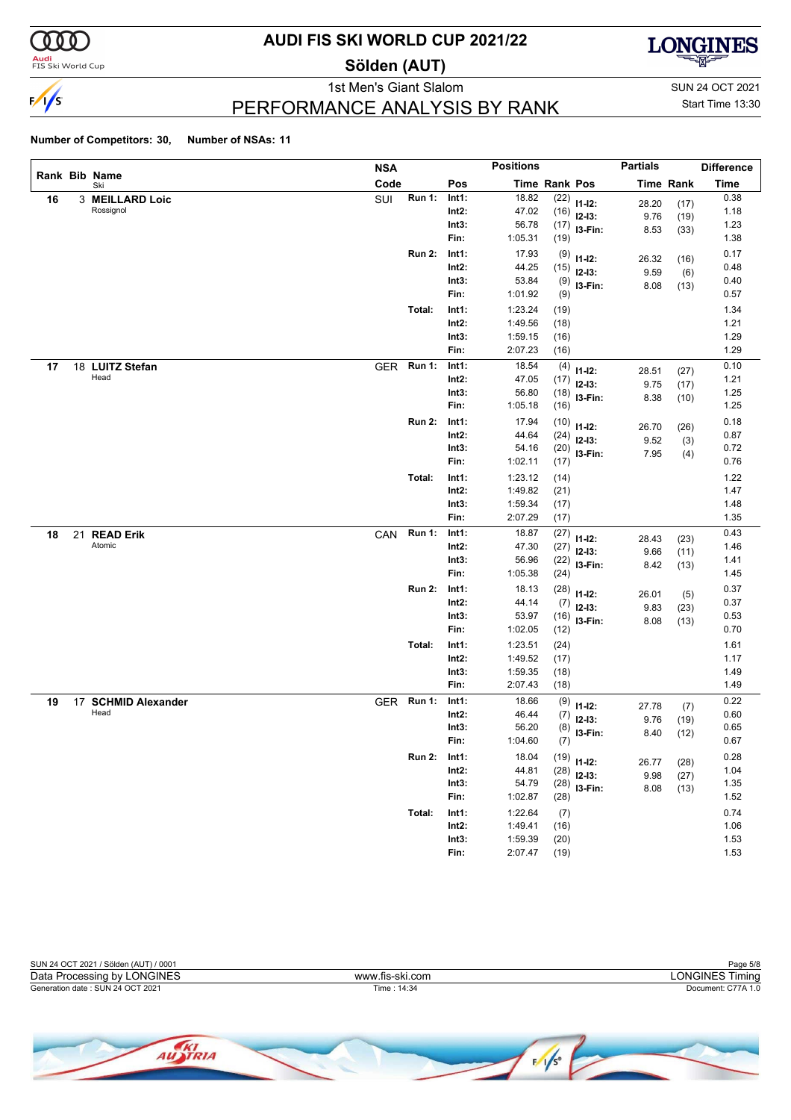

#### **Audi**<br>FIS Ski World Cup

## **AUDI FIS SKI WORLD CUP 2021/22**

**Sölden (AUT)**



PERFORMANCE ANALYSIS BY RANK

1st Men's Giant Slalom SUN 24 OCT 2021 Start Time 13:30

|    |                      | <b>NSA</b> |               |          | <b>Positions</b> |               |                | <b>Partials</b> |                  | <b>Difference</b> |
|----|----------------------|------------|---------------|----------|------------------|---------------|----------------|-----------------|------------------|-------------------|
|    | Rank Bib Name<br>Ski | Code       |               | Pos      |                  | Time Rank Pos |                |                 | <b>Time Rank</b> | <b>Time</b>       |
| 16 | 3 MEILLARD Loic      | SUI        | <b>Run 1:</b> | Int1:    | 18.82            | (22)          | $11 - 12$ :    | 28.20           | (17)             | 0.38              |
|    | Rossignol            |            |               | $Int2$ : | 47.02            |               | $(16)$ 12-13:  | 9.76            | (19)             | 1.18              |
|    |                      |            |               | Int3:    | 56.78            |               | $(17)$ 13-Fin: | 8.53            | (33)             | 1.23              |
|    |                      |            |               | Fin:     | 1:05.31          | (19)          |                |                 |                  | 1.38              |
|    |                      |            | <b>Run 2:</b> | Int1:    | 17.93            | (9)           | $11 - 12$ :    | 26.32           | (16)             | 0.17              |
|    |                      |            |               | $Int2$ : | 44.25            | (15)          | $12 - 13:$     | 9.59            | (6)              | 0.48              |
|    |                      |            |               | Int3:    | 53.84            | (9)           | I3-Fin:        | 8.08            | (13)             | 0.40              |
|    |                      |            |               | Fin:     | 1:01.92          | (9)           |                |                 |                  | 0.57              |
|    |                      |            | Total:        | Int1:    | 1:23.24          | (19)          |                |                 |                  | 1.34              |
|    |                      |            |               | $Int2$ : | 1:49.56          | (18)          |                |                 |                  | 1.21              |
|    |                      |            |               | Int3:    | 1:59.15          | (16)          |                |                 |                  | 1.29              |
|    |                      |            |               | Fin:     | 2:07.23          | (16)          |                |                 |                  | 1.29              |
| 17 | 18 LUITZ Stefan      | <b>GER</b> | <b>Run 1:</b> | Int1:    | 18.54            | (4)           | $11 - 12$ :    | 28.51           | (27)             | 0.10              |
|    | Head                 |            |               | $Int2$ : | 47.05            | (17)          | $12-13:$       | 9.75            | (17)             | 1.21              |
|    |                      |            |               | Int3:    | 56.80            | (18)          | I3-Fin:        | 8.38            | (10)             | 1.25              |
|    |                      |            |               | Fin:     | 1:05.18          | (16)          |                |                 |                  | 1.25              |
|    |                      |            | <b>Run 2:</b> | Int1:    | 17.94            | (10)          | $11 - 12$ :    | 26.70           | (26)             | 0.18              |
|    |                      |            |               | $Int2$ : | 44.64            |               | $(24)$ 12-13:  | 9.52            |                  | 0.87              |
|    |                      |            |               | Int3:    | 54.16            |               | $(20)$ 13-Fin: | 7.95            | (3)<br>(4)       | 0.72              |
|    |                      |            |               | Fin:     | 1:02.11          | (17)          |                |                 |                  | 0.76              |
|    |                      |            | Total:        | Int1:    | 1:23.12          | (14)          |                |                 |                  | 1.22              |
|    |                      |            |               | $Int2$ : | 1:49.82          | (21)          |                |                 |                  | 1.47              |
|    |                      |            |               | Int3:    | 1:59.34          | (17)          |                |                 |                  | 1.48              |
|    |                      |            |               | Fin:     | 2:07.29          | (17)          |                |                 |                  | 1.35              |
| 18 | 21 READ Erik         | CAN        | <b>Run 1:</b> | Int1:    | 18.87            | (27)          | $11 - 12$ :    | 28.43           | (23)             | 0.43              |
|    | Atomic               |            |               | $Int2$ : | 47.30            | (27)          | $12-13:$       | 9.66            | (11)             | 1.46              |
|    |                      |            |               | Int3:    | 56.96            | (22)          | I3-Fin:        | 8.42            | (13)             | 1.41              |
|    |                      |            |               | Fin:     | 1:05.38          | (24)          |                |                 |                  | 1.45              |
|    |                      |            | <b>Run 2:</b> | Int1:    | 18.13            | (28)          | $11 - 12$ :    | 26.01           |                  | 0.37              |
|    |                      |            |               | $Int2$ : | 44.14            | (7)           | $12-13:$       | 9.83            | (5)              | 0.37              |
|    |                      |            |               | Int3:    | 53.97            | (16)          | I3-Fin:        | 8.08            | (23)<br>(13)     | 0.53              |
|    |                      |            |               | Fin:     | 1:02.05          | (12)          |                |                 |                  | 0.70              |
|    |                      |            | Total:        | Int1:    | 1:23.51          | (24)          |                |                 |                  | 1.61              |
|    |                      |            |               | $Int2$ : | 1:49.52          | (17)          |                |                 |                  | 1.17              |
|    |                      |            |               | Int3:    | 1:59.35          | (18)          |                |                 |                  | 1.49              |
|    |                      |            |               | Fin:     | 2:07.43          | (18)          |                |                 |                  | 1.49              |
| 19 | 17 SCHMID Alexander  |            | GER Run 1:    | Int1:    | 18.66            | (9)           | $11 - 12$ :    | 27.78           | (7)              | 0.22              |
|    | Head                 |            |               | Int2:    | 46.44            | (7)           | $12 - 13$ :    | 9.76            | (19)             | 0.60              |
|    |                      |            |               | Int3:    | 56.20            | (8)           | I3-Fin:        | 8.40            | (12)             | 0.65              |
|    |                      |            |               | Fin:     | 1:04.60          | (7)           |                |                 |                  | 0.67              |
|    |                      |            | <b>Run 2:</b> | Int1:    | 18.04            |               | $(19)$ 11-12:  | 26.77           | (28)             | 0.28              |
|    |                      |            |               | $Int2$ : | 44.81            | (28)          | $12-13:$       | 9.98            | (27)             | 1.04              |
|    |                      |            |               | Int3:    | 54.79            | (28)          | I3-Fin:        | 8.08            | (13)             | 1.35              |
|    |                      |            |               | Fin:     | 1:02.87          | (28)          |                |                 |                  | 1.52              |
|    |                      |            | Total:        | Int1:    | 1:22.64          | (7)           |                |                 |                  | 0.74              |
|    |                      |            |               | $Int2$ : | 1:49.41          | (16)          |                |                 |                  | 1.06              |
|    |                      |            |               | Int3:    | 1:59.39          | (20)          |                |                 |                  | 1.53              |
|    |                      |            |               | Fin:     | 2:07.47          | (19)          |                |                 |                  | 1.53              |



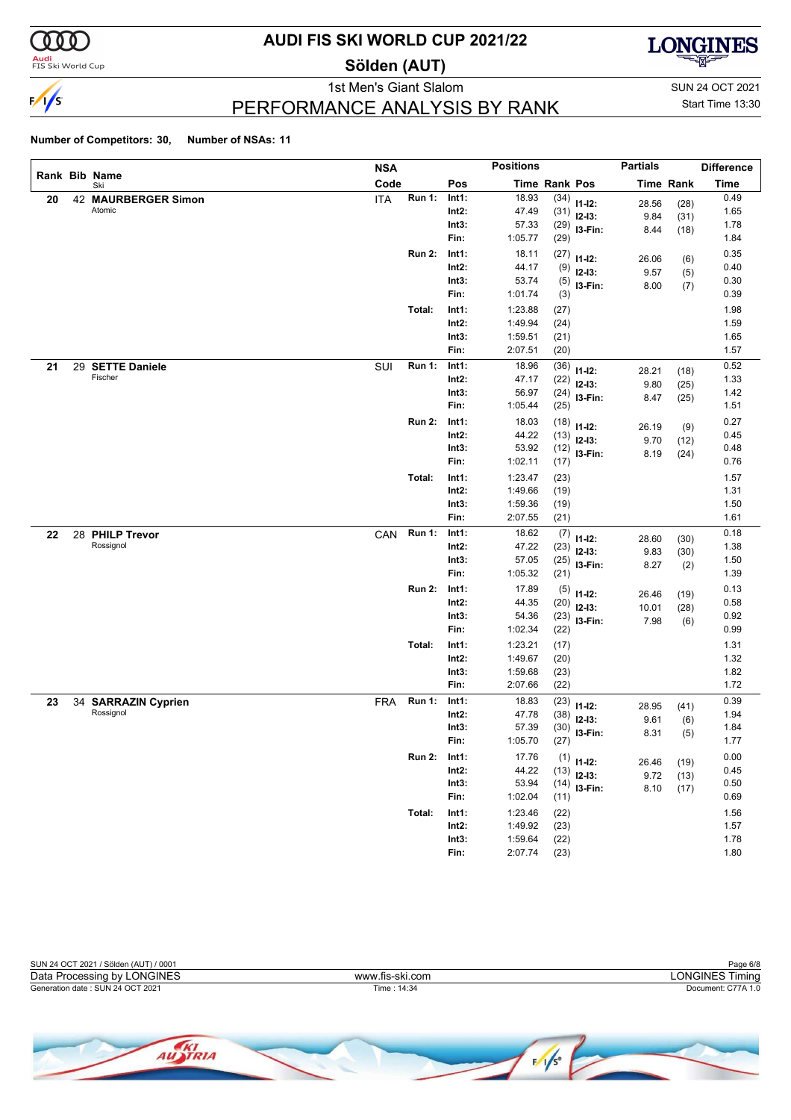

**Audi**<br>FIS Ski World Cup

## **AUDI FIS SKI WORLD CUP 2021/22**

**Sölden (AUT)**



1st Men's Giant Slalom SUN 24 OCT 2021 PERFORMANCE ANALYSIS BY RANK

Start Time 13:30

|    |                                  | <b>NSA</b> |               |          | <b>Positions</b> |               |                         | <b>Partials</b> |                  | <b>Difference</b> |
|----|----------------------------------|------------|---------------|----------|------------------|---------------|-------------------------|-----------------|------------------|-------------------|
|    | Rank Bib Name<br>Ski             | Code       |               | Pos      |                  | Time Rank Pos |                         |                 | <b>Time Rank</b> | <b>Time</b>       |
| 20 | 42 MAURBERGER Simon              | <b>ITA</b> | <b>Run 1:</b> | Int1:    | 18.93            | (34)          | $11 - 12$ :             | 28.56           | (28)             | 0.49              |
|    | Atomic                           |            |               | $Int2$ : | 47.49            | (31)          | $12-13:$                | 9.84            | (31)             | 1.65              |
|    |                                  |            |               | Int3:    | 57.33            | (29)          | I3-Fin:                 | 8.44            | (18)             | 1.78              |
|    |                                  |            |               | Fin:     | 1:05.77          | (29)          |                         |                 |                  | 1.84              |
|    |                                  |            | <b>Run 2:</b> | Int1:    | 18.11            | (27)          | $11 - 12$ :             | 26.06           | (6)              | 0.35              |
|    |                                  |            |               | $Int2$ : | 44.17            | (9)           | $12-13:$                | 9.57            | (5)              | 0.40              |
|    |                                  |            |               | Int3:    | 53.74            | (5)           | I3-Fin:                 | 8.00            | (7)              | 0.30              |
|    |                                  |            |               | Fin:     | 1:01.74          | (3)           |                         |                 |                  | 0.39              |
|    |                                  |            | Total:        | Int1:    | 1:23.88          | (27)          |                         |                 |                  | 1.98              |
|    |                                  |            |               | $Int2$ : | 1:49.94          | (24)          |                         |                 |                  | 1.59              |
|    |                                  |            |               | Int3:    | 1:59.51          | (21)          |                         |                 |                  | 1.65              |
|    |                                  |            |               | Fin:     | 2:07.51          | (20)          |                         |                 |                  | 1.57              |
| 21 | 29 SETTE Daniele                 | SUI        | <b>Run 1:</b> | Int1:    | 18.96            | (36)          |                         |                 |                  | 0.52              |
|    | Fischer                          |            |               | $Int2$ : | 47.17            | (22)          | $11 - 12$ :             | 28.21           | (18)             | 1.33              |
|    |                                  |            |               | Int3:    | 56.97            | (24)          | $12-13:$                | 9.80            | (25)             | 1.42              |
|    |                                  |            |               | Fin:     | 1:05.44          | (25)          | I3-Fin:                 | 8.47            | (25)             | 1.51              |
|    |                                  |            |               |          |                  |               |                         |                 |                  |                   |
|    |                                  |            | <b>Run 2:</b> | Int1:    | 18.03            | (18)          | $11 - 12$ :             | 26.19           | (9)              | 0.27              |
|    |                                  |            |               | $Int2$ : | 44.22            | (13)          | $12-13:$                | 9.70            | (12)             | 0.45              |
|    |                                  |            |               | Int3:    | 53.92            | (12)          | I3-Fin:                 | 8.19            | (24)             | 0.48              |
|    |                                  |            |               | Fin:     | 1:02.11          | (17)          |                         |                 |                  | 0.76              |
|    |                                  |            | Total:        | Int1:    | 1:23.47          | (23)          |                         |                 |                  | 1.57              |
|    |                                  |            |               | $Int2$ : | 1:49.66          | (19)          |                         |                 |                  | 1.31              |
|    |                                  |            |               | Int3:    | 1:59.36          | (19)          |                         |                 |                  | 1.50              |
|    |                                  |            |               | Fin:     | 2:07.55          | (21)          |                         |                 |                  | 1.61              |
| 22 | 28 PHILP Trevor                  | CAN        | <b>Run 1:</b> | Int1:    | 18.62            | (7)           | $11 - 12$ :             | 28.60           | (30)             | 0.18              |
|    | Rossignol                        |            |               | $Int2$ : | 47.22            | (23)          | $12-13:$                | 9.83            | (30)             | 1.38              |
|    |                                  |            |               | Int3:    | 57.05            | (25)          | I3-Fin:                 | 8.27            | (2)              | 1.50              |
|    |                                  |            |               | Fin:     | 1:05.32          | (21)          |                         |                 |                  | 1.39              |
|    |                                  |            | <b>Run 2:</b> | Int1:    | 17.89            | (5)           |                         |                 |                  | 0.13              |
|    |                                  |            |               | $Int2$ : | 44.35            | (20)          | $11 - 12$ :<br>$12-13:$ | 26.46           | (19)             | 0.58              |
|    |                                  |            |               | Int3:    | 54.36            | (23)          | I3-Fin:                 | 10.01           | (28)             | 0.92              |
|    |                                  |            |               | Fin:     | 1:02.34          | (22)          |                         | 7.98            | (6)              | 0.99              |
|    |                                  |            | Total:        | Int1:    | 1:23.21          | (17)          |                         |                 |                  | 1.31              |
|    |                                  |            |               | $Int2$ : | 1:49.67          | (20)          |                         |                 |                  | 1.32              |
|    |                                  |            |               | Int3:    | 1:59.68          | (23)          |                         |                 |                  | 1.82              |
|    |                                  |            |               | Fin:     | 2:07.66          | (22)          |                         |                 |                  | 1.72              |
|    |                                  |            | <b>Run 1:</b> | Int1:    | 18.83            |               |                         |                 |                  | 0.39              |
| 23 | 34 SARRAZIN Cyprien<br>Rossignol | <b>FRA</b> |               | Int2:    | 47.78            | (23)          | $11 - 12$ :             | 28.95           | (41)             | 1.94              |
|    |                                  |            |               | Int3:    | 57.39            | (38)          | $12-13:$                | 9.61            | (6)              | 1.84              |
|    |                                  |            |               | Fin:     | 1:05.70          | (30)<br>(27)  | I3-Fin:                 | 8.31            | (5)              | 1.77              |
|    |                                  |            |               |          |                  |               |                         |                 |                  |                   |
|    |                                  |            | <b>Run 2:</b> | Int1:    | 17.76            |               | $(1)$ 11-12:            | 26.46           | (19)             | 0.00              |
|    |                                  |            |               | $Int2$ : | 44.22            | (13)          | $12-13:$                | 9.72            | (13)             | 0.45              |
|    |                                  |            |               | Int3:    | 53.94            | (14)          | I3-Fin:                 | 8.10            | (17)             | 0.50              |
|    |                                  |            |               | Fin:     | 1:02.04          | (11)          |                         |                 |                  | 0.69              |
|    |                                  |            | Total:        | Int1:    | 1:23.46          | (22)          |                         |                 |                  | 1.56              |
|    |                                  |            |               | $Int2$ : | 1:49.92          | (23)          |                         |                 |                  | 1.57              |
|    |                                  |            |               | Int3:    | 1:59.64          | (22)          |                         |                 |                  | 1.78              |
|    |                                  |            |               | Fin:     | 2:07.74          | (23)          |                         |                 |                  | 1.80              |



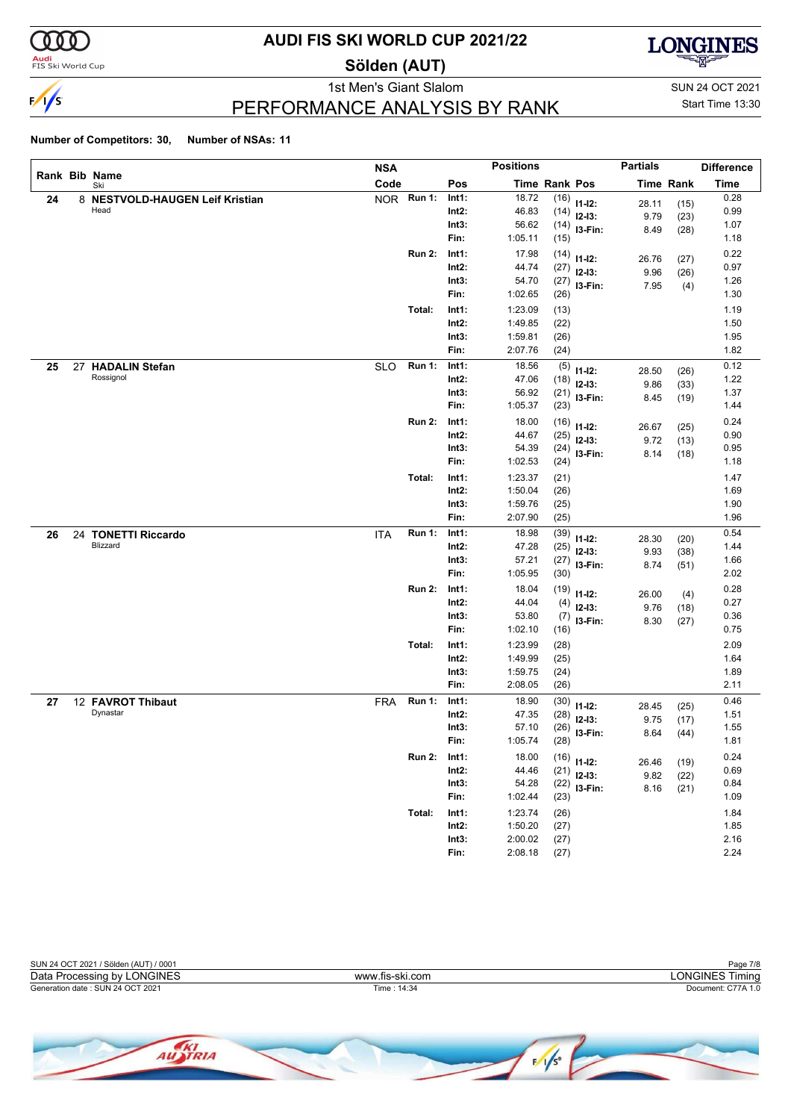

<mark>Audi</mark><br>FIS Ski World Cup

## **AUDI FIS SKI WORLD CUP 2021/22**

**Sölden (AUT)**



PERFORMANCE ANALYSIS BY RANK

1st Men's Giant Slalom SUN 24 OCT 2021 Start Time 13:30

|    |    |                                 | <b>NSA</b> |               |          | <b>Positions</b> |                      |                | <b>Partials</b> |                  | <b>Difference</b> |
|----|----|---------------------------------|------------|---------------|----------|------------------|----------------------|----------------|-----------------|------------------|-------------------|
|    |    | Rank Bib Name<br>Ski            | Code       |               | Pos      |                  | <b>Time Rank Pos</b> |                |                 | <b>Time Rank</b> | <b>Time</b>       |
| 24 |    | 8 NESTVOLD-HAUGEN Leif Kristian |            | NOR Run 1:    | Int1:    | 18.72            | (16)                 | $11 - 12$ :    | 28.11           | (15)             | 0.28              |
|    |    | Head                            |            |               | $Int2$ : | 46.83            |                      | $(14)$ 12-13:  | 9.79            | (23)             | 0.99              |
|    |    |                                 |            |               | Int3:    | 56.62            |                      | $(14)$ 13-Fin: | 8.49            | (28)             | 1.07              |
|    |    |                                 |            |               | Fin:     | 1:05.11          | (15)                 |                |                 |                  | 1.18              |
|    |    |                                 |            | <b>Run 2:</b> | Int1:    | 17.98            | (14)                 | $11 - 12$ :    | 26.76           | (27)             | 0.22              |
|    |    |                                 |            |               | $Int2$ : | 44.74            | (27)                 | $12 - 13:$     | 9.96            | (26)             | 0.97              |
|    |    |                                 |            |               | Int3:    | 54.70            | (27)                 | I3-Fin:        | 7.95            | (4)              | 1.26              |
|    |    |                                 |            |               | Fin:     | 1:02.65          | (26)                 |                |                 |                  | 1.30              |
|    |    |                                 |            | Total:        | Int1:    | 1:23.09          | (13)                 |                |                 |                  | 1.19              |
|    |    |                                 |            |               | $Int2$ : | 1:49.85          | (22)                 |                |                 |                  | 1.50              |
|    |    |                                 |            |               | Int3:    | 1:59.81          | (26)                 |                |                 |                  | 1.95              |
|    |    |                                 |            |               | Fin:     | 2:07.76          | (24)                 |                |                 |                  | 1.82              |
| 25 | 27 | <b>HADALIN Stefan</b>           | <b>SLO</b> | <b>Run 1:</b> | Int1:    | 18.56            | (5)                  | $11 - 12$ :    | 28.50           | (26)             | 0.12              |
|    |    | Rossignol                       |            |               | $Int2$ : | 47.06            | (18)                 | $12 - 13:$     | 9.86            | (33)             | 1.22              |
|    |    |                                 |            |               | Int3:    | 56.92            |                      | $(21)$ 13-Fin: | 8.45            | (19)             | 1.37              |
|    |    |                                 |            |               | Fin:     | 1:05.37          | (23)                 |                |                 |                  | 1.44              |
|    |    |                                 |            | <b>Run 2:</b> | Int1:    | 18.00            | (16)                 | $11 - 12$ :    | 26.67           | (25)             | 0.24              |
|    |    |                                 |            |               | $Int2$ : | 44.67            | (25)                 | $12 - 13:$     | 9.72            | (13)             | 0.90              |
|    |    |                                 |            |               | Int3:    | 54.39            | (24)                 | I3-Fin:        | 8.14            | (18)             | 0.95              |
|    |    |                                 |            |               | Fin:     | 1:02.53          | (24)                 |                |                 |                  | 1.18              |
|    |    |                                 |            | Total:        | Int1:    | 1:23.37          | (21)                 |                |                 |                  | 1.47              |
|    |    |                                 |            |               | $Int2$ : | 1:50.04          | (26)                 |                |                 |                  | 1.69              |
|    |    |                                 |            |               | Int3:    | 1:59.76          | (25)                 |                |                 |                  | 1.90              |
|    |    |                                 |            |               | Fin:     | 2:07.90          | (25)                 |                |                 |                  | 1.96              |
| 26 |    | 24 TONETTI Riccardo             | <b>ITA</b> | <b>Run 1:</b> | Int1:    | 18.98            | (39)                 | $11 - 12$ :    | 28.30           | (20)             | 0.54              |
|    |    | Blizzard                        |            |               | $Int2$ : | 47.28            | (25)                 | $12-13:$       | 9.93            | (38)             | 1.44              |
|    |    |                                 |            |               | Int3:    | 57.21            | (27)                 | I3-Fin:        | 8.74            | (51)             | 1.66              |
|    |    |                                 |            |               | Fin:     | 1:05.95          | (30)                 |                |                 |                  | 2.02              |
|    |    |                                 |            | <b>Run 2:</b> | Int1:    | 18.04            | (19)                 | $11 - 12$ :    | 26.00           | (4)              | 0.28              |
|    |    |                                 |            |               | $Int2$ : | 44.04            | (4)                  | $12-13:$       | 9.76            | (18)             | 0.27              |
|    |    |                                 |            |               | Int3:    | 53.80            | (7)                  | I3-Fin:        | 8.30            | (27)             | 0.36              |
|    |    |                                 |            |               | Fin:     | 1:02.10          | (16)                 |                |                 |                  | 0.75              |
|    |    |                                 |            | Total:        | Int1:    | 1:23.99          | (28)                 |                |                 |                  | 2.09              |
|    |    |                                 |            |               | $Int2$ : | 1:49.99          | (25)                 |                |                 |                  | 1.64              |
|    |    |                                 |            |               | Int3:    | 1:59.75          | (24)                 |                |                 |                  | 1.89              |
|    |    |                                 |            |               | Fin:     | 2:08.05          | (26)                 |                |                 |                  | 2.11              |
| 27 |    | 12 FAVROT Thibaut               | <b>FRA</b> | <b>Run 1:</b> | Int1:    | 18.90            | (30)                 | $11 - 12$ :    | 28.45           | (25)             | 0.46              |
|    |    | Dynastar                        |            |               | $Int2$ : | 47.35            | (28)                 | $12-13:$       | 9.75            | (17)             | 1.51              |
|    |    |                                 |            |               | Int3:    | 57.10            | (26)                 | I3-Fin:        | 8.64            | (44)             | 1.55              |
|    |    |                                 |            |               | Fin:     | 1:05.74          | (28)                 |                |                 |                  | 1.81              |
|    |    |                                 |            | <b>Run 2:</b> | Int1:    | 18.00            |                      | $(16)$ 11-12:  |                 | (19)             | 0.24              |
|    |    |                                 |            |               | $Int2$ : | 44.46            |                      | $(21)$ 12-13:  | 26.46<br>9.82   |                  | 0.69              |
|    |    |                                 |            |               | Int3:    | 54.28            |                      | $(22)$ 13-Fin: | 8.16            | (22)<br>(21)     | 0.84              |
|    |    |                                 |            |               | Fin:     | 1:02.44          | (23)                 |                |                 |                  | 1.09              |
|    |    |                                 |            | Total:        | Int1:    | 1:23.74          | (26)                 |                |                 |                  | 1.84              |
|    |    |                                 |            |               | $Int2$ : | 1:50.20          | (27)                 |                |                 |                  | 1.85              |
|    |    |                                 |            |               | Int3:    | 2:00.02          | (27)                 |                |                 |                  | 2.16              |
|    |    |                                 |            |               | Fin:     | 2:08.18          | (27)                 |                |                 |                  | 2.24              |

| SUN 24 OCT 2021 / Sölden (AUT) / 0001 |                 | Page 7/8           |
|---------------------------------------|-----------------|--------------------|
| Data Processing by LONGINES           | www.fis-ski.com | LONGINES Timina    |
| Generation date: SUN 24 OCT 2021      | Time: 14:34     | Document: C77A 1.0 |
|                                       |                 |                    |

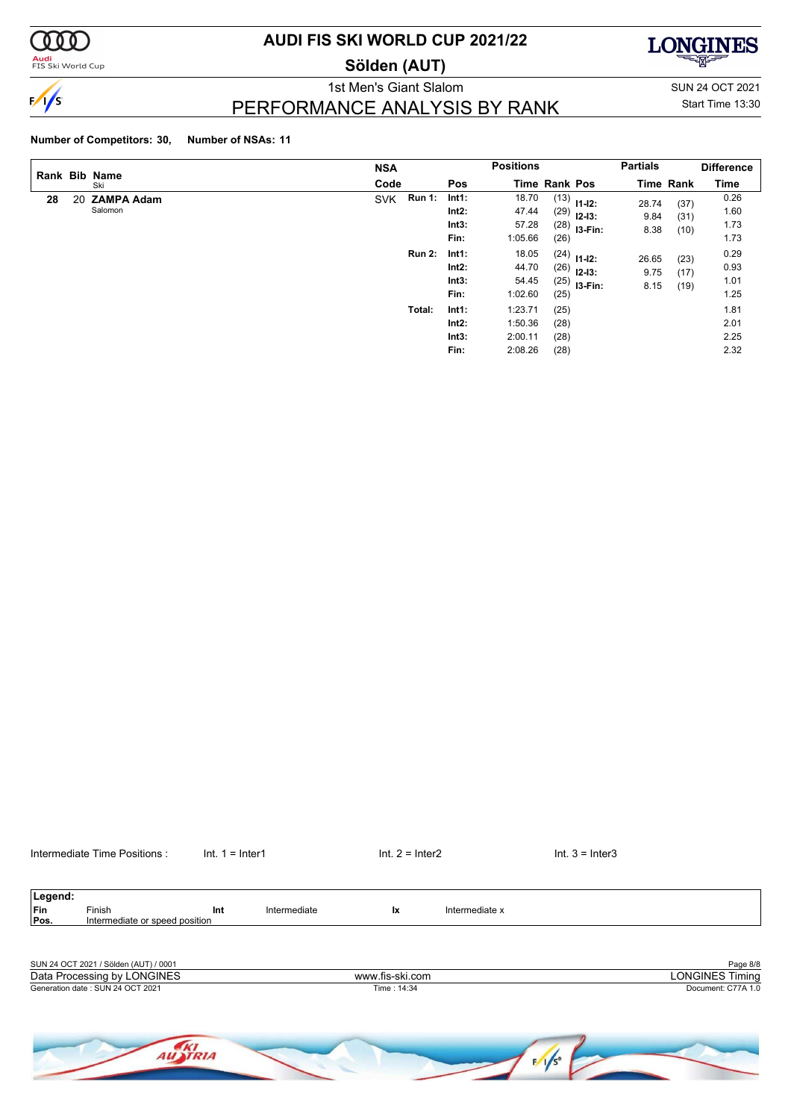

**Audi**<br>FIS Ski World Cup

### **AUDI FIS SKI WORLD CUP 2021/22**

**Sölden (AUT)**



PERFORMANCE ANALYSIS BY RANK

1st Men's Giant Slalom SUN 24 OCT 2021 Start Time 13:30

### **Number of Competitors: 30, Number of NSAs: 11**

|    |    | Rank Bib Name                | <b>NSA</b>                  |                                    | <b>Positions</b>                                                         |                                               | <b>Partials</b>       |                      | <b>Difference</b>            |
|----|----|------------------------------|-----------------------------|------------------------------------|--------------------------------------------------------------------------|-----------------------------------------------|-----------------------|----------------------|------------------------------|
|    |    | Ski                          | Code                        | Pos                                | <b>Time Rank Pos</b>                                                     |                                               |                       | <b>Time Rank</b>     | Time                         |
| 28 | 20 | <b>ZAMPA Adam</b><br>Salomon | <b>Run 1:</b><br><b>SVK</b> | Int1:<br>Int2:<br>Int3:<br>Fin:    | 18.70<br>(13)<br>47.44<br>(29)<br>57.28<br>1:05.66<br>(26)               | $11 - 12$ :<br>$12 - 13:$<br>$(28)$ 13-Fin:   | 28.74<br>9.84<br>8.38 | (37)<br>(31)<br>(10) | 0.26<br>1.60<br>1.73<br>1.73 |
|    |    |                              | <b>Run 2:</b>               | Int1:<br>Int2:<br>Int3:<br>Fin:    | 18.05<br>44.70<br>(26)<br>54.45<br>1:02.60<br>(25)                       | $(24)$ 11-12:<br>$12 - 13:$<br>$(25)$ 13-Fin: | 26.65<br>9.75<br>8.15 | (23)<br>(17)<br>(19) | 0.29<br>0.93<br>1.01<br>1.25 |
|    |    |                              | Total:                      | Int1:<br>$Int2$ :<br>Int3:<br>Fin: | 1:23.71<br>(25)<br>1:50.36<br>(28)<br>2:00.11<br>(28)<br>2:08.26<br>(28) |                                               |                       |                      | 1.81<br>2.01<br>2.25<br>2.32 |

| Intermediate Time Positions | Int.<br>-Inter1 | ⊣nter∠<br>Int. | Inter <sub>3</sub> |
|-----------------------------|-----------------|----------------|--------------------|
|                             |                 |                |                    |

Legend:<br>Fin<br>Pos. **Finish Int** Intermediate **Ix** Intermediate x **Intermediate or speed position** SUN 24 OCT 2021 / Sölden (AUT) / 0001 Page 8/8<br>
Data Processing by LONGINES **Page 8/8**<br>
Data Processing by LONGINES Timing Generation date : SUN 24 OCT 2021 Time : 14:34 Document: C77A 1.0 Data Processing by LONGINES www.fis-ski.com

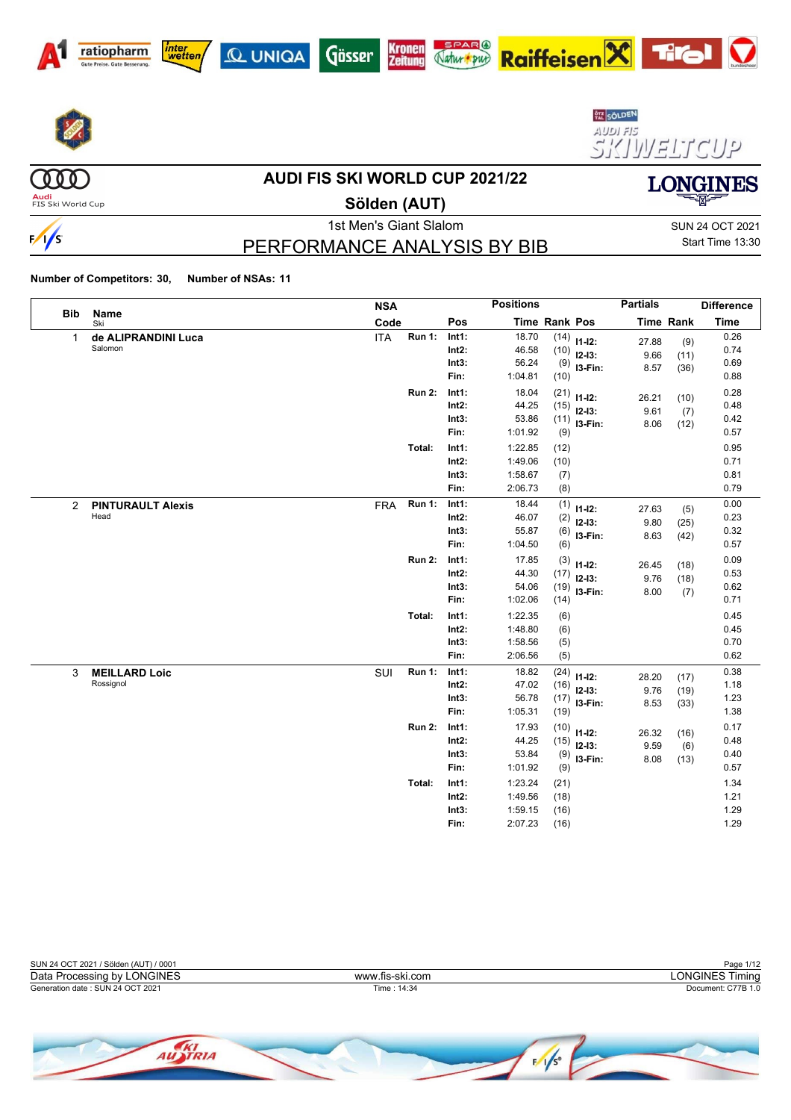













(000)

 $\frac{1}{s}$ 

#### **AUDI FIS SKI WORLD CUP 2021/22**

**Audi**<br>FIS Ski World Cup

**Sölden (AUT)**

# PERFORMANCE ANALYSIS BY BIB

1st Men's Giant Slalom Sun 24 OCT 2021 Start Time 13:30

**LONGINES** 

 $\boldsymbol{\nabla}$ 

|                | <b>Bib</b><br>Name                | <b>NSA</b> |               | <b>Positions</b>                   |                                          |                              |                                                  | <b>Partials</b>       |                      | <b>Difference</b>            |
|----------------|-----------------------------------|------------|---------------|------------------------------------|------------------------------------------|------------------------------|--------------------------------------------------|-----------------------|----------------------|------------------------------|
|                | Ski                               | Code       |               | Pos                                |                                          | Time Rank Pos                |                                                  |                       | <b>Time Rank</b>     | <b>Time</b>                  |
| $\mathbf{1}$   | de ALIPRANDINI Luca<br>Salomon    | <b>ITA</b> | Run 1:        | Int1:<br>Int2:<br>Int3:<br>Fin:    | 18.70<br>46.58<br>56.24<br>1:04.81       | (10)<br>(9)<br>(10)          | $(14)$ 11-12:<br>$12-13:$<br>I3-Fin:             | 27.88<br>9.66<br>8.57 | (9)<br>(11)<br>(36)  | 0.26<br>0.74<br>0.69<br>0.88 |
|                |                                   |            | <b>Run 2:</b> | Int1:<br>Int2:<br>Int3:<br>Fin:    | 18.04<br>44.25<br>53.86<br>1:01.92       | (9)                          | $(21)$ 11-12:<br>$(15)$ 12-13:<br>$(11)$ 13-Fin: | 26.21<br>9.61<br>8.06 | (10)<br>(7)<br>(12)  | 0.28<br>0.48<br>0.42<br>0.57 |
|                |                                   |            | Total:        | Int1:<br>$Int2$ :<br>Int3:<br>Fin: | 1:22.85<br>1:49.06<br>1:58.67<br>2:06.73 | (12)<br>(10)<br>(7)<br>(8)   |                                                  |                       |                      | 0.95<br>0.71<br>0.81<br>0.79 |
| $\overline{2}$ | <b>PINTURAULT Alexis</b><br>Head  | <b>FRA</b> | Run 1:        | Int1:<br>$Int2$ :<br>Int3:<br>Fin: | 18.44<br>46.07<br>55.87<br>1:04.50       | (1)<br>(2)<br>(6)<br>(6)     | $11-12:$<br>$12 - 13$ :<br>I3-Fin:               | 27.63<br>9.80<br>8.63 | (5)<br>(25)<br>(42)  | 0.00<br>0.23<br>0.32<br>0.57 |
|                |                                   |            | <b>Run 2:</b> | Int1:<br>$Int2$ :<br>Int3:<br>Fin: | 17.85<br>44.30<br>54.06<br>1:02.06       | (3)<br>(19)<br>(14)          | $11 - 12$ :<br>$(17)$ 12-13:<br>I3-Fin:          | 26.45<br>9.76<br>8.00 | (18)<br>(18)<br>(7)  | 0.09<br>0.53<br>0.62<br>0.71 |
|                |                                   |            | Total:        | Int1:<br>$Int2$ :<br>Int3:<br>Fin: | 1:22.35<br>1:48.80<br>1:58.56<br>2:06.56 | (6)<br>(6)<br>(5)<br>(5)     |                                                  |                       |                      | 0.45<br>0.45<br>0.70<br>0.62 |
| 3              | <b>MEILLARD Loic</b><br>Rossignol | SUI        | <b>Run 1:</b> | Int1:<br>Int2:<br>Int3:<br>Fin:    | 18.82<br>47.02<br>56.78<br>1:05.31       | (24)<br>(16)<br>(17)<br>(19) | $11 - 12$ :<br>$12 - 13:$<br>I3-Fin:             | 28.20<br>9.76<br>8.53 | (17)<br>(19)<br>(33) | 0.38<br>1.18<br>1.23<br>1.38 |
|                |                                   |            | <b>Run 2:</b> | Int1:<br>Int2:<br>Int3:<br>Fin:    | 17.93<br>44.25<br>53.84<br>1:01.92       | (10)<br>(15)<br>(9)<br>(9)   | $11 - 12$ :<br>$12 - 13:$<br>I3-Fin:             | 26.32<br>9.59<br>8.08 | (16)<br>(6)<br>(13)  | 0.17<br>0.48<br>0.40<br>0.57 |
|                |                                   |            | Total:        | Int1:<br>$Int2$ :<br>Int3:<br>Fin: | 1:23.24<br>1:49.56<br>1:59.15<br>2:07.23 | (21)<br>(18)<br>(16)<br>(16) |                                                  |                       |                      | 1.34<br>1.21<br>1.29<br>1.29 |

| SUN 24 OCT 2021 / Sölden (AUT) / 0001 |                 | Page 1/12          |
|---------------------------------------|-----------------|--------------------|
| Data Processing by LONGINES           | www.fis-ski.com | LONGINES Timina    |
| Generation date: SUN 24 OCT 2021      | Time : 14:34    | Document: C77B 1.0 |
|                                       |                 |                    |

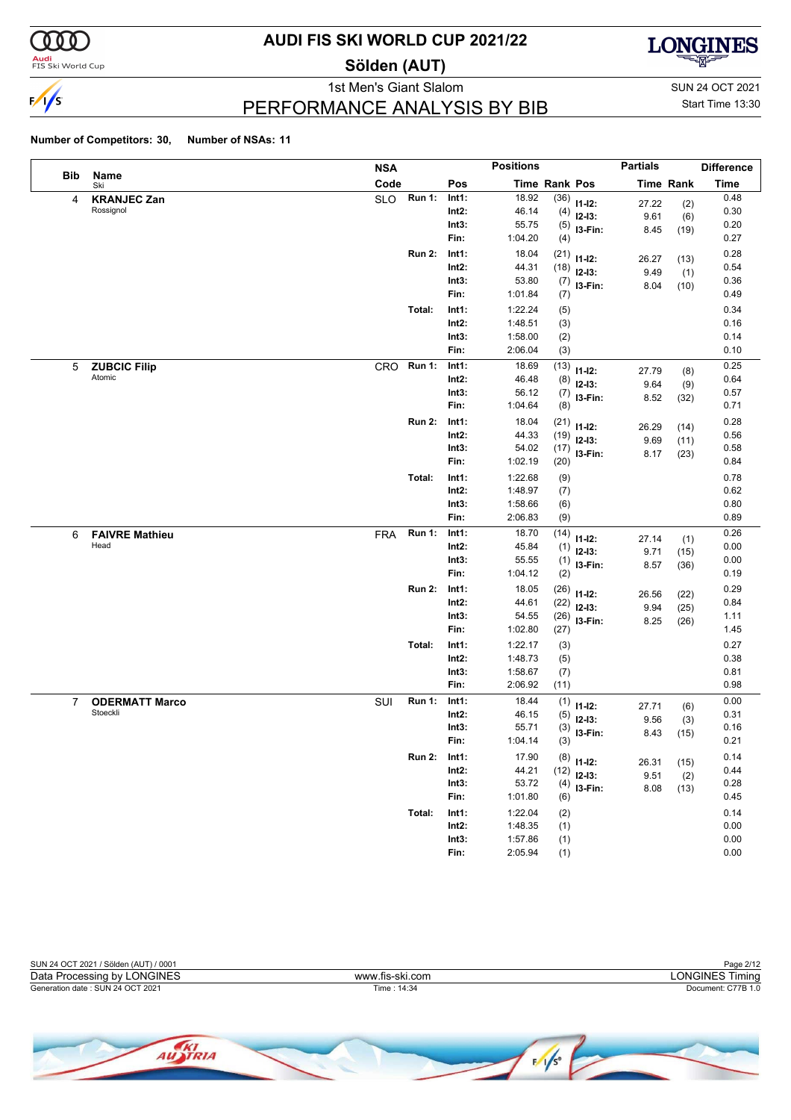

**Audi**<br>FIS Ski World Cup

## **AUDI FIS SKI WORLD CUP 2021/22**

**Sölden (AUT)**



## PERFORMANCE ANALYSIS BY BIB

1st Men's Giant Slalom SUN 24 OCT 2021 Start Time 13:30

|                |                                   | <b>NSA</b> |               |                | <b>Positions</b>   |               |             | <b>Partials</b> |                  | <b>Difference</b> |
|----------------|-----------------------------------|------------|---------------|----------------|--------------------|---------------|-------------|-----------------|------------------|-------------------|
| Bib            | Name<br>Ski                       | Code       |               | Pos            |                    | Time Rank Pos |             |                 | <b>Time Rank</b> | <b>Time</b>       |
| 4              | <b>KRANJEC Zan</b>                | <b>SLO</b> | Run 1:        | Int1:          | 18.92              | (36)          | $11 - 12$ : | 27.22           | (2)              | 0.48              |
|                | Rossignol                         |            |               | Int2:          | 46.14              | (4)           | $12-13:$    | 9.61            | (6)              | 0.30              |
|                |                                   |            |               | Int3:          | 55.75              | (5)           | I3-Fin:     | 8.45            | (19)             | 0.20              |
|                |                                   |            |               | Fin:           | 1:04.20            | (4)           |             |                 |                  | 0.27              |
|                |                                   |            | <b>Run 2:</b> | Int1:          | 18.04              | (21)          | $11 - 12$ : | 26.27           | (13)             | 0.28              |
|                |                                   |            |               | Int2:          | 44.31              | (18)          | $12-13:$    | 9.49            | (1)              | 0.54              |
|                |                                   |            |               | Int3:          | 53.80              | (7)           | I3-Fin:     | 8.04            | (10)             | 0.36              |
|                |                                   |            |               | Fin:           | 1:01.84            | (7)           |             |                 |                  | 0.49              |
|                |                                   |            | Total:        | Int1:          | 1:22.24            | (5)           |             |                 |                  | 0.34              |
|                |                                   |            |               | Int2:          | 1:48.51            | (3)           |             |                 |                  | 0.16              |
|                |                                   |            |               | Int3:          | 1:58.00            | (2)           |             |                 |                  | 0.14              |
|                |                                   |            |               | Fin:           | 2:06.04            | (3)           |             |                 |                  | 0.10              |
| 5              | <b>ZUBCIC Filip</b>               | CRO        | Run 1:        | Int1:          | 18.69              | (13)          | $11 - 12$ : | 27.79           | (8)              | 0.25              |
|                | Atomic                            |            |               | Int2:          | 46.48              | (8)           | $12 - 13:$  | 9.64            | (9)              | 0.64              |
|                |                                   |            |               | Int3:          | 56.12              | (7)           | I3-Fin:     | 8.52            | (32)             | 0.57              |
|                |                                   |            |               | Fin:           | 1:04.64            | (8)           |             |                 |                  | 0.71              |
|                |                                   |            | <b>Run 2:</b> | Int1:          | 18.04              | (21)          | $11 - 12$ : | 26.29           | (14)             | 0.28              |
|                |                                   |            |               | Int2:          | 44.33              | (19)          | $12-13:$    | 9.69            | (11)             | 0.56              |
|                |                                   |            |               | Int3:          | 54.02              | (17)          | I3-Fin:     | 8.17            | (23)             | 0.58              |
|                |                                   |            |               | Fin:           | 1:02.19            | (20)          |             |                 |                  | 0.84              |
|                |                                   |            | Total:        | Int1:          | 1:22.68            | (9)           |             |                 |                  | 0.78              |
|                |                                   |            |               | Int2:          | 1:48.97            | (7)           |             |                 |                  | 0.62              |
|                |                                   |            |               | Int3:          | 1:58.66            | (6)           |             |                 |                  | 0.80              |
|                |                                   |            |               | Fin:           | 2:06.83            | (9)           |             |                 |                  | 0.89              |
| 6              | <b>FAIVRE Mathieu</b>             | <b>FRA</b> | <b>Run 1:</b> | Int1:          | 18.70              | (14)          | $11 - 12$ : | 27.14           | (1)              | 0.26              |
|                | Head                              |            |               | Int2:          | 45.84              | (1)           | $12 - 13$ : | 9.71            | (15)             | 0.00              |
|                |                                   |            |               | Int3:          | 55.55              | (1)           | I3-Fin:     | 8.57            | (36)             | 0.00              |
|                |                                   |            |               | Fin:           | 1:04.12            | (2)           |             |                 |                  | 0.19              |
|                |                                   |            | <b>Run 2:</b> | Int1:          | 18.05              | (26)          | $11 - 12$ : | 26.56           | (22)             | 0.29              |
|                |                                   |            |               | Int2:          | 44.61              | (22)          | $12-13:$    | 9.94            | (25)             | 0.84              |
|                |                                   |            |               | Int3:          | 54.55              | (26)          | I3-Fin:     | 8.25            | (26)             | 1.11              |
|                |                                   |            |               | Fin:           | 1:02.80            | (27)          |             |                 |                  | 1.45              |
|                |                                   |            | Total:        | Int1:          | 1:22.17            | (3)           |             |                 |                  | 0.27              |
|                |                                   |            |               | Int2:          | 1:48.73            | (5)           |             |                 |                  | 0.38              |
|                |                                   |            |               | Int3:<br>Fin:  | 1:58.67<br>2:06.92 | (7)<br>(11)   |             |                 |                  | 0.81<br>0.98      |
|                |                                   |            |               |                |                    |               |             |                 |                  |                   |
| $\overline{7}$ | <b>ODERMATT Marco</b><br>Stoeckli | SUI        | <b>Run 1:</b> | Int1:<br>Int2: | 18.44<br>46.15     | (1)           | $11 - 12$ : | 27.71           | (6)              | 0.00<br>0.31      |
|                |                                   |            |               | Int3:          | 55.71              | (5)           | $12-13:$    | 9.56            | (3)              | 0.16              |
|                |                                   |            |               | Fin:           | 1:04.14            | (3)<br>(3)    | I3-Fin:     | 8.43            | (15)             | 0.21              |
|                |                                   |            |               |                |                    |               |             |                 |                  |                   |
|                |                                   |            | <b>Run 2:</b> | Int1:<br>Int2: | 17.90<br>44.21     | (8)           | $11 - 12$ : | 26.31           | (15)             | 0.14<br>0.44      |
|                |                                   |            |               | Int3:          | 53.72              | (12)          | $12-13:$    | 9.51            | (2)              | 0.28              |
|                |                                   |            |               | Fin:           | 1:01.80            | (4)<br>(6)    | I3-Fin:     | 8.08            | (13)             | 0.45              |
|                |                                   |            | Total:        | Int1:          | 1:22.04            |               |             |                 |                  | 0.14              |
|                |                                   |            |               | $Int2$ :       | 1:48.35            | (2)<br>(1)    |             |                 |                  | 0.00              |
|                |                                   |            |               | Int3:          | 1:57.86            | (1)           |             |                 |                  | 0.00              |
|                |                                   |            |               | Fin:           | 2:05.94            | (1)           |             |                 |                  | 0.00              |
|                |                                   |            |               |                |                    |               |             |                 |                  |                   |



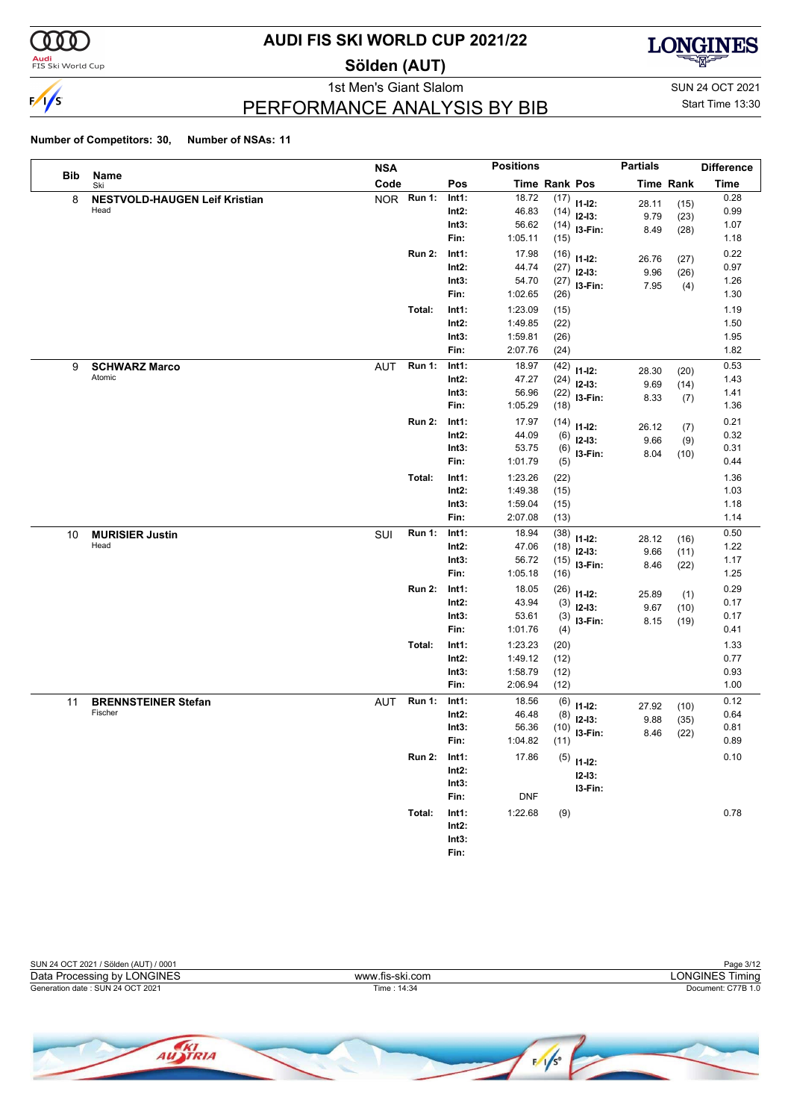

**Audi**<br>FIS Ski World Cup

## **AUDI FIS SKI WORLD CUP 2021/22**

**Sölden (AUT)**



PERFORMANCE ANALYSIS BY BIB

1st Men's Giant Slalom SUN 24 OCT 2021 Start Time 13:30

|     |                                      | <b>NSA</b> |               |          | <b>Positions</b> |      |              | <b>Partials</b> |                  | <b>Difference</b> |
|-----|--------------------------------------|------------|---------------|----------|------------------|------|--------------|-----------------|------------------|-------------------|
| Bib | Name<br>Ski                          | Code       |               | Pos      | Time Rank Pos    |      |              |                 | <b>Time Rank</b> | <b>Time</b>       |
| 8   | <b>NESTVOLD-HAUGEN Leif Kristian</b> | <b>NOR</b> | <b>Run 1:</b> | Int1:    | 18.72            | (17) | $11 - 12$ :  | 28.11           | (15)             | 0.28              |
|     | Head                                 |            |               | Int2:    | 46.83            | (14) | $12-13:$     | 9.79            | (23)             | 0.99              |
|     |                                      |            |               | Int3:    | 56.62            | (14) | I3-Fin:      | 8.49            | (28)             | 1.07              |
|     |                                      |            |               | Fin:     | 1:05.11          | (15) |              |                 |                  | 1.18              |
|     |                                      |            | <b>Run 2:</b> | Int1:    | 17.98            | (16) | $11 - 12$ :  | 26.76           | (27)             | 0.22              |
|     |                                      |            |               | Int2:    | 44.74            | (27) | $12 - 13$ :  | 9.96            | (26)             | 0.97              |
|     |                                      |            |               | Int3:    | 54.70            | (27) | I3-Fin:      | 7.95            | (4)              | 1.26              |
|     |                                      |            |               | Fin:     | 1:02.65          | (26) |              |                 |                  | 1.30              |
|     |                                      |            | Total:        | Int1:    | 1:23.09          | (15) |              |                 |                  | 1.19              |
|     |                                      |            |               | Int2:    | 1:49.85          | (22) |              |                 |                  | 1.50              |
|     |                                      |            |               | Int3:    | 1:59.81          | (26) |              |                 |                  | 1.95              |
|     |                                      |            |               | Fin:     | 2:07.76          | (24) |              |                 |                  | 1.82              |
| 9   | <b>SCHWARZ Marco</b>                 | <b>AUT</b> | <b>Run 1:</b> | Int1:    | 18.97            | (42) | $11 - 12$ :  | 28.30           | (20)             | 0.53              |
|     | Atomic                               |            |               | Int2:    | 47.27            | (24) | $12 - 13$ :  | 9.69            | (14)             | 1.43              |
|     |                                      |            |               | Int3:    | 56.96            | (22) | I3-Fin:      | 8.33            | (7)              | 1.41              |
|     |                                      |            |               | Fin:     | 1:05.29          | (18) |              |                 |                  | 1.36              |
|     |                                      |            | <b>Run 2:</b> | Int1:    | 17.97            | (14) | $11 - 12$ :  | 26.12           | (7)              | 0.21              |
|     |                                      |            |               | Int2:    | 44.09            | (6)  | $12 - 13:$   | 9.66            | (9)              | 0.32              |
|     |                                      |            |               | Int3:    | 53.75            | (6)  | I3-Fin:      | 8.04            | (10)             | 0.31              |
|     |                                      |            |               | Fin:     | 1:01.79          | (5)  |              |                 |                  | 0.44              |
|     |                                      |            | Total:        | Int1:    | 1:23.26          | (22) |              |                 |                  | 1.36              |
|     |                                      |            |               | Int2:    | 1:49.38          | (15) |              |                 |                  | 1.03              |
|     |                                      |            |               | Int3:    | 1:59.04          | (15) |              |                 |                  | 1.18              |
|     |                                      |            |               | Fin:     | 2:07.08          | (13) |              |                 |                  | 1.14              |
| 10  | <b>MURISIER Justin</b>               | SUI        | <b>Run 1:</b> | Int1:    | 18.94            | (38) | $11 - 12$ :  | 28.12           | (16)             | 0.50              |
|     | Head                                 |            |               | Int2:    | 47.06            | (18) | $12 - 13$ :  | 9.66            | (11)             | 1.22              |
|     |                                      |            |               | Int3:    | 56.72            | (15) | I3-Fin:      | 8.46            | (22)             | 1.17              |
|     |                                      |            |               | Fin:     | 1:05.18          | (16) |              |                 |                  | 1.25              |
|     |                                      |            | <b>Run 2:</b> | Int1:    | 18.05            | (26) | $11 - 12$ :  | 25.89           | (1)              | 0.29              |
|     |                                      |            |               | Int2:    | 43.94            | (3)  | $12 - 13$ :  | 9.67            | (10)             | 0.17              |
|     |                                      |            |               | Int3:    | 53.61            | (3)  | I3-Fin:      | 8.15            | (19)             | 0.17              |
|     |                                      |            |               | Fin:     | 1:01.76          | (4)  |              |                 |                  | 0.41              |
|     |                                      |            | Total:        | Int1:    | 1:23.23          | (20) |              |                 |                  | 1.33              |
|     |                                      |            |               | Int2:    | 1:49.12          | (12) |              |                 |                  | 0.77              |
|     |                                      |            |               | Int3:    | 1:58.79          | (12) |              |                 |                  | 0.93              |
|     |                                      |            |               | Fin:     | 2:06.94          | (12) |              |                 |                  | 1.00              |
| 11  | <b>BRENNSTEINER Stefan</b>           | <b>AUT</b> | <b>Run 1:</b> | Int1:    | 18.56            | (6)  | $11 - 12$ :  | 27.92           | (10)             | 0.12              |
|     | Fischer                              |            |               | Int2:    | 46.48            | (8)  | $12 - 13$ :  | 9.88            | (35)             | 0.64              |
|     |                                      |            |               | Int3:    | 56.36            | (10) | I3-Fin:      | 8.46            | (22)             | 0.81              |
|     |                                      |            |               | Fin:     | 1:04.82          | (11) |              |                 |                  | 0.89              |
|     |                                      |            | <b>Run 2:</b> | Int1:    | 17.86            |      | $(5)$ 11-12: |                 |                  | 0.10              |
|     |                                      |            |               | $Int2$ : |                  |      | $12 - 13$ :  |                 |                  |                   |
|     |                                      |            |               | Int3:    |                  |      | I3-Fin:      |                 |                  |                   |
|     |                                      |            |               | Fin:     | <b>DNF</b>       |      |              |                 |                  |                   |
|     |                                      |            | Total:        | Int1:    | 1:22.68          | (9)  |              |                 |                  | 0.78              |
|     |                                      |            |               | $Int2$ : |                  |      |              |                 |                  |                   |
|     |                                      |            |               | Int3:    |                  |      |              |                 |                  |                   |
|     |                                      |            |               | Fin:     |                  |      |              |                 |                  |                   |

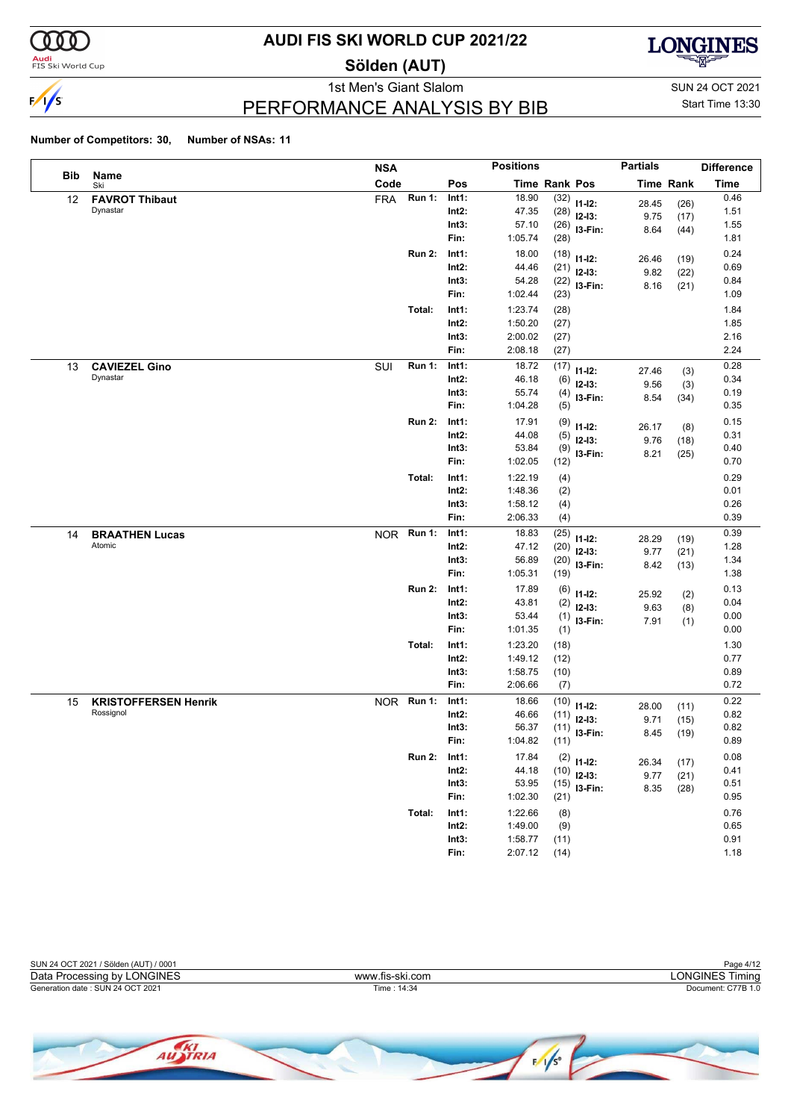

**Audi**<br>FIS Ski World Cup

## **AUDI FIS SKI WORLD CUP 2021/22**

**Sölden (AUT)**



### PERFORMANCE ANALYSIS BY BIB

1st Men's Giant Slalom SUN 24 OCT 2021 Start Time 13:30

|     |                                          | <b>NSA</b> |               |                   | <b>Positions</b>   |                      |              | <b>Partials</b> |                  | <b>Difference</b> |
|-----|------------------------------------------|------------|---------------|-------------------|--------------------|----------------------|--------------|-----------------|------------------|-------------------|
| Bib | Name<br>Ski                              | Code       |               | Pos               |                    | <b>Time Rank Pos</b> |              |                 | <b>Time Rank</b> | <b>Time</b>       |
| 12  | <b>FAVROT Thibaut</b>                    | <b>FRA</b> | <b>Run 1:</b> | Int1:             | 18.90              | (32)                 | $11 - 12$ :  | 28.45           | (26)             | 0.46              |
|     | Dynastar                                 |            |               | $Int2$ :          | 47.35              | (28)                 | $12-13:$     | 9.75            | (17)             | 1.51              |
|     |                                          |            |               | Int3:             | 57.10              | (26)                 | I3-Fin:      | 8.64            | (44)             | 1.55              |
|     |                                          |            |               | Fin:              | 1:05.74            | (28)                 |              |                 |                  | 1.81              |
|     |                                          |            | <b>Run 2:</b> | Int1:             | 18.00              | (18)                 | $11 - 12$ :  | 26.46           | (19)             | 0.24              |
|     |                                          |            |               | $Int2$ :          | 44.46              | (21)                 | $12 - 13:$   | 9.82            | (22)             | 0.69              |
|     |                                          |            |               | Int3:             | 54.28              | (22)                 | I3-Fin:      | 8.16            | (21)             | 0.84              |
|     |                                          |            |               | Fin:              | 1:02.44            | (23)                 |              |                 |                  | 1.09              |
|     |                                          |            | Total:        | Int1:             | 1:23.74            | (28)                 |              |                 |                  | 1.84              |
|     |                                          |            |               | $Int2$ :          | 1:50.20            | (27)                 |              |                 |                  | 1.85              |
|     |                                          |            |               | Int3:             | 2:00.02            | (27)                 |              |                 |                  | 2.16              |
|     |                                          |            |               | Fin:              | 2:08.18            | (27)                 |              |                 |                  | 2.24              |
| 13  | <b>CAVIEZEL Gino</b>                     | SUI        | <b>Run 1:</b> | Int1:             | 18.72              | (17)                 | $11 - 12$ :  | 27.46           | (3)              | 0.28              |
|     | Dynastar                                 |            |               | $Int2$ :          | 46.18              | (6)                  | $12 - 13$ :  | 9.56            | (3)              | 0.34              |
|     |                                          |            |               | Int3:             | 55.74              | (4)                  | I3-Fin:      | 8.54            | (34)             | 0.19              |
|     |                                          |            |               | Fin:              | 1:04.28            | (5)                  |              |                 |                  | 0.35              |
|     |                                          |            | <b>Run 2:</b> | Int1:             | 17.91              | (9)                  | $11 - 12$ :  | 26.17           | (8)              | 0.15              |
|     |                                          |            |               | $Int2$ :          | 44.08              | (5)                  | $12 - 13$ :  | 9.76            | (18)             | 0.31              |
|     |                                          |            |               | Int3:             | 53.84              | (9)                  | I3-Fin:      | 8.21            | (25)             | 0.40              |
|     |                                          |            |               | Fin:              | 1:02.05            | (12)                 |              |                 |                  | 0.70              |
|     |                                          |            | Total:        | Int1:             | 1:22.19            | (4)                  |              |                 |                  | 0.29              |
|     |                                          |            |               | $Int2$ :          | 1:48.36            | (2)                  |              |                 |                  | 0.01              |
|     |                                          |            |               | Int3:             | 1:58.12            | (4)                  |              |                 |                  | 0.26              |
|     |                                          |            |               | Fin:              | 2:06.33            | (4)                  |              |                 |                  | 0.39              |
| 14  | <b>BRAATHEN Lucas</b>                    | <b>NOR</b> | <b>Run 1:</b> | Int1:             | 18.83              | (25)                 | $11 - 12$ :  | 28.29           | (19)             | 0.39              |
|     | Atomic                                   |            |               | Int2:             | 47.12              | (20)                 | $12-13:$     | 9.77            | (21)             | 1.28              |
|     |                                          |            |               | Int3:<br>Fin:     | 56.89<br>1:05.31   | (20)                 | I3-Fin:      | 8.42            | (13)             | 1.34<br>1.38      |
|     |                                          |            |               |                   |                    | (19)                 |              |                 |                  |                   |
|     |                                          |            | <b>Run 2:</b> | Int1:             | 17.89              | (6)                  | $11 - 12$ :  | 25.92           | (2)              | 0.13              |
|     |                                          |            |               | $Int2$ :          | 43.81              | (2)                  | $12-13:$     | 9.63            | (8)              | 0.04              |
|     |                                          |            |               | Int3:<br>Fin:     | 53.44<br>1:01.35   | (1)                  | I3-Fin:      | 7.91            | (1)              | 0.00<br>0.00      |
|     |                                          |            |               |                   |                    | (1)                  |              |                 |                  |                   |
|     |                                          |            | Total:        | Int1:             | 1:23.20            | (18)                 |              |                 |                  | 1.30              |
|     |                                          |            |               | $Int2$ :<br>Int3: | 1:49.12<br>1:58.75 | (12)<br>(10)         |              |                 |                  | 0.77<br>0.89      |
|     |                                          |            |               | Fin:              | 2:06.66            | (7)                  |              |                 |                  | 0.72              |
|     |                                          | NOR Run 1: |               | Int1:             | 18.66              |                      |              |                 |                  | 0.22              |
| 15  | <b>KRISTOFFERSEN Henrik</b><br>Rossignol |            |               | Int2:             | 46.66              | (10)<br>(11)         | $11 - 12$ :  | 28.00           | (11)             | 0.82              |
|     |                                          |            |               | Int3:             | 56.37              | (11)                 | $12 - 13:$   | 9.71            | (15)             | 0.82              |
|     |                                          |            |               | Fin:              | 1:04.82            | (11)                 | I3-Fin:      | 8.45            | (19)             | 0.89              |
|     |                                          |            | <b>Run 2:</b> | Int1:             | 17.84              |                      |              |                 |                  | 0.08              |
|     |                                          |            |               | $Int2$ :          | 44.18              | (10)                 | $(2)$ 11-12: | 26.34           | (17)             | 0.41              |
|     |                                          |            |               | Int3:             | 53.95              | (15)                 | $12-13:$     | 9.77            | (21)             | 0.51              |
|     |                                          |            |               | Fin:              | 1:02.30            | (21)                 | $13-Fin:$    | 8.35            | (28)             | 0.95              |
|     |                                          |            | Total:        | Int1:             | 1:22.66            | (8)                  |              |                 |                  | 0.76              |
|     |                                          |            |               | $Int2$ :          | 1:49.00            | (9)                  |              |                 |                  | 0.65              |
|     |                                          |            |               | Int3:             | 1:58.77            | (11)                 |              |                 |                  | 0.91              |
|     |                                          |            |               | Fin:              | 2:07.12            | (14)                 |              |                 |                  | 1.18              |



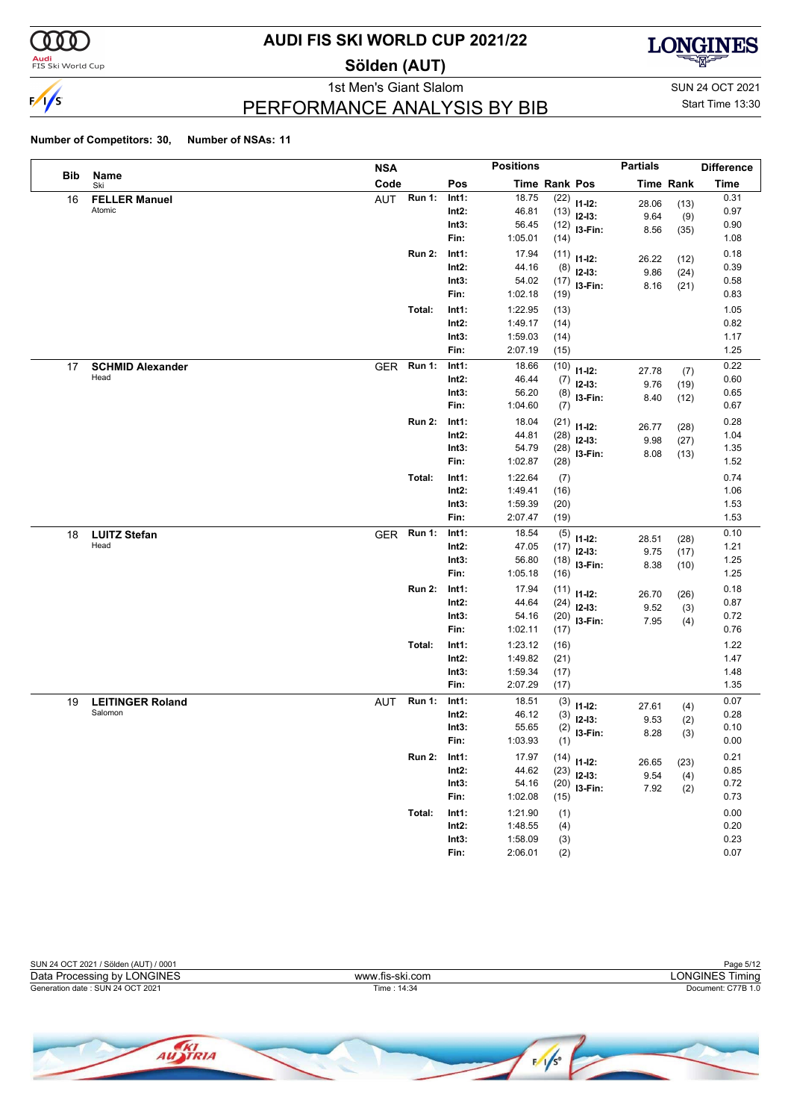

**Audi**<br>FIS Ski World Cup

## **AUDI FIS SKI WORLD CUP 2021/22**

**Sölden (AUT)**



PERFORMANCE ANALYSIS BY BIB

1st Men's Giant Slalom SUN 24 OCT 2021 Start Time 13:30

### **Number of Competitors: 30, Number of NSAs: 11**

AUSTRIA

|     |                         | <b>NSA</b> |               |          | <b>Positions</b>     |      |                | <b>Partials</b> |                  | <b>Difference</b> |
|-----|-------------------------|------------|---------------|----------|----------------------|------|----------------|-----------------|------------------|-------------------|
| Bib | Name<br>Ski             | Code       |               | Pos      | <b>Time Rank Pos</b> |      |                |                 | <b>Time Rank</b> | <b>Time</b>       |
| 16  | <b>FELLER Manuel</b>    | AUT        | Run 1:        | Int1:    | 18.75                | (22) | $11-12:$       | 28.06           | (13)             | 0.31              |
|     | Atomic                  |            |               | $Int2$ : | 46.81                | (13) | $12-13:$       | 9.64            | (9)              | 0.97              |
|     |                         |            |               | Int3:    | 56.45                |      | $(12)$ 13-Fin: | 8.56            | (35)             | 0.90              |
|     |                         |            |               | Fin:     | 1:05.01              | (14) |                |                 |                  | 1.08              |
|     |                         |            | <b>Run 2:</b> | Int1:    | 17.94                | (11) | $11 - 12$ :    | 26.22           | (12)             | 0.18              |
|     |                         |            |               | $Int2$ : | 44.16                | (8)  | $12-13:$       | 9.86            | (24)             | 0.39              |
|     |                         |            |               | Int3:    | 54.02                |      | $(17)$ 13-Fin: | 8.16            | (21)             | 0.58              |
|     |                         |            |               | Fin:     | 1:02.18              | (19) |                |                 |                  | 0.83              |
|     |                         |            | Total:        | Int1:    | 1:22.95              | (13) |                |                 |                  | 1.05              |
|     |                         |            |               | $Int2$ : | 1:49.17              | (14) |                |                 |                  | 0.82              |
|     |                         |            |               | Int3:    | 1:59.03              | (14) |                |                 |                  | 1.17              |
|     |                         |            |               | Fin:     | 2:07.19              | (15) |                |                 |                  | 1.25              |
| 17  | <b>SCHMID Alexander</b> | GER Run 1: |               | Int1:    | 18.66                | (10) | $11 - 12$ :    | 27.78           | (7)              | 0.22              |
|     | Head                    |            |               | $Int2$ : | 46.44                | (7)  | $12-13:$       | 9.76            | (19)             | 0.60              |
|     |                         |            |               | Int3:    | 56.20                | (8)  | I3-Fin:        | 8.40            | (12)             | 0.65              |
|     |                         |            |               | Fin:     | 1:04.60              | (7)  |                |                 |                  | 0.67              |
|     |                         |            | <b>Run 2:</b> | Int1:    | 18.04                | (21) | $11 - 12$ :    | 26.77           | (28)             | 0.28              |
|     |                         |            |               | $Int2$ : | 44.81                | (28) | $12-13:$       | 9.98            | (27)             | 1.04              |
|     |                         |            |               | Int3:    | 54.79                | (28) | I3-Fin:        | 8.08            | (13)             | 1.35              |
|     |                         |            |               | Fin:     | 1:02.87              | (28) |                |                 |                  | 1.52              |
|     |                         |            | Total:        | Int1:    | 1:22.64              | (7)  |                |                 |                  | 0.74              |
|     |                         |            |               | $Int2$ : | 1:49.41              | (16) |                |                 |                  | 1.06              |
|     |                         |            |               | Int3:    | 1:59.39              | (20) |                |                 |                  | 1.53              |
|     |                         |            |               | Fin:     | 2:07.47              | (19) |                |                 |                  | 1.53              |
| 18  | <b>LUITZ Stefan</b>     | <b>GER</b> | <b>Run 1:</b> | Int1:    | 18.54                | (5)  | $11 - 12$ :    | 28.51           | (28)             | 0.10              |
|     | Head                    |            |               | $Int2$ : | 47.05                | (17) | $12-13:$       | 9.75            | (17)             | 1.21              |
|     |                         |            |               | Int3:    | 56.80                | (18) | I3-Fin:        | 8.38            | (10)             | 1.25              |
|     |                         |            |               | Fin:     | 1:05.18              | (16) |                |                 |                  | 1.25              |
|     |                         |            | <b>Run 2:</b> | Int1:    | 17.94                | (11) | $11 - 12$ :    | 26.70           | (26)             | 0.18              |
|     |                         |            |               | $Int2$ : | 44.64                | (24) | $12-13:$       | 9.52            | (3)              | 0.87              |
|     |                         |            |               | Int3:    | 54.16                |      | $(20)$ 13-Fin: | 7.95            | (4)              | 0.72              |
|     |                         |            |               | Fin:     | 1:02.11              | (17) |                |                 |                  | 0.76              |
|     |                         |            | Total:        | Int1:    | 1:23.12              | (16) |                |                 |                  | 1.22              |
|     |                         |            |               | $Int2$ : | 1:49.82              | (21) |                |                 |                  | 1.47              |
|     |                         |            |               | Int3:    | 1:59.34              | (17) |                |                 |                  | 1.48              |
|     |                         |            |               | Fin:     | 2:07.29              | (17) |                |                 |                  | 1.35              |
| 19  | <b>LEITINGER Roland</b> | AUT        | <b>Run 1:</b> | Int1:    | 18.51                | (3)  | $11 - 12$ :    | 27.61           | (4)              | 0.07              |
|     | Salomon                 |            |               | $Int2$ : | 46.12                | (3)  | $12-13:$       | 9.53            | (2)              | 0.28              |
|     |                         |            |               | Int3:    | 55.65                | (2)  | I3-Fin:        | 8.28            | (3)              | 0.10              |
|     |                         |            |               | Fin:     | 1:03.93              | (1)  |                |                 |                  | 0.00              |
|     |                         |            | <b>Run 2:</b> | Int1:    | 17.97                |      | $(14)$ 11-12:  | 26.65           | (23)             | 0.21              |
|     |                         |            |               | $Int2$ : | 44.62                | (23) | $12-13:$       | 9.54            | (4)              | 0.85              |
|     |                         |            |               | Int3:    | 54.16                |      | $(20)$ 13-Fin: | 7.92            | (2)              | 0.72              |
|     |                         |            |               | Fin:     | 1:02.08              | (15) |                |                 |                  | 0.73              |
|     |                         |            | Total:        | Int1:    | 1:21.90              | (1)  |                |                 |                  | 0.00              |
|     |                         |            |               | $Int2$ : | 1:48.55              | (4)  |                |                 |                  | 0.20              |
|     |                         |            |               | Int3:    | 1:58.09              | (3)  |                |                 |                  | 0.23              |
|     |                         |            |               | Fin:     | 2:06.01              | (2)  |                |                 |                  | 0.07              |



 $\sqrt{\frac{1}{5}}$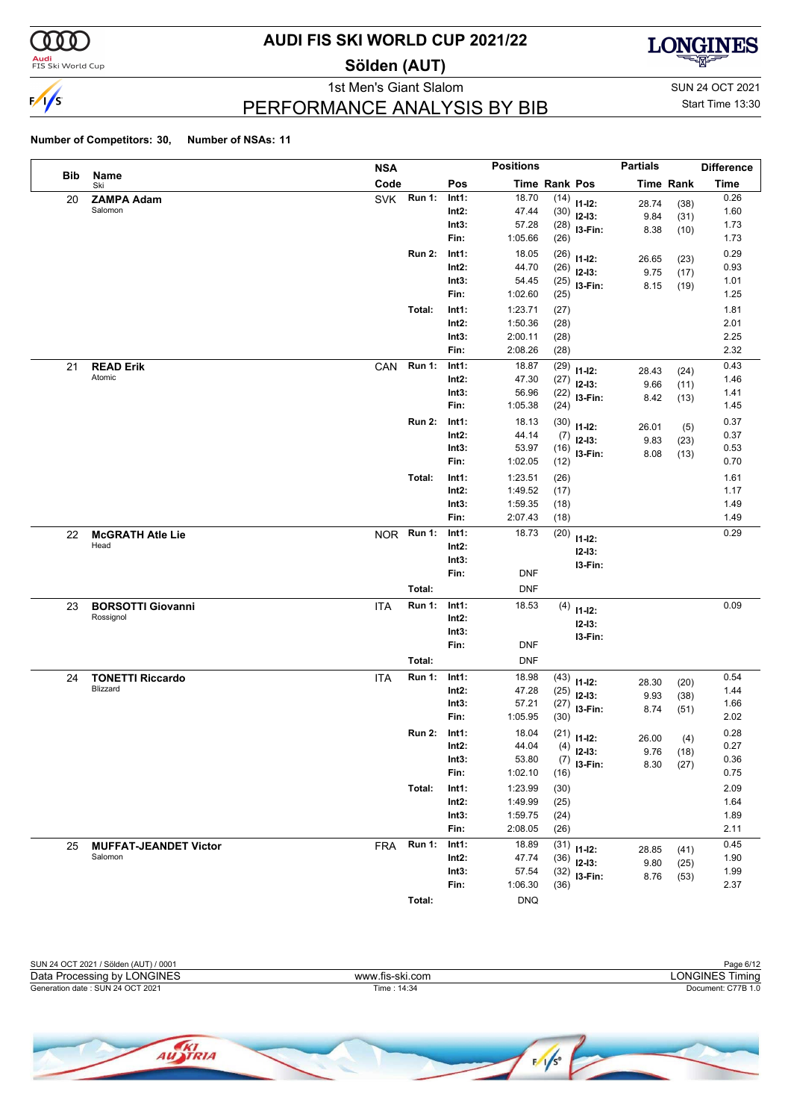

<mark>Audi</mark><br>FIS Ski World Cup

## **AUDI FIS SKI WORLD CUP 2021/22**

**Sölden (AUT)**



PERFORMANCE ANALYSIS BY BIB

1st Men's Giant Slalom SUN 24 OCT 2021 Start Time 13:30

|     |                                       | <b>NSA</b>                  |                | <b>Positions</b>     |              |                               | <b>Partials</b> |                  | <b>Difference</b> |
|-----|---------------------------------------|-----------------------------|----------------|----------------------|--------------|-------------------------------|-----------------|------------------|-------------------|
| Bib | Name<br>Ski                           | Code                        | Pos            | <b>Time Rank Pos</b> |              |                               |                 | <b>Time Rank</b> | <b>Time</b>       |
| 20  | <b>ZAMPA Adam</b>                     | <b>Run 1:</b><br>SVK        | Int1:          | 18.70                |              | $(14)$ 11-12:                 | 28.74           | (38)             | 0.26              |
|     | Salomon                               |                             | Int2:          | 47.44                |              | $(30)$ 12-13:                 | 9.84            | (31)             | 1.60              |
|     |                                       |                             | Int3:          | 57.28                | (28)         | I3-Fin:                       | 8.38            | (10)             | 1.73              |
|     |                                       |                             | Fin:           | 1:05.66              | (26)         |                               |                 |                  | 1.73              |
|     |                                       | <b>Run 2:</b>               | Int1:          | 18.05                | (26)         | $11 - 12$ :                   | 26.65           | (23)             | 0.29              |
|     |                                       |                             | Int2:          | 44.70                | (26)         | $12 - 13$ :                   | 9.75            | (17)             | 0.93              |
|     |                                       |                             | Int3:<br>Fin:  | 54.45<br>1:02.60     | (25)<br>(25) | I3-Fin:                       | 8.15            | (19)             | 1.01<br>1.25      |
|     |                                       | Total:                      | Int1:          | 1:23.71              |              |                               |                 |                  | 1.81              |
|     |                                       |                             | Int2:          | 1:50.36              | (27)<br>(28) |                               |                 |                  | 2.01              |
|     |                                       |                             | Int3:          | 2:00.11              | (28)         |                               |                 |                  | 2.25              |
|     |                                       |                             | Fin:           | 2:08.26              | (28)         |                               |                 |                  | 2.32              |
| 21  | <b>READ Erik</b>                      | <b>Run 1:</b><br>CAN        | Int1:          | 18.87                | (29)         |                               |                 |                  | 0.43              |
|     | Atomic                                |                             | Int2:          | 47.30                | (27)         | $11 - 12$ :<br>$12 - 13$ :    | 28.43           | (24)             | 1.46              |
|     |                                       |                             | Int3:          | 56.96                | (22)         | I3-Fin:                       | 9.66            | (11)             | 1.41              |
|     |                                       |                             | Fin:           | 1:05.38              | (24)         |                               | 8.42            | (13)             | 1.45              |
|     |                                       | <b>Run 2:</b>               | Int1:          | 18.13                | (30)         | $11 - 12$ :                   | 26.01           |                  | 0.37              |
|     |                                       |                             | Int2:          | 44.14                | (7)          | $12 - 13$ :                   | 9.83            | (5)<br>(23)      | 0.37              |
|     |                                       |                             | Int3:          | 53.97                |              | $(16)$ 13-Fin:                | 8.08            | (13)             | 0.53              |
|     |                                       |                             | Fin:           | 1:02.05              | (12)         |                               |                 |                  | 0.70              |
|     |                                       | Total:                      | Int1:          | 1:23.51              | (26)         |                               |                 |                  | 1.61              |
|     |                                       |                             | Int2:          | 1:49.52              | (17)         |                               |                 |                  | 1.17              |
|     |                                       |                             | Int3:          | 1:59.35              | (18)         |                               |                 |                  | 1.49              |
|     |                                       |                             | Fin:           | 2:07.43              | (18)         |                               |                 |                  | 1.49              |
| 22  | <b>McGRATH Atle Lie</b>               | NOR Run 1:                  | Int1:          | 18.73                | (20)         | $11 - 12$ :                   |                 |                  | 0.29              |
|     | Head                                  |                             | Int2:          |                      |              | $12 - 13:$                    |                 |                  |                   |
|     |                                       |                             | Int3:          |                      |              | I3-Fin:                       |                 |                  |                   |
|     |                                       |                             | Fin:           | <b>DNF</b>           |              |                               |                 |                  |                   |
|     |                                       | Total:                      |                | <b>DNF</b>           |              |                               |                 |                  |                   |
| 23  | <b>BORSOTTI Giovanni</b><br>Rossignol | <b>Run 1:</b><br><b>ITA</b> | Int1:          | 18.53                | (4)          | $11 - 12$ :                   |                 |                  | 0.09              |
|     |                                       |                             | Int2:<br>Int3: |                      |              | $12 - 13:$                    |                 |                  |                   |
|     |                                       |                             | Fin:           | <b>DNF</b>           |              | I3-Fin:                       |                 |                  |                   |
|     |                                       | Total:                      |                | <b>DNF</b>           |              |                               |                 |                  |                   |
|     |                                       |                             |                |                      |              |                               |                 |                  |                   |
| 24  | <b>TONETTI Riccardo</b><br>Blizzard   | <b>ITA</b><br><b>Run 1:</b> | Int1:<br>Int2: | 18.98<br>47.28       | (43)         | $11 - 12$ :                   | 28.30           | (20)             | 0.54<br>1.44      |
|     |                                       |                             | Int3:          | 57.21                | (25)<br>(27) | $12-13:$                      | 9.93            | (38)             | 1.66              |
|     |                                       |                             | Fin:           | 1:05.95              | (30)         | I3-Fin:                       | 8.74            | (51)             | 2.02              |
|     |                                       | <b>Run 2:</b>               | Int1:          | 18.04                |              |                               |                 |                  | 0.28              |
|     |                                       |                             | Int2:          | 44.04                |              | $(21)$ 11-12:                 | 26.00           | (4)              | 0.27              |
|     |                                       |                             | Int3:          | 53.80                |              | $(4)$ 12-13:<br>$(7)$ 13-Fin: | 9.76            | (18)             | 0.36              |
|     |                                       |                             | Fin:           | 1:02.10              | (16)         |                               | 8.30            | (27)             | 0.75              |
|     |                                       | Total:                      | Int1:          | 1:23.99              | (30)         |                               |                 |                  | 2.09              |
|     |                                       |                             | $Int2$ :       | 1:49.99              | (25)         |                               |                 |                  | 1.64              |
|     |                                       |                             | Int3:          | 1:59.75              | (24)         |                               |                 |                  | 1.89              |
|     |                                       |                             | Fin:           | 2:08.05              | (26)         |                               |                 |                  | 2.11              |
| 25  | <b>MUFFAT-JEANDET Victor</b>          | <b>Run 1:</b><br><b>FRA</b> | Int1:          | 18.89                |              | $(31)$ 11-12:                 | 28.85           | (41)             | 0.45              |
|     | Salomon                               |                             | Int2:          | 47.74                | (36)         | $12-13:$                      | 9.80            | (25)             | 1.90              |
|     |                                       |                             | Int3:          | 57.54                | (32)         | I3-Fin:                       | 8.76            | (53)             | 1.99              |
|     |                                       |                             | Fin:           | 1:06.30              | (36)         |                               |                 |                  | 2.37              |
|     |                                       | Total:                      |                | <b>DNQ</b>           |              |                               |                 |                  |                   |

| SUN 24 OCT 2021 / Sölden (AUT) / 0001 |                 | Page 6/12          |
|---------------------------------------|-----------------|--------------------|
| Data Processing by LONGINES           | www.fis-ski.com | LONGINES Timing    |
| Generation date: SUN 24 OCT 2021      | Time : 14:34    | Document: C77B 1.0 |
|                                       |                 |                    |
|                                       |                 |                    |

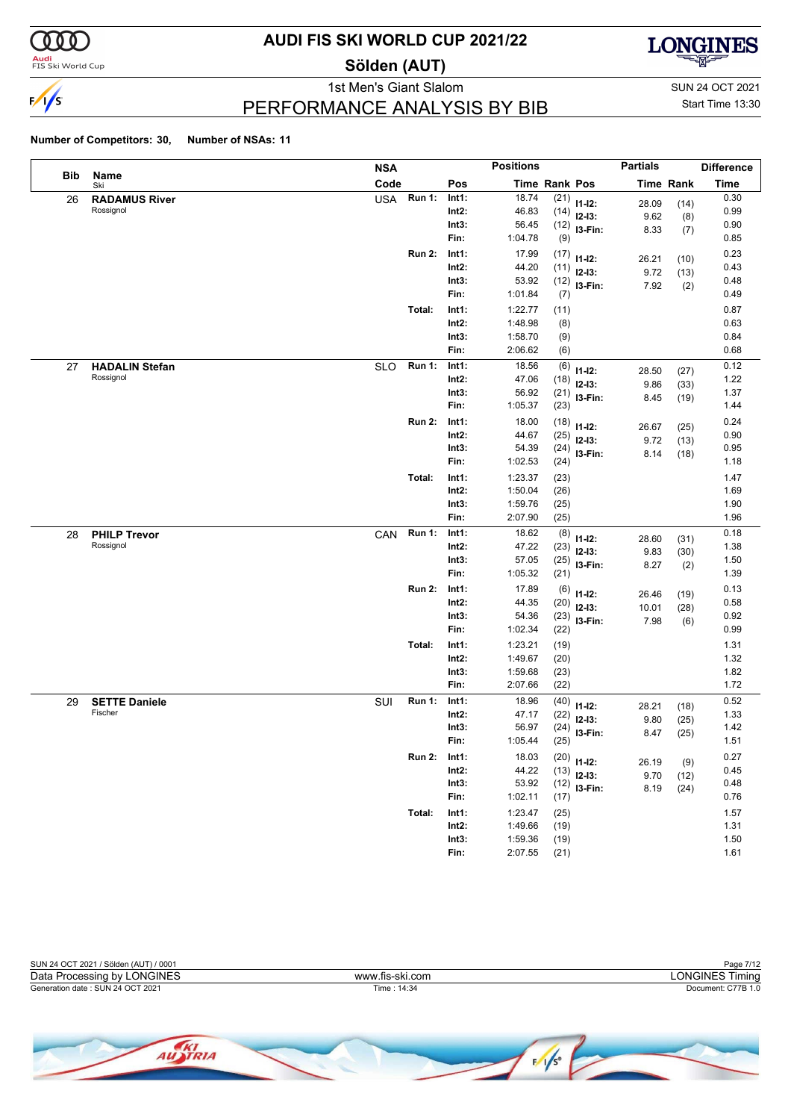

**Audi**<br>FIS Ski World Cup

## **AUDI FIS SKI WORLD CUP 2021/22**

**Sölden (AUT)**



### PERFORMANCE ANALYSIS BY BIB

1st Men's Giant Slalom SUN 24 OCT 2021 Start Time 13:30

|     |                       | <b>NSA</b> |               |          | <b>Positions</b> |      |                         | <b>Partials</b> |                  | <b>Difference</b> |
|-----|-----------------------|------------|---------------|----------|------------------|------|-------------------------|-----------------|------------------|-------------------|
| Bib | Name<br>Ski           | Code       |               | Pos      | Time Rank Pos    |      |                         |                 | <b>Time Rank</b> | <b>Time</b>       |
| 26  | <b>RADAMUS River</b>  | <b>USA</b> | <b>Run 1:</b> | Int1:    | 18.74            | (21) | $11 - 12$ :             | 28.09           | (14)             | 0.30              |
|     | Rossignol             |            |               | $Int2$ : | 46.83            | (14) | $12-13:$                | 9.62            | (8)              | 0.99              |
|     |                       |            |               | Int3:    | 56.45            |      | $(12)$ 13-Fin:          | 8.33            | (7)              | 0.90              |
|     |                       |            |               | Fin:     | 1:04.78          | (9)  |                         |                 |                  | 0.85              |
|     |                       |            | <b>Run 2:</b> | Int1:    | 17.99            | (17) | $11 - 12$ :             | 26.21           | (10)             | 0.23              |
|     |                       |            |               | $Int2$ : | 44.20            | (11) | $12-13:$                | 9.72            | (13)             | 0.43              |
|     |                       |            |               | Int3:    | 53.92            |      | $(12)$ 13-Fin:          | 7.92            | (2)              | 0.48              |
|     |                       |            |               | Fin:     | 1:01.84          | (7)  |                         |                 |                  | 0.49              |
|     |                       |            | Total:        | Int1:    | 1:22.77          | (11) |                         |                 |                  | 0.87              |
|     |                       |            |               | $Int2$ : | 1:48.98          | (8)  |                         |                 |                  | 0.63              |
|     |                       |            |               | Int3:    | 1:58.70          | (9)  |                         |                 |                  | 0.84              |
|     |                       |            |               | Fin:     | 2:06.62          | (6)  |                         |                 |                  | 0.68              |
| 27  | <b>HADALIN Stefan</b> | <b>SLO</b> | <b>Run 1:</b> | Int1:    | 18.56            | (6)  | $11 - 12$ :             | 28.50           | (27)             | 0.12              |
|     | Rossignol             |            |               | $Int2$ : | 47.06            | (18) | $12-13:$                | 9.86            | (33)             | 1.22              |
|     |                       |            |               | Int3:    | 56.92            | (21) | I3-Fin:                 | 8.45            | (19)             | 1.37              |
|     |                       |            |               | Fin:     | 1:05.37          | (23) |                         |                 |                  | 1.44              |
|     |                       |            | <b>Run 2:</b> | Int1:    | 18.00            | (18) | $11 - 12$ :             |                 |                  | 0.24              |
|     |                       |            |               | Int2:    | 44.67            | (25) | $12-13:$                | 26.67           | (25)             | 0.90              |
|     |                       |            |               | Int3:    | 54.39            | (24) | I3-Fin:                 | 9.72<br>8.14    | (13)             | 0.95              |
|     |                       |            |               | Fin:     | 1:02.53          | (24) |                         |                 | (18)             | 1.18              |
|     |                       |            | Total:        | Int1:    | 1:23.37          | (23) |                         |                 |                  | 1.47              |
|     |                       |            |               | $Int2$ : | 1:50.04          | (26) |                         |                 |                  | 1.69              |
|     |                       |            |               | Int3:    | 1:59.76          | (25) |                         |                 |                  | 1.90              |
|     |                       |            |               | Fin:     | 2:07.90          | (25) |                         |                 |                  | 1.96              |
| 28  | <b>PHILP Trevor</b>   | CAN        | <b>Run 1:</b> | Int1:    | 18.62            | (8)  |                         |                 |                  | 0.18              |
|     | Rossignol             |            |               | $Int2$ : | 47.22            | (23) | $11 - 12$ :<br>$12-13:$ | 28.60           | (31)             | 1.38              |
|     |                       |            |               | Int3:    | 57.05            | (25) | I3-Fin:                 | 9.83            | (30)             | 1.50              |
|     |                       |            |               | Fin:     | 1:05.32          | (21) |                         | 8.27            | (2)              | 1.39              |
|     |                       |            | <b>Run 2:</b> | Int1:    | 17.89            | (6)  |                         |                 |                  | 0.13              |
|     |                       |            |               | Int2:    | 44.35            | (20) | $11 - 12$ :<br>$12-13:$ | 26.46           | (19)             | 0.58              |
|     |                       |            |               | Int3:    | 54.36            | (23) | I3-Fin:                 | 10.01           | (28)             | 0.92              |
|     |                       |            |               | Fin:     | 1:02.34          | (22) |                         | 7.98            | (6)              | 0.99              |
|     |                       |            | Total:        | Int1:    | 1:23.21          | (19) |                         |                 |                  | 1.31              |
|     |                       |            |               | $Int2$ : | 1:49.67          | (20) |                         |                 |                  | 1.32              |
|     |                       |            |               | Int3:    | 1:59.68          | (23) |                         |                 |                  | 1.82              |
|     |                       |            |               | Fin:     | 2:07.66          | (22) |                         |                 |                  | 1.72              |
| 29  | <b>SETTE Daniele</b>  | SUI        | <b>Run 1:</b> | Int1:    | 18.96            | (40) |                         |                 |                  | 0.52              |
|     | Fischer               |            |               | Int2:    | 47.17            | (22) | $11 - 12$ :<br>$12-13:$ | 28.21           | (18)             | 1.33              |
|     |                       |            |               | Int3:    | 56.97            | (24) |                         | 9.80            | (25)             | 1.42              |
|     |                       |            |               | Fin:     | 1:05.44          | (25) | I3-Fin:                 | 8.47            | (25)             | 1.51              |
|     |                       |            | <b>Run 2:</b> | Int1:    | 18.03            |      |                         |                 |                  | 0.27              |
|     |                       |            |               | Int2:    | 44.22            | (13) | $(20)$ 11-12:           | 26.19           | (9)              | 0.45              |
|     |                       |            |               | Int3:    | 53.92            |      | $12-13:$                | 9.70            | (12)             | 0.48              |
|     |                       |            |               | Fin:     | 1:02.11          | (17) | $(12)$ 13-Fin:          | 8.19            | (24)             | 0.76              |
|     |                       |            | Total:        | Int1:    | 1:23.47          | (25) |                         |                 |                  | 1.57              |
|     |                       |            |               | $Int2$ : | 1:49.66          | (19) |                         |                 |                  | 1.31              |
|     |                       |            |               | Int3:    | 1:59.36          | (19) |                         |                 |                  | 1.50              |
|     |                       |            |               | Fin:     | 2:07.55          | (21) |                         |                 |                  | 1.61              |



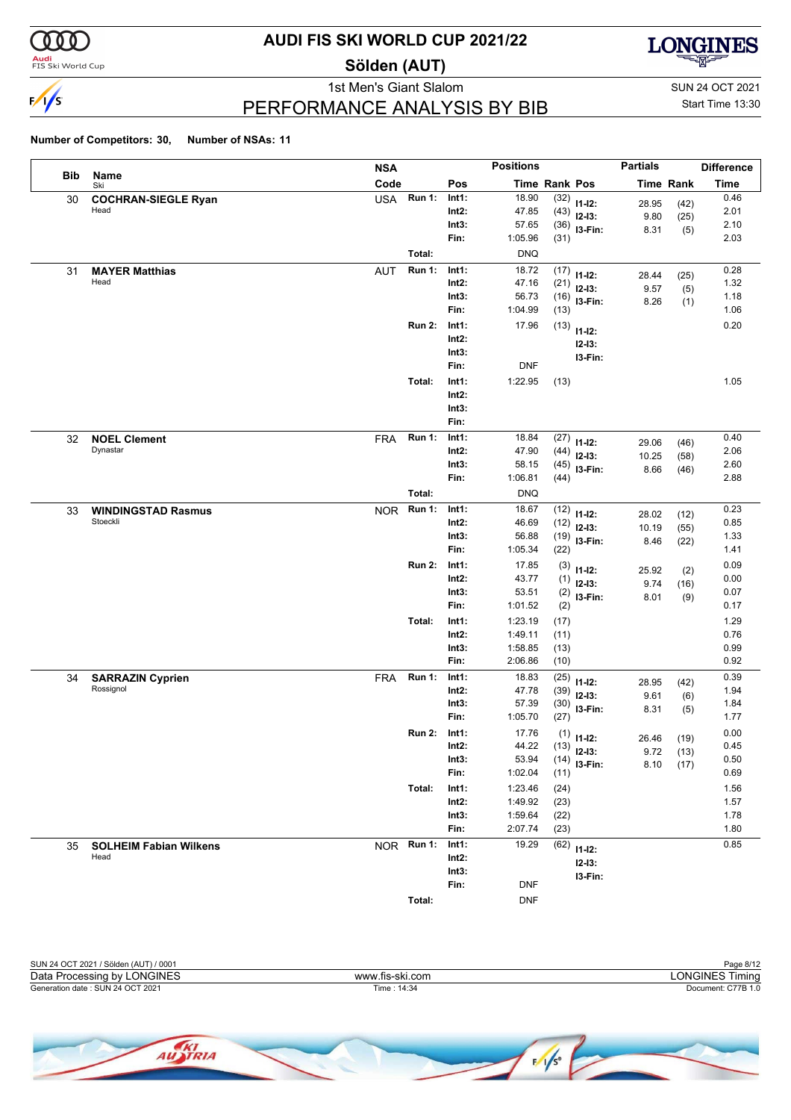

<mark>Audi</mark><br>FIS Ski World Cup

## **AUDI FIS SKI WORLD CUP 2021/22**

**Sölden (AUT)**



PERFORMANCE ANALYSIS BY BIB

1st Men's Giant Slalom SUN 24 OCT 2021 Start Time 13:30

|            |                                       | <b>NSA</b> |               |                   | <b>Positions</b>   |              |                       | <b>Partials</b>  |             | <b>Difference</b> |
|------------|---------------------------------------|------------|---------------|-------------------|--------------------|--------------|-----------------------|------------------|-------------|-------------------|
| <b>Bib</b> | Name<br>Ski                           | Code       |               | Pos               | Time Rank Pos      |              |                       | <b>Time Rank</b> |             | <b>Time</b>       |
| 30         | <b>COCHRAN-SIEGLE Ryan</b>            | <b>USA</b> | <b>Run 1:</b> | Int1:             | 18.90              | (32)         | $11 - 12$ :           | 28.95            | (42)        | 0.46              |
|            | Head                                  |            |               | Int2:             | 47.85              | (43)         | $12-13:$              | 9.80             | (25)        | 2.01              |
|            |                                       |            |               | Int3:             | 57.65              | (36)         | I3-Fin:               | 8.31             | (5)         | 2.10              |
|            |                                       |            |               | Fin:              | 1:05.96            | (31)         |                       |                  |             | 2.03              |
|            |                                       |            | Total:        |                   | <b>DNQ</b>         |              |                       |                  |             |                   |
| 31         | <b>MAYER Matthias</b><br>Head         | <b>AUT</b> | <b>Run 1:</b> | Int1:<br>Int2:    | 18.72<br>47.16     | (17)         | $11 - 12$ :           | 28.44            | (25)        | 0.28<br>1.32      |
|            |                                       |            |               | Int3:             | 56.73              | (21)<br>(16) | $12-13:$              | 9.57             | (5)         | 1.18              |
|            |                                       |            |               | Fin:              | 1:04.99            | (13)         | I3-Fin:               | 8.26             | (1)         | 1.06              |
|            |                                       |            | <b>Run 2:</b> | Int1:             | 17.96              | (13)         |                       |                  |             | 0.20              |
|            |                                       |            |               | Int2:             |                    |              | $11 - 12$ :           |                  |             |                   |
|            |                                       |            |               | Int3:             |                    |              | $12 - 13:$<br>I3-Fin: |                  |             |                   |
|            |                                       |            |               | Fin:              | <b>DNF</b>         |              |                       |                  |             |                   |
|            |                                       |            | Total:        | Int1:             | 1:22.95            | (13)         |                       |                  |             | 1.05              |
|            |                                       |            |               | $Int2$ :          |                    |              |                       |                  |             |                   |
|            |                                       |            |               | Int3:             |                    |              |                       |                  |             |                   |
|            |                                       |            |               | Fin:              |                    |              |                       |                  |             |                   |
| 32         | <b>NOEL Clement</b>                   | <b>FRA</b> | <b>Run 1:</b> | Int1:             | 18.84              | (27)         | $11 - 12$ :           | 29.06            | (46)        | 0.40              |
|            | Dynastar                              |            |               | Int2:             | 47.90              | (44)         | $12-13:$              | 10.25            | (58)        | 2.06              |
|            |                                       |            |               | Int3:             | 58.15              | (45)         | I3-Fin:               | 8.66             | (46)        | 2.60              |
|            |                                       |            |               | Fin:              | 1:06.81            | (44)         |                       |                  |             | 2.88              |
|            |                                       |            | Total:        |                   | <b>DNQ</b>         |              |                       |                  |             |                   |
| 33         | <b>WINDINGSTAD Rasmus</b><br>Stoeckli | <b>NOR</b> | <b>Run 1:</b> | Int1:             | 18.67              | (12)         | $11 - 12$ :           | 28.02            | (12)        | 0.23              |
|            |                                       |            |               | Int2:             | 46.69              | (12)         | $12-13:$              | 10.19            | (55)        | 0.85              |
|            |                                       |            |               | Int3:<br>Fin:     | 56.88<br>1:05.34   | (19)<br>(22) | I3-Fin:               | 8.46             | (22)        | 1.33<br>1.41      |
|            |                                       |            | <b>Run 2:</b> | Int1:             | 17.85              |              |                       |                  |             | 0.09              |
|            |                                       |            |               | Int2:             | 43.77              | (3)          | $11 - 12$ :           | 25.92            | (2)         | 0.00              |
|            |                                       |            |               | Int3:             | 53.51              | (1)<br>(2)   | $12-13:$              | 9.74             | (16)        | 0.07              |
|            |                                       |            |               | Fin:              | 1:01.52            | (2)          | I3-Fin:               | 8.01             | (9)         | 0.17              |
|            |                                       |            | Total:        | Int1:             | 1:23.19            | (17)         |                       |                  |             | 1.29              |
|            |                                       |            |               | $Int2$ :          | 1:49.11            | (11)         |                       |                  |             | 0.76              |
|            |                                       |            |               | Int3:             | 1:58.85            | (13)         |                       |                  |             | 0.99              |
|            |                                       |            |               | Fin:              | 2:06.86            | (10)         |                       |                  |             | 0.92              |
| 34         | <b>SARRAZIN Cyprien</b>               | <b>FRA</b> | <b>Run 1:</b> | Int1:             | 18.83              | (25)         | $11 - 12$ :           | 28.95            | (42)        | 0.39              |
|            | Rossignol                             |            |               | Int2:             | 47.78              | (39)         | $12-13:$              | 9.61             | (6)         | 1.94              |
|            |                                       |            |               | Int3:             | 57.39              | (30)         | I3-Fin:               | 8.31             | (5)         | 1.84              |
|            |                                       |            |               | Fin:              | 1:05.70            | (27)         |                       |                  |             | 1.77              |
|            |                                       |            | <b>Run 2:</b> | Int1:             | 17.76              |              | $(1)$ 11-12:          | 26.46            | (19)        | 0.00              |
|            |                                       |            |               | $Int2$ :          | 44.22              |              | $(13)$ 12-13:         |                  | $9.72$ (13) | 0.45              |
|            |                                       |            |               | Int3:             | 53.94              |              | $(14)$ 13-Fin:        |                  | $8.10$ (17) | 0.50<br>0.69      |
|            |                                       |            |               | Fin:              | 1:02.04            | (11)         |                       |                  |             |                   |
|            |                                       |            | Total:        | Int1:<br>$Int2$ : | 1:23.46<br>1:49.92 | (24)         |                       |                  |             | 1.56<br>1.57      |
|            |                                       |            |               | Int3:             | 1:59.64            | (23)<br>(22) |                       |                  |             | 1.78              |
|            |                                       |            |               | Fin:              | 2:07.74            | (23)         |                       |                  |             | 1.80              |
| 35         | <b>SOLHEIM Fabian Wilkens</b>         | NOR Run 1: |               | Int1:             | 19.29              | (62)         |                       |                  |             | 0.85              |
|            | Head                                  |            |               | Int2:             |                    |              | $11 - 12$ :           |                  |             |                   |
|            |                                       |            |               | Int3:             |                    |              | $12 - 13$ :           |                  |             |                   |
|            |                                       |            |               | Fin:              | DNF                |              | I3-Fin:               |                  |             |                   |
|            |                                       |            | Total:        |                   | <b>DNF</b>         |              |                       |                  |             |                   |

|                 | Page 8/12          |
|-----------------|--------------------|
| www.fis-ski.com | LONGINES Timina    |
| Time: 14:34     | Document: C77B 1.0 |
|                 |                    |
|                 |                    |

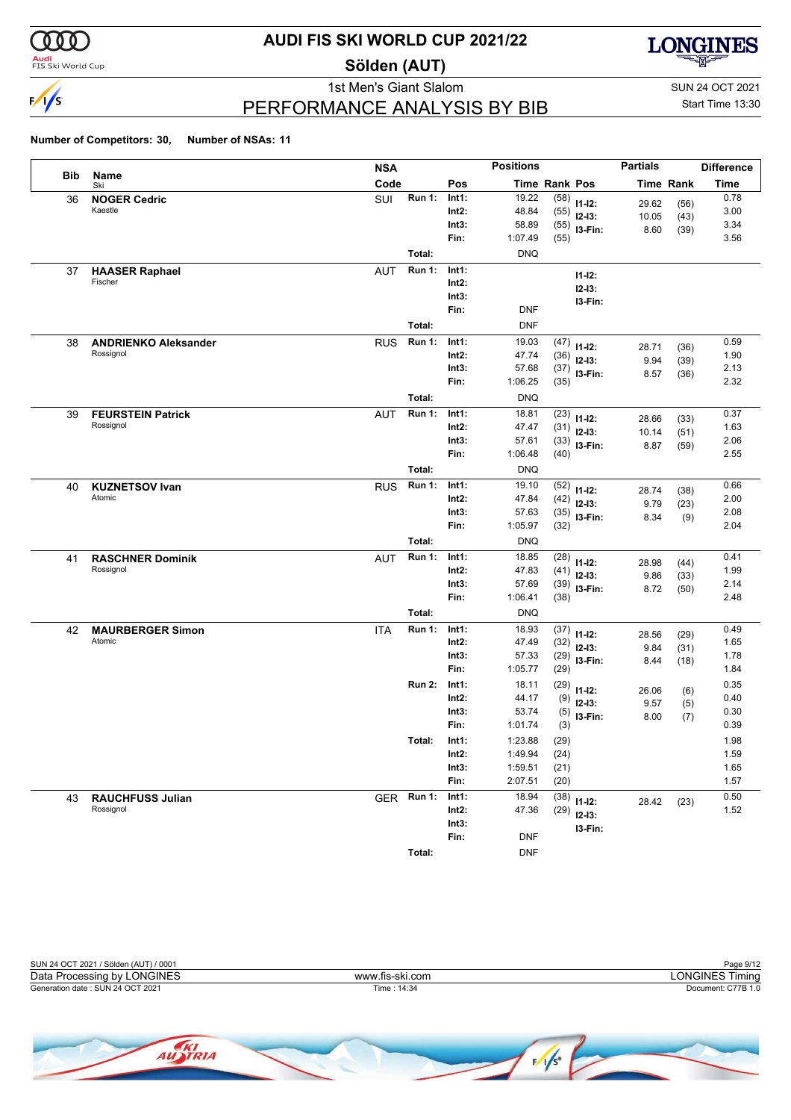

**Audi**<br>FIS Ski World Cup

## **AUDI FIS SKI WORLD CUP 2021/22**

**Sölden (AUT)**



PERFORMANCE ANALYSIS BY BIB

1st Men's Giant Slalom SUN 24 OCT 2021 Start Time 13:30

|     |                             | <b>NSA</b> |               |               | <b>Positions</b> |               |                | <b>Partials</b>  |      | <b>Difference</b> |
|-----|-----------------------------|------------|---------------|---------------|------------------|---------------|----------------|------------------|------|-------------------|
| Bib | Name<br>Ski                 | Code       |               | Pos           |                  | Time Rank Pos |                | <b>Time Rank</b> |      | <b>Time</b>       |
| 36  | <b>NOGER Cedric</b>         | SUI        | <b>Run 1:</b> | Int1:         | 19.22            | (58)          | $11-12:$       | 29.62            | (56) | 0.78              |
|     | Kaestle                     |            |               | Int2:         | 48.84            | (55)          | $12-13:$       | 10.05            | (43) | 3.00              |
|     |                             |            |               | Int3:         | 58.89            | (55)          | I3-Fin:        | 8.60             | (39) | 3.34              |
|     |                             |            |               | Fin:          | 1:07.49          | (55)          |                |                  |      | 3.56              |
|     |                             |            | Total:        |               | <b>DNQ</b>       |               |                |                  |      |                   |
| 37  | <b>HAASER Raphael</b>       | <b>AUT</b> | <b>Run 1:</b> | Int1:         |                  |               | $11 - 12$ :    |                  |      |                   |
|     | Fischer                     |            |               | Int2:         |                  |               | $12 - 13:$     |                  |      |                   |
|     |                             |            |               | Int3:         |                  |               | I3-Fin:        |                  |      |                   |
|     |                             |            |               | Fin:          | DNF              |               |                |                  |      |                   |
|     |                             |            | Total:        |               | <b>DNF</b>       |               |                |                  |      |                   |
| 38  | <b>ANDRIENKO Aleksander</b> | <b>RUS</b> | <b>Run 1:</b> | Int1:         | 19.03            | (47)          | $11 - 12$ :    | 28.71            | (36) | 0.59              |
|     | Rossignol                   |            |               | Int2:         | 47.74            | (36)          | $12-13:$       | 9.94             | (39) | 1.90              |
|     |                             |            |               | Int3:         | 57.68            | (37)          | I3-Fin:        | 8.57             | (36) | 2.13              |
|     |                             |            |               | Fin:          | 1:06.25          | (35)          |                |                  |      | 2.32              |
|     |                             |            | Total:        |               | <b>DNQ</b>       |               |                |                  |      |                   |
| 39  | <b>FEURSTEIN Patrick</b>    | <b>AUT</b> | <b>Run 1:</b> | Int1:         | 18.81            | (23)          | $11 - 12$ :    | 28.66            | (33) | 0.37              |
|     | Rossignol                   |            |               | Int2:         | 47.47            | (31)          | $12-13:$       | 10.14            | (51) | 1.63              |
|     |                             |            |               | Int3:         | 57.61            |               | $(33)$ 13-Fin: | 8.87             | (59) | 2.06              |
|     |                             |            |               | Fin:          | 1:06.48          | (40)          |                |                  |      | 2.55              |
|     |                             |            | Total:        |               | <b>DNQ</b>       |               |                |                  |      |                   |
| 40  | <b>KUZNETSOV Ivan</b>       | <b>RUS</b> | <b>Run 1:</b> | Int1:         | 19.10            | (52)          | $11 - 12$ :    | 28.74            | (38) | 0.66              |
|     | Atomic                      |            |               | Int2:         | 47.84            | (42)          | $12-13:$       | 9.79             | (23) | 2.00              |
|     |                             |            |               | Int3:         | 57.63            | (35)          | I3-Fin:        | 8.34             | (9)  | 2.08              |
|     |                             |            |               | Fin:          | 1:05.97          | (32)          |                |                  |      | 2.04              |
|     |                             |            | Total:        |               | <b>DNQ</b>       |               |                |                  |      |                   |
| 41  | <b>RASCHNER Dominik</b>     | <b>AUT</b> | <b>Run 1:</b> | Int1:         | 18.85            | (28)          | $11 - 12$ :    | 28.98            | (44) | 0.41              |
|     | Rossignol                   |            |               | Int2:         | 47.83            | (41)          | $12-13:$       | 9.86             | (33) | 1.99              |
|     |                             |            |               | Int3:         | 57.69            |               | $(39)$ 13-Fin: | 8.72             | (50) | 2.14              |
|     |                             |            |               | Fin:          | 1:06.41          | (38)          |                |                  |      | 2.48              |
|     |                             |            | Total:        |               | <b>DNQ</b>       |               |                |                  |      |                   |
| 42  | <b>MAURBERGER Simon</b>     | <b>ITA</b> | <b>Run 1:</b> | Int1:         | 18.93            | (37)          | $11-12:$       | 28.56            | (29) | 0.49              |
|     | Atomic                      |            |               | Int2:         | 47.49            | (32)          | $12-13:$       | 9.84             | (31) | 1.65              |
|     |                             |            |               | Int3:         | 57.33            | (29)          | I3-Fin:        | 8.44             | (18) | 1.78              |
|     |                             |            |               | Fin:          | 1:05.77          | (29)          |                |                  |      | 1.84              |
|     |                             |            | <b>Run 2:</b> | Int1:         | 18.11            | (29)          | $11 - 12$ :    | 26.06            | (6)  | 0.35              |
|     |                             |            |               | Int2:         | 44.17            | (9)           | $12-13:$       | 9.57             | (5)  | 0.40              |
|     |                             |            |               | Int3:         | 53.74            | (5)           | I3-Fin:        | 8.00             | (7)  | 0.30              |
|     |                             |            |               | Fin:          | 1:01.74          | (3)           |                |                  |      | 0.39              |
|     |                             |            | Total:        | Int1:         | 1:23.88          | (29)          |                |                  |      | 1.98              |
|     |                             |            |               | $Int2$ :      | 1:49.94          | (24)          |                |                  |      | 1.59              |
|     |                             |            |               | Int3:         | 1:59.51          | (21)          |                |                  |      | 1.65              |
|     |                             |            |               | Fin:          | 2:07.51          | (20)          |                |                  |      | 1.57              |
| 43  | <b>RAUCHFUSS Julian</b>     | GER Run 1: |               | Int1:         | 18.94            | (38)          | $11 - 12$ :    | 28.42            | (23) | 0.50              |
|     | Rossignol                   |            |               | Int2:         | 47.36            | (29)          | $12-13:$       |                  |      | 1.52              |
|     |                             |            |               | Int3:<br>Fin: | <b>DNF</b>       |               | I3-Fin:        |                  |      |                   |
|     |                             |            |               |               |                  |               |                |                  |      |                   |
|     |                             |            | Total:        |               | <b>DNF</b>       |               |                |                  |      |                   |



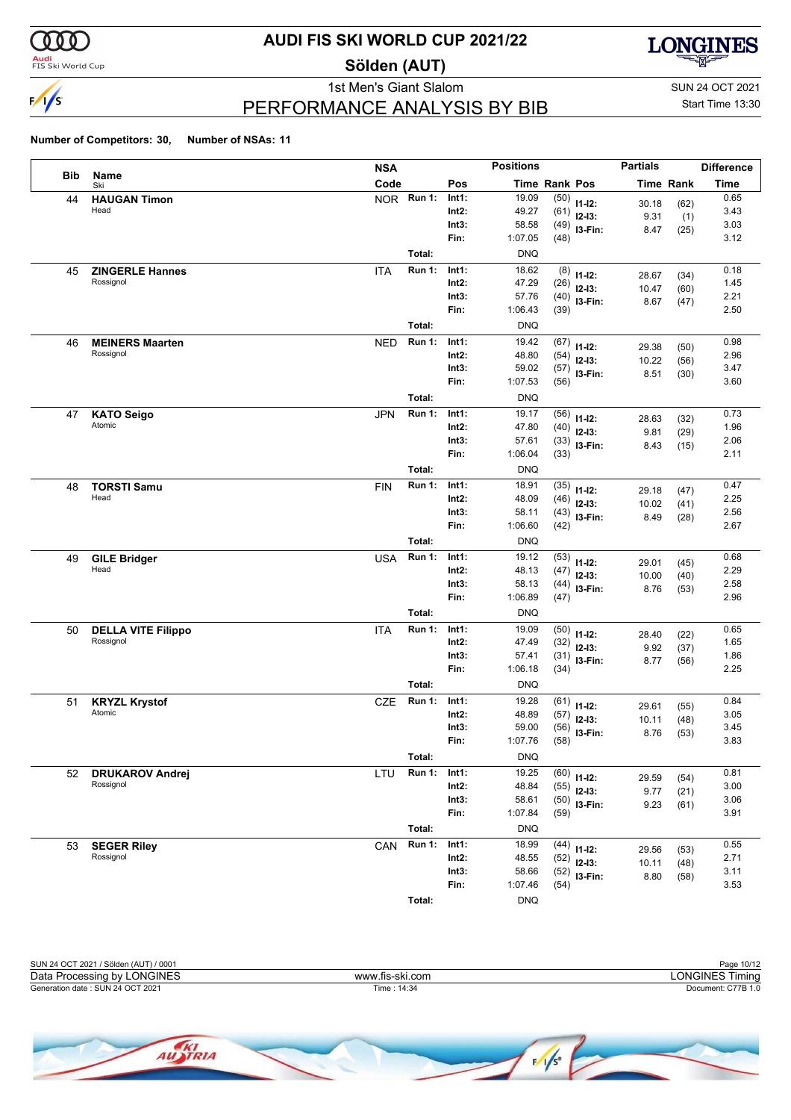

**Audi**<br>FIS Ski World Cup

## **AUDI FIS SKI WORLD CUP 2021/22**

**Sölden (AUT)**



PERFORMANCE ANALYSIS BY BIB

1st Men's Giant Slalom SUN 24 OCT 2021 Start Time 13:30

|            |                             | <b>NSA</b> |               |                | <b>Positions</b> |              |                        | <b>Partials</b> |                  | <b>Difference</b> |
|------------|-----------------------------|------------|---------------|----------------|------------------|--------------|------------------------|-----------------|------------------|-------------------|
| <b>Bib</b> | Name<br>Ski                 | Code       |               | Pos            | Time Rank Pos    |              |                        |                 | <b>Time Rank</b> | Time              |
| 44         | <b>HAUGAN Timon</b>         |            | NOR Run 1:    | Int1:          | 19.09            |              | $(50)$ 11-12:          | 30.18           | (62)             | 0.65              |
|            | Head                        |            |               | Int2:          | 49.27            | (61)         | $12-13:$               | 9.31            | (1)              | 3.43              |
|            |                             |            |               | Int3:          | 58.58            | (49)         | I3-Fin:                | 8.47            | (25)             | 3.03              |
|            |                             |            |               | Fin:           | 1:07.05          | (48)         |                        |                 |                  | 3.12              |
|            |                             |            | Total:        |                | <b>DNQ</b>       |              |                        |                 |                  |                   |
| 45         | <b>ZINGERLE Hannes</b>      | <b>ITA</b> | <b>Run 1:</b> | Int1:          | 18.62            | (8)          | $11 - 12$ :            | 28.67           | (34)             | 0.18              |
|            | Rossignol                   |            |               | Int2:          | 47.29            | (26)         | $12-13:$               | 10.47           | (60)             | 1.45              |
|            |                             |            |               | Int3:          | 57.76            | (40)         | I3-Fin:                | 8.67            | (47)             | 2.21              |
|            |                             |            |               | Fin:           | 1:06.43          | (39)         |                        |                 |                  | 2.50              |
|            |                             |            | Total:        |                | <b>DNQ</b>       |              |                        |                 |                  |                   |
| 46         | <b>MEINERS Maarten</b>      | <b>NED</b> | <b>Run 1:</b> | Int1:          | 19.42            | (67)         | $11 - 12$ :            | 29.38           | (50)             | 0.98              |
|            | Rossignol                   |            |               | Int2:          | 48.80            | (54)         | $12-13:$               | 10.22           | (56)             | 2.96              |
|            |                             |            |               | Int3:<br>Fin:  | 59.02<br>1:07.53 | (57)         | I3-Fin:                | 8.51            | (30)             | 3.47<br>3.60      |
|            |                             |            |               |                |                  | (56)         |                        |                 |                  |                   |
|            |                             |            | Total:        |                | <b>DNQ</b>       |              |                        |                 |                  |                   |
| 47         | <b>KATO Seigo</b><br>Atomic | <b>JPN</b> | <b>Run 1:</b> | Int1:          | 19.17            | (56)         | $11 - 12$ :            | 28.63           | (32)             | 0.73              |
|            |                             |            |               | Int2:          | 47.80            | (40)         | $12 - 13$ :            | 9.81            | (29)             | 1.96              |
|            |                             |            |               | Int3:<br>Fin:  | 57.61<br>1:06.04 | (33)<br>(33) | I3-Fin:                | 8.43            | (15)             | 2.06<br>2.11      |
|            |                             |            | Total:        |                | <b>DNQ</b>       |              |                        |                 |                  |                   |
|            |                             |            | <b>Run 1:</b> |                |                  |              |                        |                 |                  | 0.47              |
| 48         | <b>TORSTI Samu</b><br>Head  | <b>FIN</b> |               | Int1:<br>Int2: | 18.91<br>48.09   | (35)<br>(46) | $11 - 12$ :            | 29.18           | (47)             | 2.25              |
|            |                             |            |               | Int3:          | 58.11            | (43)         | $12 - 13$ :            | 10.02           | (41)             | 2.56              |
|            |                             |            |               | Fin:           | 1:06.60          | (42)         | I3-Fin:                | 8.49            | (28)             | 2.67              |
|            |                             |            | Total:        |                | <b>DNQ</b>       |              |                        |                 |                  |                   |
| 49         | <b>GILE Bridger</b>         | <b>USA</b> | <b>Run 1:</b> | Int1:          | 19.12            | (53)         |                        |                 |                  | 0.68              |
|            | Head                        |            |               | Int2:          | 48.13            | (47)         | $11 - 12$ :            | 29.01           | (45)             | 2.29              |
|            |                             |            |               | Int3:          | 58.13            | (44)         | $12 - 13$ :<br>I3-Fin: | 10.00           | (40)             | 2.58              |
|            |                             |            |               | Fin:           | 1:06.89          | (47)         |                        | 8.76            | (53)             | 2.96              |
|            |                             |            | Total:        |                | <b>DNQ</b>       |              |                        |                 |                  |                   |
| 50         | <b>DELLA VITE Filippo</b>   | <b>ITA</b> | <b>Run 1:</b> | Int1:          | 19.09            | (50)         | $11 - 12$ :            | 28.40           |                  | 0.65              |
|            | Rossignol                   |            |               | Int2:          | 47.49            | (32)         | $12-13:$               | 9.92            | (22)<br>(37)     | 1.65              |
|            |                             |            |               | Int3:          | 57.41            | (31)         | I3-Fin:                | 8.77            | (56)             | 1.86              |
|            |                             |            |               | Fin:           | 1:06.18          | (34)         |                        |                 |                  | 2.25              |
|            |                             |            | Total:        |                | <b>DNQ</b>       |              |                        |                 |                  |                   |
| 51         | <b>KRYZL Krystof</b>        | <b>CZE</b> | <b>Run 1:</b> | Int1:          | 19.28            | (61)         | $11 - 12$ :            | 29.61           | (55)             | 0.84              |
|            | Atomic                      |            |               | Int2:          | 48.89            | (57)         | $12 - 13$ :            | 10.11           | (48)             | 3.05              |
|            |                             |            |               | Int3:          | 59.00            | (56)         | I3-Fin:                | 8.76            | (53)             | 3.45              |
|            |                             |            |               | Fin:           | 1:07.76          | (58)         |                        |                 |                  | 3.83              |
|            |                             |            | Total:        |                | <b>DNQ</b>       |              |                        |                 |                  |                   |
| 52         | <b>DRUKAROV Andrej</b>      | LTU        | <b>Run 1:</b> | Int1:          | 19.25            | (60)         | $11 - 12$ :            | 29.59           | (54)             | 0.81              |
|            | Rossignol                   |            |               | Int2:          | 48.84            | (55)         | $12 - 13:$             | 9.77            | (21)             | 3.00              |
|            |                             |            |               | Int3:          | 58.61            | (50)         | I3-Fin:                | 9.23            | (61)             | 3.06              |
|            |                             |            |               | Fin:           | 1:07.84          | (59)         |                        |                 |                  | 3.91              |
|            |                             |            | Total:        |                | <b>DNQ</b>       |              |                        |                 |                  |                   |
| 53         | <b>SEGER Riley</b>          | CAN        | <b>Run 1:</b> | Int1:          | 18.99            | (44)         | $11 - 12$ :            | 29.56           | (53)             | 0.55              |
|            | Rossignol                   |            |               | Int2:          | 48.55            | (52)         | $12-13:$               | 10.11           | (48)             | 2.71              |
|            |                             |            |               | Int3:          | 58.66            | (52)         | I3-Fin:                | 8.80            | (58)             | 3.11              |
|            |                             |            |               | Fin:           | 1:07.46          | (54)         |                        |                 |                  | 3.53              |
|            |                             |            | Total:        |                | <b>DNQ</b>       |              |                        |                 |                  |                   |



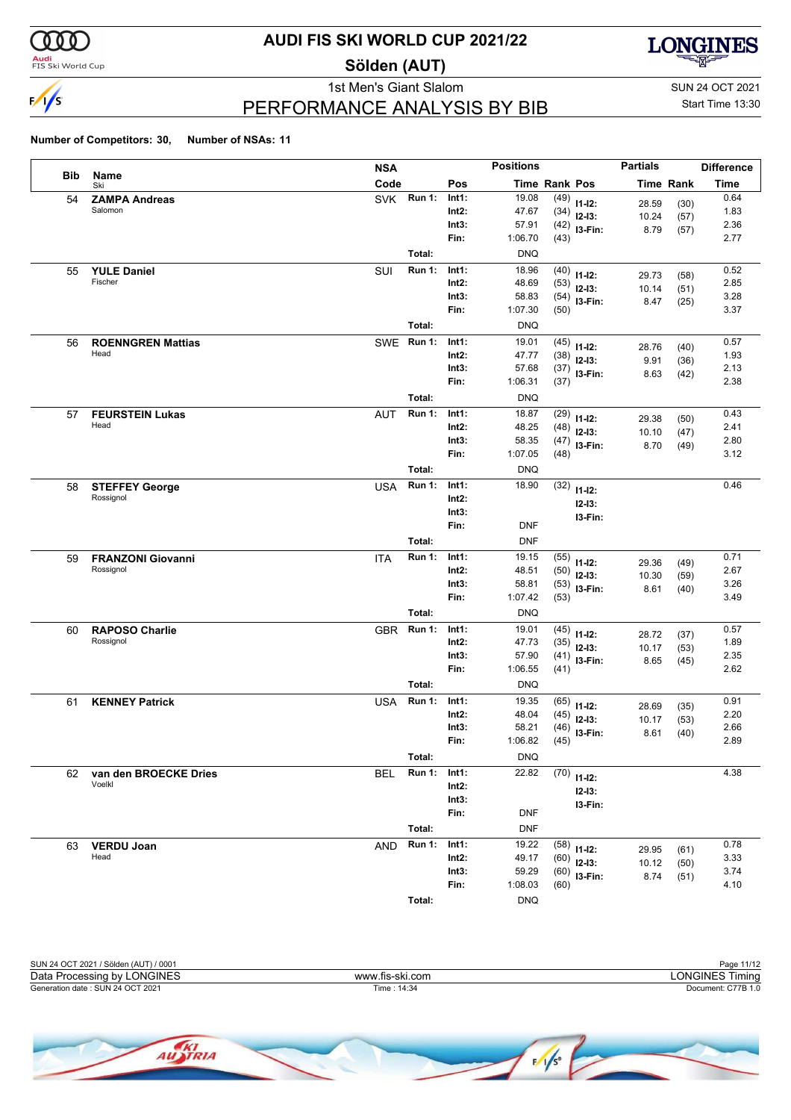

<mark>Audi</mark><br>FIS Ski World Cup

## **AUDI FIS SKI WORLD CUP 2021/22**

**Sölden (AUT)**



PERFORMANCE ANALYSIS BY BIB

1st Men's Giant Slalom SUN 24 OCT 2021 Start Time 13:30

|            |                                       | <b>NSA</b>                  |                | <b>Positions</b> |               |                        | <b>Partials</b> |                  | <b>Difference</b> |
|------------|---------------------------------------|-----------------------------|----------------|------------------|---------------|------------------------|-----------------|------------------|-------------------|
| <b>Bib</b> | Name<br>Ski                           | Code                        | Pos            |                  | Time Rank Pos |                        |                 | <b>Time Rank</b> | <b>Time</b>       |
| 54         | <b>ZAMPA Andreas</b>                  | <b>Run 1:</b><br><b>SVK</b> | Int1:          | 19.08            | (49)          | $11 - 12$ :            | 28.59           | (30)             | 0.64              |
|            | Salomon                               |                             | Int2:          | 47.67            | (34)          | $12-13:$               | 10.24           | (57)             | 1.83              |
|            |                                       |                             | Int3:          | 57.91            | (42)          | I3-Fin:                | 8.79            | (57)             | 2.36              |
|            |                                       |                             | Fin:           | 1:06.70          | (43)          |                        |                 |                  | 2.77              |
|            |                                       | Total:                      |                | <b>DNQ</b>       |               |                        |                 |                  |                   |
| 55         | <b>YULE Daniel</b>                    | <b>Run 1:</b><br>SUI        | Int1:          | 18.96            | (40)          | $11 - 12$ :            | 29.73           | (58)             | 0.52              |
|            | Fischer                               |                             | Int2:          | 48.69            | (53)          | $12 - 13$ :            | 10.14           | (51)             | 2.85              |
|            |                                       |                             | Int3:          | 58.83            | (54)          | I3-Fin:                | 8.47            | (25)             | 3.28              |
|            |                                       |                             | Fin:           | 1:07.30          | (50)          |                        |                 |                  | 3.37              |
|            |                                       | Total:                      |                | <b>DNQ</b>       |               |                        |                 |                  |                   |
| 56         | <b>ROENNGREN Mattias</b>              | <b>Run 1:</b><br><b>SWE</b> | Int1:          | 19.01            | (45)          | $11 - 12$ :            | 28.76           | (40)             | 0.57              |
|            | Head                                  |                             | Int2:          | 47.77            | (38)          | $12 - 13$ :            | 9.91            | (36)             | 1.93              |
|            |                                       |                             | Int3:<br>Fin:  | 57.68            | (37)          | $13-Fin:$              | 8.63            | (42)             | 2.13              |
|            |                                       |                             |                | 1:06.31          | (37)          |                        |                 |                  | 2.38              |
|            |                                       | Total:                      |                | <b>DNQ</b>       |               |                        |                 |                  |                   |
| 57         | <b>FEURSTEIN Lukas</b>                | <b>Run 1:</b><br><b>AUT</b> | Int1:          | 18.87            | (29)          | $11 - 12$ :            | 29.38           | (50)             | 0.43              |
|            | Head                                  |                             | Int2:          | 48.25            | (48)          | $12 - 13$ :            | 10.10           | (47)             | 2.41              |
|            |                                       |                             | Int3:<br>Fin:  | 58.35<br>1:07.05 | (47)<br>(48)  | I3-Fin:                | 8.70            | (49)             | 2.80<br>3.12      |
|            |                                       | Total:                      |                |                  |               |                        |                 |                  |                   |
|            |                                       |                             |                | <b>DNQ</b>       |               |                        |                 |                  |                   |
| 58         | <b>STEFFEY George</b><br>Rossignol    | <b>Run 1:</b><br><b>USA</b> | Int1:          | 18.90            | (32)          | $11 - 12$ :            |                 |                  | 0.46              |
|            |                                       |                             | Int2:<br>Int3: |                  |               | $12 - 13:$             |                 |                  |                   |
|            |                                       |                             | Fin:           | <b>DNF</b>       |               | I3-Fin:                |                 |                  |                   |
|            |                                       | Total:                      |                | <b>DNF</b>       |               |                        |                 |                  |                   |
|            |                                       | <b>Run 1:</b>               | Int1:          | 19.15            |               |                        |                 |                  | 0.71              |
| 59         | <b>FRANZONI Giovanni</b><br>Rossignol | <b>ITA</b>                  | Int2:          | 48.51            | (55)<br>(50)  | $11 - 12$ :            | 29.36           | (49)             | 2.67              |
|            |                                       |                             | Int3:          | 58.81            | (53)          | $12 - 13$ :            | 10.30           | (59)             | 3.26              |
|            |                                       |                             | Fin:           | 1:07.42          | (53)          | I3-Fin:                | 8.61            | (40)             | 3.49              |
|            |                                       | Total:                      |                | <b>DNQ</b>       |               |                        |                 |                  |                   |
| 60         | <b>RAPOSO Charlie</b>                 | <b>Run 1:</b><br><b>GBR</b> | Int1:          | 19.01            | (45)          |                        |                 |                  | 0.57              |
|            | Rossignol                             |                             | Int2:          | 47.73            | (35)          | $11 - 12$ :            | 28.72           | (37)             | 1.89              |
|            |                                       |                             | Int3:          | 57.90            | (41)          | $12 - 13$ :<br>I3-Fin: | 10.17           | (53)             | 2.35              |
|            |                                       |                             | Fin:           | 1:06.55          | (41)          |                        | 8.65            | (45)             | 2.62              |
|            |                                       | Total:                      |                | <b>DNQ</b>       |               |                        |                 |                  |                   |
| 61         | <b>KENNEY Patrick</b>                 | <b>Run 1:</b><br><b>USA</b> | Int1:          | 19.35            | (65)          | $11 - 12$ :            |                 |                  | 0.91              |
|            |                                       |                             | Int2:          | 48.04            | (45)          | $12 - 13$ :            | 28.69<br>10.17  | (35)<br>(53)     | 2.20              |
|            |                                       |                             | Int3:          | 58.21            | (46)          | I3-Fin:                | 8.61            | (40)             | 2.66              |
|            |                                       |                             | Fin:           | 1:06.82          | (45)          |                        |                 |                  | 2.89              |
|            |                                       | Total:                      |                | <b>DNQ</b>       |               |                        |                 |                  |                   |
| 62         | van den BROECKE Dries                 | <b>Run 1:</b><br><b>BEL</b> | Int1:          | 22.82            | (70)          | $11 - 12$ :            |                 |                  | 4.38              |
|            | Voelkl                                |                             | Int2:          |                  |               | $12 - 13:$             |                 |                  |                   |
|            |                                       |                             | Int3:          |                  |               | I3-Fin:                |                 |                  |                   |
|            |                                       |                             | Fin:           | <b>DNF</b>       |               |                        |                 |                  |                   |
|            |                                       | Total:                      |                | <b>DNF</b>       |               |                        |                 |                  |                   |
| 63         | <b>VERDU Joan</b>                     | <b>Run 1:</b><br>AND        | Int1:          | 19.22            | (58)          | $11 - 12$ :            | 29.95           | (61)             | 0.78              |
|            | Head                                  |                             | $Int2$ :       | 49.17            | (60)          | $12-13:$               | 10.12           | (50)             | 3.33              |
|            |                                       |                             | Int3:          | 59.29            | (60)          | I3-Fin:                | 8.74            | (51)             | 3.74              |
|            |                                       |                             | Fin:           | 1:08.03          | (60)          |                        |                 |                  | 4.10              |
|            |                                       | Total:                      |                | <b>DNQ</b>       |               |                        |                 |                  |                   |

| SUN 24 OCT 2021 / Sölden (AUT) / 0001 |                 | Page 11/12         |
|---------------------------------------|-----------------|--------------------|
| Data Processing by LONGINES           | www.fis-ski.com | LONGINES Timing    |
| Generation date: SUN 24 OCT 2021      | Time : 14:34    | Document: C77B 1.0 |
|                                       |                 |                    |

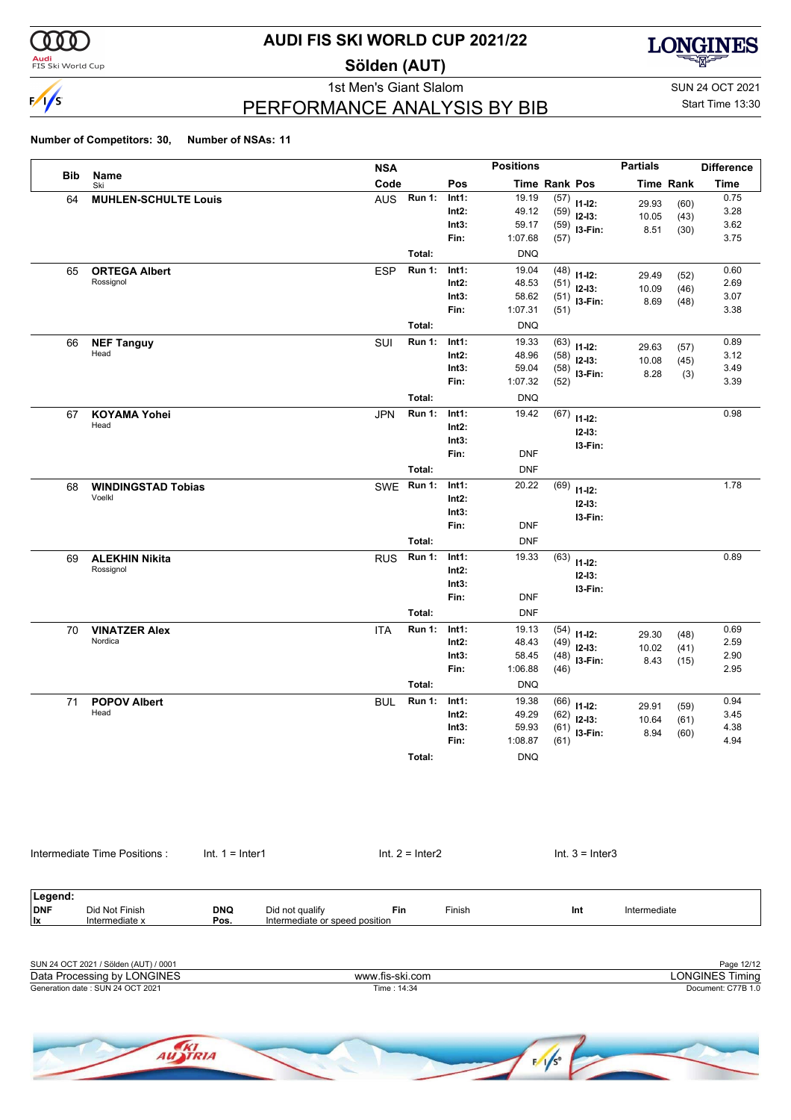

**Audi**<br>FIS Ski World Cup

### **AUDI FIS SKI WORLD CUP 2021/22**

**Sölden (AUT)**



PERFORMANCE ANALYSIS BY BIB

1st Men's Giant Slalom SUN 24 OCT 2021 Start Time 13:30

| Name                         |                                                                                                                                             |                                                   |                   |                                        |                                                                                                       |                                                                                                                                                               |                                                                                                                                                                                                 |     |                                                                                                                                                                                                                                                                                                                                                                                                                                                                                   |                                                                                                          |                                                                     |
|------------------------------|---------------------------------------------------------------------------------------------------------------------------------------------|---------------------------------------------------|-------------------|----------------------------------------|-------------------------------------------------------------------------------------------------------|---------------------------------------------------------------------------------------------------------------------------------------------------------------|-------------------------------------------------------------------------------------------------------------------------------------------------------------------------------------------------|-----|-----------------------------------------------------------------------------------------------------------------------------------------------------------------------------------------------------------------------------------------------------------------------------------------------------------------------------------------------------------------------------------------------------------------------------------------------------------------------------------|----------------------------------------------------------------------------------------------------------|---------------------------------------------------------------------|
| Ski                          |                                                                                                                                             |                                                   | Code              |                                        | Pos                                                                                                   |                                                                                                                                                               | <b>Time Rank Pos</b>                                                                                                                                                                            |     |                                                                                                                                                                                                                                                                                                                                                                                                                                                                                   | Time Rank                                                                                                | Time                                                                |
|                              |                                                                                                                                             |                                                   | <b>AUS</b>        | <b>Run 1:</b>                          | Int1:                                                                                                 | 19.19                                                                                                                                                         | (57)                                                                                                                                                                                            |     |                                                                                                                                                                                                                                                                                                                                                                                                                                                                                   |                                                                                                          | 0.75                                                                |
|                              |                                                                                                                                             |                                                   |                   |                                        | $Int2$ :                                                                                              | 49.12                                                                                                                                                         |                                                                                                                                                                                                 |     |                                                                                                                                                                                                                                                                                                                                                                                                                                                                                   |                                                                                                          | 3.28                                                                |
|                              |                                                                                                                                             |                                                   |                   |                                        |                                                                                                       |                                                                                                                                                               |                                                                                                                                                                                                 |     | 8.51                                                                                                                                                                                                                                                                                                                                                                                                                                                                              | (30)                                                                                                     | 3.62                                                                |
|                              |                                                                                                                                             |                                                   |                   |                                        |                                                                                                       |                                                                                                                                                               |                                                                                                                                                                                                 |     |                                                                                                                                                                                                                                                                                                                                                                                                                                                                                   |                                                                                                          | 3.75                                                                |
|                              |                                                                                                                                             |                                                   |                   |                                        |                                                                                                       |                                                                                                                                                               |                                                                                                                                                                                                 |     |                                                                                                                                                                                                                                                                                                                                                                                                                                                                                   |                                                                                                          |                                                                     |
|                              |                                                                                                                                             |                                                   |                   |                                        |                                                                                                       |                                                                                                                                                               |                                                                                                                                                                                                 |     | 29.49                                                                                                                                                                                                                                                                                                                                                                                                                                                                             | (52)                                                                                                     | 0.60                                                                |
|                              |                                                                                                                                             |                                                   |                   |                                        |                                                                                                       |                                                                                                                                                               |                                                                                                                                                                                                 |     | 10.09                                                                                                                                                                                                                                                                                                                                                                                                                                                                             | (46)                                                                                                     | 2.69                                                                |
|                              |                                                                                                                                             |                                                   |                   |                                        |                                                                                                       |                                                                                                                                                               |                                                                                                                                                                                                 |     | 8.69                                                                                                                                                                                                                                                                                                                                                                                                                                                                              | (48)                                                                                                     | 3.07<br>3.38                                                        |
|                              |                                                                                                                                             |                                                   |                   |                                        |                                                                                                       |                                                                                                                                                               |                                                                                                                                                                                                 |     |                                                                                                                                                                                                                                                                                                                                                                                                                                                                                   |                                                                                                          |                                                                     |
|                              |                                                                                                                                             |                                                   |                   |                                        |                                                                                                       |                                                                                                                                                               |                                                                                                                                                                                                 |     |                                                                                                                                                                                                                                                                                                                                                                                                                                                                                   |                                                                                                          |                                                                     |
|                              |                                                                                                                                             |                                                   |                   |                                        |                                                                                                       |                                                                                                                                                               |                                                                                                                                                                                                 |     | 29.63                                                                                                                                                                                                                                                                                                                                                                                                                                                                             | (57)                                                                                                     | 0.89<br>3.12                                                        |
|                              |                                                                                                                                             |                                                   |                   |                                        |                                                                                                       |                                                                                                                                                               |                                                                                                                                                                                                 |     |                                                                                                                                                                                                                                                                                                                                                                                                                                                                                   | (45)                                                                                                     | 3.49                                                                |
|                              |                                                                                                                                             |                                                   |                   |                                        |                                                                                                       |                                                                                                                                                               |                                                                                                                                                                                                 |     |                                                                                                                                                                                                                                                                                                                                                                                                                                                                                   |                                                                                                          | 3.39                                                                |
|                              |                                                                                                                                             |                                                   |                   |                                        |                                                                                                       |                                                                                                                                                               |                                                                                                                                                                                                 |     |                                                                                                                                                                                                                                                                                                                                                                                                                                                                                   |                                                                                                          |                                                                     |
|                              |                                                                                                                                             |                                                   |                   |                                        |                                                                                                       |                                                                                                                                                               |                                                                                                                                                                                                 |     |                                                                                                                                                                                                                                                                                                                                                                                                                                                                                   |                                                                                                          | 0.98                                                                |
| Head                         |                                                                                                                                             |                                                   |                   |                                        |                                                                                                       |                                                                                                                                                               |                                                                                                                                                                                                 |     |                                                                                                                                                                                                                                                                                                                                                                                                                                                                                   |                                                                                                          |                                                                     |
|                              |                                                                                                                                             |                                                   |                   |                                        |                                                                                                       |                                                                                                                                                               |                                                                                                                                                                                                 |     |                                                                                                                                                                                                                                                                                                                                                                                                                                                                                   |                                                                                                          |                                                                     |
|                              |                                                                                                                                             |                                                   |                   |                                        | Fin:                                                                                                  | <b>DNF</b>                                                                                                                                                    |                                                                                                                                                                                                 |     |                                                                                                                                                                                                                                                                                                                                                                                                                                                                                   |                                                                                                          |                                                                     |
|                              |                                                                                                                                             |                                                   |                   |                                        |                                                                                                       |                                                                                                                                                               |                                                                                                                                                                                                 |     |                                                                                                                                                                                                                                                                                                                                                                                                                                                                                   |                                                                                                          |                                                                     |
|                              |                                                                                                                                             |                                                   |                   |                                        |                                                                                                       |                                                                                                                                                               |                                                                                                                                                                                                 |     |                                                                                                                                                                                                                                                                                                                                                                                                                                                                                   |                                                                                                          | 1.78                                                                |
| Voelkl                       |                                                                                                                                             |                                                   |                   |                                        | $Int2$ :                                                                                              |                                                                                                                                                               |                                                                                                                                                                                                 |     |                                                                                                                                                                                                                                                                                                                                                                                                                                                                                   |                                                                                                          |                                                                     |
|                              |                                                                                                                                             |                                                   |                   |                                        | Int3:                                                                                                 |                                                                                                                                                               |                                                                                                                                                                                                 |     |                                                                                                                                                                                                                                                                                                                                                                                                                                                                                   |                                                                                                          |                                                                     |
|                              |                                                                                                                                             |                                                   |                   |                                        | Fin:                                                                                                  | <b>DNF</b>                                                                                                                                                    |                                                                                                                                                                                                 |     |                                                                                                                                                                                                                                                                                                                                                                                                                                                                                   |                                                                                                          |                                                                     |
|                              |                                                                                                                                             |                                                   |                   | Total:                                 |                                                                                                       | <b>DNF</b>                                                                                                                                                    |                                                                                                                                                                                                 |     |                                                                                                                                                                                                                                                                                                                                                                                                                                                                                   |                                                                                                          |                                                                     |
|                              |                                                                                                                                             |                                                   |                   | <b>Run 1:</b>                          | Int1:                                                                                                 | 19.33                                                                                                                                                         |                                                                                                                                                                                                 |     |                                                                                                                                                                                                                                                                                                                                                                                                                                                                                   |                                                                                                          | 0.89                                                                |
| Rossignol                    |                                                                                                                                             |                                                   |                   |                                        | $Int2$ :                                                                                              |                                                                                                                                                               |                                                                                                                                                                                                 |     |                                                                                                                                                                                                                                                                                                                                                                                                                                                                                   |                                                                                                          |                                                                     |
|                              |                                                                                                                                             |                                                   |                   |                                        | Int3:                                                                                                 |                                                                                                                                                               |                                                                                                                                                                                                 |     |                                                                                                                                                                                                                                                                                                                                                                                                                                                                                   |                                                                                                          |                                                                     |
|                              |                                                                                                                                             |                                                   |                   |                                        | Fin:                                                                                                  | <b>DNF</b>                                                                                                                                                    |                                                                                                                                                                                                 |     |                                                                                                                                                                                                                                                                                                                                                                                                                                                                                   |                                                                                                          |                                                                     |
|                              |                                                                                                                                             |                                                   |                   | Total:                                 |                                                                                                       | <b>DNF</b>                                                                                                                                                    |                                                                                                                                                                                                 |     |                                                                                                                                                                                                                                                                                                                                                                                                                                                                                   |                                                                                                          |                                                                     |
| <b>VINATZER Alex</b>         |                                                                                                                                             |                                                   | <b>ITA</b>        | <b>Run 1:</b>                          | Int1:                                                                                                 | 19.13                                                                                                                                                         |                                                                                                                                                                                                 |     |                                                                                                                                                                                                                                                                                                                                                                                                                                                                                   |                                                                                                          | 0.69                                                                |
| Nordica                      |                                                                                                                                             |                                                   |                   |                                        | $Int2$ :                                                                                              | 48.43                                                                                                                                                         |                                                                                                                                                                                                 |     |                                                                                                                                                                                                                                                                                                                                                                                                                                                                                   |                                                                                                          | 2.59                                                                |
|                              |                                                                                                                                             |                                                   |                   |                                        | Int3:                                                                                                 | 58.45                                                                                                                                                         |                                                                                                                                                                                                 |     |                                                                                                                                                                                                                                                                                                                                                                                                                                                                                   |                                                                                                          | 2.90                                                                |
|                              |                                                                                                                                             |                                                   |                   |                                        | Fin:                                                                                                  | 1:06.88                                                                                                                                                       |                                                                                                                                                                                                 |     |                                                                                                                                                                                                                                                                                                                                                                                                                                                                                   |                                                                                                          | 2.95                                                                |
|                              |                                                                                                                                             |                                                   |                   | Total:                                 |                                                                                                       |                                                                                                                                                               |                                                                                                                                                                                                 |     |                                                                                                                                                                                                                                                                                                                                                                                                                                                                                   |                                                                                                          |                                                                     |
| <b>POPOV Albert</b>          |                                                                                                                                             |                                                   | <b>BUL</b>        | <b>Run 1:</b>                          | Int1:                                                                                                 | 19.38                                                                                                                                                         |                                                                                                                                                                                                 |     |                                                                                                                                                                                                                                                                                                                                                                                                                                                                                   |                                                                                                          | 0.94                                                                |
| Head                         |                                                                                                                                             |                                                   |                   |                                        | $Int2$ :                                                                                              | 49.29                                                                                                                                                         |                                                                                                                                                                                                 |     |                                                                                                                                                                                                                                                                                                                                                                                                                                                                                   |                                                                                                          | 3.45                                                                |
|                              |                                                                                                                                             |                                                   |                   |                                        | Int3:                                                                                                 | 59.93                                                                                                                                                         |                                                                                                                                                                                                 |     |                                                                                                                                                                                                                                                                                                                                                                                                                                                                                   |                                                                                                          | 4.38                                                                |
|                              |                                                                                                                                             |                                                   |                   |                                        |                                                                                                       |                                                                                                                                                               |                                                                                                                                                                                                 |     |                                                                                                                                                                                                                                                                                                                                                                                                                                                                                   |                                                                                                          | 4.94                                                                |
|                              |                                                                                                                                             |                                                   |                   | Total:                                 |                                                                                                       | <b>DNQ</b>                                                                                                                                                    |                                                                                                                                                                                                 |     |                                                                                                                                                                                                                                                                                                                                                                                                                                                                                   |                                                                                                          |                                                                     |
|                              |                                                                                                                                             |                                                   |                   |                                        |                                                                                                       |                                                                                                                                                               |                                                                                                                                                                                                 |     |                                                                                                                                                                                                                                                                                                                                                                                                                                                                                   |                                                                                                          |                                                                     |
| Intermediate Time Positions: |                                                                                                                                             |                                                   |                   |                                        |                                                                                                       |                                                                                                                                                               |                                                                                                                                                                                                 |     |                                                                                                                                                                                                                                                                                                                                                                                                                                                                                   |                                                                                                          |                                                                     |
| Did Not Finish               | <b>DNQ</b>                                                                                                                                  | Did not qualify<br>Intermediate or speed position | Fin               |                                        | Finish                                                                                                |                                                                                                                                                               |                                                                                                                                                                                                 | Int | Intermediate                                                                                                                                                                                                                                                                                                                                                                                                                                                                      |                                                                                                          |                                                                     |
|                              | <b>ORTEGA Albert</b><br>Rossignol<br><b>NEF Tanguy</b><br>Head<br><b>KOYAMA Yohei</b><br><b>WINDINGSTAD Tobias</b><br><b>ALEKHIN Nikita</b> | <b>MUHLEN-SCHULTE Louis</b>                       | $Int. 1 = Inter1$ | <b>ESP</b><br>SUI<br>JPN<br><b>RUS</b> | Total:<br><b>Run 1:</b><br>Total:<br><b>Run 1:</b><br>Total:<br><b>Run 1:</b><br>Total:<br>SWE Run 1: | Int3:<br>Fin:<br>Int1:<br>$Int2$ :<br>Int3:<br>Fin:<br>Int1:<br>$Int2$ :<br>Int3:<br>Fin:<br>Int1:<br>$Int2$ :<br>Int3:<br>Int1:<br>Fin:<br>$Int. 2 = Inter2$ | 59.17<br>1:07.68<br><b>DNQ</b><br>19.04<br>48.53<br>58.62<br>1:07.31<br><b>DNQ</b><br>19.33<br>48.96<br>59.04<br>1:07.32<br><b>DNQ</b><br>19.42<br><b>DNF</b><br>20.22<br><b>DNQ</b><br>1:08.87 |     | $11 - 12$ :<br>(59)<br>$12-13:$<br>$(59)$ 13-Fin:<br>(57)<br>$(48)$ 11-12:<br>(51)<br>$12-13:$<br>$(51)$ 13-Fin:<br>(51)<br>(63)<br>$11 - 12$ :<br>(58)<br>$12-13:$<br>$(58)$ 13-Fin:<br>(52)<br>(67)<br>$11 - 12$ :<br>$12 - 13:$<br>I3-Fin:<br>(69)<br>$11 - 12$ :<br>$12 - 13:$<br>I3-Fin:<br>(63)<br>$11 - 12$ :<br>$12 - 13:$<br>I3-Fin:<br>(54)<br>$11 - 12$ :<br>(49)<br>$12-13:$<br>$(48)$ 13-Fin:<br>(46)<br>$(66)$ 11-12:<br>(62)<br>$12-13:$<br>$(61)$ 13-Fin:<br>(61) | 29.93<br>10.05<br>10.08<br>8.28<br>29.30<br>10.02<br>8.43<br>29.91<br>10.64<br>8.94<br>$Int. 3 = Inter3$ | (60)<br>(43)<br>(3)<br>(48)<br>(41)<br>(15)<br>(59)<br>(61)<br>(60) |

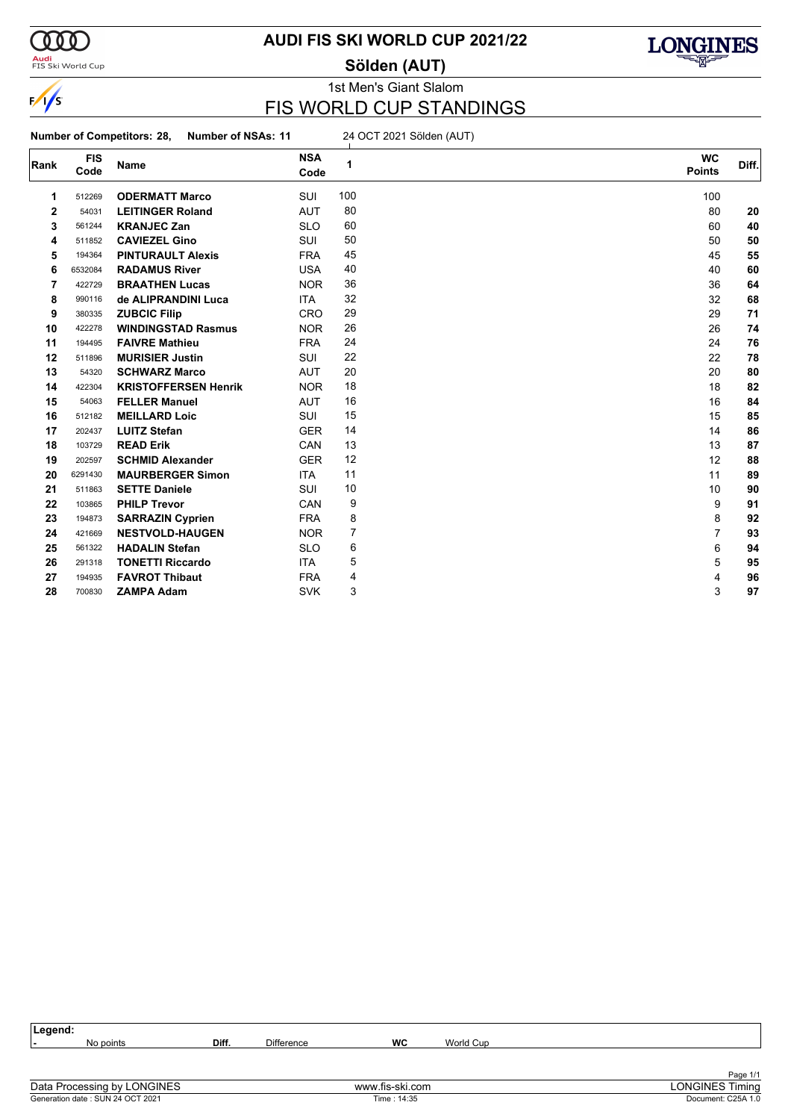

**Audi**<br>FIS Ski World Cup

### **AUDI FIS SKI WORLD CUP 2021/22**

**Sölden (AUT)**



# 1st Men's Giant Slalom

### FIS WORLD CUP STANDINGS

**Number of Competitors: 28, Number of NSAs: 11** 24 OCT 2021 Sölden (AUT)

| Rank        | <b>FIS</b><br>Code | Name                        | <b>NSA</b><br>Code | 1              | <b>WC</b><br><b>Points</b> | Diff. |
|-------------|--------------------|-----------------------------|--------------------|----------------|----------------------------|-------|
| 1           | 512269             | <b>ODERMATT Marco</b>       | SUI                | 100            | 100                        |       |
| $\mathbf 2$ | 54031              | <b>LEITINGER Roland</b>     | <b>AUT</b>         | 80             | 80                         | 20    |
| 3           | 561244             | <b>KRANJEC Zan</b>          | <b>SLO</b>         | 60             | 60                         | 40    |
| 4           | 511852             | <b>CAVIEZEL Gino</b>        | SUI                | 50             | 50                         | 50    |
| 5           | 194364             | <b>PINTURAULT Alexis</b>    | <b>FRA</b>         | 45             | 45                         | 55    |
| 6           | 6532084            | <b>RADAMUS River</b>        | <b>USA</b>         | 40             | 40                         | 60    |
| 7           | 422729             | <b>BRAATHEN Lucas</b>       | <b>NOR</b>         | 36             | 36                         | 64    |
| 8           | 990116             | de ALIPRANDINI Luca         | ITA                | 32             | 32                         | 68    |
| 9           | 380335             | <b>ZUBCIC Filip</b>         | <b>CRO</b>         | 29             | 29                         | 71    |
| 10          | 422278             | <b>WINDINGSTAD Rasmus</b>   | <b>NOR</b>         | 26             | 26                         | 74    |
| 11          | 194495             | <b>FAIVRE Mathieu</b>       | <b>FRA</b>         | 24             | 24                         | 76    |
| 12          | 511896             | <b>MURISIER Justin</b>      | <b>SUI</b>         | 22             | 22                         | 78    |
| 13          | 54320              | <b>SCHWARZ Marco</b>        | <b>AUT</b>         | 20             | 20                         | 80    |
| 14          | 422304             | <b>KRISTOFFERSEN Henrik</b> | <b>NOR</b>         | 18             | 18                         | 82    |
| 15          | 54063              | <b>FELLER Manuel</b>        | <b>AUT</b>         | 16             | 16                         | 84    |
| 16          | 512182             | <b>MEILLARD Loic</b>        | SUI                | 15             | 15                         | 85    |
| 17          | 202437             | <b>LUITZ Stefan</b>         | <b>GER</b>         | 14             | 14                         | 86    |
| 18          | 103729             | <b>READ Erik</b>            | CAN                | 13             | 13                         | 87    |
| 19          | 202597             | <b>SCHMID Alexander</b>     | <b>GER</b>         | 12             | 12                         | 88    |
| 20          | 6291430            | <b>MAURBERGER Simon</b>     | <b>ITA</b>         | 11             | 11                         | 89    |
| 21          | 511863             | <b>SETTE Daniele</b>        | SUI                | 10             | 10                         | 90    |
| 22          | 103865             | <b>PHILP Trevor</b>         | CAN                | 9              | 9                          | 91    |
| 23          | 194873             | <b>SARRAZIN Cyprien</b>     | <b>FRA</b>         | 8              | 8                          | 92    |
| 24          | 421669             | <b>NESTVOLD-HAUGEN</b>      | <b>NOR</b>         | $\overline{7}$ | $\overline{7}$             | 93    |
| 25          | 561322             | <b>HADALIN Stefan</b>       | <b>SLO</b>         | 6              | 6                          | 94    |
| 26          | 291318             | <b>TONETTI Riccardo</b>     | <b>ITA</b>         | 5              | 5                          | 95    |
| 27          | 194935             | <b>FAVROT Thibaut</b>       | <b>FRA</b>         | 4              | 4                          | 96    |
| 28          | 700830             | <b>ZAMPA Adam</b>           | <b>SVK</b>         | 3              | 3                          | 97    |

| Legend: |           |       |                   |    |           |          |
|---------|-----------|-------|-------------------|----|-----------|----------|
|         | No points | Diff. | <b>Difference</b> | WC | World Cup |          |
|         |           |       |                   |    |           |          |
|         |           |       |                   |    |           |          |
|         |           |       |                   |    |           | Page 1/1 |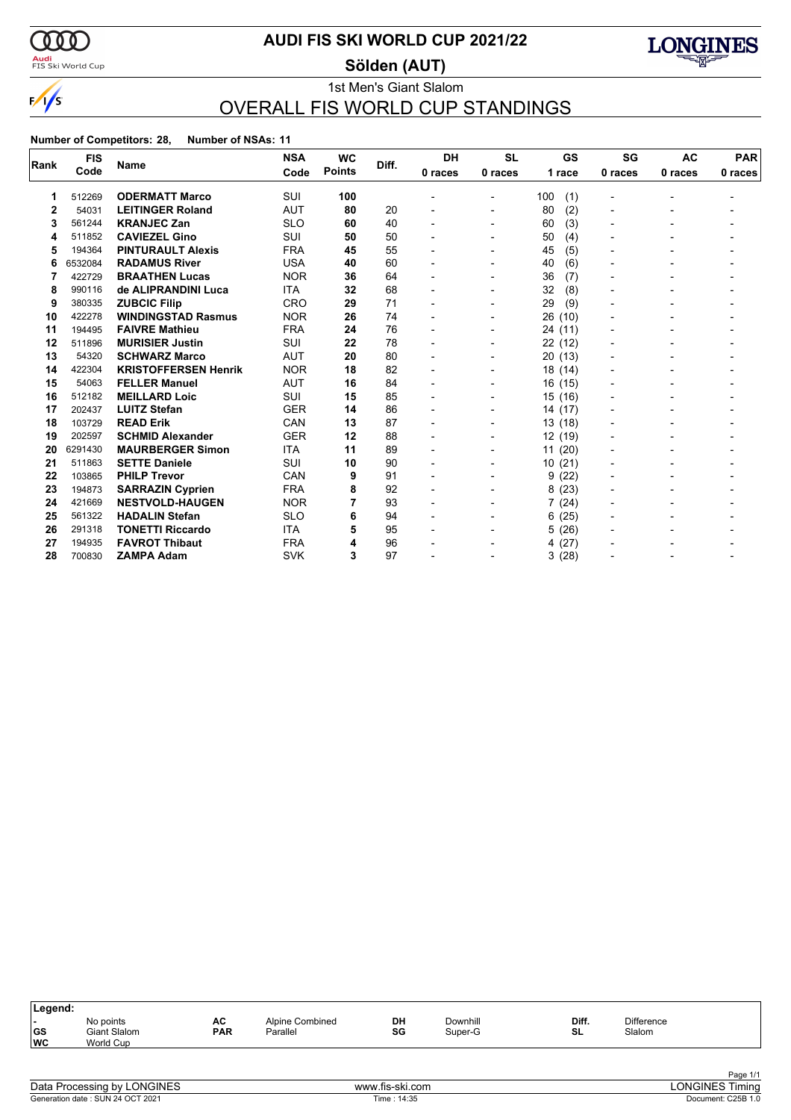

<mark>Audi</mark><br>FIS Ski World Cup

## **AUDI FIS SKI WORLD CUP 2021/22**

**Sölden (AUT)**



### 1st Men's Giant Slalom OVERALL FIS WORLD CUP STANDINGS

|                | <b>FIS</b> |                             | <b>NSA</b> | <b>WC</b>     | Diff. | <b>DH</b> | <b>SL</b>                | <b>GS</b>  | SG             | <b>AC</b> | <b>PAR</b> |
|----------------|------------|-----------------------------|------------|---------------|-------|-----------|--------------------------|------------|----------------|-----------|------------|
| Rank           | Code       | <b>Name</b>                 | Code       | <b>Points</b> |       | 0 races   | 0 races                  | 1 race     | 0 races        | 0 races   | 0 races    |
| 1              | 512269     | <b>ODERMATT Marco</b>       | SUI        | 100           |       |           |                          | 100<br>(1) | $\overline{a}$ |           |            |
| $\overline{2}$ | 54031      | <b>LEITINGER Roland</b>     | <b>AUT</b> | 80            | 20    |           |                          | 80<br>(2)  |                |           |            |
| 3              | 561244     | <b>KRANJEC Zan</b>          | <b>SLO</b> | 60            | 40    |           | -                        | (3)<br>60  | -              |           |            |
| 4              | 511852     | <b>CAVIEZEL Gino</b>        | SUI        | 50            | 50    |           | $\blacksquare$           | (4)<br>50  |                |           |            |
| 5              | 194364     | <b>PINTURAULT Alexis</b>    | <b>FRA</b> | 45            | 55    |           |                          | (5)<br>45  |                |           |            |
| 6              | 6532084    | <b>RADAMUS River</b>        | <b>USA</b> | 40            | 60    |           |                          | (6)<br>40  |                |           |            |
| 7              | 422729     | <b>BRAATHEN Lucas</b>       | <b>NOR</b> | 36            | 64    |           |                          | 36<br>(7)  | -              |           |            |
| 8              | 990116     | de ALIPRANDINI Luca         | <b>ITA</b> | 32            | 68    |           | $\blacksquare$           | 32<br>(8)  |                |           |            |
| 9              | 380335     | <b>ZUBCIC Filip</b>         | <b>CRO</b> | 29            | 71    |           | $\overline{\phantom{0}}$ | 29<br>(9)  |                |           |            |
| 10             | 422278     | <b>WINDINGSTAD Rasmus</b>   | <b>NOR</b> | 26            | 74    |           | $\blacksquare$           | 26<br>(10) |                |           |            |
| 11             | 194495     | <b>FAIVRE Mathieu</b>       | <b>FRA</b> | 24            | 76    |           |                          | 24 (11)    |                |           |            |
| 12             | 511896     | <b>MURISIER Justin</b>      | <b>SUI</b> | 22            | 78    |           |                          | 22 (12)    | -              |           |            |
| 13             | 54320      | <b>SCHWARZ Marco</b>        | <b>AUT</b> | 20            | 80    |           |                          | 20 (13)    |                |           |            |
| 14             | 422304     | <b>KRISTOFFERSEN Henrik</b> | <b>NOR</b> | 18            | 82    |           | $\overline{\phantom{a}}$ | 18 (14)    |                |           |            |
| 15             | 54063      | <b>FELLER Manuel</b>        | <b>AUT</b> | 16            | 84    |           | $\blacksquare$           | 16(15)     | $\blacksquare$ |           |            |
| 16             | 512182     | <b>MEILLARD Loic</b>        | <b>SUI</b> | 15            | 85    |           | $\overline{\phantom{0}}$ | 15 (16)    |                |           |            |
| 17             | 202437     | <b>LUITZ Stefan</b>         | <b>GER</b> | 14            | 86    |           |                          | 14 (17)    |                |           |            |
| 18             | 103729     | <b>READ Erik</b>            | CAN        | 13            | 87    |           |                          | 13(18)     |                |           |            |
| 19             | 202597     | <b>SCHMID Alexander</b>     | <b>GER</b> | 12            | 88    |           | $\blacksquare$           | 12 (19)    |                |           |            |
| 20             | 6291430    | <b>MAURBERGER Simon</b>     | <b>ITA</b> | 11            | 89    |           | $\blacksquare$           | 11(20)     |                |           |            |
| 21             | 511863     | <b>SETTE Daniele</b>        | SUI        | 10            | 90    |           | $\blacksquare$           | 10(21)     | $\blacksquare$ |           |            |
| 22             | 103865     | <b>PHILP Trevor</b>         | CAN        | 9             | 91    |           | $\blacksquare$           | (22)<br>9  | -              |           |            |
| 23             | 194873     | <b>SARRAZIN Cyprien</b>     | <b>FRA</b> | 8             | 92    |           |                          | 8(23)      |                |           |            |
| 24             | 421669     | <b>NESTVOLD-HAUGEN</b>      | <b>NOR</b> |               | 93    |           |                          | 7(24)      |                |           |            |
| 25             | 561322     | <b>HADALIN Stefan</b>       | <b>SLO</b> | 6             | 94    |           | $\overline{\phantom{0}}$ | (25)<br>6  |                |           |            |
| 26             | 291318     | <b>TONETTI Riccardo</b>     | <b>ITA</b> | 5             | 95    |           |                          | (26)<br>5. |                |           |            |
| 27             | 194935     | <b>FAVROT Thibaut</b>       | <b>FRA</b> | 4             | 96    |           |                          | 4(27)      |                |           |            |
| 28             | 700830     | <b>ZAMPA Adam</b>           | <b>SVK</b> | 3             | 97    |           |                          | 3(28)      |                |           |            |

| Legend:                       |                                               |                  |                             |          |                     |             |                             |  |
|-------------------------------|-----------------------------------------------|------------------|-----------------------------|----------|---------------------|-------------|-----------------------------|--|
| . .<br><b>GS</b><br><b>WC</b> | No points<br><b>Giant Slalom</b><br>World Cup | AC<br><b>PAR</b> | Alpine Combined<br>Parallel | DH<br>SG | Downhill<br>Super-G | Diff.<br>SL | <b>Difference</b><br>Slalom |  |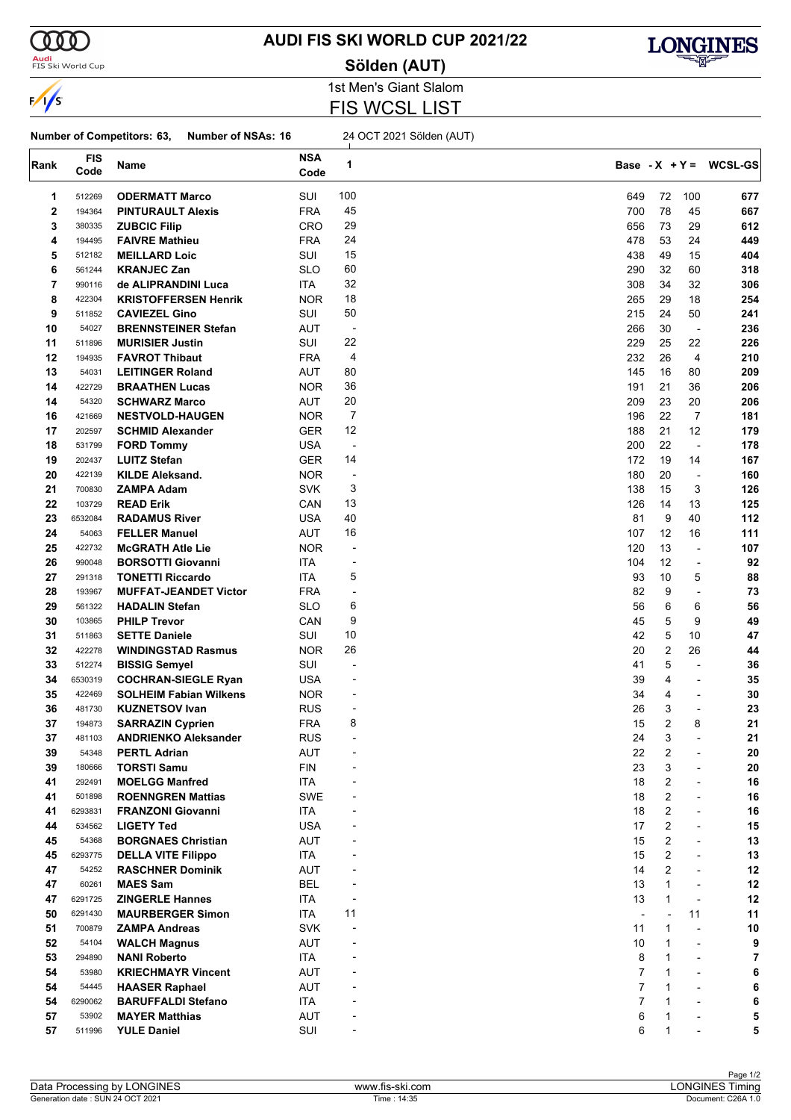

<mark>Audi</mark><br>FIS Ski World Cup

## **AUDI FIS SKI WORLD CUP 2021/22**

**Sölden (AUT)**



1st Men's Giant Slalom FIS WCSL LIST

#### **Number of Competitors: 63, Number of NSAs: 16** 24 OCT 2021 Sölden (AUT)

|      | <b>FIS</b> |                               | <b>NSA</b> |                          |                |                |                          |                          |
|------|------------|-------------------------------|------------|--------------------------|----------------|----------------|--------------------------|--------------------------|
| Rank | Code       | Name                          | Code       | 1                        |                |                |                          | Base - $X + Y = WCSL-GS$ |
|      |            |                               |            |                          |                |                |                          |                          |
| 1    | 512269     | <b>ODERMATT Marco</b>         | SUI        | 100                      | 649            | 72             | 100                      | 677                      |
| 2    | 194364     | <b>PINTURAULT Alexis</b>      | <b>FRA</b> | 45                       | 700            | 78             | 45                       | 667                      |
| 3    | 380335     | <b>ZUBCIC Filip</b>           | CRO        | 29                       | 656            | 73             | 29                       | 612                      |
| 4    | 194495     | <b>FAIVRE Mathieu</b>         | <b>FRA</b> | 24                       | 478            | 53             | 24                       | 449                      |
| 5    | 512182     | <b>MEILLARD Loic</b>          | SUI        | 15                       | 438            | 49             | 15                       | 404                      |
| 6    | 561244     | <b>KRANJEC Zan</b>            | <b>SLO</b> | 60                       | 290            | 32             | 60                       | 318                      |
| 7    | 990116     | de ALIPRANDINI Luca           | ITA        | 32                       | 308            | 34             | 32                       | 306                      |
| 8    | 422304     | <b>KRISTOFFERSEN Henrik</b>   | <b>NOR</b> | 18                       | 265            | 29             | 18                       | 254                      |
| 9    | 511852     | <b>CAVIEZEL Gino</b>          | SUI        | 50                       | 215            | 24             | 50                       | 241                      |
| 10   | 54027      | <b>BRENNSTEINER Stefan</b>    | AUT        | $\overline{\phantom{a}}$ | 266            | 30             | $\overline{\phantom{a}}$ | 236                      |
| 11   | 511896     | <b>MURISIER Justin</b>        | SUI        | 22                       | 229            | 25             | 22                       | 226                      |
|      | 194935     |                               |            | 4                        | 232            | 26             | 4                        | 210                      |
| 12   |            | <b>FAVROT Thibaut</b>         | <b>FRA</b> |                          |                |                |                          |                          |
| 13   | 54031      | <b>LEITINGER Roland</b>       | AUT        | 80                       | 145            | 16             | 80                       | 209                      |
| 14   | 422729     | <b>BRAATHEN Lucas</b>         | <b>NOR</b> | 36                       | 191            | 21             | 36                       | 206                      |
| 14   | 54320      | <b>SCHWARZ Marco</b>          | AUT        | 20                       | 209            | 23             | 20                       | 206                      |
| 16   | 421669     | <b>NESTVOLD-HAUGEN</b>        | <b>NOR</b> | $\overline{7}$           | 196            | 22             | 7                        | 181                      |
| 17   | 202597     | <b>SCHMID Alexander</b>       | GER        | 12                       | 188            | 21             | 12                       | 179                      |
| 18   | 531799     | <b>FORD Tommy</b>             | USA        | $\overline{a}$           | 200            | 22             | $\overline{\phantom{a}}$ | 178                      |
| 19   | 202437     | <b>LUITZ Stefan</b>           | <b>GER</b> | 14                       | 172            | 19             | 14                       | 167                      |
| 20   | 422139     | <b>KILDE Aleksand.</b>        | <b>NOR</b> | -                        | 180            | 20             | $\overline{\phantom{a}}$ | 160                      |
| 21   | 700830     | <b>ZAMPA Adam</b>             | <b>SVK</b> | 3                        | 138            | 15             | 3                        | 126                      |
| 22   | 103729     | <b>READ Erik</b>              | CAN        | 13                       | 126            | 14             | 13                       | 125                      |
| 23   | 6532084    | <b>RADAMUS River</b>          | <b>USA</b> | 40                       | 81             | 9              | 40                       | 112                      |
| 24   | 54063      | <b>FELLER Manuel</b>          | AUT        | 16                       | 107            | 12             | 16                       | 111                      |
| 25   | 422732     | <b>McGRATH Atle Lie</b>       | <b>NOR</b> | -                        | 120            | 13             | ÷,                       | 107                      |
| 26   | 990048     | <b>BORSOTTI Giovanni</b>      | ITA        | $\overline{a}$           | 104            | 12             | ÷,                       | 92                       |
| 27   | 291318     | <b>TONETTI Riccardo</b>       | ITA        | 5                        | 93             | 10             | 5                        | 88                       |
|      |            |                               |            |                          |                |                |                          |                          |
| 28   | 193967     | <b>MUFFAT-JEANDET Victor</b>  | <b>FRA</b> | -                        | 82             | 9              | $\overline{\phantom{a}}$ | 73                       |
| 29   | 561322     | <b>HADALIN Stefan</b>         | <b>SLO</b> | 6                        | 56             | 6              | 6                        | 56                       |
| 30   | 103865     | <b>PHILP Trevor</b>           | CAN        | 9                        | 45             | 5              | 9                        | 49                       |
| 31   | 511863     | <b>SETTE Daniele</b>          | SUI        | 10                       | 42             | 5              | 10                       | 47                       |
| 32   | 422278     | <b>WINDINGSTAD Rasmus</b>     | <b>NOR</b> | 26                       | 20             | $\overline{2}$ | 26                       | 44                       |
| 33   | 512274     | <b>BISSIG Semyel</b>          | SUI        | $\overline{a}$           | 41             | 5              | $\overline{\phantom{a}}$ | 36                       |
| 34   | 6530319    | <b>COCHRAN-SIEGLE Ryan</b>    | USA        |                          | 39             | 4              | $\blacksquare$           | 35                       |
| 35   | 422469     | <b>SOLHEIM Fabian Wilkens</b> | <b>NOR</b> |                          | 34             | 4              | $\overline{\phantom{a}}$ | 30                       |
| 36   | 481730     | <b>KUZNETSOV Ivan</b>         | <b>RUS</b> | $\overline{a}$           | 26             | 3              | $\blacksquare$           | 23                       |
| 37   | 194873     | <b>SARRAZIN Cyprien</b>       | <b>FRA</b> | 8                        | 15             | $\overline{2}$ | 8                        | 21                       |
| 37   | 481103     | <b>ANDRIENKO Aleksander</b>   | <b>RUS</b> | $\overline{a}$           | 24             | 3              |                          | 21                       |
| 39   | 54348      | <b>PERTL Adrian</b>           | <b>AUT</b> |                          | 22             | 2              |                          | 20                       |
| 39   | 180666     | <b>TORSTI Samu</b>            | <b>FIN</b> |                          | 23             | 3              |                          | 20                       |
| 41   | 292491     | <b>MOELGG Manfred</b>         | <b>ITA</b> |                          | 18             | $\overline{2}$ |                          | 16                       |
| 41   | 501898     | <b>ROENNGREN Mattias</b>      | SWE        |                          | 18             | $\overline{2}$ | $\overline{\phantom{a}}$ | 16                       |
| 41   | 6293831    | <b>FRANZONI Giovanni</b>      | ITA        |                          | 18             | $\overline{2}$ | $\overline{a}$           | 16                       |
|      |            |                               |            |                          |                | 2              |                          |                          |
| 44   | 534562     | <b>LIGETY Ted</b>             | <b>USA</b> |                          | 17             |                | $\overline{\phantom{a}}$ | 15                       |
| 45   | 54368      | <b>BORGNAES Christian</b>     | AUT        |                          | 15             | 2              | $\blacksquare$           | 13                       |
| 45   | 6293775    | <b>DELLA VITE Filippo</b>     | ITA        |                          | 15             | 2              | $\blacksquare$           | 13                       |
| 47   | 54252      | <b>RASCHNER Dominik</b>       | AUT        |                          | 14             | $\overline{2}$ | $\blacksquare$           | 12                       |
| 47   | 60261      | <b>MAES Sam</b>               | <b>BEL</b> |                          | 13             | $\mathbf{1}$   | $\overline{a}$           | 12                       |
| 47   | 6291725    | <b>ZINGERLE Hannes</b>        | ITA        | ÷,                       | 13             | $\mathbf{1}$   | ÷,                       | 12                       |
| 50   | 6291430    | <b>MAURBERGER Simon</b>       | ITA        | 11                       |                | $\overline{a}$ | 11                       | 11                       |
| 51   | 700879     | <b>ZAMPA Andreas</b>          | <b>SVK</b> |                          | 11             | $\mathbf{1}$   | ÷,                       | 10                       |
| 52   | 54104      | <b>WALCH Magnus</b>           | AUT        |                          | 10             | $\mathbf{1}$   | $\blacksquare$           | 9                        |
| 53   | 294890     | <b>NANI Roberto</b>           | ITA        |                          | 8              | 1              | $\blacksquare$           | 7                        |
| 54   | 53980      | <b>KRIECHMAYR Vincent</b>     | AUT        |                          | 7              | $\mathbf{1}$   | $\overline{\phantom{a}}$ | 6                        |
| 54   | 54445      | <b>HAASER Raphael</b>         | AUT        |                          | 7              | $\mathbf 1$    | $\blacksquare$           | 6                        |
| 54   | 6290062    | <b>BARUFFALDI Stefano</b>     | ITA        |                          | $\overline{7}$ | 1              |                          | 6                        |
| 57   | 53902      | <b>MAYER Matthias</b>         | AUT        |                          | 6              | 1              |                          | 5                        |
| 57   | 511996     | <b>YULE Daniel</b>            | SUI        |                          | 6              | $\mathbf{1}$   |                          | 5                        |
|      |            |                               |            |                          |                |                |                          |                          |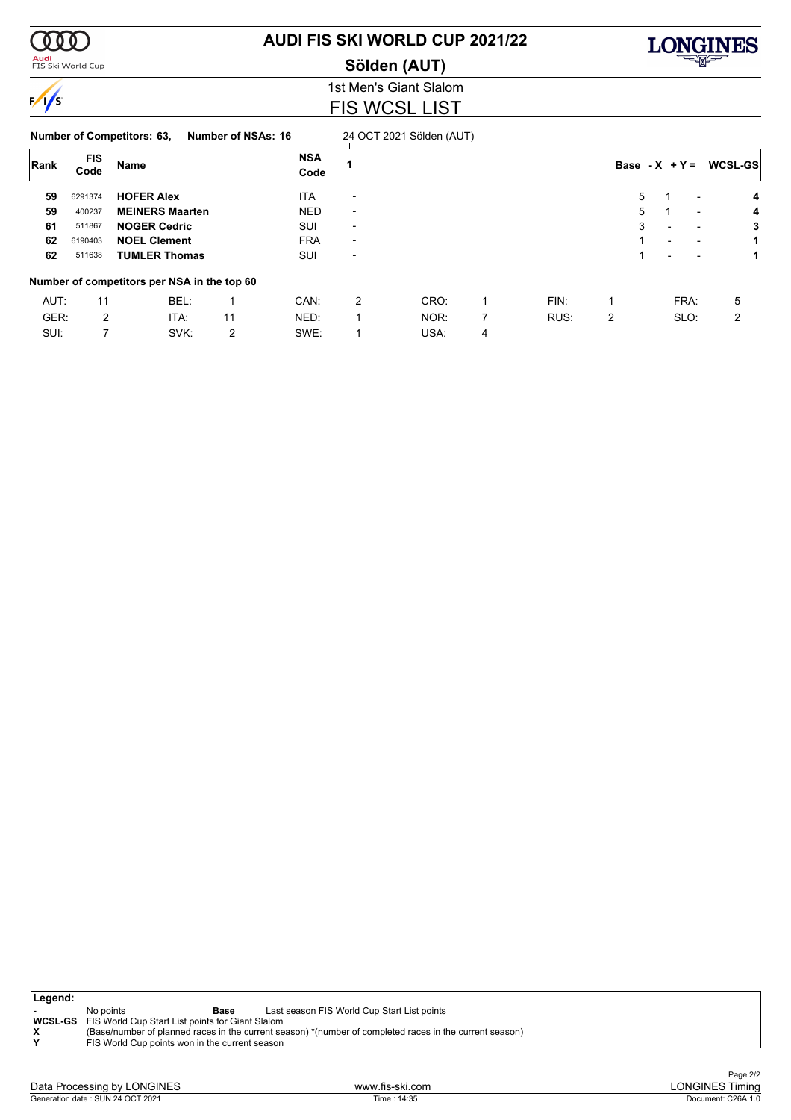

### <mark>Audi</mark><br>FIS Ski World Cup

# **AUDI FIS SKI WORLD CUP 2021/22**

**Sölden (AUT)**



1st Men's Giant Slalom FIS WCSL LIST

| Number of Competitors: 63, |  | <b>Number of NSAs: 16</b> |  |  |
|----------------------------|--|---------------------------|--|--|
|                            |  |                           |  |  |

**24 OCT 2021 Sölden (AUT)** 

| Rank | <b>FIS</b><br>Code | Name                                        |    | <b>NSA</b><br>Code |                          |      |   |      | Base - $X + Y =$ |                          | WCSL-GS                       |
|------|--------------------|---------------------------------------------|----|--------------------|--------------------------|------|---|------|------------------|--------------------------|-------------------------------|
| 59   | 6291374            | <b>HOFER Alex</b>                           |    | <b>ITA</b>         | $\overline{\phantom{0}}$ |      |   |      | 5                |                          | 4                             |
| 59   | 400237             | <b>MEINERS Maarten</b>                      |    | <b>NED</b>         | $\overline{\phantom{0}}$ |      |   |      | 5                |                          | 4<br>$\overline{\phantom{0}}$ |
| 61   | 511867             | <b>NOGER Cedric</b>                         |    | SUI                | $\overline{\phantom{0}}$ |      |   |      | 3                | $\overline{\phantom{0}}$ | 3<br>$\overline{\phantom{0}}$ |
| 62   | 6190403            | <b>NOEL Clement</b>                         |    | <b>FRA</b>         | $\overline{\phantom{0}}$ |      |   |      |                  | $\overline{\phantom{0}}$ |                               |
| 62   | 511638             | <b>TUMLER Thomas</b>                        |    | SUI                | $\overline{\phantom{0}}$ |      |   |      |                  |                          |                               |
|      |                    | Number of competitors per NSA in the top 60 |    |                    |                          |      |   |      |                  |                          |                               |
| AUT: | 11                 | BEL:                                        |    | CAN:               | 2                        | CRO: | 1 | FIN: |                  | FRA:                     | 5                             |
| GER: | 2                  | ITA:                                        | 11 | NED:               |                          | NOR: | 7 | RUS: | 2                | SLO:                     | 2                             |
| SUI: |                    | SVK:                                        | 2  | SWE:               |                          | USA: | 4 |      |                  |                          |                               |

| Legend: |                                                                 |      |                                                                                                         |
|---------|-----------------------------------------------------------------|------|---------------------------------------------------------------------------------------------------------|
|         | No points                                                       | Base | Last season FIS World Cup Start List points                                                             |
|         | <b>WCSL-GS</b> FIS World Cup Start List points for Giant Slalom |      |                                                                                                         |
|         |                                                                 |      | (Base/number of planned races in the current season) *(number of completed races in the current season) |
|         | FIS World Cup points won in the current season                  |      |                                                                                                         |
|         |                                                                 |      |                                                                                                         |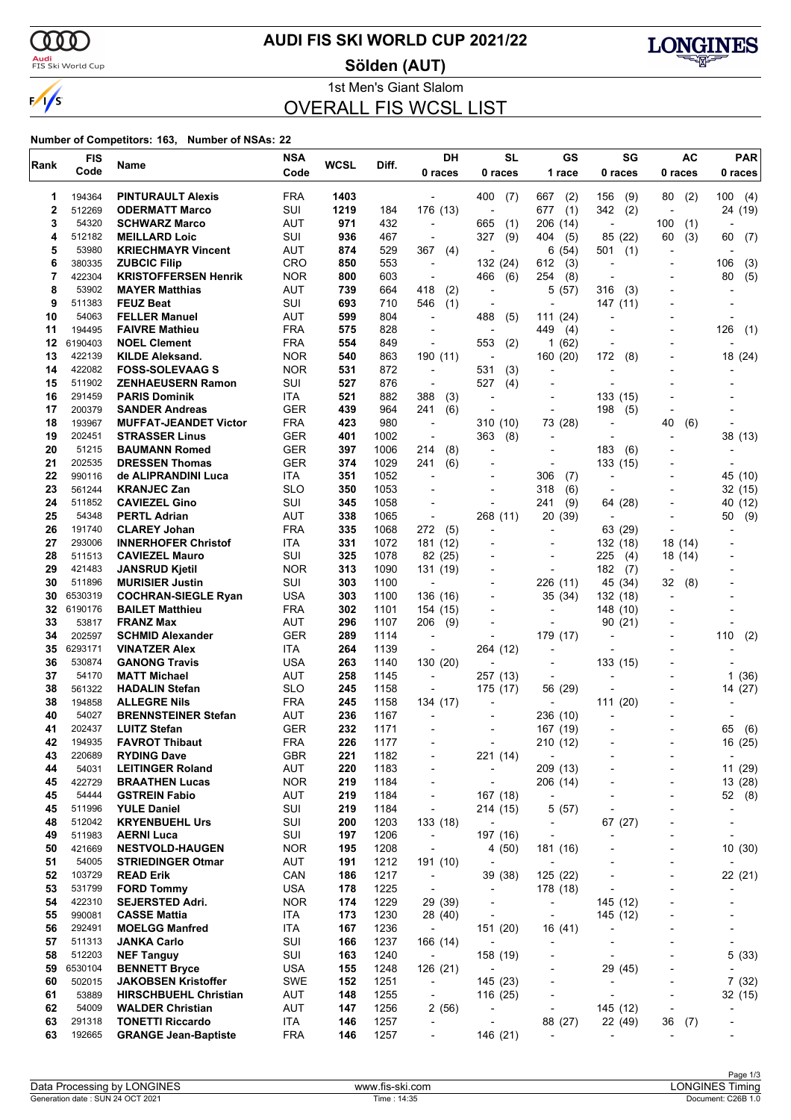

### <mark>Audi</mark><br>FIS Ski World Cup

## **AUDI FIS SKI WORLD CUP 2021/22**

**Sölden (AUT)**



1st Men's Giant Slalom OVERALL FIS WCSL LIST

| Rank     | <b>FIS</b>         | Name                                                 | <b>NSA</b>               | <b>WCSL</b> | Diff.        | DH                                                   | <b>SL</b>                            | GS                                                   | SG                                  | <b>AC</b>                | <b>PAR</b>                        |
|----------|--------------------|------------------------------------------------------|--------------------------|-------------|--------------|------------------------------------------------------|--------------------------------------|------------------------------------------------------|-------------------------------------|--------------------------|-----------------------------------|
|          | Code               |                                                      | Code                     |             |              | 0 races                                              | 0 races                              | 1 race                                               | 0 races                             | 0 races                  | 0 races                           |
| 1        | 194364             | <b>PINTURAULT Alexis</b>                             | <b>FRA</b>               | 1403        |              |                                                      | 400<br>(7)                           | 667<br>(2)                                           | 156<br>(9)                          | 80<br>(2)                | 100<br>(4)                        |
| 2        | 512269             | <b>ODERMATT Marco</b>                                | SUI                      | 1219        | 184          | 176 (13)                                             | $\overline{\phantom{a}}$             | 677<br>(1)                                           | 342<br>(2)                          | $\overline{\phantom{a}}$ | 24 (19)                           |
| 3        | 54320              | <b>SCHWARZ Marco</b>                                 | AUT                      | 971         | 432          | $\overline{\phantom{a}}$                             | 665<br>(1)                           | 206 (14)                                             | $\overline{a}$                      | 100<br>(1)               |                                   |
| 4        | 512182             | <b>MEILLARD Loic</b>                                 | SUI                      | 936         | 467          |                                                      | 327<br>(9)                           | 404<br>(5)                                           | 85 (22)                             | 60<br>(3)                | 60<br>(7)                         |
| 5        | 53980              | <b>KRIECHMAYR Vincent</b>                            | AUT                      | 874         | 529          | 367<br>(4)                                           | $\overline{\phantom{a}}$             | 6(54)                                                | 501<br>(1)                          | $\overline{\phantom{a}}$ |                                   |
| 6<br>7   | 380335<br>422304   | <b>ZUBCIC Filip</b><br><b>KRISTOFFERSEN Henrik</b>   | CRO<br><b>NOR</b>        | 850<br>800  | 553<br>603   | $\overline{\phantom{a}}$<br>$\overline{a}$           | 132 (24)<br>(6)<br>466               | 612<br>(3)<br>254<br>(8)                             | $\overline{\phantom{a}}$            |                          | 106<br>(3)<br>80<br>(5)           |
| 8        | 53902              | <b>MAYER Matthias</b>                                | AUT                      | 739         | 664          | 418<br>(2)                                           | $\overline{\phantom{a}}$             | 5<br>(57)                                            | 316<br>(3)                          |                          |                                   |
| 9        | 511383             | <b>FEUZ Beat</b>                                     | SUI                      | 693         | 710          | 546<br>(1)                                           | $\overline{\phantom{a}}$             |                                                      | 147 (11)                            |                          |                                   |
| 10       | 54063              | <b>FELLER Manuel</b>                                 | AUT                      | 599         | 804          |                                                      | 488<br>(5)                           | 111(24)                                              |                                     |                          |                                   |
| 11       | 194495             | <b>FAIVRE Mathieu</b>                                | <b>FRA</b>               | 575         | 828          | $\overline{a}$                                       | $\overline{a}$                       | 449<br>(4)                                           |                                     |                          | 126<br>(1)                        |
| 12       | 6190403            | <b>NOEL Clement</b>                                  | <b>FRA</b>               | 554         | 849          | $\overline{\phantom{a}}$                             | 553<br>(2)                           | 1<br>(62)                                            | $\overline{a}$                      |                          |                                   |
| 13       | 422139             | <b>KILDE Aleksand.</b>                               | <b>NOR</b>               | 540         | 863          | 190 (11)                                             |                                      | 160 (20)                                             | 172<br>(8)                          |                          | 18 (24)                           |
| 14<br>15 | 422082<br>511902   | <b>FOSS-SOLEVAAG S</b><br>ZENHAEUSERN Ramon          | <b>NOR</b><br>SUI        | 531<br>527  | 872<br>876   | $\overline{\phantom{a}}$<br>$\overline{\phantom{a}}$ | 531<br>(3)<br>527<br>(4)             | $\overline{\phantom{a}}$<br>$\overline{\phantom{a}}$ | $\overline{\phantom{a}}$            |                          |                                   |
| 16       | 291459             | <b>PARIS Dominik</b>                                 | ITA                      | 521         | 882          | 388<br>(3)                                           |                                      |                                                      | 133 (15)                            |                          |                                   |
| 17       | 200379             | <b>SANDER Andreas</b>                                | <b>GER</b>               | 439         | 964          | 241<br>(6)                                           | $\overline{a}$                       | $\blacksquare$                                       | 198<br>(5)                          | $\overline{\phantom{a}}$ |                                   |
| 18       | 193967             | <b>MUFFAT-JEANDET Victor</b>                         | <b>FRA</b>               | 423         | 980          | $\overline{\phantom{a}}$                             | 310<br>(10)                          | 73 (28)                                              | $\overline{\phantom{a}}$            | 40<br>(6)                |                                   |
| 19       | 202451             | <b>STRASSER Linus</b>                                | <b>GER</b>               | 401         | 1002         |                                                      | 363<br>(8)                           |                                                      |                                     |                          | 38 (13)                           |
| 20       | 51215              | <b>BAUMANN Romed</b>                                 | <b>GER</b>               | 397         | 1006         | 214<br>(8)                                           | $\overline{a}$                       | $\overline{\phantom{a}}$                             | 183<br>(6)                          |                          |                                   |
| 21       | 202535             | <b>DRESSEN Thomas</b>                                | <b>GER</b>               | 374         | 1029         | 241<br>(6)                                           | $\overline{a}$                       | $\overline{a}$                                       | 133 (15)                            |                          |                                   |
| 22       | 990116<br>561244   | de ALIPRANDINI Luca                                  | ITA                      | 351         | 1052         |                                                      |                                      | 306<br>(7)                                           |                                     |                          | 45 (10)                           |
| 23<br>24 | 511852             | <b>KRANJEC Zan</b><br><b>CAVIEZEL Gino</b>           | <b>SLO</b><br>SUI        | 350<br>345  | 1053<br>1058 | $\overline{\phantom{a}}$                             | $\overline{a}$                       | 318<br>(6)<br>241<br>(9)                             | 64 (28)                             |                          | 32 (15)<br>(12)<br>40             |
| 25       | 54348              | <b>PERTL Adrian</b>                                  | AUT                      | 338         | 1065         |                                                      | 268 (11)                             | 20 (39)                                              | $\overline{\phantom{0}}$            |                          | (9)<br>50                         |
| 26       | 191740             | <b>CLAREY Johan</b>                                  | <b>FRA</b>               | 335         | 1068         | 272<br>(5)                                           | $\overline{a}$                       | $\overline{\phantom{a}}$                             | 63 (29)                             |                          |                                   |
| 27       | 293006             | <b>INNERHOFER Christof</b>                           | ITA                      | 331         | 1072         | 181 (12)                                             | $\overline{a}$                       | $\blacksquare$                                       | 132 (18)                            | 18 (14)                  |                                   |
| 28       | 511513             | <b>CAVIEZEL Mauro</b>                                | SUI                      | 325         | 1078         | 82 (25)                                              |                                      |                                                      | 225<br>(4)                          | 18 (14)                  |                                   |
| 29       | 421483             | <b>JANSRUD Kjetil</b>                                | <b>NOR</b>               | 313         | 1090         | 131 (19)                                             |                                      | $\overline{\phantom{a}}$                             | 182<br>(7)                          |                          |                                   |
| 30       | 511896             | <b>MURISIER Justin</b>                               | SUI                      | 303         | 1100         | ÷,                                                   | $\overline{a}$                       | 226<br>(11)                                          | 45 (34)                             | 32<br>(8)                |                                   |
| 30<br>32 | 6530319<br>6190176 | <b>COCHRAN-SIEGLE Ryan</b><br><b>BAILET Matthieu</b> | USA<br><b>FRA</b>        | 303<br>302  | 1100<br>1101 | 136 (16)<br>154 (15)                                 |                                      | 35 (34)                                              | 132 (18)<br>148 (10)                |                          |                                   |
| 33       | 53817              | <b>FRANZ Max</b>                                     | AUT                      | 296         | 1107         | 206<br>(9)                                           | $\overline{a}$                       |                                                      | 90(21)                              |                          |                                   |
| 34       | 202597             | <b>SCHMID Alexander</b>                              | <b>GER</b>               | 289         | 1114         |                                                      |                                      | 179 (17)                                             |                                     |                          | 110<br>(2)                        |
| 35       | 6293171            | <b>VINATZER Alex</b>                                 | ITA                      | 264         | 1139         | $\overline{\phantom{a}}$                             | 264 (12)                             |                                                      |                                     |                          |                                   |
| 36       | 530874             | <b>GANONG Travis</b>                                 | <b>USA</b>               | 263         | 1140         | 130 (20)                                             |                                      | $\overline{a}$                                       | 133 (15)                            |                          |                                   |
| 37       | 54170              | <b>MATT Michael</b>                                  | <b>AUT</b>               | 258         | 1145         |                                                      | 257 (13)                             | $\overline{\phantom{a}}$                             | $\overline{\phantom{0}}$            |                          | 1(36)                             |
| 38       | 561322             | <b>HADALIN Stefan</b>                                | <b>SLO</b>               | 245         | 1158         | $\blacksquare$                                       | 175 (17)                             | 56 (29)                                              |                                     |                          | 14 (27)                           |
| 38       | 194858             | <b>ALLEGRE Nils</b>                                  | <b>FRA</b>               | 245         | 1158         | 134 (17)                                             | $\overline{a}$                       | $\overline{\phantom{a}}$                             | 111 (20)                            |                          |                                   |
| 40<br>41 | 54027<br>202437    | <b>BRENNSTEINER Stefan</b><br><b>LUITZ Stefan</b>    | <b>AUT</b><br><b>GER</b> | 236<br>232  | 1167<br>1171 |                                                      |                                      | 236 (10)<br>167 (19)                                 |                                     |                          | 65<br>(6)                         |
| 42       | 194935             | <b>FAVROT Thibaut</b>                                | <b>FRA</b>               | 226         | 1177         |                                                      |                                      | 210 (12)                                             |                                     |                          | 16 (25)                           |
| 43       | 220689             | <b>RYDING Dave</b>                                   | <b>GBR</b>               | 221         | 1182         |                                                      | 221 (14)                             | $\overline{\phantom{a}}$                             |                                     |                          | $\overline{\phantom{a}}$          |
| 44       | 54031              | <b>LEITINGER Roland</b>                              | <b>AUT</b>               | 220         | 1183         | $\overline{a}$                                       | $\overline{\phantom{a}}$             | 209 (13)                                             |                                     |                          | 11 (29)                           |
| 45       | 422729             | <b>BRAATHEN Lucas</b>                                | <b>NOR</b>               | 219         | 1184         | $\overline{\phantom{a}}$                             | $\blacksquare$                       | 206 (14)                                             | $\overline{\phantom{a}}$            | $\overline{\phantom{a}}$ | 13 (28)                           |
| 45       | 54444              | <b>GSTREIN Fabio</b>                                 | <b>AUT</b>               | 219         | 1184         | $\overline{\phantom{a}}$                             | 167 (18)                             | $\overline{\phantom{a}}$                             |                                     |                          | 52<br>(8)                         |
| 45       | 511996             | <b>YULE Daniel</b>                                   | SUI                      | 219         | 1184         | $\overline{\phantom{a}}$                             | 214 (15)                             | 5(57)                                                | ÷                                   |                          | -                                 |
| 48<br>49 | 512042<br>511983   | <b>KRYENBUEHL Urs</b><br><b>AERNI Luca</b>           | SUI<br>SUI               | 200<br>197  | 1203<br>1206 | 133 (18)<br>$\overline{\phantom{a}}$                 | $\overline{a}$<br>197 (16)           | $\overline{a}$<br>$\overline{a}$                     | 67 (27)<br>÷                        |                          | $\overline{a}$<br>$\overline{a}$  |
| 50       | 421669             | <b>NESTVOLD-HAUGEN</b>                               | <b>NOR</b>               | 195         | 1208         | $\overline{\phantom{a}}$                             | 4 (50)                               | 181 (16)                                             |                                     | ٠                        | 10 (30)                           |
| 51       | 54005              | <b>STRIEDINGER Otmar</b>                             | AUT                      | 191         | 1212         | 191 (10)                                             | $\overline{\phantom{a}}$             | $\overline{\phantom{a}}$                             | $\overline{\phantom{a}}$            |                          | $\overline{a}$                    |
| 52       | 103729             | <b>READ Erik</b>                                     | CAN                      | 186         | 1217         | $\overline{\phantom{a}}$                             | 39 (38)                              | 125 (22)                                             | ٠                                   |                          | 22 (21)                           |
| 53       | 531799             | <b>FORD Tommy</b>                                    | <b>USA</b>               | 178         | 1225         | $\overline{\phantom{a}}$                             | $\overline{\phantom{a}}$             | 178 (18)                                             | $\overline{a}$                      | ٠                        |                                   |
| 54       | 422310             | <b>SEJERSTED Adri.</b>                               | <b>NOR</b>               | 174         | 1229         | 29 (39)                                              | $\overline{\phantom{a}}$             | $\overline{\phantom{a}}$                             | 145 (12)                            |                          |                                   |
| 55       | 990081             | <b>CASSE Mattia</b>                                  | <b>ITA</b>               | 173         | 1230         | 28 (40)                                              |                                      | $\overline{\phantom{a}}$                             | 145 (12)                            |                          |                                   |
| 56       | 292491             | <b>MOELGG Manfred</b>                                | <b>ITA</b>               | 167         | 1236         | $\overline{\phantom{a}}$                             | 151 (20)                             | 16 (41)                                              | $\overline{\phantom{a}}$            |                          | -                                 |
| 57       | 511313             | JANKA Carlo                                          | SUI                      | 166         | 1237         | 166 (14)                                             | $\overline{\phantom{a}}$             | $\overline{\phantom{a}}$                             | $\overline{a}$                      |                          | $\overline{\phantom{a}}$          |
| 58<br>59 | 512203<br>6530104  | <b>NEF Tanguy</b><br><b>BENNETT Bryce</b>            | SUI<br><b>USA</b>        | 163<br>155  | 1240<br>1248 | $\overline{\phantom{a}}$<br>126 (21)                 | 158 (19)<br>$\overline{\phantom{a}}$ | $\overline{a}$                                       | $\overline{\phantom{a}}$<br>29 (45) |                          | 5(33)<br>$\overline{\phantom{a}}$ |
| 60       | 502015             | <b>JAKOBSEN Kristoffer</b>                           | SWE                      | 152         | 1251         | $\overline{\phantom{a}}$                             | 145 (23)                             | $\overline{\phantom{a}}$                             | $\overline{\phantom{a}}$            | $\overline{\phantom{a}}$ | 7(32)                             |
| 61       | 53889              | <b>HIRSCHBUEHL Christian</b>                         | AUT                      | 148         | 1255         | $\overline{\phantom{a}}$                             | 116 (25)                             |                                                      | $\overline{\phantom{a}}$            | $\overline{\phantom{a}}$ | 32 (15)                           |
| 62       | 54009              | <b>WALDER Christian</b>                              | AUT                      | 147         | 1256         | 2(56)                                                | $\overline{\phantom{a}}$             | $\overline{a}$                                       | 145 (12)                            | $\overline{\phantom{a}}$ |                                   |
| 63       | 291318             | <b>TONETTI Riccardo</b>                              | ITA                      | 146         | 1257         | $\blacksquare$                                       | $\overline{\phantom{a}}$             | 88 (27)                                              | 22 (49)                             | 36<br>(7)                |                                   |
| 63       | 192665             | <b>GRANGE Jean-Baptiste</b>                          | <b>FRA</b>               | 146         | 1257         | $\overline{\phantom{0}}$                             | 146 (21)                             | $\overline{a}$                                       | $\overline{\phantom{a}}$            |                          |                                   |
|          |                    |                                                      |                          |             |              |                                                      |                                      |                                                      |                                     |                          |                                   |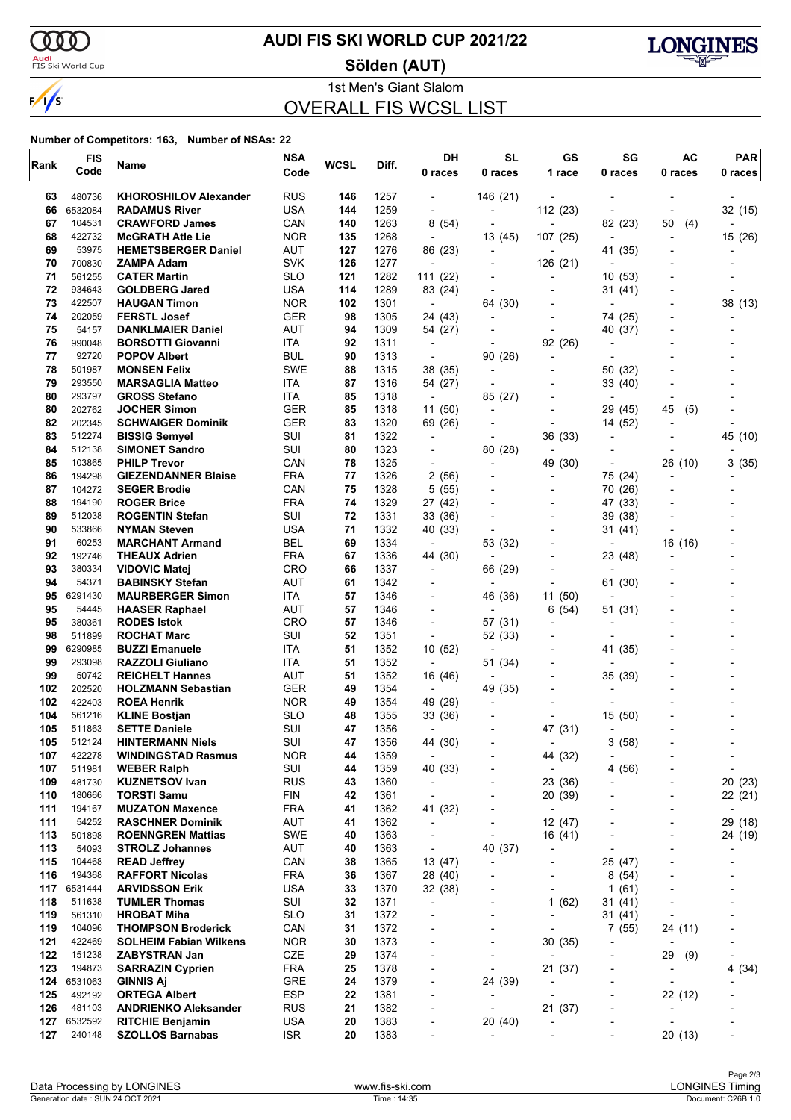

<mark>Audi</mark><br>FIS Ski World Cup

## **AUDI FIS SKI WORLD CUP 2021/22**

**Sölden (AUT)**



1st Men's Giant Slalom OVERALL FIS WCSL LIST

| Rank       | <b>FIS</b>        | Name                                              | <b>NSA</b>        | <b>WCSL</b> | Diff.        | DH                                                   | <b>SL</b>                 | GS                                  | SG                                  | AC                                                   | <b>PAR</b>                          |
|------------|-------------------|---------------------------------------------------|-------------------|-------------|--------------|------------------------------------------------------|---------------------------|-------------------------------------|-------------------------------------|------------------------------------------------------|-------------------------------------|
|            | Code              |                                                   | Code              |             |              | 0 races                                              | 0 races                   | 1 race                              | 0 races                             | 0 races                                              | 0 races                             |
| 63         | 480736            | <b>KHOROSHILOV Alexander</b>                      | <b>RUS</b>        | 146         | 1257         | $\qquad \qquad \blacksquare$                         | 146 (21)                  |                                     |                                     |                                                      |                                     |
| 66         | 6532084           | <b>RADAMUS River</b>                              | USA               | 144         | 1259         | $\overline{\phantom{a}}$                             | ÷,                        | 112 (23)                            |                                     |                                                      | 32 (15)                             |
| 67         | 104531            | <b>CRAWFORD James</b>                             | CAN               | 140         | 1263         | 8 (54)                                               | $\overline{\phantom{a}}$  | $\overline{a}$                      | 82 (23)                             | 50<br>(4)                                            |                                     |
| 68         | 422732            | <b>McGRATH Atle Lie</b>                           | <b>NOR</b>        | 135         | 1268         | $\overline{\phantom{a}}$                             | 13 (45)                   | 107 (25)                            | $\blacksquare$                      | $\overline{a}$                                       | 15 (26)                             |
| 69         | 53975             | <b>HEMETSBERGER Daniel</b>                        | <b>AUT</b>        | 127         | 1276         | 86 (23)                                              | $\overline{a}$            | $\overline{a}$                      | 41 (35)                             |                                                      |                                     |
| 70         | 700830            | ZAMPA Adam                                        | <b>SVK</b>        | 126         | 1277         | $\overline{a}$                                       | $\overline{a}$            | 126 (21)                            | $\overline{a}$                      |                                                      |                                     |
| 71         | 561255            | <b>CATER Martin</b>                               | <b>SLO</b>        | 121         | 1282         | 111 (22)                                             |                           | $\overline{\phantom{0}}$            | 10(53)                              |                                                      |                                     |
| 72         | 934643            | <b>GOLDBERG Jared</b>                             | USA               | 114         | 1289         | 83 (24)                                              |                           | $\overline{\phantom{a}}$            | 31(41)                              |                                                      |                                     |
| 73         | 422507            | <b>HAUGAN Timon</b>                               | <b>NOR</b>        | 102         | 1301         | $\overline{\phantom{a}}$                             | 64 (30)                   |                                     |                                     |                                                      | 38 (13)                             |
| 74         | 202059            | <b>FERSTL Josef</b>                               | <b>GER</b>        | 98          | 1305         | 24 (43)                                              |                           |                                     | 74 (25)                             |                                                      |                                     |
| 75<br>76   | 54157<br>990048   | <b>DANKLMAIER Daniel</b>                          | <b>AUT</b>        | 94          | 1309         | 54 (27)                                              |                           | $\overline{a}$                      | 40 (37)                             |                                                      |                                     |
| 77         | 92720             | <b>BORSOTTI Giovanni</b><br><b>POPOV Albert</b>   | ITA<br>BUL        | 92<br>90    | 1311<br>1313 | $\overline{\phantom{a}}$<br>$\overline{\phantom{a}}$ | ÷<br>90 (26)              | 92 (26)<br>$\overline{a}$           | ÷                                   |                                                      |                                     |
| 78         | 501987            | <b>MONSEN Felix</b>                               | <b>SWE</b>        | 88          | 1315         | 38 (35)                                              | $\overline{a}$            | $\overline{\phantom{a}}$            | 50 (32)                             |                                                      |                                     |
| 79         | 293550            | <b>MARSAGLIA Matteo</b>                           | ITA               | 87          | 1316         | 54 (27)                                              | ÷                         |                                     | 33 (40)                             |                                                      |                                     |
| 80         | 293797            | <b>GROSS Stefano</b>                              | ITA               | 85          | 1318         | $\overline{\phantom{a}}$                             | 85 (27)                   |                                     | $\overline{\phantom{a}}$            |                                                      |                                     |
| 80         | 202762            | <b>JOCHER Simon</b>                               | <b>GER</b>        | 85          | 1318         | 11 (50)                                              | $\overline{a}$            |                                     | 29 (45)                             | 45<br>(5)                                            |                                     |
| 82         | 202345            | <b>SCHWAIGER Dominik</b>                          | <b>GER</b>        | 83          | 1320         | 69 (26)                                              |                           | $\overline{a}$                      | 14 (52)                             |                                                      |                                     |
| 83         | 512274            | <b>BISSIG Semyel</b>                              | SUI               | 81          | 1322         | $\blacksquare$                                       |                           | 36 (33)                             | $\overline{\phantom{a}}$            |                                                      | 45 (10)                             |
| 84         | 512138            | <b>SIMONET Sandro</b>                             | SUI               | 80          | 1323         | $\overline{\phantom{0}}$                             | 80 (28)                   | $\blacksquare$                      |                                     |                                                      |                                     |
| 85         | 103865            | <b>PHILP Trevor</b>                               | CAN               | 78          | 1325         | ٠                                                    | $\overline{a}$            | 49 (30)                             |                                     | 26 (10)                                              | 3(35)                               |
| 86         | 194298            | <b>GIEZENDANNER Blaise</b>                        | <b>FRA</b>        | 77          | 1326         | 2 (56)                                               |                           |                                     | 75 (24)                             |                                                      |                                     |
| 87         | 104272            | <b>SEGER Brodie</b>                               | CAN               | 75          | 1328         | 5(55)                                                |                           |                                     | 70 (26)                             |                                                      |                                     |
| 88<br>89   | 194190<br>512038  | <b>ROGER Brice</b>                                | <b>FRA</b><br>SUI | 74<br>72    | 1329<br>1331 | 27 (42)                                              |                           | $\overline{a}$                      | 47 (33)                             |                                                      |                                     |
| 90         | 533866            | <b>ROGENTIN Stefan</b><br><b>NYMAN Steven</b>     | USA               | 71          | 1332         | 33 (36)<br>40 (33)                                   |                           | $\overline{\phantom{a}}$            | 39 (38)<br>31 (41)                  |                                                      |                                     |
| 91         | 60253             | <b>MARCHANT Armand</b>                            | BEL               | 69          | 1334         | $\overline{\phantom{a}}$                             | 53 (32)                   |                                     |                                     | 16 (16)                                              |                                     |
| 92         | 192746            | <b>THEAUX Adrien</b>                              | <b>FRA</b>        | 67          | 1336         | 44 (30)                                              |                           |                                     | 23 (48)                             |                                                      |                                     |
| 93         | 380334            | <b>VIDOVIC Matej</b>                              | <b>CRO</b>        | 66          | 1337         | $\overline{\phantom{a}}$                             | 66 (29)                   | $\overline{a}$                      | $\overline{\phantom{a}}$            |                                                      |                                     |
| 94         | 54371             | <b>BABINSKY Stefan</b>                            | AUT               | 61          | 1342         | ٠                                                    | $\overline{\phantom{a}}$  | ٠                                   | 61 (30)                             |                                                      |                                     |
| 95         | 6291430           | <b>MAURBERGER Simon</b>                           | ITA               | 57          | 1346         | $\blacksquare$                                       | 46 (36)                   | 11 (50)                             | $\overline{\phantom{a}}$            |                                                      |                                     |
| 95         | 54445             | <b>HAASER Raphael</b>                             | <b>AUT</b>        | 57          | 1346         | $\overline{\phantom{a}}$                             |                           | (54)<br>6                           | 51 (31)                             |                                                      |                                     |
| 95         | 380361            | <b>RODES Istok</b>                                | <b>CRO</b>        | 57          | 1346         | $\overline{\phantom{a}}$                             | 57 (31)                   | ٠                                   |                                     |                                                      |                                     |
| 98         | 511899            | <b>ROCHAT Marc</b>                                | SUI               | 52          | 1351         | $\overline{\phantom{a}}$                             | 52 (33)                   |                                     |                                     |                                                      |                                     |
| 99         | 6290985           | <b>BUZZI Emanuele</b>                             | ITA               | 51          | 1352         | 10 (52)                                              | $\overline{a}$            |                                     | 41 (35)                             |                                                      |                                     |
| 99<br>99   | 293098<br>50742   | <b>RAZZOLI Giuliano</b><br><b>REICHELT Hannes</b> | ITA<br>AUT        | 51<br>51    | 1352<br>1352 | $\overline{\phantom{a}}$                             | 51 (34)<br>$\blacksquare$ |                                     | $\overline{\phantom{a}}$<br>35 (39) |                                                      |                                     |
| 102        | 202520            | <b>HOLZMANN Sebastian</b>                         | <b>GER</b>        | 49          | 1354         | 16 (46)<br>$\overline{\phantom{a}}$                  | 49 (35)                   |                                     |                                     |                                                      |                                     |
| 102        | 422403            | <b>ROEA Henrik</b>                                | <b>NOR</b>        | 49          | 1354         | 49 (29)                                              | $\overline{\phantom{a}}$  |                                     |                                     |                                                      |                                     |
| 104        | 561216            | <b>KLINE Bostjan</b>                              | <b>SLO</b>        | 48          | 1355         | 33 (36)                                              |                           |                                     | 15 (50)                             |                                                      |                                     |
| 105        | 511863            | <b>SETTE Daniele</b>                              | SUI               | 47          | 1356         | $\overline{a}$                                       |                           | 47 (31)                             |                                     |                                                      |                                     |
| 105        | 512124            | <b>HINTERMANN Niels</b>                           | SUI               | 47          | 1356         | 44 (30)                                              |                           |                                     | (58)<br>3                           |                                                      |                                     |
| 107        | 422278            | <b>WINDINGSTAD Rasmus</b>                         | <b>NOR</b>        | 44          | 1359         | $\blacksquare$                                       |                           | 44 (32)                             | $\overline{\phantom{a}}$            |                                                      | $\overline{\phantom{a}}$            |
| 107        | 511981            | <b>WEBER Ralph</b>                                | SUI               | 44          | 1359         | 40 (33)                                              |                           | $\overline{\phantom{a}}$            | 4(56)                               |                                                      | $\blacksquare$                      |
| 109        | 481730            | <b>KUZNETSOV Ivan</b>                             | <b>RUS</b>        | 43          | 1360         | $\qquad \qquad \blacksquare$                         | -                         | 23 (36)                             |                                     |                                                      | 20 (23)                             |
| 110        | 180666            | <b>TORSTI Samu</b>                                | <b>FIN</b>        | 42          | 1361         | $\overline{\phantom{a}}$                             |                           | 20 (39)                             |                                     |                                                      | 22 (21)                             |
| 111<br>111 | 194167<br>54252   | <b>MUZATON Maxence</b><br><b>RASCHNER Dominik</b> | <b>FRA</b><br>AUT | 41<br>41    | 1362<br>1362 | 41 (32)<br>$\overline{\phantom{a}}$                  |                           | $\overline{\phantom{a}}$<br>12 (47) |                                     |                                                      | $\overline{\phantom{a}}$<br>29 (18) |
| 113        | 501898            | <b>ROENNGREN Mattias</b>                          | <b>SWE</b>        | 40          | 1363         | $\qquad \qquad \blacksquare$                         | $\overline{\phantom{a}}$  | 16 (41)                             |                                     |                                                      | 24 (19)                             |
| 113        | 54093             | <b>STROLZ Johannes</b>                            | AUT               | 40          | 1363         | $\overline{\phantom{a}}$                             | 40 (37)                   | $\overline{\phantom{a}}$            | $\overline{\phantom{a}}$            |                                                      | ٠                                   |
| 115        | 104468            | <b>READ Jeffrey</b>                               | CAN               | 38          | 1365         | 13 (47)                                              | $\overline{a}$            | -                                   | 25 (47)                             |                                                      |                                     |
| 116        | 194368            | <b>RAFFORT Nicolas</b>                            | <b>FRA</b>        | 36          | 1367         | 28 (40)                                              |                           | $\overline{a}$                      | 8(54)                               |                                                      |                                     |
| 117        | 6531444           | <b>ARVIDSSON Erik</b>                             | <b>USA</b>        | 33          | 1370         | 32 (38)                                              |                           | $\overline{\phantom{0}}$            | 1(61)                               |                                                      | ٠                                   |
| 118        | 511638            | <b>TUMLER Thomas</b>                              | SUI               | 32          | 1371         | $\overline{\phantom{a}}$                             | -                         | (62)<br>1                           | 31(41)                              |                                                      |                                     |
| 119        | 561310            | <b>HROBAT Miha</b>                                | <b>SLO</b>        | 31          | 1372         | $\overline{\phantom{0}}$                             |                           | $\overline{\phantom{0}}$            | 31(41)                              |                                                      |                                     |
| 119        | 104096            | <b>THOMPSON Broderick</b>                         | CAN               | 31          | 1372         | $\overline{a}$                                       | $\overline{a}$            | $\overline{a}$                      | 7(55)                               | 24 (11)                                              | -                                   |
| 121        | 422469            | <b>SOLHEIM Fabian Wilkens</b>                     | <b>NOR</b>        | 30          | 1373         | -                                                    | $\overline{a}$            | 30(35)                              | $\overline{a}$                      | $\overline{\phantom{a}}$                             |                                     |
| 122        | 151238            | <b>ZABYSTRAN Jan</b>                              | CZE               | 29          | 1374         | $\overline{\phantom{a}}$                             |                           | $\overline{a}$                      | $\overline{\phantom{a}}$            | 29<br>(9)                                            | $\overline{\phantom{a}}$            |
| 123<br>124 | 194873<br>6531063 | <b>SARRAZIN Cyprien</b><br><b>GINNIS Aj</b>       | <b>FRA</b><br>GRE | 25<br>24    | 1378<br>1379 | $\overline{\phantom{0}}$<br>$\overline{\phantom{0}}$ | ÷,<br>24 (39)             | 21 (37)                             | $\overline{a}$                      | $\overline{\phantom{a}}$<br>$\overline{\phantom{a}}$ | 4 (34)                              |
| 125        | 492192            | <b>ORTEGA Albert</b>                              | <b>ESP</b>        | 22          | 1381         | $\overline{\phantom{0}}$                             |                           | $\overline{\phantom{0}}$            | $\overline{\phantom{a}}$            | 22 (12)                                              |                                     |
| 126        | 481103            | <b>ANDRIENKO Aleksander</b>                       | <b>RUS</b>        | 21          | 1382         | $\overline{\phantom{0}}$                             | ÷,                        | 21 (37)                             | $\overline{a}$                      | $\overline{\phantom{a}}$                             |                                     |
| 127        | 6532592           | <b>RITCHIE Benjamin</b>                           | <b>USA</b>        | 20          | 1383         | $\overline{\phantom{0}}$                             | 20 (40)                   | -                                   |                                     |                                                      |                                     |
| 127        | 240148            | <b>SZOLLOS Barnabas</b>                           | <b>ISR</b>        | 20          | 1383         | $\overline{\phantom{0}}$                             | $\overline{a}$            |                                     | ٠                                   | 20 (13)                                              |                                     |
|            |                   |                                                   |                   |             |              |                                                      |                           |                                     |                                     |                                                      |                                     |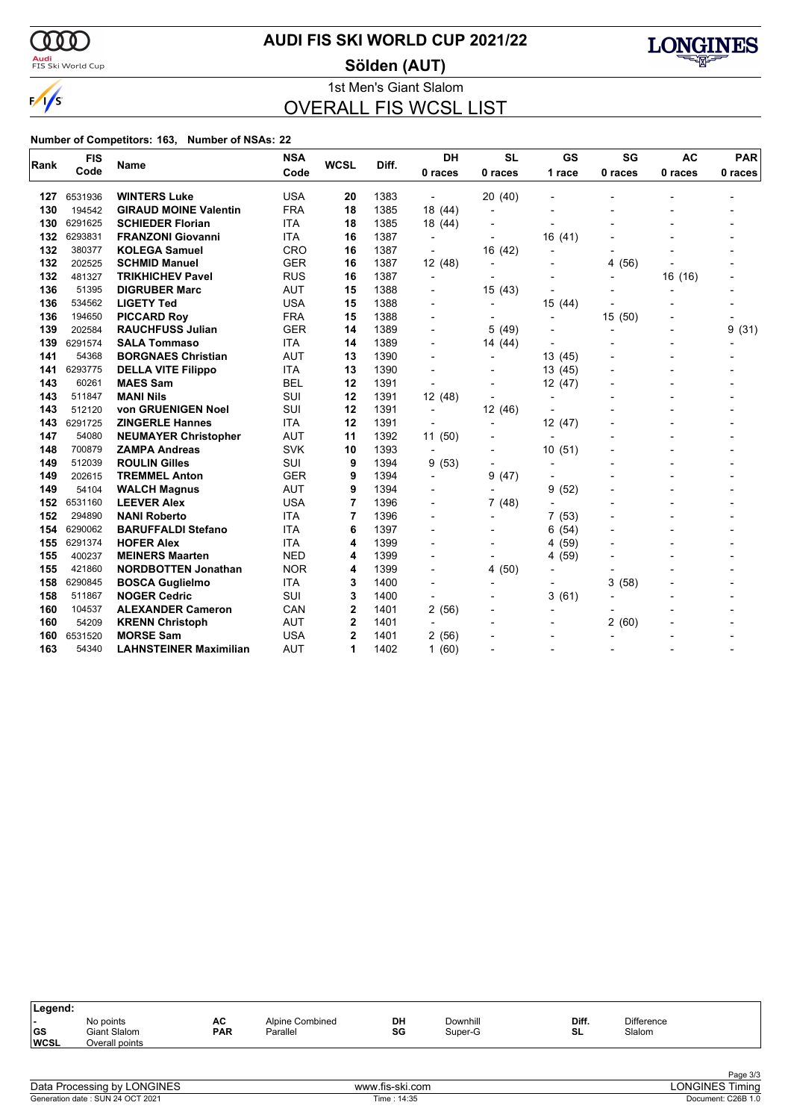

<mark>Audi</mark><br>FIS Ski World Cup

## **AUDI FIS SKI WORLD CUP 2021/22**

**Sölden (AUT)**



1st Men's Giant Slalom OVERALL FIS WCSL LIST

| Rank | <b>FIS</b> | Name                          | <b>NSA</b> | <b>WCSL</b>    | Diff. | DH                       | <b>SL</b>                | GS                       | SG                       | <b>AC</b>                | <b>PAR</b> |
|------|------------|-------------------------------|------------|----------------|-------|--------------------------|--------------------------|--------------------------|--------------------------|--------------------------|------------|
|      | Code       |                               | Code       |                |       | 0 races                  | 0 races                  | 1 race                   | 0 races                  | 0 races                  | 0 races    |
| 127  | 6531936    | <b>WINTERS Luke</b>           | <b>USA</b> | 20             | 1383  |                          | 20 (40)                  |                          |                          |                          |            |
| 130  | 194542     | <b>GIRAUD MOINE Valentin</b>  | <b>FRA</b> | 18             | 1385  | 18 (44)                  | $\overline{\phantom{a}}$ |                          |                          |                          |            |
| 130  | 6291625    | <b>SCHIEDER Florian</b>       | <b>ITA</b> | 18             | 1385  | 18 (44)                  |                          |                          |                          |                          |            |
| 132  | 6293831    | <b>FRANZONI Giovanni</b>      | <b>ITA</b> | 16             | 1387  | $\blacksquare$           |                          | 16(41)                   |                          |                          |            |
| 132  | 380377     | <b>KOLEGA Samuel</b>          | <b>CRO</b> | 16             | 1387  |                          | 16 (42)                  | $\overline{a}$           |                          |                          |            |
| 132  | 202525     | <b>SCHMID Manuel</b>          | <b>GER</b> | 16             | 1387  | 12 (48)                  |                          |                          | (56)<br>4                |                          |            |
| 132  | 481327     | <b>TRIKHICHEV Pavel</b>       | <b>RUS</b> | 16             | 1387  | $\blacksquare$           |                          |                          | $\overline{\phantom{a}}$ | 16 (16)                  |            |
| 136  | 51395      | <b>DIGRUBER Marc</b>          | <b>AUT</b> | 15             | 1388  |                          | 15(43)                   |                          |                          | $\overline{a}$           |            |
| 136  | 534562     | <b>LIGETY Ted</b>             | <b>USA</b> | 15             | 1388  |                          |                          | 15 (44)                  |                          |                          |            |
| 136  | 194650     | <b>PICCARD Roy</b>            | <b>FRA</b> | 15             | 1388  |                          |                          | $\overline{a}$           | 15 (50)                  |                          |            |
| 139  | 202584     | <b>RAUCHFUSS Julian</b>       | <b>GER</b> | 14             | 1389  | $\overline{\phantom{a}}$ | 5(49)                    |                          | $\overline{\phantom{a}}$ | $\blacksquare$           | 9<br>(31)  |
| 139  | 6291574    | <b>SALA Tommaso</b>           | <b>ITA</b> | 14             | 1389  | $\overline{\phantom{0}}$ | 14 (44)                  | $\overline{a}$           |                          | $\blacksquare$           |            |
| 141  | 54368      | <b>BORGNAES Christian</b>     | <b>AUT</b> | 13             | 1390  | $\overline{a}$           | $\blacksquare$           | 13 (45)                  |                          | $\blacksquare$           |            |
| 141  | 6293775    | <b>DELLA VITE Filippo</b>     | <b>ITA</b> | 13             | 1390  | $\overline{a}$           |                          | 13 (45)                  |                          | $\overline{\phantom{0}}$ |            |
| 143  | 60261      | <b>MAES Sam</b>               | <b>BEL</b> | 12             | 1391  | $\overline{\phantom{a}}$ |                          | 12 (47)                  |                          | $\blacksquare$           |            |
| 143  | 511847     | <b>MANI Nils</b>              | SUI        | 12             | 1391  | 12(48)                   | $\overline{\phantom{0}}$ | $\overline{\phantom{a}}$ |                          | $\blacksquare$           |            |
| 143  | 512120     | von GRUENIGEN Noel            | SUI        | 12             | 1391  | $\blacksquare$           | 12 (46)                  |                          |                          |                          |            |
| 143  | 6291725    | <b>ZINGERLE Hannes</b>        | <b>ITA</b> | 12             | 1391  |                          | $\blacksquare$           | 12 (47)                  |                          |                          |            |
| 147  | 54080      | <b>NEUMAYER Christopher</b>   | <b>AUT</b> | 11             | 1392  | 11 (50)                  |                          | $\overline{a}$           |                          |                          |            |
| 148  | 700879     | <b>ZAMPA Andreas</b>          | <b>SVK</b> | 10             | 1393  | $\overline{a}$           |                          | 10(51)                   |                          |                          |            |
| 149  | 512039     | <b>ROULIN Gilles</b>          | SUI        | 9              | 1394  | 9(53)                    | $\overline{\phantom{a}}$ | $\overline{\phantom{a}}$ |                          |                          |            |
| 149  | 202615     | <b>TREMMEL Anton</b>          | <b>GER</b> | 9              | 1394  | $\overline{\phantom{a}}$ | (47)<br>9                |                          |                          |                          |            |
| 149  | 54104      | <b>WALCH Magnus</b>           | <b>AUT</b> | 9              | 1394  |                          | $\overline{\phantom{a}}$ | 9<br>(52)                |                          |                          |            |
| 152  | 6531160    | <b>LEEVER Alex</b>            | <b>USA</b> | 7              | 1396  |                          | 7(48)                    |                          |                          |                          |            |
| 152  | 294890     | <b>NANI Roberto</b>           | <b>ITA</b> | 7              | 1396  |                          | $\overline{\phantom{a}}$ | 7(53)                    |                          |                          |            |
| 154  | 6290062    | <b>BARUFFALDI Stefano</b>     | <b>ITA</b> | 6              | 1397  |                          |                          | (54)<br>6                |                          |                          |            |
| 155  | 6291374    | <b>HOFER Alex</b>             | <b>ITA</b> | 4              | 1399  |                          |                          | 4 (59)                   |                          |                          |            |
| 155  | 400237     | <b>MEINERS Maarten</b>        | <b>NED</b> | 4              | 1399  |                          |                          | (59)<br>4                |                          |                          |            |
| 155  | 421860     | <b>NORDBOTTEN Jonathan</b>    | <b>NOR</b> | 4              | 1399  | $\overline{\phantom{a}}$ | 4 (50)                   |                          |                          |                          |            |
| 158  | 6290845    | <b>BOSCA Guglielmo</b>        | <b>ITA</b> | 3              | 1400  |                          |                          |                          | 3<br>(58)                |                          |            |
| 158  | 511867     | <b>NOGER Cedric</b>           | SUI        | 3              | 1400  | $\blacksquare$           |                          | 3(61)                    |                          |                          |            |
| 160  | 104537     | <b>ALEXANDER Cameron</b>      | CAN        | $\overline{2}$ | 1401  | 2(56)                    |                          | $\overline{a}$           |                          |                          |            |
| 160  | 54209      | <b>KRENN Christoph</b>        | <b>AUT</b> | $\overline{2}$ | 1401  |                          |                          |                          | 2(60)                    |                          |            |
| 160  | 6531520    | <b>MORSE Sam</b>              | <b>USA</b> | $\overline{2}$ | 1401  | 2(56)                    |                          |                          |                          |                          |            |
| 163  | 54340      | <b>LAHNSTEINER Maximilian</b> | <b>AUT</b> | 1              | 1402  | 1(60)                    |                          |                          |                          |                          |            |

| DH<br>Diff.<br>Difference<br>Downhill<br>No points<br>AC<br>Alpine Combined<br>. .<br>  GS<br><b>PAR</b><br>SG<br><b>SL</b><br>Slalom<br><b>Giant Slalom</b><br>Super-G<br>Parallel<br><b>WCSL</b><br>Overall points |  |
|----------------------------------------------------------------------------------------------------------------------------------------------------------------------------------------------------------------------|--|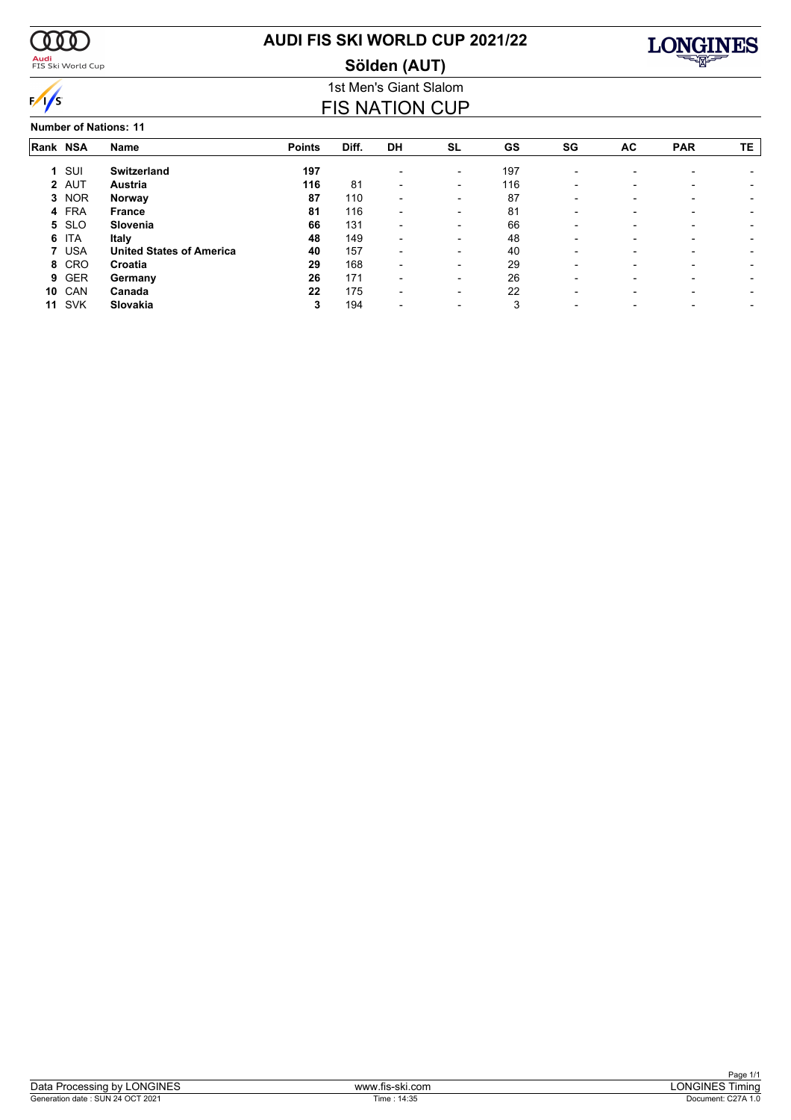

<mark>Audi</mark><br>FIS Ski World Cup

# **AUDI FIS SKI WORLD CUP 2021/22**





### 1st Men's Giant Slalom FIS NATION CUP

**Number of Nations: 11**

|    | Rank NSA   | Name                            | <b>Points</b> | Diff. | <b>DH</b>                | <b>SL</b>                | GS  | SG                       | AC                       | <b>PAR</b>               | TE. |
|----|------------|---------------------------------|---------------|-------|--------------------------|--------------------------|-----|--------------------------|--------------------------|--------------------------|-----|
| 1. | SUI        | <b>Switzerland</b>              | 197           |       |                          | $\overline{\phantom{a}}$ | 197 | $\overline{\phantom{0}}$ |                          |                          |     |
|    | 2 AUT      | Austria                         | 116           | 81    | $\blacksquare$           | $\overline{\phantom{0}}$ | 116 | -                        | $\overline{\phantom{0}}$ |                          |     |
| 3  | <b>NOR</b> | Norway                          | 87            | 110   | $\blacksquare$           | $\overline{\phantom{a}}$ | 87  | $\overline{\phantom{0}}$ |                          |                          |     |
| 4  | <b>FRA</b> | <b>France</b>                   | 81            | 116   | $\blacksquare$           | $\overline{\phantom{0}}$ | 81  | -                        |                          |                          |     |
| 5. | <b>SLO</b> | Slovenia                        | 66            | 131   | $\overline{\phantom{a}}$ | $\overline{\phantom{0}}$ | 66  | -                        | $\overline{\phantom{0}}$ | $\overline{\phantom{0}}$ |     |
| 6  | ITA        | Italy                           | 48            | 149   | $\overline{\phantom{a}}$ | $\overline{\phantom{a}}$ | 48  | $\overline{\phantom{0}}$ |                          |                          |     |
|    | <b>USA</b> | <b>United States of America</b> | 40            | 157   | $\overline{\phantom{0}}$ | $\overline{\phantom{a}}$ | 40  |                          |                          |                          |     |
| 8  | CRO        | Croatia                         | 29            | 168   | $\blacksquare$           | $\overline{\phantom{a}}$ | 29  | -                        | $\overline{\phantom{0}}$ | $\overline{\phantom{0}}$ |     |
| 9  | <b>GER</b> | Germany                         | 26            | 171   | $\overline{\phantom{0}}$ | $\overline{\phantom{0}}$ | 26  | $\overline{\phantom{0}}$ | $\overline{\phantom{0}}$ | $\overline{\phantom{0}}$ |     |
| 10 | CAN        | Canada                          | 22            | 175   | $\blacksquare$           | $\overline{\phantom{0}}$ | 22  | $\overline{\phantom{0}}$ |                          |                          |     |
| 11 | SVK        | Slovakia                        | 3             | 194   |                          |                          | З   |                          |                          |                          |     |
|    |            |                                 |               |       |                          |                          |     |                          |                          |                          |     |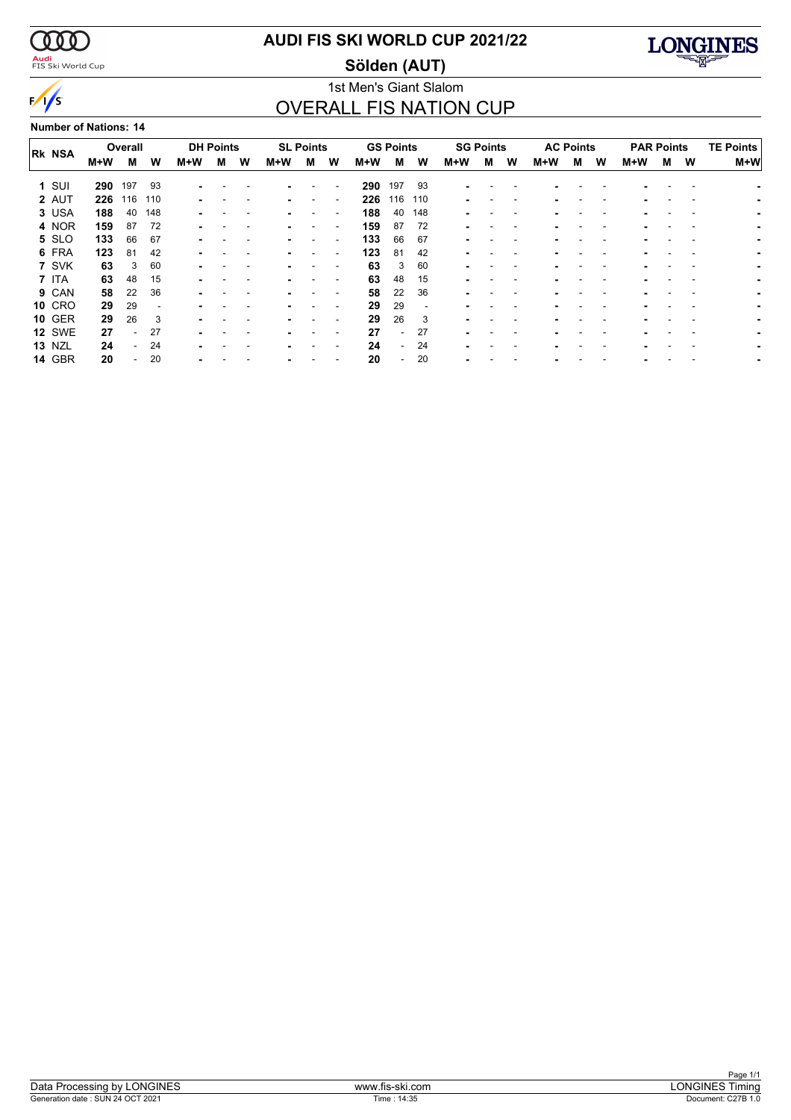$\alpha\alpha$ 

 $\sqrt{s}$ 

<mark>Audi</mark><br>FIS Ski World Cup

### **AUDI FIS SKI WORLD CUP 2021/22**

**Sölden (AUT)**



### 1st Men's Giant Slalom OVERALL FIS NATION CUP

**Number of Nations: 14**

|               |     | Overall |     |     | <b>DH Points</b> |   |     | <b>SL Points</b> |                          |     | <b>GS Points</b>         |     | <b>SG Points</b> |   |   | <b>AC Points</b> |   |   | <b>PAR Points</b> |   |   | <b>TE Points</b> |
|---------------|-----|---------|-----|-----|------------------|---|-----|------------------|--------------------------|-----|--------------------------|-----|------------------|---|---|------------------|---|---|-------------------|---|---|------------------|
| <b>RK NSA</b> | M+W | м       | W   | M+W | м                | W | M+W | м                | W                        | M+W | м                        | W   | M+W              | м | W | M+W              | м | W | M+W               | м | W | $M+W$            |
| $1$ SUI       | 290 | 197     | 93  |     |                  |   |     |                  |                          | 290 | 197                      | 93  |                  |   |   |                  |   |   |                   |   |   |                  |
| 2 AUT         | 226 | 116     | 110 | ۰.  |                  |   |     |                  |                          | 226 | 116                      | 110 |                  |   |   |                  |   |   |                   |   |   |                  |
| 3 USA         | 188 | 40      | 148 |     |                  |   |     |                  |                          | 188 | 40                       | 148 |                  |   |   |                  |   |   |                   |   |   |                  |
| 4 NOR         | 159 | 87      | 72  |     |                  |   |     |                  |                          | 159 | 87                       | 72  |                  |   |   |                  |   |   |                   |   |   |                  |
| 5 SLO         | 133 | 66      | 67  |     |                  |   |     |                  |                          | 133 | 66                       | 67  |                  |   |   |                  |   |   |                   |   |   |                  |
| 6 FRA         | 123 | 81      | 42  |     |                  |   |     |                  | $\overline{\phantom{a}}$ | 123 | 81                       | 42  |                  |   |   |                  |   |   |                   |   |   |                  |
| 7 SVK         | 63  | 3       | 60  |     |                  |   |     |                  | $\overline{\phantom{a}}$ | 63  | 3                        | 60  |                  |   |   |                  |   |   |                   |   |   |                  |
| 7 ITA         | 63  | 48      | 15  | ۰   |                  |   |     |                  |                          | 63  | 48                       | 15  |                  |   |   |                  |   |   |                   |   |   |                  |
| 9 CAN         | 58  | 22      | 36  |     |                  |   |     |                  |                          | 58  | 22                       | 36  |                  |   |   |                  |   |   |                   |   |   |                  |
| <b>10 CRO</b> | 29  | 29      |     |     |                  |   |     |                  |                          | 29  | 29                       |     |                  |   |   |                  |   |   |                   |   |   |                  |
| <b>10 GER</b> | 29  | 26      | 3   |     |                  |   |     |                  |                          | 29  | 26                       | 3   |                  |   |   |                  |   |   |                   |   |   |                  |
| <b>12 SWE</b> | 27  |         | 27  |     |                  |   |     |                  |                          | 27  | $\overline{\phantom{0}}$ | 27  |                  |   |   |                  |   |   |                   |   |   |                  |
| <b>13 NZL</b> | 24  |         | 24  |     |                  |   |     |                  |                          | 24  | $\overline{\phantom{0}}$ | 24  |                  |   |   |                  |   |   |                   |   |   |                  |
| <b>14 GBR</b> | 20  |         | 20  |     |                  |   |     |                  |                          | 20  | $\overline{\phantom{0}}$ | 20  |                  |   |   |                  |   |   |                   |   |   |                  |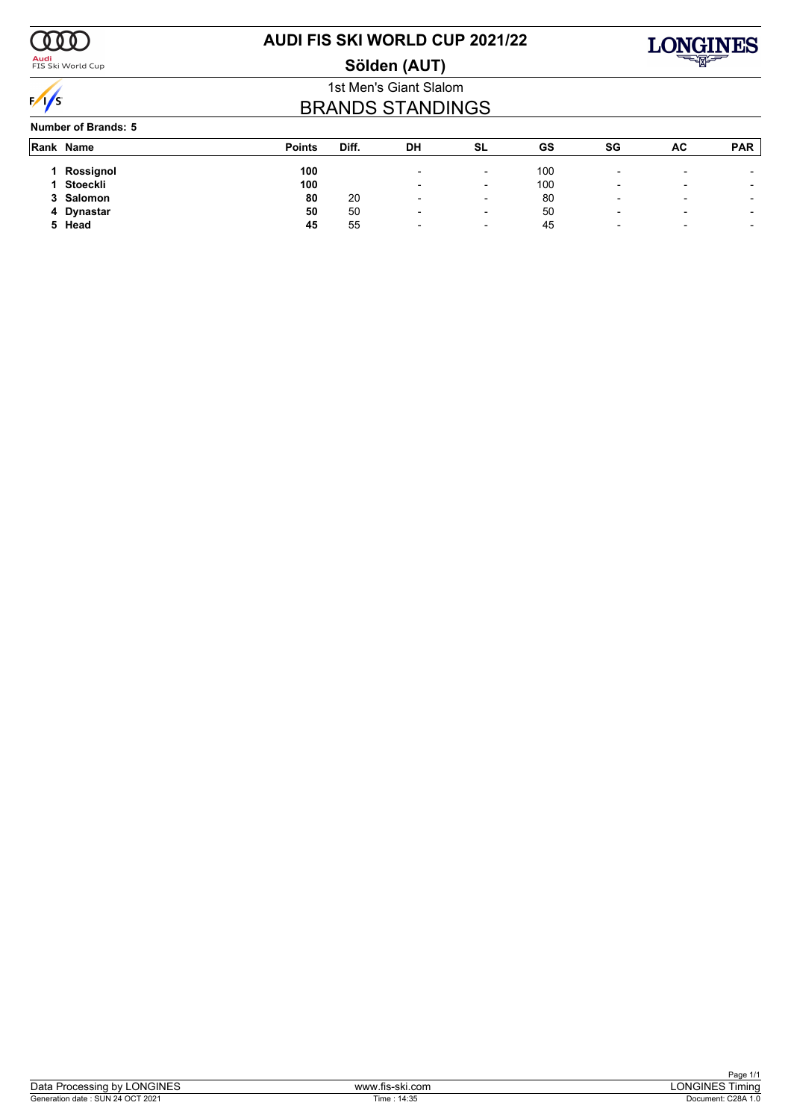

<mark>Audi</mark><br>FIS Ski World Cup

# **AUDI FIS SKI WORLD CUP 2021/22**





### 1st Men's Giant Slalom BRANDS STANDINGS

**Number of Brands: 5**

|    | Rank Name | <b>Points</b> | Diff. | DH                       | <b>SL</b>                | GS  | SG                       | AC                       | <b>PAR</b>               |
|----|-----------|---------------|-------|--------------------------|--------------------------|-----|--------------------------|--------------------------|--------------------------|
|    |           |               |       |                          |                          |     |                          |                          |                          |
|    | Rossignol | 100           |       | $\overline{\phantom{0}}$ | $\overline{\phantom{0}}$ | 100 | $\overline{\phantom{0}}$ | $\overline{\phantom{0}}$ |                          |
|    | Stoeckli  | 100           |       | $\overline{\phantom{0}}$ | $\overline{\phantom{a}}$ | 100 | $\overline{\phantom{0}}$ | $\overline{\phantom{0}}$ | $\overline{\phantom{0}}$ |
|    | 3 Salomon | 80            | 20    | $\overline{\phantom{0}}$ | $\overline{\phantom{a}}$ | 80  | $\overline{\phantom{0}}$ | $\overline{\phantom{0}}$ | $\overline{\phantom{0}}$ |
| 4  | Dynastar  | 50            | 50    | $\overline{\phantom{0}}$ | $\overline{\phantom{a}}$ | 50  | $\overline{\phantom{a}}$ | $\overline{\phantom{0}}$ | $\overline{\phantom{0}}$ |
| 5. | Head      | 45            | 55    | $\overline{\phantom{0}}$ | $\overline{\phantom{0}}$ | 45  | ۰                        | $\overline{\phantom{a}}$ | $\overline{\phantom{a}}$ |